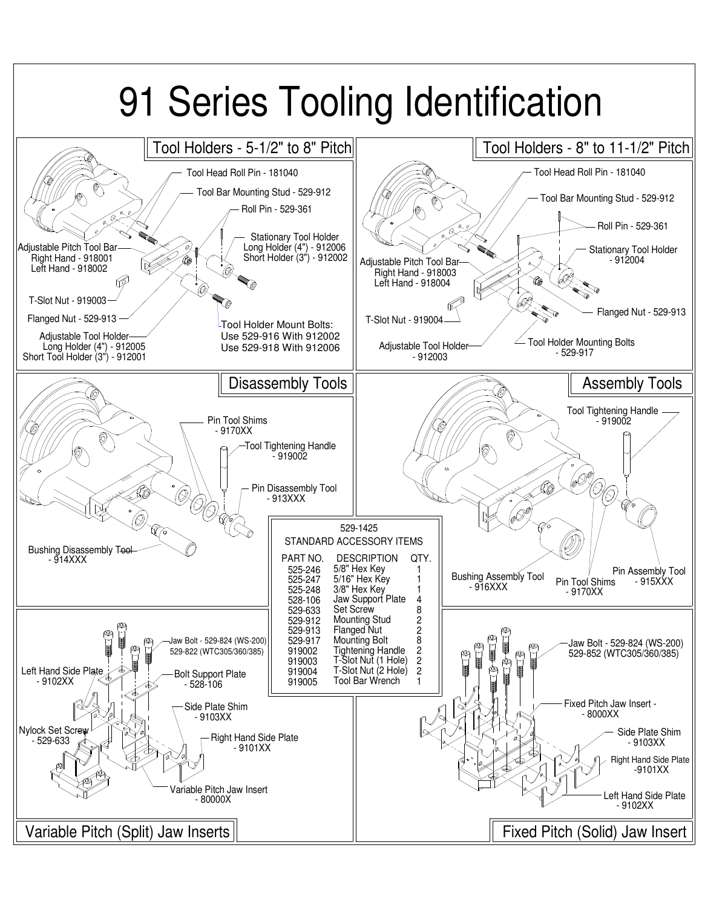# 91 Series Tooling Identification

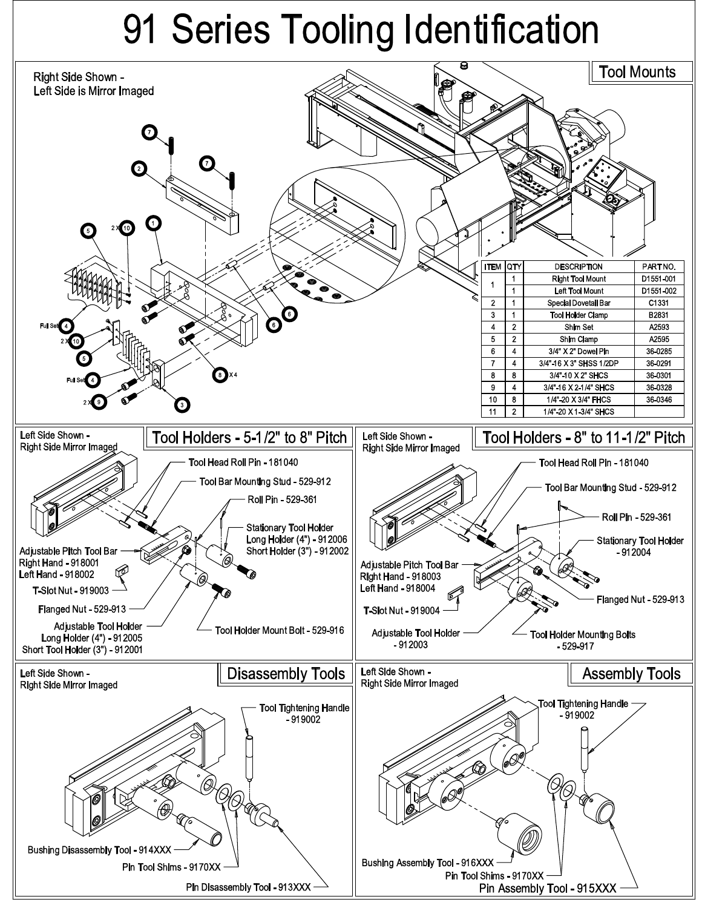## 91 Series Tooling Identification

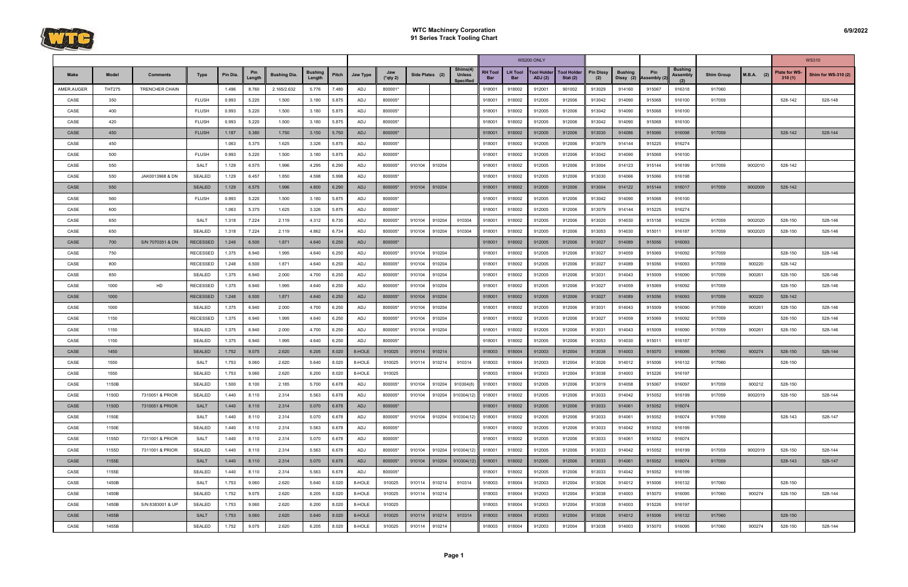

|            |               |                  |                 |          |               |                     |                          |       |            |                    |                 |        |                                               |                              |                       | WS200 ONLY                           |                                  |                         |                |                              |                                          |                   |              |                         | <b>WS310</b>        |
|------------|---------------|------------------|-----------------|----------|---------------|---------------------|--------------------------|-------|------------|--------------------|-----------------|--------|-----------------------------------------------|------------------------------|-----------------------|--------------------------------------|----------------------------------|-------------------------|----------------|------------------------------|------------------------------------------|-------------------|--------------|-------------------------|---------------------|
| Make       | Model         | <b>Comments</b>  | Type            | Pin Dia. | Pin<br>Lenati | <b>Bushing Dia.</b> | <b>Bushing</b><br>Lenath | Pitch | Jaw Type   | Jaw<br>$(*$ qty 2) | Side Plates (2) |        | Shims(4)<br><b>Unless</b><br><b>Specified</b> | <b>RH Tool</b><br><b>Bar</b> | <b>LH Tool</b><br>Bar | <b>Tool Holder</b><br><b>ADJ</b> (2) | <b>Tool Holder</b><br>Stat $(2)$ | <b>Pin Dissy</b><br>(2) | <b>Bushing</b> | Pin<br>Dissy (2) Assembly (2 | <b>Bushing</b><br><b>Assembly</b><br>(2) | <b>Shim Group</b> | $M.B.A.$ (2) | Plate for WS-<br>310(1) | Shim for WS-310 (2) |
| AMER.AUGER | <b>THT275</b> | TRENCHER CHAIN   |                 | 1.496    | 8.760         | 2.165/2.632         | 5.776                    | 7.480 | ADJ        | 800001*            |                 |        |                                               | 918001                       | 918002                | 912001                               | 901002                           | 913029                  | 914160         | 915067                       | 916318                                   | 917060            |              |                         |                     |
| CASE       | 350           |                  | <b>FLUSH</b>    | 0.993    | 5.220         | 1.500               | 3.180                    | 5.875 | ADJ        | 800005*            |                 |        |                                               | 918001                       | 918002                | 912005                               | 912006                           | 913042                  | 914090         | 915068                       | 916100                                   | 917059            |              | 528-142                 | 528-148             |
| CASE       | 400           |                  | <b>FLUSH</b>    | 0.993    | 5.220         | 1.500               | 3.180                    | 5.875 | ADJ        | 800005*            |                 |        |                                               | 918001                       | 918002                | 912005                               | 912006                           | 913042                  | 914090         | 915068                       | 916100                                   |                   |              |                         |                     |
| CASE       | 420           |                  | <b>FLUSH</b>    | 0.993    | 5.220         | 1.500               | 3.180                    | 5.875 | ADJ        | 800005*            |                 |        |                                               | 918001                       | 918002                | 912005                               | 912006                           | 913042                  | 914090         | 915068                       | 916100                                   |                   |              |                         |                     |
| CASE       | 450           |                  | <b>FLUSH</b>    | 1.187    | 5.380         | 1.750               | 3.150                    | 5.750 | <b>ADJ</b> | 800005*            |                 |        |                                               | 918001                       | 918002                | 912005                               | 912006                           | 913030                  | 914086         | 915066                       | 916098                                   | 917059            |              | 528-142                 | 528-144             |
| CASE       | 450           |                  |                 | 1.063    | 5.375         | 1.625               | 3.326                    | 5.875 | ADJ        | 800005*            |                 |        |                                               | 918001                       | 918002                | 912005                               | 912006                           | 913079                  | 914144         | 915225                       | 916274                                   |                   |              |                         |                     |
| CASE       | 500           |                  | <b>FLUSH</b>    | 0.993    | 5.220         | 1.500               | 3.180                    | 5.875 | ADJ        | 800005*            |                 |        |                                               | 918001                       | 918002                | 912005                               | 912006                           | 913042                  | 914090         | 915068                       | 916100                                   |                   |              |                         |                     |
| CASE       | 550           |                  | <b>SALT</b>     | 1.129    | 6.575         | 1.996               | 4.295                    | 6.290 | ADJ        | 800005*            | 910104          | 910204 |                                               | 918001                       | 918002                | 912005                               | 912006                           | 913004                  | 914123         | 915144                       | 916199                                   | 917059            | 9002010      | 528-142                 |                     |
| CASE       | 550           | JAK0013968 & DN  | <b>SEALED</b>   | 1.129    | 6.457         | 1.850               | 4.598                    | 5.998 | ADJ        | 800005*            |                 |        |                                               | 918001                       | 918002                | 912005                               | 912006                           | 913030                  | 914066         | 915066                       | 916198                                   |                   |              |                         |                     |
| CASE       | 550           |                  | <b>SEALED</b>   | 1.129    | 6.575         | 1.996               | 4.800                    | 6.290 | <b>ADJ</b> | 800005*            | 910104          | 910204 |                                               | 918001                       | 918002                | 912005                               | 912006                           | 913004                  | 914122         | 915144                       | 916017                                   | 917059            | 9002009      | 528-142                 |                     |
| CASE       | 560           |                  | <b>FLUSH</b>    | 0.993    | 5.220         | 1.500               | 3.180                    | 5.875 | ADJ        | 800005*            |                 |        |                                               | 918001                       | 918002                | 912005                               | 912006                           | 913042                  | 914090         | 915068                       | 916100                                   |                   |              |                         |                     |
| CASE       | 600           |                  |                 | 1.063    | 5.375         | 1.625               | 3.326                    | 5.875 | ADJ        | 800005*            |                 |        |                                               | 918001                       | 918002                | 912005                               | 912006                           | 913079                  | 914144         | 915225                       | 916274                                   |                   |              |                         |                     |
| CASE       | 650           |                  | <b>SALT</b>     | 1.318    | 7.224         | 2.119               | 4.312                    | 6.735 | ADJ        | 800005*            | 910104          | 910204 | 910304                                        | 918001                       | 918002                | 912005                               | 912006                           | 913020                  | 914030         | 915158                       | 916239                                   | 917059            | 9002020      | 528-150                 | 528-146             |
| CASE       | 650           |                  | <b>SEALED</b>   | 1.318    | 7.224         | 2.119               | 4.862                    | 6.734 | ADJ        | 800005*            | 910104          | 910204 | 910304                                        | 918001                       | 918002                | 912005                               | 912006                           | 913053                  | 914030         | 915011                       | 916187                                   | 917059            | 9002020      | 528-150                 | 528-146             |
| CASE       | 700           | S/N 7070351 & DN | <b>RECESSED</b> | 1.248    | 6.500         | 1.871               | 4.640                    | 6.250 | <b>ADJ</b> | 800005*            |                 |        |                                               | 918001                       | 918002                | 912005                               | 912006                           | 913027                  | 914089         | 915056                       | 916093                                   |                   |              |                         |                     |
| CASE       | 750           |                  | <b>RECESSED</b> | 1.375    | 6.940         | 1.995               | 4.640                    | 6.250 | ADJ        | 800005*            | 910104          | 910204 |                                               | 918001                       | 918002                | 912005                               | 912006                           | 913027                  | 914059         | 915069                       | 916092                                   | 917059            |              | 528-150                 | 528-146             |
| CASE       | 800           |                  | <b>RECESSED</b> | 1.248    | 6.500         | 1.871               | 4.640                    | 6.250 | ADJ        | 800005*            | 910104          | 910204 |                                               | 918001                       | 918002                | 912005                               | 912006                           | 913027                  | 914089         | 915056                       | 916093                                   | 917059            | 900220       | 528-142                 |                     |
| CASE       | 850           |                  | SEALED          | 1.375    | 6.940         | 2.000               | 4.700                    | 6.250 | ADJ        | 800005*            | 910104          | 910204 |                                               | 918001                       | 918002                | 912005                               | 912006                           | 913031                  | 914043         | 915009                       | 916090                                   | 917059            | 900261       | 528-150                 | 528-146             |
| CASE       | 1000          | HD               | <b>RECESSED</b> | 1.375    | 6.940         | 1.995               | 4.640                    | 6.250 | ADJ        | 800005*            | 910104          | 910204 |                                               | 918001                       | 918002                | 912005                               | 912006                           | 913027                  | 914059         | 915069                       | 916092                                   | 917059            |              | 528-150                 | 528-146             |
| CASE       | 1000          |                  | <b>RECESSED</b> | 1.248    | 6.500         | 1.871               | 4.640                    | 6.250 | <b>ADJ</b> | 800005*            | 910104          | 910204 |                                               | 918001                       | 918002                | 912005                               | 912006                           | 913027                  | 914089         | 915056                       | 916093                                   | 917059            | 900220       | 528-142                 |                     |
| CASE       | 1000          |                  | <b>SEALED</b>   | 1.375    | 6.940         | 2.000               | 4.700                    | 6.250 | ADJ        | 800005*            | 910104          | 910204 |                                               | 918001                       | 918002                | 912005                               | 912006                           | 913031                  | 914043         | 915009                       | 916090                                   | 917059            | 900261       | 528-150                 | 528-146             |
| CASE       | 1150          |                  | <b>RECESSED</b> | 1.375    | 6.940         | 1.995               | 4.640                    | 6.250 | ADJ        | 800005*            | 910104          | 910204 |                                               | 918001                       | 918002                | 912005                               | 912006                           | 913027                  | 914059         | 915069                       | 916092                                   | 917059            |              | 528-150                 | 528-146             |
| CASE       | 1150          |                  | <b>SEALED</b>   | 1.375    | 6.940         | 2.000               | 4.700                    | 6.250 | ADJ        | 800005*            | 910104          | 910204 |                                               | 918001                       | 918002                | 912005                               | 912006                           | 913031                  | 914043         | 915009                       | 916090                                   | 917059            | 900261       | 528-150                 | 528-146             |
| CASE       | 1150          |                  | <b>SEALED</b>   | 1.375    | 6.940         | 1.995               | 4.640                    | 6.250 | ADJ        | 800005*            |                 |        |                                               | 918001                       | 918002                | 912005                               | 912006                           | 913053                  | 914030         | 915011                       | 916187                                   |                   |              |                         |                     |
| CASE       | 1450          |                  | <b>SEALED</b>   | 1.752    | 9.075         | 2.620               | 6.205                    | 8.020 | 8-HOLE     | 910025             | 910114          | 910214 |                                               | 918003                       | 918004                | 912003                               | 912004                           | 913038                  | 914003         | 915070                       | 916095                                   | 917060            | 900274       | 528-150                 | 528-144             |
| CASE       | 1550          |                  | <b>SALT</b>     | 1.753    | 9.060         | 2.620               | 5.640                    | 8.020 | 8-HOLE     | 910025             | 910114          | 910214 | 910314                                        | 918003                       | 918004                | 912003                               | 912004                           | 913026                  | 914012         | 915006                       | 916132                                   | 917060            |              | 528-150                 |                     |
| CASE       | 1550          |                  | <b>SEALED</b>   | 1.753    | 9.060         | 2.620               | 6.200                    | 8.020 | 8-HOLE     | 910025             |                 |        |                                               | 918003                       | 918004                | 912003                               | 912004                           | 913038                  | 914003         | 915226                       | 916197                                   |                   |              |                         |                     |
| CASE       | 1150B         |                  | SEALED          | 1.500    | 8.100         | 2.185               | 5.700                    | 6.678 | ADJ        | 800005*            | 910104          | 910204 | 910304(8)                                     | 918001                       | 918002                | 912005                               | 912006                           | 913019                  | 914058         | 915067                       | 916097                                   | 917059            | 900212       | 528-150                 |                     |
| CASE       | 1150D         | 7310051 & PRIOR  | SEALED          | 1.440    | 8.110         | 2.314               | 5.563                    | 6.678 | ADJ        | 800005*            | 910104          | 910204 | 910304(12)                                    | 918001                       | 918002                | 912005                               | 912006                           | 913033                  | 914042         | 915052                       | 916199                                   | 917059            | 9002019      | 528-150                 | 528-144             |
| CASE       | 1150D         | 7310051 & PRIOR  | <b>SALT</b>     | 1.440    | 8.110         | 2.314               | 5.070                    | 6.678 | ADJ        | 800005*            |                 |        |                                               | 918001                       | 918002                | 912005                               | 912006                           | 913033                  | 914061         | 915052                       | 916074                                   |                   |              |                         |                     |
| CASE       | 1150E         |                  | <b>SALT</b>     | 1.440    | 8.110         | 2.314               | 5.070                    | 6.678 | ADJ        | 800005*            | 910104          | 910204 | 910304(12)                                    | 918001                       | 918002                | 912005                               | 912006                           | 913033                  | 914061         | 915052                       | 916074                                   | 917059            |              | 528-143                 | 528-147             |
| CASE       | 1150E         |                  | SEALED          | 1.440    | 8.110         | 2.314               | 5.563                    | 6.678 | ADJ        | 800005*            |                 |        |                                               | 918001                       | 918002                | 912005                               | 912006                           | 913033                  | 914042         | 915052                       | 916199                                   |                   |              |                         |                     |
| CASE       | 1155D         | 7311001 & PRIOR  | SALT            | 1.440    | 8.110         | 2.314               | 5.070                    | 6.678 | ADJ        | 800005*            |                 |        |                                               | 918001                       | 918002                | 912005                               | 912006                           | 913033                  | 914061         | 915052                       | 916074                                   |                   |              |                         |                     |
| CASE       | 1155D         | 7311001 & PRIOR  | SEALED          | 1.440    | 8.110         | 2.314               | 5.563                    | 6.678 | ADJ        | 800005*            | 910104          | 910204 | 910304(12)                                    | 918001                       | 918002                | 912005                               | 912006                           | 913033                  | 914042         | 915052                       | 916199                                   | 917059            | 9002019      | 528-150                 | 528-144             |
| CASE       | 1155E         |                  | <b>SALT</b>     | 1.440    | 8.110         | 2.314               | 5.070                    | 6.678 | ADJ        | 800005*            | 910104          | 910204 | 910304(12)                                    | 918001                       | 918002                | 912005                               | 912006                           | 913033                  | 914061         | 915052                       | 916074                                   | 917059            |              | 528-143                 | 528-147             |
| CASE       | 1155E         |                  | <b>SEALED</b>   | 1.440    | 8.110         | 2.314               | 5.563                    | 6.678 | ADJ        | 800005*            |                 |        |                                               | 918001                       | 918002                | 912005                               | 912006                           | 913033                  | 914042         | 915052                       | 916199                                   |                   |              |                         |                     |
| CASE       | 1450B         |                  | <b>SALT</b>     | 1.753    | 9.060         | 2.620               | 5.640                    | 8.020 | 8-HOLE     | 910025             | 910114          | 910214 | 910314                                        | 918003                       | 918004                | 912003                               | 912004                           | 913026                  | 914012         | 915006                       | 916132                                   | 917060            |              | 528-150                 |                     |
| CASE       | 1450B         |                  | SEALED          | 1.752    | 9.075         | 2.620               | 6.205                    | 8.020 | 8-HOLE     | 910025             | 910114          | 910214 |                                               | 918003                       | 918004                | 912003                               | 912004                           | 913038                  | 914003         | 915070                       | 916095                                   | 917060            | 900274       | 528-150                 | 528-144             |
| CASE       | 1450B         | S/N 8383001 & UP | <b>SEALED</b>   | 1.753    | 9.060         | 2.620               | 6.200                    | 8.020 | 8-HOLE     | 910025             |                 |        |                                               | 918003                       | 918004                | 912003                               | 912004                           | 913038                  | 914003         | 915226                       | 916197                                   |                   |              |                         |                     |
| CASE       | 1455B         |                  | <b>SALT</b>     | 1.753    | 9.060         | 2.620               | 5.640                    | 8.020 | 8-HOLE     | 910025             | 910114          | 910214 | 910314                                        | 918003                       | 918004                | 912003                               | 912004                           | 913026                  | 914012         | 915006                       | 916132                                   | 917060            |              | 528-150                 |                     |
| CASE       | 1455B         |                  | SEALED          | 1.752    | 9.075         | 2.620               | 6.205                    | 8.020 | 8-HOLE     | 910025             | 910114          | 910214 |                                               | 918003                       | 918004                | 912003                               | 912004                           | 913038                  | 914003         | 915070                       | 916095                                   | 917060            | 900274       | 528-150                 | 528-144             |
|            |               |                  |                 |          |               |                     |                          |       |            |                    |                 |        |                                               |                              |                       |                                      |                                  |                         |                |                              |                                          |                   |              |                         |                     |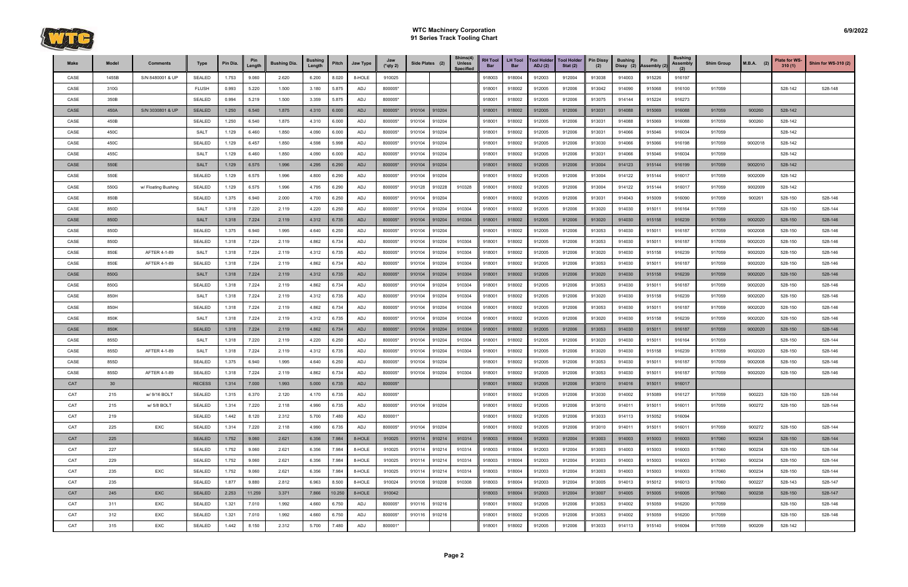

| Make | Model | <b>Comments</b>     | <b>Type</b>   | Pin Dia. | Pin<br>Length | <b>Bushing Dia.</b> | <b>Bushing</b><br>Length | Pitch  | <b>Jaw Type</b> | Jaw<br>$(*$ qty 2) | Side Plates (2) |        | Shims(4)<br><b>Unless</b><br><b>Specified</b> | <b>RH Tool</b><br>Bar | <b>LH Tool</b><br><b>Bar</b> | <b>Tool Holder</b><br><b>ADJ</b> (2) | <b>Tool Holder</b><br>Stat $(2)$ | <b>Pin Dissy</b><br>(2) | <b>Bushing</b><br>Dissy (2) | Pin<br>Assembly (2) | <b>Bushing</b><br>Assembly | <b>Shim Group</b> | <b>M.B.A.</b><br>(2) | Plate for WS-<br>310(1) | Shim for WS-310 (2) |
|------|-------|---------------------|---------------|----------|---------------|---------------------|--------------------------|--------|-----------------|--------------------|-----------------|--------|-----------------------------------------------|-----------------------|------------------------------|--------------------------------------|----------------------------------|-------------------------|-----------------------------|---------------------|----------------------------|-------------------|----------------------|-------------------------|---------------------|
| CASE | 1455B | S/N 8480001 & UP    | <b>SEALED</b> | 1.753    | 9.060         | 2.620               | 6.200                    | 8.020  | 8-HOLE          | 910025             |                 |        |                                               | 918003                | 918004                       | 912003                               | 912004                           | 913038                  | 914003                      | 915226              | 916197                     |                   |                      |                         |                     |
| CASE | 310G  |                     | <b>FLUSH</b>  | 0.993    | 5.220         | 1.500               | 3.180                    | 5.875  | ADJ             | 800005*            |                 |        |                                               | 918001                | 918002                       | 912005                               | 912006                           | 913042                  | 914090                      | 915068              | 916100                     | 917059            |                      | 528-142                 | 528-148             |
| CASE | 350B  |                     | <b>SEALED</b> | 0.994    | 5.219         | 1.500               | 3.359                    | 5.875  | ADJ             | 800005*            |                 |        |                                               | 918001                | 918002                       | 912005                               | 912006                           | 913075                  | 914144                      | 915224              | 916273                     |                   |                      |                         |                     |
| CASE | 450A  | S/N 3030801 & UP    | <b>SEALED</b> | 1.250    | 6.540         | 1.875               | 4.310                    | 6.000  | ADJ             | 800005*            | 910104          | 910204 |                                               | 918001                | 918002                       | 912005                               | 912006                           | 913031                  | 914088                      | 915069              | 916088                     | 917059            | 900260               | 528-142                 |                     |
| CASE | 450B  |                     | <b>SEALED</b> | 1.250    | 6.540         | 1.875               | 4.310                    | 6.000  | ADJ             | 800005*            | 910104          | 910204 |                                               | 918001                | 918002                       | 912005                               | 912006                           | 913031                  | 914088                      | 915069              | 916088                     | 917059            | 900260               | 528-142                 |                     |
| CASE | 450C  |                     | <b>SALT</b>   | 1.129    | 6.460         | 1.850               | 4.090                    | 6.000  | ADJ             | 800005*            | 910104          | 910204 |                                               | 918001                | 918002                       | 912005                               | 912006                           | 913031                  | 914066                      | 915046              | 916034                     | 917059            |                      | 528-142                 |                     |
| CASE | 450C  |                     | <b>SEALED</b> | 1.129    | 6.457         | 1.850               | 4.598                    | 5.998  | ADJ             | 800005*            | 910104          | 910204 |                                               | 918001                | 918002                       | 912005                               | 912006                           | 913030                  | 914066                      | 915066              | 916198                     | 917059            | 9002018              | 528-142                 |                     |
| CASE | 455C  |                     | <b>SALT</b>   | 1.129    | 6.460         | 1.850               | 4.090                    | 6.000  | ADJ             | 800005*            | 910104          | 910204 |                                               | 918001                | 918002                       | 912005                               | 912006                           | 913031                  | 914066                      | 915046              | 916034                     | 917059            |                      | 528-142                 |                     |
| CASE | 550E  |                     | <b>SALT</b>   | 1.129    | 6.575         | 1.996               | 4.295                    | 6.290  | ADJ             | 800005*            | 910104          | 910204 |                                               | 918001                | 918002                       | 912005                               | 912006                           | 913004                  | 914123                      | 915144              | 916199                     | 917059            | 9002010              | 528-142                 |                     |
| CASE | 550E  |                     | <b>SEALED</b> | 1.129    | 6.575         | 1.996               | 4.800                    | 6.290  | ADJ             | 800005*            | 910104          | 910204 |                                               | 918001                | 918002                       | 912005                               | 912006                           | 913004                  | 914122                      | 915144              | 916017                     | 917059            | 9002009              | 528-142                 |                     |
| CASE | 550G  | w/ Floating Bushing | <b>SEALED</b> | 1.129    | 6.575         | 1.996               | 4.795                    | 6.290  | ADJ             | 800005*            | 910128          | 910228 | 910328                                        | 918001                | 918002                       | 912005                               | 912006                           | 913004                  | 914122                      | 915144              | 916017                     | 917059            | 9002009              | 528-142                 |                     |
| CASE | 850B  |                     | <b>SEALED</b> | 1.375    | 6.940         | 2.000               | 4.700                    | 6.250  | ADJ             | 800005*            | 910104          | 910204 |                                               | 918001                | 918002                       | 912005                               | 912006                           | 913031                  | 914043                      | 915009              | 916090                     | 917059            | 900261               | 528-150                 | 528-146             |
| CASE | 850D  |                     | <b>SALT</b>   | 1.318    | 7.220         | 2.119               | 4.220                    | 6.250  | ADJ             | 800005*            | 910104          | 910204 | 910304                                        | 918001                | 918002                       | 912005                               | 912006                           | 913020                  | 914030                      | 915011              | 916164                     | 917059            |                      | 528-150                 | 528-144             |
| CASE | 850D  |                     | <b>SALT</b>   | 1.318    | 7.224         | 2.119               | 4.312                    | 6.735  | ADJ             | 800005*            | 910104          | 910204 | 910304                                        | 918001                | 918002                       | 912005                               | 912006                           | 913020                  | 914030                      | 915158              | 916239                     | 917059            | 9002020              | 528-150                 | 528-146             |
| CASE | 850D  |                     | <b>SEALED</b> | 1.375    | 6.940         | 1.995               | 4.640                    | 6.250  | ADJ             | 800005*            | 910104          | 910204 |                                               | 918001                | 918002                       | 912005                               | 912006                           | 913053                  | 914030                      | 915011              | 916187                     | 917059            | 9002008              | 528-150                 | 528-146             |
| CASE | 850D  |                     | <b>SEALED</b> | 1.318    | 7.224         | 2.119               | 4.862                    | 6.734  | ADJ             | 800005*            | 910104          | 910204 | 910304                                        | 918001                | 918002                       | 912005                               | 912006                           | 913053                  | 914030                      | 915011              | 916187                     | 917059            | 9002020              | 528-150                 | 528-146             |
| CASE | 850E  | AFTER 4-1-89        | <b>SALT</b>   | 1.318    | 7.224         | 2.119               | 4.312                    | 6.735  | ADJ             | 800005*            | 910104          | 910204 | 910304                                        | 918001                | 918002                       | 912005                               | 912006                           | 913020                  | 914030                      | 915158              | 916239                     | 917059            | 9002020              | 528-150                 | 528-146             |
| CASE | 850E  | AFTER 4-1-89        | SEALED        | 1.318    | 7.224         | 2.119               | 4.862                    | 6.734  | ADJ             | 800005*            | 910104          | 910204 | 910304                                        | 918001                | 918002                       | 912005                               | 912006                           | 913053                  | 914030                      | 915011              | 916187                     | 917059            | 9002020              | 528-150                 | 528-146             |
| CASE | 850G  |                     | <b>SALT</b>   | 1.318    | 7.224         | 2.119               | 4.312                    | 6.735  | ADJ             | 800005*            | 910104          | 910204 | 910304                                        | 918001                | 918002                       | 912005                               | 912006                           | 913020                  | 914030                      | 915158              | 916239                     | 917059            | 9002020              | 528-150                 | 528-146             |
| CASE | 850G  |                     | <b>SEALED</b> | 1.318    | 7.224         | 2.119               | 4.862                    | 6.734  | ADJ             | 800005*            | 910104          | 910204 | 910304                                        | 918001                | 918002                       | 912005                               | 912006                           | 913053                  | 914030                      | 915011              | 916187                     | 917059            | 9002020              | 528-150                 | 528-146             |
| CASE | 850H  |                     | <b>SALT</b>   | 1.318    | 7.224         | 2.119               | 4.312                    | 6.735  | ADJ             | 800005*            | 910104          | 910204 | 910304                                        | 918001                | 918002                       | 912005                               | 912006                           | 913020                  | 914030                      | 915158              | 916239                     | 917059            | 9002020              | 528-150                 | 528-146             |
| CASE | 850H  |                     | <b>SEALED</b> | 1.318    | 7.224         | 2.119               | 4.862                    | 6.734  | ADJ             | 800005*            | 910104          | 910204 | 910304                                        | 918001                | 918002                       | 912005                               | 912006                           | 913053                  | 914030                      | 915011              | 916187                     | 917059            | 9002020              | 528-150                 | 528-146             |
| CASE | 850K  |                     | <b>SALT</b>   | 1.318    | 7.224         | 2.119               | 4.312                    | 6.735  | ADJ             | 800005*            | 910104          | 910204 | 910304                                        | 918001                | 918002                       | 912005                               | 912006                           | 913020                  | 914030                      | 915158              | 916239                     | 917059            | 9002020              | 528-150                 | 528-146             |
| CASE | 850K  |                     | <b>SEALED</b> | 1.318    | 7.224         | 2.119               | 4.862                    | 6.734  | ADJ             | 800005*            | 910104          | 910204 | 910304                                        | 918001                | 918002                       | 912005                               | 912006                           | 913053                  | 914030                      | 915011              | 916187                     | 917059            | 9002020              | 528-150                 | 528-146             |
| CASE | 855D  |                     | SALT          | 1.318    | 7.220         | 2.119               | 4.220                    | 6.250  | ADJ             | 800005*            | 910104          | 910204 | 910304                                        | 918001                | 918002                       | 912005                               | 912006                           | 913020                  | 914030                      | 915011              | 916164                     | 917059            |                      | 528-150                 | 528-144             |
| CASE | 855D  | AFTER 4-1-89        | <b>SALT</b>   | 1.318    | 7.224         | 2.119               | 4.312                    | 6.735  | ADJ             | 800005*            | 910104          | 910204 | 910304                                        | 918001                | 918002                       | 912005                               | 912006                           | 913020                  | 914030                      | 915158              | 916239                     | 917059            | 9002020              | 528-150                 | 528-146             |
| CASE | 855D  |                     | <b>SEALED</b> | 1.375    | 6.940         | 1.995               | 4.640                    | 6.250  | ADJ             | 800005*            | 910104          | 910204 |                                               | 918001                | 918002                       | 912005                               | 912006                           | 913053                  | 914030                      | 915011              | 916187                     | 917059            | 9002008              | 528-150                 | 528-146             |
| CASE | 855D  | AFTER 4-1-89        | <b>SEALED</b> | 1.318    | 7.224         | 2.119               | 4.862                    | 6.734  | ADJ             | 800005*            | 910104          | 910204 | 910304                                        | 918001                | 918002                       | 912005                               | 912006                           | 913053                  | 914030                      | 915011              | 916187                     | 917059            | 9002020              | 528-150                 | 528-146             |
| CAT  | 30    |                     | <b>RECESS</b> | 1.314    | 7.000         | 1.993               | 5.000                    | 6.735  | ADJ             | 800005*            |                 |        |                                               | 918001                | 918002                       | 912005                               | 912006                           | 913010                  | 914016                      | 915011              | 916017                     |                   |                      |                         |                     |
| CAT  | 215   | w/ 9/16 BOLT        | <b>SEALED</b> | 1.315    | 6.370         | 2.120               | 4.170                    | 6.735  | ADJ             | 800005*            |                 |        |                                               | 918001                | 918002                       | 912005                               | 912006                           | 913030                  | 914002                      | 915089              | 916127                     | 917059            | 900223               | 528-150                 | 528-144             |
| CAT  | 215   | w/ 5/8 BOLT         | <b>SEALED</b> | 1.314    | 7.220         | 2.118               | 4.990                    | 6.735  | ADJ             | 800005*            | 910104          | 910204 |                                               | 918001                | 918002                       | 912005                               | 912006                           | 913010                  | 914011                      | 915011              | 916011                     | 917059            | 900272               | 528-150                 | 528-144             |
| CAT  | 219   |                     | <b>SEALED</b> | 1.442    | 8.120         | 2.312               | 5.700                    | 7.480  | ADJ             | 800001*            |                 |        |                                               | 918001                | 918002                       | 912005                               | 912006                           | 913033                  | 914113                      | 915052              | 916094                     |                   |                      |                         |                     |
| CAT  | 225   | EXC                 | SEALED        | 1.314    | 7.220         | 2.118               | 4.990                    | 6.735  | ADJ             | 800005*            | 910104          | 910204 |                                               | 918001                | 918002                       | 912005                               | 912006                           | 913010                  | 914011                      | 915011              | 916011                     | 917059            | 900272               | 528-150                 | 528-144             |
| CAT  | 225   |                     | <b>SEALED</b> | 1.752    | 9.060         | 2.621               | 6.356                    | 7.984  | 8-HOLE          | 910025             | 910114 910214   |        | 910314                                        | 918003                | 918004                       | 912003                               | 912004                           | 913003                  | 914003                      | 915003              | 916003                     | 917060            | 900234               | 528-150                 | 528-144             |
| CAT  | 227   |                     | <b>SEALED</b> | 1.752    | 9.060         | 2.621               | 6.356                    | 7.984  | 8-HOLE          | 910025             | 910114          | 910214 | 910314                                        | 918003                | 918004                       | 912003                               | 912004                           | 913003                  | 914003                      | 915003              | 916003                     | 917060            | 900234               | 528-150                 | 528-144             |
| CAT  | 229   |                     | <b>SEALED</b> | 1.752    | 9.060         | 2.621               | 6.356                    | 7.984  | 8-HOLE          | 910025             | 910114          | 910214 | 910314                                        | 918003                | 918004                       | 912003                               | 912004                           | 913003                  | 914003                      | 915003              | 916003                     | 917060            | 900234               | 528-150                 | 528-144             |
| CAT  | 235   | <b>EXC</b>          | <b>SEALED</b> | 1.752    | 9.060         | 2.621               | 6.356                    | 7.984  | 8-HOLE          | 910025             | 910114          | 910214 | 910314                                        | 918003                | 918004                       | 912003                               | 912004                           | 913003                  | 914003                      | 915003              | 916003                     | 917060            | 900234               | 528-150                 | 528-144             |
| CAT  | 235   |                     | <b>SEALED</b> | 1.877    | 9.880         | 2.812               | 6.963                    | 8.500  | 8-HOLE          | 910024             | 910108          | 910208 | 910308                                        | 918003                | 918004                       | 912003                               | 912004                           | 913005                  | 914013                      | 915012              | 916013                     | 917060            | 900227               | 528-143                 | 528-147             |
| CAT  | 245   | <b>EXC</b>          | <b>SEALED</b> | 2.253    | 11.259        | 3.371               | 7.866                    | 10.250 | 8-HOLE          | 910042             |                 |        |                                               | 918003                | 918004                       | 912003                               | 912004                           | 913007                  | 914005                      | 915005              | 916005                     | 917060            | 900238               | 528-150                 | 528-147             |
| CAT  | 311   | EXC                 | <b>SEALED</b> | 1.321    | 7.010         | 1.992               | 4.660                    | 6.750  | ADJ             | 800005*            | 910116          | 910216 |                                               | 918001                | 918002                       | 912005                               | 912006                           | 913053                  | 914002                      | 915059              | 916200                     | 917059            |                      | 528-150                 | 528-146             |
| CAT  | 312   | EXC                 | <b>SEALED</b> | 1.321    | 7.010         | 1.992               | 4.660                    | 6.750  | ADJ             | 800005*            | 910116          | 910216 |                                               | 918001                | 918002                       | 912005                               | 912006                           | 913053                  | 914002                      | 915059              | 916200                     | 917059            |                      | 528-150                 | 528-146             |
| CAT  | 315   | EXC                 | SEALED        | 1.442    | 8.150         | 2.312               | 5.700                    | 7.480  | ADJ             | 800001*            |                 |        |                                               | 918001                | 918002                       | 912005                               | 912006                           | 913033                  | 914113                      | 915140              | 916094                     | 917059            | 900209               | 528-142                 |                     |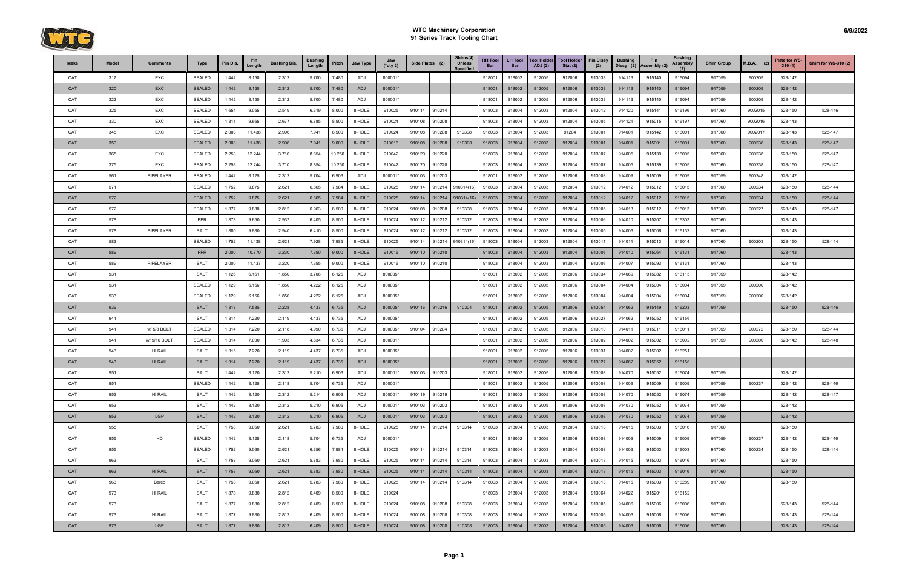

| Make | Model | <b>Comments</b> | Type          | Pin Dia. | Pin<br>Lenath | <b>Bushing Dia.</b> | <b>Bushing</b><br>Length | Pitch  | Jaw Type | Jaw<br>(*qty 2) | Side Plates (2) |        | Shims(4)<br><b>Unless</b><br><b>Specified</b> | <b>RH Tool</b><br><b>Bar</b> | <b>LH Tool</b><br><b>Bar</b> | <b>Tool Holder</b><br>ADJ(2) | <b>Tool Holder</b><br>Stat $(2)$ | <b>Pin Dissy</b><br>(2) | <b>Bushing</b><br>Dissy (2) | Pin<br>Assembly (2) | <b>Bushing</b><br>Assembly<br>(2) | <b>Shim Group</b> | $M.B.A.$ (2) | Plate for WS-<br>310(1) | Shim for WS-310 (2) |
|------|-------|-----------------|---------------|----------|---------------|---------------------|--------------------------|--------|----------|-----------------|-----------------|--------|-----------------------------------------------|------------------------------|------------------------------|------------------------------|----------------------------------|-------------------------|-----------------------------|---------------------|-----------------------------------|-------------------|--------------|-------------------------|---------------------|
| CAT  | 317   | EXC             | SEALED        | 1.442    | 8.150         | 2.312               | 5.700                    | 7.480  | ADJ      | 800001*         |                 |        |                                               | 918001                       | 918002                       | 912005                       | 912006                           | 913033                  | 914113                      | 915140              | 916094                            | 917059            | 900209       | 528-142                 |                     |
| CAT  | 320   | <b>EXC</b>      | <b>SEALED</b> | 1.442    | 8.150         | 2.312               | 5.700                    | 7.480  | ADJ      | 800001*         |                 |        |                                               | 918001                       | 918002                       | 912005                       | 912006                           | 913033                  | 914113                      | 915140              | 916094                            | 917059            | 900209       | 528-142                 |                     |
| CAT  | 322   | EXC             | <b>SEALED</b> | 1.442    | 8.150         | 2.312               | 5.700                    | 7.480  | ADJ      | 800001*         |                 |        |                                               | 918001                       | 918002                       | 912005                       | 912006                           | 913033                  | 914113                      | 915140              | 916094                            | 917059            | 900209       | 528-142                 |                     |
| CAT  | 325   | EXC             | <b>SEALED</b> | 1.654    | 9.055         | 2.519               | 6.319                    | 8.000  | 8-HOLE   | 910025          | 910114          | 910214 |                                               | 918003                       | 918004                       | 912003                       | 912004                           | 913012                  | 914120                      | 915141              | 916196                            | 917060            | 9002015      | 528-150                 | 528-146             |
| CAT  | 330   | EXC             | <b>SEALED</b> | 1.811    | 9.665         | 2.677               | 6.785                    | 8.500  | 8-HOLE   | 910024          | 910108          | 910208 |                                               | 918003                       | 918004                       | 912003                       | 912004                           | 913005                  | 914121                      | 915015              | 916197                            | 917060            | 9002016      | 528-143                 |                     |
| CAT  | 345   | EXC             | <b>SEALED</b> | 2.003    | 11.438        | 2.996               | 7.941                    | 8.500  | 8-HOLE   | 910024          | 910108          | 910208 | 910308                                        | 918003                       | 918004                       | 912003                       | 91204                            | 913001                  | 914001                      | 915142              | 916001                            | 917060            | 9002017      | 528-143                 | 528-147             |
| CAT  | 350   |                 | <b>SEALED</b> | 2.003    | 11.438        | 2.996               | 7.941                    | 9.000  | 8-HOLE   | 910016          | 910108          | 910208 | 910308                                        | 918003                       | 918004                       | 912003                       | 912004                           | 913001                  | 914001                      | 915001              | 916001                            | 917060            | 900236       | 528-143                 | 528-147             |
| CAT  | 365   | EXC             | <b>SEALED</b> | 2.253    | 12.244        | 3.710               | 8.854                    | 10.250 | 8-HOLE   | 910042          | 910120          | 910220 |                                               | 918003                       | 918004                       | 912003                       | 912004                           | 913007                  | 914005                      | 915139              | 916005                            | 917060            | 900238       | 528-150                 | 528-147             |
| CAT  | 375   | EXC             | <b>SEALED</b> | 2.253    | 12.244        | 3.710               | 8.854                    | 10.250 | 8-HOLE   | 910042          | 910120          | 910220 |                                               | 918003                       | 918004                       | 912003                       | 912004                           | 913007                  | 914005                      | 915139              | 916005                            | 917060            | 900238       | 528-150                 | 528-147             |
| CAT  | 561   | PIPELAYER       | <b>SEALED</b> | 1.442    | 8.125         | 2.312               | 5.704                    | 6.906  | ADJ      | 800001*         | 910103          | 910203 |                                               | 918001                       | 918002                       | 912005                       | 912006                           | 913008                  | 914009                      | 915009              | 916009                            | 917059            | 900248       | 528-142                 |                     |
| CAT  | 571   |                 | <b>SEALED</b> | 1.752    | 9.875         | 2.621               | 6.865                    | 7.984  | 8-HOLE   | 910025          | 910114          | 910214 | 910314(16)                                    | 918003                       | 918004                       | 912003                       | 912004                           | 913012                  | 914012                      | 915012              | 916015                            | 917060            | 900234       | 528-150                 | 528-144             |
| CAT  | 572   |                 | <b>SEALED</b> | 1.752    | 9.875         | 2.621               | 6.865                    | 7.984  | 8-HOLE   | 910025          | 910114          | 910214 | 910314(16)                                    | 918003                       | 918004                       | 912003                       | 912004                           | 913012                  | 914012                      | 915012              | 916015                            | 917060            | 900234       | 528-150                 | 528-144             |
| CAT  | 572   |                 | <b>SEALED</b> | 1.877    | 9.880         | 2.812               | 6.963                    | 8.500  | 8-HOLE   | 910024          | 910108          | 910208 | 910308                                        | 918003                       | 918004                       | 912003                       | 912004                           | 913005                  | 914013                      | 915012              | 916013                            | 917060            | 900227       | 528-143                 | 528-147             |
| CAT  | 578   |                 | <b>PPR</b>    | 1.878    | 9.650         | 2.937               | 6.405                    | 8.500  | 8-HOLE   | 910024          | 910112          | 910212 | 910312                                        | 918003                       | 918004                       | 912003                       | 912004                           | 913006                  | 914010                      | 915207              | 916303                            | 917060            |              | 528-143                 |                     |
| CAT  | 578   | PIPELAYER       | <b>SALT</b>   | 1.880    | 9.880         | 2.940               | 6.410                    | 8.500  | 8-HOLE   | 910024          | 910112          | 910212 | 910312                                        | 918003                       | 918004                       | 912003                       | 912004                           | 913005                  | 914006                      | 915006              | 916132                            | 917060            |              | 528-143                 |                     |
| CAT  | 583   |                 | <b>SEALED</b> | 1.752    | 11.438        | 2.621               | 7.928                    | 7.985  | 8-HOLE   | 910025          | 910114          | 910214 | 910314(16                                     | 918003                       | 918004                       | 912003                       | 912004                           | 913011                  | 914011                      | 915013              | 916014                            | 917060            | 900203       | 528-150                 | 528-144             |
| CAT  | 589   |                 | <b>PPR</b>    | 2.000    | 10.770        | 3.230               | 7.350                    | 9.000  | 8-HOLE   | 910016          | 910110          | 910210 |                                               | 918003                       | 918004                       | 912003                       | 912004                           | 913006                  | 914010                      | 915064              | 916131                            | 917060            |              | 528-143                 |                     |
| CAT  | 589   | PIPELAYER       | <b>SALT</b>   | 2.000    | 11.437        | 3.220               | 7.355                    | 9.000  | 8-HOLE   | 910016          | 910110          | 910210 |                                               | 918003                       | 918004                       | 912003                       | 912004                           | 913006                  | 914007                      | 915093              | 916131                            | 917060            |              | 528-143                 |                     |
| CAT  | 931   |                 | <b>SALT</b>   | 1.126    | 6.161         | 1.850               | 3.706                    | 6.125  | ADJ      | 800005*         |                 |        |                                               | 918001                       | 918002                       | 912005                       | 912006                           | 913034                  | 914069                      | 915082              | 916115                            | 917059            |              | 528-142                 |                     |
| CAT  | 931   |                 | <b>SEALED</b> | 1.129    | 6.156         | 1.850               | 4.222                    | 6.125  | ADJ      | 800005*         |                 |        |                                               | 918001                       | 918002                       | 912005                       | 912006                           | 913004                  | 914004                      | 915004              | 916004                            | 917059            | 900200       | 528-142                 |                     |
| CAT  | 933   |                 | <b>SEALED</b> | 1.129    | 6.156         | 1.850               | 4.222                    | 6.125  | ADJ      | 800005*         |                 |        |                                               | 918001                       | 918002                       | 912005                       | 912006                           | 913004                  | 914004                      | 915004              | 916004                            | 917059            | 900200       | 528-142                 |                     |
| CAT  | 939   |                 | <b>SALT</b>   | 1.318    | 7.535         | 2.228               | 4.437                    | 6.735  | ADJ      | 800005*         | 910116          | 910216 | 910304                                        | 918001                       | 918002                       | 912005                       | 912006                           | 913054                  | 914062                      | 915149              | 916203                            | 917059            |              | 528-150                 | 528-146             |
| CAT  | 941   |                 | <b>SALT</b>   | 1.314    | 7.220         | 2.119               | 4.437                    | 6.735  | ADJ      | 800005*         |                 |        |                                               | 918001                       | 918002                       | 912005                       | 912006                           | 913027                  | 914062                      | 915052              | 916156                            |                   |              |                         |                     |
| CAT  | 941   | w/ 5/8 BOLT     | <b>SEALED</b> | 1.314    | 7.220         | 2.118               | 4.990                    | 6.735  | ADJ      | 800005*         | 910104          | 910204 |                                               | 918001                       | 918002                       | 912005                       | 912006                           | 913010                  | 914011                      | 915011              | 916011                            | 917059            | 900272       | 528-150                 | 528-144             |
| CAT  | 941   | w/ 9/16 BOLT    | SEALED        | 1.314    | 7.000         | 1.993               | 4.834                    | 6.735  | ADJ      | 800001*         |                 |        |                                               | 918001                       | 918002                       | 912005                       | 912006                           | 913002                  | 914002                      | 915002              | 916002                            | 917059            | 900200       | 528-142                 | 528-148             |
| CAT  | 943   | HI RAIL         | <b>SALT</b>   | 1.315    | 7.220         | 2.119               | 4.437                    | 6.735  | ADJ      | 800005*         |                 |        |                                               | 918001                       | 918002                       | 912005                       | 912006                           | 913031                  | 914002                      | 915002              | 916251                            |                   |              |                         |                     |
| CAT  | 943   | <b>HI RAIL</b>  | <b>SALT</b>   | 1.314    | 7.220         | 2.119               | 4.437                    | 6.735  | ADJ      | 800005*         |                 |        |                                               | 918001                       | 918002                       | 912005                       | 912006                           | 913027                  | 914062                      | 915052              | 916156                            |                   |              |                         |                     |
| CAT  | 951   |                 | <b>SALT</b>   | 1.442    | 8.120         | 2.312               | 5.210                    | 6.906  | ADJ      | 800001*         | 910103          | 910203 |                                               | 918001                       | 918002                       | 912005                       | 912006                           | 913008                  | 914070                      | 915052              | 916074                            | 917059            |              | 528-142                 |                     |
| CAT  | 951   |                 | <b>SEALED</b> | 1.442    | 8.125         | 2.118               | 5.704                    | 6.735  | ADJ      | 800001*         |                 |        |                                               | 918001                       | 918002                       | 912005                       | 912006                           | 913008                  | 914009                      | 915009              | 916009                            | 917059            | 900237       | 528-142                 | 528-146             |
| CAT  | 953   | HI RAIL         | <b>SALT</b>   | 1.442    | 8.120         | 2.312               | 5.214                    | 6.906  | ADJ      | 800001*         | 910119          | 910219 |                                               | 918001                       | 918002                       | 912005                       | 912006                           | 913008                  | 914070                      | 915052              | 916074                            | 917059            |              | 528-142                 | 528-147             |
| CAT  | 953   |                 | <b>SALT</b>   | 1.442    | 8.120         | 2.312               | 5.210                    | 6.906  | ADJ      | 800001*         | 910103          | 910203 |                                               | 918001                       | 918002                       | 912005                       | 912006                           | 913008                  | 914070                      | 915052              | 916074                            | 917059            |              | 528-142                 |                     |
| CAT  | 953   | LGP             | <b>SALT</b>   | 1.442    | 8.120         | 2.312               | 5.210                    | 6.906  | ADJ      | 800001*         | 910103          | 910203 |                                               | 918001                       | 918002                       | 912005                       | 912006                           | 913008                  | 914070                      | 915052              | 916074                            | 917059            |              | 528-142                 |                     |
| CAT  | 955   |                 | <b>SALT</b>   | 1.753    | 9.060         | 2.621               | 5.783                    | 7.980  | 8-HOLE   | 910025          | 910114 910214   |        | 910314                                        | 918003                       | 918004                       | 912003                       | 912004                           | 913013                  | 914015                      | 915003              | 916016                            | 917060            |              | 528-150                 |                     |
| CAT  | 955   | HD              | <b>SEALED</b> | 1.442    | 8.125         | 2.118               | 5.704                    | 6.735  | ADJ      | 800001*         |                 |        |                                               | 918001                       | 918002                       | 912005                       | 912006                           | 913008                  | 914009                      | 915009              | 916009                            | 917059            | 900237       | 528-142                 | 528-146             |
| CAT  | 955   |                 | <b>SEALED</b> | 1.752    | 9.060         | 2.621               | 6.356                    | 7.984  | 8-HOLE   | 910025          | 910114          | 910214 | 910314                                        | 918003                       | 918004                       | 912003                       | 912004                           | 913003                  | 914003                      | 915003              | 916003                            | 917060            | 900234       | 528-150                 | 528-144             |
| CAT  | 963   |                 | <b>SALT</b>   | 1.753    | 9.060         | 2.621               | 5.783                    | 7.980  | 8-HOLE   | 910025          | 910114          | 910214 | 910314                                        | 918003                       | 918004                       | 912003                       | 912004                           | 913013                  | 914015                      | 915003              | 916016                            | 917060            |              | 528-150                 |                     |
| CAT  | 963   | <b>HI RAIL</b>  | <b>SALT</b>   | 1.753    | 9.060         | 2.621               | 5.783                    | 7.980  | 8-HOLE   | 910025          | 910114          | 910214 | 910314                                        | 918003                       | 918004                       | 912003                       | 912004                           | 913013                  | 914015                      | 915003              | 916016                            | 917060            |              | 528-150                 |                     |
| CAT  | 963   | Berco           | <b>SALT</b>   | 1.753    | 9.060         | 2.621               | 5.783                    | 7.980  | 8-HOLE   | 910025          | 910114          | 910214 | 910314                                        | 918003                       | 918004                       | 912003                       | 912004                           | 913013                  | 914015                      | 915003              | 916289                            | 917060            |              | 528-150                 |                     |
| CAT  | 973   | HI RAIL         | <b>SALT</b>   | 1.878    | 9.880         | 2.812               | 6.409                    | 8.500  | 8-HOLE   | 910024          |                 |        |                                               | 918003                       | 918004                       | 912003                       | 912004                           | 913064                  | 914022                      | 915201              | 916152                            |                   |              |                         |                     |
| CAT  | 973   |                 | SALT          | 1.877    | 9.880         | 2.812               | 6.409                    | 8.500  | 8-HOLE   | 910024          | 910108          | 910208 | 910308                                        | 918003                       | 918004                       | 912003                       | 912004                           | 913005                  | 914006                      | 915006              | 916006                            | 917060            |              | 528-143                 | 528-144             |
| CAT  | 973   | HI RAIL         | <b>SALT</b>   | 1.877    | 9.880         | 2.812               | 6.409                    | 8.500  | 8-HOLE   | 910024          | 910108          | 910208 | 910308                                        | 918003                       | 918004                       | 912003                       | 912004                           | 913005                  | 914006                      | 915006              | 916006                            | 917060            |              | 528-143                 | 528-144             |
| CAT  | 973   | LGP             | <b>SALT</b>   | 1.877    | 9.880         | 2.812               | 6.409                    | 8.500  | 8-HOLE   | 910024          | 910108          | 910208 | 910308                                        | 918003                       | 918004                       | 912003                       | 912004                           | 913005                  | 914006                      | 915006              | 916006                            | 917060            |              | 528-143                 | 528-144             |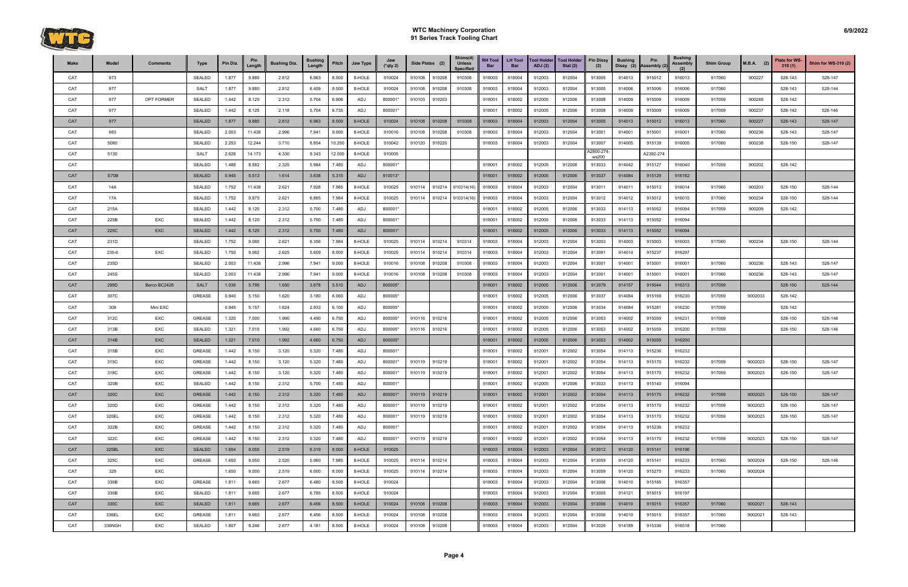

| <b>Make</b> | Model  | <b>Comments</b> | <b>Type</b>   | Pin Dia. | Pin<br>Lenath | <b>Bushing Dia.</b> | <b>Bushing</b><br>Length | Pitch  | Jaw Type | Jaw<br>$(*$ qty 2) |        | Side Plates (2) | Shims(4)<br><b>Unless</b><br><b>Specified</b> | <b>RH Tool</b><br>Bar | LH Tool<br><b>Bar</b> | <b>Tool Holder</b><br>ADJ(2) | Tool Holder<br>Stat $(2)$ | <b>Pin Dissy</b><br>(2) | <b>Bushing</b><br>Dissy (2) | Pin<br>Assembly (2) | <b>Bushing</b><br>Assembly<br>(2) | <b>Shim Group</b> | $M.B.A.$ (2) | Plate for WS-<br>310(1) | Shim for WS-310 (2) |
|-------------|--------|-----------------|---------------|----------|---------------|---------------------|--------------------------|--------|----------|--------------------|--------|-----------------|-----------------------------------------------|-----------------------|-----------------------|------------------------------|---------------------------|-------------------------|-----------------------------|---------------------|-----------------------------------|-------------------|--------------|-------------------------|---------------------|
| CAT         | 973    |                 | SEALED        | 1.877    | 9.880         | 2.812               | 6.963                    | 8.500  | 8-HOLE   | 910024             | 910108 | 910208          | 910308                                        | 918003                | 918004                | 912003                       | 912004                    | 913005                  | 914013                      | 915012              | 916013                            | 917060            | 900227       | 528-143                 | 528-147             |
| CAT         | 977    |                 | <b>SALT</b>   | 1.877    | 9.880         | 2.812               | 6.409                    | 8.500  | 8-HOLE   | 910024             | 910108 | 910208          | 910308                                        | 918003                | 918004                | 912003                       | 912004                    | 913005                  | 914006                      | 915006              | 916006                            | 917060            |              | 528-143                 | 528-144             |
| CAT         | 977    | OPT FORMER      | <b>SEALED</b> | 1.442    | 8.125         | 2.312               | 5.704                    | 6.906  | ADJ      | 800001*            | 910103 | 910203          |                                               | 918001                | 918002                | 912005                       | 912006                    | 913008                  | 914009                      | 915009              | 916009                            | 917059            | 900248       | 528-142                 |                     |
| CAT         | 977    |                 | SEALED        | 1.442    | 8.125         | 2.118               | 5.704                    | 6.735  | ADJ      | 800001*            |        |                 |                                               | 918001                | 918002                | 912005                       | 912006                    | 913008                  | 914009                      | 915009              | 916009                            | 917059            | 900237       | 528-142                 | 528-146             |
| CAT         | 977    |                 | <b>SEALED</b> | 1.877    | 9.880         | 2.812               | 6.963                    | 8.500  | 8-HOLE   | 910024             | 910108 | 910208          | 910308                                        | 918003                | 918004                | 912003                       | 912004                    | 913005                  | 914013                      | 915012              | 916013                            | 917060            | 900227       | 528-143                 | 528-147             |
| CAT         | 983    |                 | <b>SEALED</b> | 2.003    | 11.438        | 2.996               | 7.941                    | 9.000  | 8-HOLE   | 910016             | 910108 | 910208          | 910308                                        | 918003                | 918004                | 912003                       | 912004                    | 913001                  | 914001                      | 915001              | 916001                            | 917060            | 900236       | 528-143                 | 528-147             |
| CAT         | 5080   |                 | <b>SEALED</b> | 2.253    | 12.244        | 3.710               | 8.854                    | 10.250 | 8-HOLE   | 910042             | 910120 | 910220          |                                               | 918003                | 918004                | 912003                       | 912004                    | 913007                  | 914005                      | 915139              | 916005                            | 917060            | 900238       | 528-150                 | 528-147             |
| CAT         | 5130   |                 | <b>SALT</b>   | 2.626    | 14.173        | 4.330               | 9.343                    | 12.500 | 8-HOLE   | 910005             |        |                 |                                               |                       |                       |                              |                           | A2800-274<br>ws200      |                             | A2392-274           |                                   |                   |              |                         |                     |
| CAT         |        |                 | SEALED        | 1.488    | 8.582         | 2.325               | 5.984                    | 7.480  | ADJ      | 800001*            |        |                 |                                               | 918001                | 918002                | 912005                       | 912006                    | 913033                  | 914042                      | 915127              | 916040                            | 917059            | 900202       | 528-142                 |                     |
| CAT         | E70B   |                 | <b>SEALED</b> | 0.945    | 5.512         | 1.614               | 3.638                    | 5.315  | ADJ      | 910013*            |        |                 |                                               | 918001                | 918002                | 912005                       | 912006                    | 913037                  | 914084                      | 915129              | 916182                            |                   |              |                         |                     |
| CAT         | 14A    |                 | <b>SEALED</b> | 1.752    | 11.438        | 2.621               | 7.928                    | 7.985  | 8-HOLE   | 910025             | 910114 | 910214          | 910314(16)                                    | 918003                | 918004                | 912003                       | 912004                    | 913011                  | 914011                      | 915013              | 916014                            | 917060            | 900203       | 528-150                 | 528-144             |
| CAT         | 17A    |                 | <b>SEALED</b> | 1.752    | 9.875         | 2.621               | 6.865                    | 7.984  | 8-HOLE   | 910025             | 910114 | 910214          | 910314(16)                                    | 918003                | 918004                | 912003                       | 912004                    | 913012                  | 914012                      | 915012              | 916015                            | 917060            | 900234       | 528-150                 | 528-144             |
| CAT         | 215A   |                 | <b>SEALED</b> | 1.442    | 8.120         | 2.312               | 5.700                    | 7.480  | ADJ      | 800001*            |        |                 |                                               | 918001                | 918002                | 912005                       | 912006                    | 913033                  | 914113                      | 915052              | 916094                            | 917059            | 900209       | 528-142                 |                     |
| CAT         | 225B   | EXC             | SEALED        | 1.442    | 8.120         | 2.312               | 5.700                    | 7.480  | ADJ      | 800001*            |        |                 |                                               | 918001                | 918002                | 912005                       | 912006                    | 913033                  | 914113                      | 915052              | 916094                            |                   |              |                         |                     |
| CAT         | 225C   | <b>EXC</b>      | <b>SEALED</b> | 1.442    | 8.120         | 2.312               | 5.700                    | 7.480  | ADJ      | 800001*            |        |                 |                                               | 918001                | 918002                | 912005                       | 912006                    | 913033                  | 914113                      | 915052              | 916094                            |                   |              |                         |                     |
| CAT         | 231D   |                 | <b>SEALED</b> | 1.752    | 9.060         | 2.621               | 6.356                    | 7.984  | 8-HOLE   | 910025             | 910114 | 910214          | 910314                                        | 918003                | 918004                | 912003                       | 912004                    | 913003                  | 914003                      | 915003              | 916003                            | 917060            | 900234       | 528-150                 | 528-144             |
| CAT         | 235-6  | EXC             | <b>SEALED</b> | 1.750    | 9.062         | 2.625               | 5.609                    | 8.000  | 8-HOLE   | 910025             | 910114 | 910214          | 910314                                        | 918003                | 918004                | 912003                       | 912004                    | 913091                  | 914014                      | 915237              | 916297                            |                   |              |                         |                     |
| CAT         | 235D   |                 | <b>SEALED</b> | 2.003    | 11.438        | 2.996               | 7.941                    | 9.000  | 8-HOLE   | 910016             | 910108 | 910208          | 910308                                        | 918003                | 918004                | 912003                       | 912004                    | 913001                  | 914001                      | 915001              | 916001                            | 917060            | 900236       | 528-143                 | 528-147             |
| CAT         | 245S   |                 | <b>SEALED</b> | 2.003    | 11.438        | 2.996               | 7.941                    | 9.000  | 8-HOLE   | 910016             | 910108 | 910208          | 910308                                        | 918003                | 918004                | 912003                       | 912004                    | 913001                  | 914001                      | 915001              | 916001                            | 917060            | 900236       | 528-143                 | 528-147             |
| CAT         | 299D   | Berco BC2428    | <b>SALT</b>   | 1.036    | 5.795         | 1.650               | 3.678                    | 5.510  | ADJ      | 800005*            |        |                 |                                               | 918001                | 918002                | 912005                       | 912006                    | 913079                  | 914157                      | 915044              | 916313                            | 917059            |              | 528-150                 | 528-144             |
| CAT         | 307C   |                 | <b>GREASE</b> | 0.940    | 5.150         | 1.620               | 3.180                    | 6.060  | ADJ      | 800005*            |        |                 |                                               | 918001                | 918002                | 912005                       | 912006                    | 913037                  | 914084                      | 915169              | 916230                            | 917059            | 9002033      | 528-142                 |                     |
| CAT         | 308    | Mini EXC        |               | 0.945    | 5.157         | 1.624               | 2.933                    | 6.100  | ADJ      | 800005*            |        |                 |                                               | 918001                | 918002                | 912005                       | 912006                    | 913034                  | 914084                      | 915281              | 916230                            | 917059            |              | 528-142                 |                     |
| CAT         | 312C   | EXC             | <b>GREASE</b> | 1.320    | 7.000         | 1.990               | 4.490                    | 6.750  | ADJ      | 800005*            | 910116 | 910216          |                                               | 918001                | 918002                | 912005                       | 912006                    | 913053                  | 914002                      | 915059              | 916231                            | 917059            |              | 528-150                 | 528-146             |
| CAT         | 313B   | EXC             | <b>SEALED</b> | 1.321    | 7.010         | 1.992               | 4.660                    | 6.750  | ADJ      | 800005*            | 910116 | 910216          |                                               | 918001                | 918002                | 912005                       | 912006                    | 913053                  | 914002                      | 915059              | 916200                            | 917059            |              | 528-150                 | 528-146             |
| CAT         | 314B   | EXC             | <b>SEALED</b> | 1.321    | 7.010         | 1.992               | 4.660                    | 6.750  | ADJ      | 800005*            |        |                 |                                               | 918001                | 918002                | 912005                       | 912006                    | 913053                  | 914002                      | 915059              | 916200                            |                   |              |                         |                     |
| CAT         | 315B   | EXC             | <b>GREASE</b> | 1.442    | 8.150         | 3.120               | 5.320                    | 7.480  | ADJ      | 800001*            |        |                 |                                               | 918001                | 918002                | 912001                       | 912002                    | 913054                  | 914113                      | 915236              | 916232                            |                   |              |                         |                     |
| CAT         | 315C   | EXC             | <b>GREASE</b> | 1.442    | 8.150         | 3.120               | 5.320                    | 7.480  | ADJ      | 800001*            | 910119 | 910219          |                                               | 918001                | 918002                | 912001                       | 912002                    | 913054                  | 914113                      | 915170              | 916232                            | 917059            | 9002023      | 528-150                 | 528-147             |
| CAT         | 318C   | EXC             | GREASE        | 1.442    | 8.150         | 3.120               | 5.320                    | 7.480  | ADJ      | 800001*            | 910119 | 910219          |                                               | 918001                | 918002                | 912001                       | 912002                    | 913054                  | 914113                      | 915170              | 916232                            | 917059            | 9002023      | 528-150                 | 528-147             |
| CAT         | 320B   | EXC             | SEALED        | 1.442    | 8.150         | 2.312               | 5.700                    | 7.480  | ADJ      | 800001*            |        |                 |                                               | 918001                | 918002                | 912005                       | 912006                    | 913033                  | 914113                      | 915140              | 916094                            |                   |              |                         |                     |
| CAT         | 320C   | <b>EXC</b>      | <b>GREASE</b> | 1.442    | 8.150         | 2.312               | 5.320                    | 7.480  | ADJ      | 800001*            |        | 910119 910219   |                                               | 918001                | 918002                | 912001                       | 912002                    | 913054                  | 914113                      | 915170              | 916232                            | 917059            | 9002023      | 528-150                 | 528-147             |
| CAT         | 320D   | EXC             | GREASE        | 1.442    | 8.150         | 2.312               | 5.320                    | 7.480  | ADJ      | 800001*            | 910119 | 910219          |                                               | 918001                | 918002                | 912001                       | 912002                    | 913054                  | 914113                      | 915170              | 916232                            | 917059            | 9002023      | 528-150                 | 528-147             |
| CAT         | 320EL  | EXC             | <b>GREASE</b> | 1.442    | 8.150         | 2.312               | 5.320                    | 7.480  | ADJ      | 800001*            | 910119 | 910219          |                                               | 918001                | 918002                | 912001                       | 912002                    | 913054                  | 914113                      | 915170              | 916232                            | 917059            | 9002023      | 528-150                 | 528-147             |
| CAT         | 322B   | EXC             | GREASE        | 1.442    | 8.150         | 2.312               | 5.320                    | 7.480  | ADJ      | 800001*            |        |                 |                                               | 918001                | 918002                | 912001                       | 912002                    | 913054                  | 914113                      | 915236              | 916232                            |                   |              |                         |                     |
| CAT         | 322C   | EXC             | GREASE        | 1.442    | 8.150         | 2.312               | 5.320                    | 7.480  | ADJ      | 800001*            |        | 910119 910219   |                                               | 918001                | 918002                | 912001                       | 912002                    | 913054                  | 914113                      | 915170              | 916232                            | 917059            | 9002023      | 528-150                 | 528-147             |
| CAT         | 325BL  | EXC             | <b>SEALED</b> | 1.654    | 9.055         | 2.519               | 6.319                    | 8.000  | 8-HOLE   | 910025             |        |                 |                                               | 918003                | 918004                | 912003                       | 912004                    | 913012                  | 914120                      | 915141              | 916196                            |                   |              |                         |                     |
| CAT         | 325C   | EXC             | GREASE        | 1.650    | 9.050         | 2.520               | 5.960                    | 7.985  | 8-HOLE   | 910025             | 910114 | 910214          |                                               | 918003                | 918004                | 912003                       | 912004                    | 913059                  | 914120                      | 915141              | 916233                            | 917060            | 9002024      | 528-150                 | 528-146             |
| CAT         | 329    | EXC             |               | 1.650    | 9.000         | 2.519               | 6.000                    | 8.000  | 8-HOLE   | 910025             | 910114 | 910214          |                                               | 918003                | 918004                | 912003                       | 912004                    | 913059                  | 914120                      | 915275              | 916233                            | 917060            | 9002024      |                         |                     |
| CAT         | 330B   | EXC             | GREASE        | 1.811    | 9.665         | 2.677               | 6.480                    | 8.500  | 8-HOLE   | 910024             |        |                 |                                               | 918003                | 918004                | 912003                       | 912004                    | 913006                  | 914010                      | 915185              | 916357                            |                   |              |                         |                     |
| CAT         | 330B   | EXC             | SEALED        | 1.811    | 9.665         | 2.677               | 6.785                    | 8.500  | 8-HOLE   | 910024             |        |                 |                                               | 918003                | 918004                | 912003                       | 912004                    | 913005                  | 914121                      | 915015              | 916197                            |                   |              |                         |                     |
| CAT         | 330C   | EXC             | <b>SEALED</b> | 1.811    | 9.665         | 2.677               | 6.456                    | 8.500  | 8-HOLE   | 910024             |        | 910108 910208   |                                               | 918003                | 918004                | 912003                       | 912004                    | 913006                  | 914010                      | 915015              | 916357                            | 917060            | 9002021      | 528-143                 |                     |
| CAT         | 336EL  | EXC             | <b>GREASE</b> | 1.811    | 9.665         | 2.677               | 6.456                    | 8.500  | 8-HOLE   | 910024             | 910108 | 910208          |                                               | 918003                | 918004                | 912003                       | 912004                    | 913006                  | 914010                      | 915015              | 916357                            | 917060            | 9002021      | 528-143                 |                     |
| CAT         | 336NGH | EXC             | SEALED        | 1.807    | 8.246         | 2.677               | 4.181                    | 8.500  | 8-HOLE   | 910024             | 910108 | 910208          |                                               | 918003                | 918004                | 912003                       | 912004                    | 913026                  | 914189                      | 915336              | 916518                            | 917060            |              |                         |                     |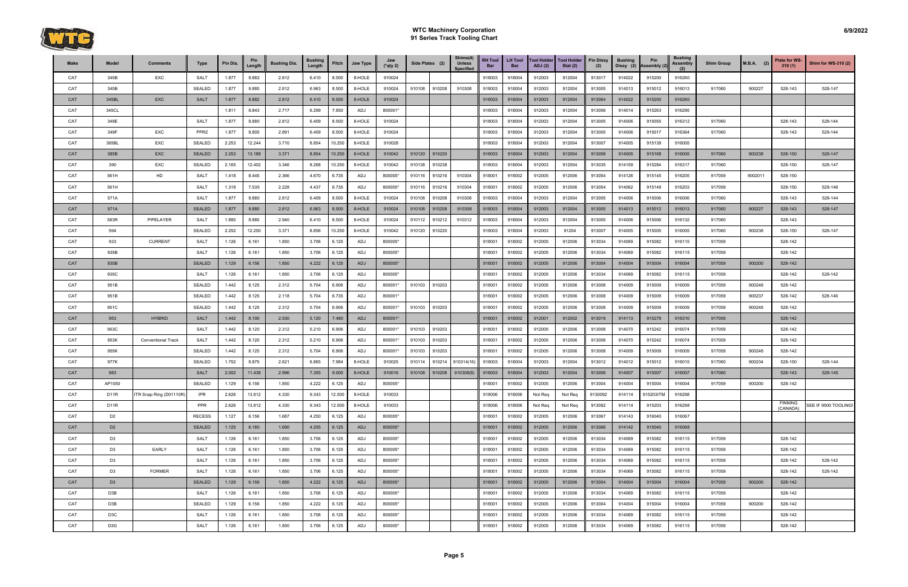

| Make       | Model             | <b>Comments</b>           | Type             | Pin Dia. | Pin<br>Length | <b>Bushing Dia.</b> | <b>Bushing</b><br>Length | Pitch  | Jaw Type   | Jaw<br>$(*$ qty 2) | Side Plates (2)  | Shims(4)<br><b>Unless</b><br><b>Specified</b> | <b>RH Tool</b><br>Bar | <b>LH Tool</b><br><b>Bar</b> | <b>Tool Holder</b><br>ADJ(2) | <b>Tool Holder</b><br>Stat $(2)$ | <b>Pin Dissy</b><br>(2) | <b>Bushing</b><br>Dissy (2) | Pin<br><b>Assembly (2)</b> | <b>Bushing</b><br>Assembly<br>(2) | <b>Shim Group</b> | $M.B.A.$ (2) | Plate for WS-<br>310(1) | Shim for WS-310 (2)  |
|------------|-------------------|---------------------------|------------------|----------|---------------|---------------------|--------------------------|--------|------------|--------------------|------------------|-----------------------------------------------|-----------------------|------------------------------|------------------------------|----------------------------------|-------------------------|-----------------------------|----------------------------|-----------------------------------|-------------------|--------------|-------------------------|----------------------|
| CAT        | 345B              | <b>EXC</b>                | <b>SALT</b>      | 1.877    | 9.882         | 2.812               | 6.410                    | 8.500  | 8-HOLE     | 910024             |                  |                                               | 918003                | 918004                       | 912003                       | 912004                           | 913017                  | 914022                      | 915200                     | 916260                            |                   |              |                         |                      |
| CAT        | 345B              |                           | SEALED           | 1.877    | 9.880         | 2.812               | 6.963                    | 8.500  | 8-HOLE     | 910024             | 910108<br>910208 | 910308                                        | 918003                | 918004                       | 912003                       | 912004                           | 913005                  | 914013                      | 915012                     | 916013                            | 917060            | 900227       | 528-143                 | 528-147              |
| CAT        | 345BL             | <b>EXC</b>                | <b>SALT</b>      | 1.877    | 9.882         | 2.812               | 6.410                    | 8.500  | 8-HOLE     | 910024             |                  |                                               | 918003                | 918004                       | 912003                       | 912004                           | 913064                  | 914022                      | 915200                     | 916260                            |                   |              |                         |                      |
| CAT        | 345CL             |                           |                  | 1.811    | 9.843         | 2.717               | 6.299                    | 7.850  | ADJ        | 800001*            |                  |                                               | 918003                | 918004                       | 912003                       | 912004                           | 913056                  | 914014                      | 915263                     | 916295                            |                   |              |                         |                      |
| CAT        | 349E              |                           | <b>SALT</b>      | 1.877    | 9.880         | 2.812               | 6.409                    | 8.500  | 8-HOLE     | 910024             |                  |                                               | 918003                | 918004                       | 912003                       | 912004                           | 913005                  | 914006                      | 915055                     | 916312                            | 917060            |              | 528-143                 | 528-144              |
| CAT        | 349F              | EXC                       | PPR <sub>2</sub> | 1.877    | 9.805         | 2.891               | 6.409                    | 8.500  | 8-HOLE     | 910024             |                  |                                               | 918003                | 918004                       | 912003                       | 912004                           | 913005                  | 914006                      | 915017                     | 916364                            | 917060            |              | 528-143                 | 528-144              |
| CAT        | 365BL             | EXC                       | SEALED           | 2.253    | 12.244        | 3.710               | 8.854                    | 10.250 | 8-HOLE     | 910028             |                  |                                               | 918003                | 918004                       | 912003                       | 912004                           | 913007                  | 914005                      | 915139                     | 916005                            |                   |              |                         |                      |
| CAT        | 385B              | EXC                       | <b>SEALED</b>    | 2.253    | 13.188        | 3.371               | 8.854                    | 10.250 | 8-HOLE     | 910042             | 910120<br>910220 |                                               | 918003                | 918004                       | 912003                       | 912004                           | 913058                  | 914005                      | 915168                     | 916005                            | 917060            | 900238       | 528-150                 | 528-147              |
| CAT        | 390               | EXC                       | SEALED           | 2.165    | 12.402        | 3.346               | 8.268                    | 10.250 | 8-HOLE     | 910042             | 910238<br>910138 |                                               | 918003                | 918004                       | 912003                       | 912004                           | 913035                  | 914159                      | 915284                     | 916317                            | 917060            |              | 528-150                 | 528-147              |
| CAT        | 561H              | HD                        | SALT             | 1.418    | 8.445         | 2.366               | 4.670                    | 6.735  | ADJ        | 800005*            | 910216<br>910116 | 910304                                        | 918001                | 918002                       | 912005                       | 912006                           | 913054                  | 914126                      | 915145                     | 916205                            | 917059            | 9002011      | 528-150                 |                      |
| CAT        | 561H              |                           | <b>SALT</b>      | 1.318    | 7.535         | 2.228               | 4.437                    | 6.735  | ADJ        | 800005*            | 910216<br>910116 | 910304                                        | 918001                | 918002                       | 912005                       | 912006                           | 913054                  | 914062                      | 915149                     | 916203                            | 917059            |              | 528-150                 | 528-146              |
| CAT        | 571A              |                           | SALT             | 1.877    | 9.880         | 2.812               | 6.409                    | 8.500  | 8-HOLE     | 910024             | 910108<br>910208 | 910308                                        | 918003                | 918004                       | 912003                       | 912004                           | 913005                  | 914006                      | 915006                     | 916006                            | 917060            |              | 528-143                 | 528-144              |
| <b>CAT</b> | 571A              |                           | <b>SEALED</b>    | 1.877    | 9.880         | 2.812               | 6.963                    | 8.500  | 8-HOLE     | 910024             | 910208<br>910108 | 910308                                        | 918003                | 918004                       | 912003                       | 912004                           | 913005                  | 914013                      | 915012                     | 916013                            | 917060            | 900227       | 528-143                 | 528-147              |
| CAT        | 583R              | PIPELAYER                 | <b>SALT</b>      | 1.880    | 9.880         | 2.940               | 6.410                    | 8.500  | 8-HOLE     | 910024             | 910212<br>910112 | 910312                                        | 918003                | 918004                       | 912003                       | 912004                           | 913005                  | 914006                      | 915006                     | 916132                            | 917060            |              | 528-143                 |                      |
| CAT        | 594               |                           | SEALED           | 2.252    | 12.250        | 3.371               | 8.856                    | 10.250 | 8-HOLE     | 910042             | 910220<br>910120 |                                               | 918003                | 918004                       | 912003                       | 91204                            | 913007                  | 914005                      | 915005                     | 916005                            | 917060            | 900238       | 528-150                 | 528-147              |
| CAT        | 933               | <b>CURRENT</b>            | <b>SALT</b>      | 1.126    | 6.161         | 1.850               | 3.706                    | 6.125  | ADJ        | 800005*            |                  |                                               | 918001                | 918002                       | 912005                       | 912006                           | 913034                  | 914069                      | 915082                     | 916115                            | 917059            |              | 528-142                 |                      |
| CAT        | 935B              |                           | <b>SALT</b>      | 1.126    | 6.161         | 1.850               | 3.706                    | 6.125  | ADJ        | 800005*            |                  |                                               | 918001                | 918002                       | 912005                       | 912006                           | 913034                  | 914069                      | 915082                     | 916115                            | 917059            |              | 528-142                 |                      |
| CAT        | 935B              |                           | <b>SEALED</b>    | 1.129    | 6.156         | 1.850               | 4.222                    | 6.125  | <b>ADJ</b> | 800005*            |                  |                                               | 918001                | 918002                       | 912005                       | 912006                           | 913004                  | 914004                      | 915004                     | 916004                            | 917059            | 900200       | 528-142                 |                      |
| CAT        | 935C              |                           | <b>SALT</b>      | 1.126    | 6.161         | 1.850               | 3.706                    | 6.125  | ADJ        | 800005*            |                  |                                               | 918001                | 918002                       | 912005                       | 912006                           | 913034                  | 914069                      | 915082                     | 916115                            | 917059            |              | 528-142                 | 528-142              |
| CAT        | 951B              |                           | SEALED           | 1.442    | 8.125         | 2.312               | 5.704                    | 6.906  | ADJ        | 800001*            | 910103<br>910203 |                                               | 918001                | 918002                       | 912005                       | 912006                           | 913008                  | 914009                      | 915009                     | 916009                            | 917059            | 900248       | 528-142                 |                      |
| CAT        | 951B              |                           | <b>SEALED</b>    | 1.442    | 8.125         | 2.118               | 5.704                    | 6.735  | ADJ        | 800001*            |                  |                                               | 918001                | 918002                       | 912005                       | 912006                           | 913008                  | 914009                      | 915009                     | 916009                            | 917059            | 900237       | 528-142                 | 528-146              |
| CAT        | 951C              |                           | SEALED           | 1.442    | 8.125         | 2.312               | 5.704                    | 6.906  | ADJ        | 800001*            | 910103<br>910203 |                                               | 918001                | 918002                       | 912005                       | 912006                           | 913008                  | 914009                      | 915009                     | 916009                            | 917059            | 900248       | 528-142                 |                      |
| CAT        | 953               | <b>HYBRID</b>             | <b>SALT</b>      | 1.442    | 8.100         | 2.530               | 5.120                    | 7.480  | ADJ        | 800001*            |                  |                                               | 918001                | 918002                       | 912001                       | 912002                           | 913019                  | 914113                      | 915278                     | 916310                            | 917059            |              | 528-142                 |                      |
| CAT        | 953C              |                           | <b>SALT</b>      | 1.442    | 8.120         | 2.312               | 5.210                    | 6.906  | ADJ        | 800001*            | 910103<br>910203 |                                               | 918001                | 918002                       | 912005                       | 912006                           | 913008                  | 914070                      | 915242                     | 916074                            | 917059            |              | 528-142                 |                      |
| CAT        | 953K              | <b>Conventional Track</b> | <b>SALT</b>      | 1.442    | 8.120         | 2.312               | 5.210                    | 6.906  | ADJ        | 800001*            | 910103<br>910203 |                                               | 918001                | 918002                       | 912005                       | 912006                           | 913008                  | 914070                      | 915242                     | 916074                            | 917059            |              | 528-142                 |                      |
| <b>CAT</b> | 955K              |                           | SEALED           | 1.442    | 8.125         | 2.312               | 5.704                    | 6.906  | ADJ        | 800001*            | 910203<br>910103 |                                               | 918001                | 918002                       | 912005                       | 912006                           | 913008                  | 914009                      | 915009                     | 916009                            | 917059            | 900248       | 528-142                 |                      |
| CAT        | 977K              |                           | <b>SEALED</b>    | 1.752    | 9.875         | 2.621               | 6.865                    | 7.984  | 8-HOLE     | 910025             | 910214<br>910114 | 910314(16                                     | 918003                | 918004                       | 912003                       | 912004                           | 913012                  | 914012                      | 915012                     | 916015                            | 917060            | 900234       | 528-150                 | 528-144              |
| CAT        | 983               |                           | <b>SALT</b>      | 2.002    | 11.438        | 2.996               | 7.355                    | 9.000  | 8-HOLE     | 910016             | 910208<br>910108 | 910308(8)                                     | 918003                | 918004                       | 912003                       | 912004                           | 913006                  | 914007                      | 915007                     | 916007                            | 917060            |              | 528-143                 | 528-145              |
| CAT        | AP1050            |                           | SEALED           | 1.129    | 6.156         | 1.850               | 4.222                    | 6.125  | <b>ADJ</b> | 800005*            |                  |                                               | 918001                | 918002                       | 912005                       | 912006                           | 913004                  | 914004                      | 915004                     | 916004                            | 917059            | 900200       | 528-142                 |                      |
| CAT        | D <sub>1</sub> 1R | ITR Snap Ring (D01110R)   | <b>IPR</b>       | 2.626    | 13.812        | 4.330               | 9.343                    | 12.500 | 8-HOLE     | 910033             |                  |                                               | 918006                | 918006                       | Not Req                      | Not Req                          | 9130092                 | 914114                      | 915203ITM                  | 916298                            |                   |              |                         |                      |
| CAT        | D <sub>1</sub> 1R |                           | PPR              | 2.626    | 13.812        | 4.330               | 9.343                    | 12.500 | 8-HOLE     | 910033             |                  |                                               | 918006                | 918006                       | Not Req                      | Not Req                          | 913092                  | 914114                      | 915203                     | 916298                            |                   |              | FINNING<br>(CANADA)     | SEE IF 9500 TOOLING! |
| CAT        | D <sub>2</sub>    |                           | <b>RECESS</b>    | 1.127    | 6.156         | 1.687               | 4.250                    | 6.125  | ADJ        | 800005*            |                  |                                               | 918001                | 918002                       | 912005                       | 912006                           | 913067                  | 914143                      | 916040                     | 916067                            |                   |              |                         |                      |
| CAT        | D <sub>2</sub>    |                           | <b>SEALED</b>    | 1.125    | 6.180         | 1.690               | 4.255                    | 6.125  | <b>ADJ</b> | 800005*            |                  |                                               | 918001                | 918002                       | 912005                       | 912006                           | 913066                  | 914142                      | 915040                     | 916068                            |                   |              |                         |                      |
| CAT        | D <sub>3</sub>    |                           | <b>SALT</b>      | 1.126    | 6.161         | 1.850               | 3.706                    | 6.125  | ADJ        | 800005*            |                  |                                               | 918001                | 918002                       | 912005                       | 912006                           | 913034                  | 914069                      | 915082                     | 916115                            | 917059            |              | 528-142                 |                      |
| CAT        | D <sub>3</sub>    | <b>EARLY</b>              | <b>SALT</b>      | 1.126    | 6.161         | 1.850               | 3.706                    | 6.125  | ADJ        | 800005*            |                  |                                               | 918001                | 918002                       | 912005                       | 912006                           | 913034                  | 914069                      | 915082                     | 916115                            | 917059            |              | 528-142                 |                      |
| CAT        | D <sub>3</sub>    |                           | SALT             | 1.126    | 6.161         | 1.850               | 3.706                    | 6.125  | ADJ        | 800005*            |                  |                                               | 918001                | 918002                       | 912005                       | 912006                           | 913034                  | 914069                      | 915082                     | 916115                            | 917059            |              | 528-142                 | 528-142              |
| CAT        | D <sub>3</sub>    | <b>FORMER</b>             | <b>SALT</b>      | 1.126    | 6.161         | 1.850               | 3.706                    | 6.125  | ADJ        | 800005*            |                  |                                               | 918001                | 918002                       | 912005                       | 912006                           | 913034                  | 914069                      | 915082                     | 916115                            | 917059            |              | 528-142                 | 528-142              |
| CAT        | D <sub>3</sub>    |                           | <b>SEALED</b>    | 1.129    | 6.156         | 1.850               | 4.222                    | 6.125  | ADJ        | 800005*            |                  |                                               | 918001                | 918002                       | 912005                       | 912006                           | 913004                  | 914004                      | 915004                     | 916004                            | 917059            | 900200       | 528-142                 |                      |
| CAT        | D3B               |                           | <b>SALT</b>      | 1.126    | 6.161         | 1.850               | 3.706                    | 6.125  | ADJ        | 800005*            |                  |                                               | 918001                | 918002                       | 912005                       | 912006                           | 913034                  | 914069                      | 915082                     | 916115                            | 917059            |              | 528-142                 |                      |
| CAT        | D3B               |                           | SEALED           | 1.129    | 6.156         | 1.850               | 4.222                    | 6.125  | ADJ        | 800005*            |                  |                                               | 918001                | 918002                       | 912005                       | 912006                           | 913004                  | 914004                      | 915004                     | 916004                            | 917059            | 900200       | 528-142                 |                      |
| CAT        | D <sub>3</sub> C  |                           | SALT             | 1.126    | 6.161         | 1.850               | 3.706                    | 6.125  | ADJ        | 800005*            |                  |                                               | 918001                | 918002                       | 912005                       | 912006                           | 913034                  | 914069                      | 915082                     | 916115                            | 917059            |              | 528-142                 |                      |
| CAT        | D <sub>3</sub> G  |                           | <b>SALT</b>      | 1.126    | 6.161         | 1.850               | 3.706                    | 6.125  | ADJ        | 800005*            |                  |                                               | 918001                | 918002                       | 912005                       | 912006                           | 913034                  | 914069                      | 915082                     | 916115                            | 917059            |              | 528-142                 |                      |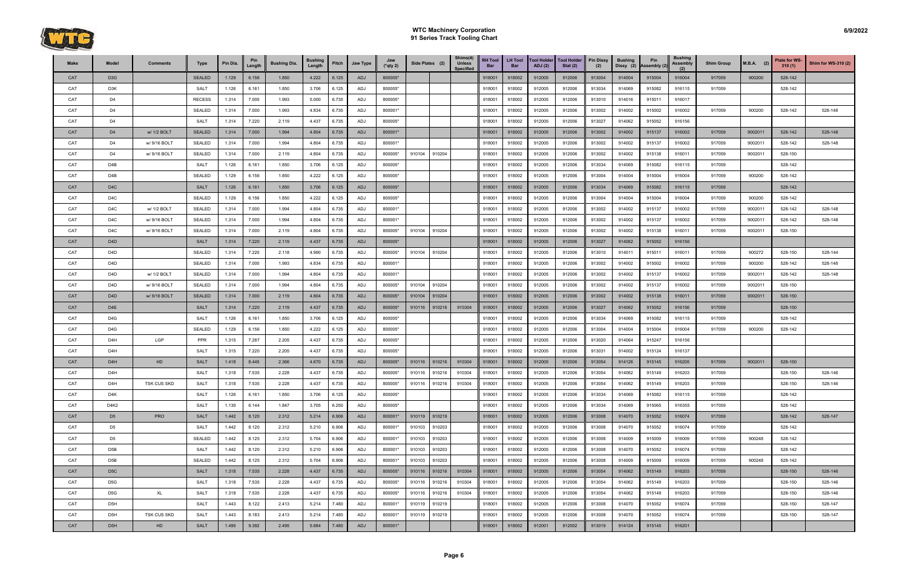

| Make | Model            | <b>Comments</b>    | <b>Type</b>   | Pin Dia. | Pin<br>Length | <b>Bushing Dia.</b> | <b>Bushing</b><br>Length | Pitch | Jaw Type | Jaw<br>$(*$ qty 2) | Side Plates (2) |        | Shims(4)<br><b>Unless</b><br><b>Specified</b> | <b>RH Tool</b><br>Bar | <b>LH Tool</b><br><b>Bar</b> | <b>Tool Holder</b><br><b>ADJ</b> (2) | <b>Tool Holder</b><br>Stat $(2)$ | <b>Pin Dissy</b><br>(2) | <b>Bushing</b><br>Dissy (2) | Pin<br>Assembly (2) | <b>Bushing</b><br><b>Assembly</b> | <b>Shim Group</b> | $M.B.A.$ (2) | <b>Plate for WS-</b><br>310(1) | <b>Shim for WS-310 (2)</b> |
|------|------------------|--------------------|---------------|----------|---------------|---------------------|--------------------------|-------|----------|--------------------|-----------------|--------|-----------------------------------------------|-----------------------|------------------------------|--------------------------------------|----------------------------------|-------------------------|-----------------------------|---------------------|-----------------------------------|-------------------|--------------|--------------------------------|----------------------------|
| CAT  | D <sub>3</sub> G |                    | <b>SEALED</b> | 1.129    | 6.156         | 1.850               | 4.222                    | 6.125 | ADJ      | 800005*            |                 |        |                                               | 918001                | 918002                       | 912005                               | 912006                           | 913004                  | 914004                      | 915004              | 916004                            | 917059            | 900200       | 528-142                        |                            |
| CAT  | D3K              |                    | <b>SALT</b>   | 1.126    | 6.161         | 1.850               | 3.706                    | 6.125 | ADJ      | 800005*            |                 |        |                                               | 918001                | 918002                       | 912005                               | 912006                           | 913034                  | 914069                      | 915082              | 916115                            | 917059            |              | 528-142                        |                            |
| CAT  | D4               |                    | <b>RECESS</b> | 1.314    | 7.000         | 1.993               | 5.000                    | 6.735 | ADJ      | 800005*            |                 |        |                                               | 918001                | 918002                       | 912005                               | 912006                           | 913010                  | 914016                      | 915011              | 916017                            |                   |              |                                |                            |
| CAT  | D4               |                    | <b>SEALED</b> | 1.314    | 7.000         | 1.993               | 4.834                    | 6.735 | ADJ      | 800001*            |                 |        |                                               | 918001                | 918002                       | 912005                               | 912006                           | 913002                  | 914002                      | 915002              | 916002                            | 917059            | 900200       | 528-142                        | 528-148                    |
| CAT  | D4               |                    | SALT          | 1.314    | 7.220         | 2.119               | 4.437                    | 6.735 | ADJ      | 800005*            |                 |        |                                               | 918001                | 918002                       | 912005                               | 912006                           | 913027                  | 914062                      | 915052              | 916156                            |                   |              |                                |                            |
| CAT  | D <sub>4</sub>   | w/ 1/2 BOLT        | <b>SEALED</b> | 1.314    | 7.000         | 1.994               | 4.804                    | 6.735 | ADJ      | 800001*            |                 |        |                                               | 918001                | 918002                       | 912005                               | 912006                           | 913002                  | 914002                      | 915137              | 916002                            | 917059            | 9002011      | 528-142                        | 528-148                    |
| CAT  | D4               | w/ 9/16 BOLT       | <b>SEALED</b> | 1.314    | 7.000         | 1.994               | 4.804                    | 6.735 | ADJ      | 800001*            |                 |        |                                               | 918001                | 918002                       | 912005                               | 912006                           | 913002                  | 914002                      | 915137              | 916002                            | 917059            | 9002011      | 528-142                        | 528-148                    |
| CAT  | D4               | w/ 9/16 BOLT       | <b>SEALED</b> | 1.314    | 7.000         | 2.119               | 4.804                    | 6.735 | ADJ      | 800005*            | 910104          | 910204 |                                               | 918001                | 918002                       | 912005                               | 912006                           | 913002                  | 914002                      | 915138              | 916011                            | 917059            | 9002011      | 528-150                        |                            |
| CAT  | D <sub>4</sub> B |                    | <b>SALT</b>   | 1.126    | 6.161         | 1.850               | 3.706                    | 6.125 | ADJ      | 800005*            |                 |        |                                               | 918001                | 918002                       | 912005                               | 912006                           | 913034                  | 914069                      | 915082              | 916115                            | 917059            |              | 528-142                        |                            |
| CAT  | D <sub>4</sub> B |                    | <b>SEALED</b> | 1.129    | 6.156         | 1.850               | 4.222                    | 6.125 | ADJ      | 800005*            |                 |        |                                               | 918001                | 918002                       | 912005                               | 912006                           | 913004                  | 914004                      | 915004              | 916004                            | 917059            | 900200       | 528-142                        |                            |
| CAT  | D <sub>4</sub> C |                    | <b>SALT</b>   | 1.126    | 6.161         | 1.850               | 3.706                    | 6.125 | ADJ      | 800005*            |                 |        |                                               | 918001                | 918002                       | 912005                               | 912006                           | 913034                  | 914069                      | 915082              | 916115                            | 917059            |              | 528-142                        |                            |
| CAT  | D4C              |                    | <b>SEALED</b> | 1.129    | 6.156         | 1.850               | 4.222                    | 6.125 | ADJ      | 800005*            |                 |        |                                               | 918001                | 918002                       | 912005                               | 912006                           | 913004                  | 914004                      | 915004              | 916004                            | 917059            | 900200       | 528-142                        |                            |
| CAT  | D <sub>4</sub> C | w/ 1/2 BOLT        | <b>SEALED</b> | 1.314    | 7.000         | 1.994               | 4.804                    | 6.735 | ADJ      | 800001*            |                 |        |                                               | 918001                | 918002                       | 912005                               | 912006                           | 913002                  | 914002                      | 915137              | 916002                            | 917059            | 9002011      | 528-142                        | 528-148                    |
| CAT  | D4C              | w/ 9/16 BOLT       | <b>SEALED</b> | 1.314    | 7.000         | 1.994               | 4.804                    | 6.735 | ADJ      | 800001*            |                 |        |                                               | 918001                | 918002                       | 912005                               | 912006                           | 913002                  | 914002                      | 915137              | 916002                            | 917059            | 9002011      | 528-142                        | 528-148                    |
| CAT  | D4C              | w/ 9/16 BOLT       | <b>SEALED</b> | 1.314    | 7.000         | 2.119               | 4.804                    | 6.735 | ADJ      | 800005*            | 910104          | 910204 |                                               | 918001                | 918002                       | 912005                               | 912006                           | 913002                  | 914002                      | 915138              | 916011                            | 917059            | 9002011      | 528-150                        |                            |
| CAT  | D <sub>4</sub> D |                    | <b>SALT</b>   | 1.314    | 7.220         | 2.119               | 4.437                    | 6.735 | ADJ      | 800005*            |                 |        |                                               | 918001                | 918002                       | 912005                               | 912006                           | 913027                  | 914062                      | 915052              | 916156                            |                   |              |                                |                            |
| CAT  | D4D              |                    | <b>SEALED</b> | 1.314    | 7.220         | 2.118               | 4.990                    | 6.735 | ADJ      | 800005*            | 910104          | 910204 |                                               | 918001                | 918002                       | 912005                               | 912006                           | 913010                  | 914011                      | 915011              | 916011                            | 917059            | 900272       | 528-150                        | 528-144                    |
| CAT  | D4D              |                    | <b>SEALED</b> | 1.314    | 7.000         | 1.993               | 4.834                    | 6.735 | ADJ      | 800001*            |                 |        |                                               | 918001                | 918002                       | 912005                               | 912006                           | 913002                  | 914002                      | 915002              | 916002                            | 917059            | 900200       | 528-142                        | 528-148                    |
| CAT  | D4D              | w/ 1/2 BOLT        | <b>SEALED</b> | 1.314    | 7.000         | 1.994               | 4.804                    | 6.735 | ADJ      | 800001*            |                 |        |                                               | 918001                | 918002                       | 912005                               | 912006                           | 913002                  | 914002                      | 915137              | 916002                            | 917059            | 9002011      | 528-142                        | 528-148                    |
| CAT  | D4D              | w/ 9/16 BOLT       | SEALED        | 1.314    | 7.000         | 1.994               | 4.804                    | 6.735 | ADJ      | 800005*            | 910104          | 910204 |                                               | 918001                | 918002                       | 912005                               | 912006                           | 913002                  | 914002                      | 915137              | 916002                            | 917059            | 9002011      | 528-150                        |                            |
| CAT  | D <sub>4</sub> D | w/ 9/16 BOLT       | <b>SEALED</b> | 1.314    | 7.000         | 2.119               | 4.804                    | 6.735 | ADJ      | 800005*            | 910104          | 910204 |                                               | 918001                | 918002                       | 912005                               | 912006                           | 913002                  | 914002                      | 915138              | 916011                            | 917059            | 9002011      | 528-150                        |                            |
| CAT  | D <sub>4E</sub>  |                    | <b>SALT</b>   | 1.314    | 7.220         | 2.119               | 4.437                    | 6.735 | ADJ      | 800005*            | 910116          | 910216 | 910304                                        | 918001                | 918002                       | 912005                               | 912006                           | 913027                  | 914062                      | 915052              | 916156                            | 917059            |              | 528-150                        |                            |
| CAT  | D4G              |                    | <b>SALT</b>   | 1.126    | 6.161         | 1.850               | 3.706                    | 6.125 | ADJ      | 800005*            |                 |        |                                               | 918001                | 918002                       | 912005                               | 912006                           | 913034                  | 914069                      | 915082              | 916115                            | 917059            |              | 528-142                        |                            |
| CAT  | D4G              |                    | <b>SEALED</b> | 1.129    | 6.156         | 1.850               | 4.222                    | 6.125 | ADJ      | 800005*            |                 |        |                                               | 918001                | 918002                       | 912005                               | 912006                           | 913004                  | 914004                      | 915004              | 916004                            | 917059            | 900200       | 528-142                        |                            |
| CAT  | D4H              | LGP                | <b>PPR</b>    | 1.315    | 7.287         | 2.205               | 4.437                    | 6.735 | ADJ      | 800005*            |                 |        |                                               | 918001                | 918002                       | 912005                               | 912006                           | 913020                  | 914064                      | 915247              | 916156                            |                   |              |                                |                            |
| CAT  | D <sub>4</sub> H |                    | <b>SALT</b>   | 1.315    | 7.220         | 2.205               | 4.437                    | 6.735 | ADJ      | 800005*            |                 |        |                                               | 918001                | 918002                       | 912005                               | 912006                           | 913031                  | 914002                      | 915124              | 916137                            |                   |              |                                |                            |
| CAT  | D <sub>4</sub> H | H <sub>D</sub>     | <b>SALT</b>   | 1.418    | 8.445         | 2.366               | 4.670                    | 6.735 | ADJ      | 800005*            | 910116          | 910216 | 910304                                        | 918001                | 918002                       | 912005                               | 912006                           | 913054                  | 914126                      | 915145              | 916205                            | 917059            | 9002011      | 528-150                        |                            |
| CAT  | D4H              |                    | <b>SALT</b>   | 1.318    | 7.535         | 2.228               | 4.437                    | 6.735 | ADJ      | 800005*            | 910116          | 910216 | 910304                                        | 918001                | 918002                       | 912005                               | 912006                           | 913054                  | 914062                      | 915149              | 916203                            | 917059            |              | 528-150                        | 528-146                    |
| CAT  | D <sub>4</sub> H | <b>TSK CUS SKD</b> | <b>SALT</b>   | 1.318    | 7.535         | 2.228               | 4.437                    | 6.735 | ADJ      | 800005*            | 910116          | 910216 | 910304                                        | 918001                | 918002                       | 912005                               | 912006                           | 913054                  | 914062                      | 915149              | 916203                            | 917059            |              | 528-150                        | 528-146                    |
| CAT  | D4K              |                    | SALT          | 1.126    | 6.161         | 1.850               | 3.706                    | 6.125 | ADJ      | 800005*            |                 |        |                                               | 918001                | 918002                       | 912005                               | 912006                           | 913034                  | 914069                      | 915082              | 916115                            | 917059            |              | 528-142                        |                            |
| CAT  | D4K2             |                    | SALT          | 1.130    | 6.144         | 1.847               | 3.705                    | 6.250 | ADJ      | 800005*            |                 |        |                                               | 918001                | 918002                       | 912005                               | 912006                           | 913034                  | 914069                      | 915065              | 916355                            | 917059            |              | 528-142                        |                            |
| CAT  | D <sub>5</sub>   | <b>PRO</b>         | <b>SALT</b>   | 1.442    | 8.120         | 2.312               | 5.214                    | 6.906 | ADJ      | 800001*            | 910119 910219   |        |                                               | 918001                | 918002                       | 912005                               | 912006                           | 913008                  | 914070                      | 915052              | 916074                            | 917059            |              | 528-142                        | 528-147                    |
| CAT  | D <sub>5</sub>   |                    | <b>SALT</b>   | 1.442    | 8.120         | 2.312               | 5.210                    | 6.906 | ADJ      | 800001*            | 910103          | 910203 |                                               | 918001                | 918002                       | 912005                               | 912006                           | 913008                  | 914070                      | 915052              | 916074                            | 917059            |              | 528-142                        |                            |
| CAT  | D <sub>5</sub>   |                    | <b>SEALED</b> | 1.442    | 8.125         | 2.312               | 5.704                    | 6.906 | ADJ      | 800001*            | 910103          | 910203 |                                               | 918001                | 918002                       | 912005                               | 912006                           | 913008                  | 914009                      | 915009              | 916009                            | 917059            | 900248       | 528-142                        |                            |
| CAT  | D5B              |                    | <b>SALT</b>   | 1.442    | 8.120         | 2.312               | 5.210                    | 6.906 | ADJ      | 800001*            | 910103          | 910203 |                                               | 918001                | 918002                       | 912005                               | 912006                           | 913008                  | 914070                      | 915052              | 916074                            | 917059            |              | 528-142                        |                            |
| CAT  | D5B              |                    | <b>SEALED</b> | 1.442    | 8.125         | 2.312               | 5.704                    | 6.906 | ADJ      | 800001*            | 910103          | 910203 |                                               | 918001                | 918002                       | 912005                               | 912006                           | 913008                  | 914009                      | 915009              | 916009                            | 917059            | 900248       | 528-142                        |                            |
| CAT  | D <sub>5</sub> C |                    | <b>SALT</b>   | 1.318    | 7.535         | 2.228               | 4.437                    | 6.735 | ADJ      | 800005*            | 910116 910216   |        | 910304                                        | 918001                | 918002                       | 912005                               | 912006                           | 913054                  | 914062                      | 915149              | 916203                            | 917059            |              | 528-150                        | 528-146                    |
| CAT  | D5G              |                    | SALT          | 1.318    | 7.535         | 2.228               | 4.437                    | 6.735 | ADJ      | 800005*            | 910116 910216   |        | 910304                                        | 918001                | 918002                       | 912005                               | 912006                           | 913054                  | 914062                      | 915149              | 916203                            | 917059            |              | 528-150                        | 528-146                    |
| CAT  | D5G              | XL                 | <b>SALT</b>   | 1.318    | 7.535         | 2.228               | 4.437                    | 6.735 | ADJ      | 800005*            | 910116          | 910216 | 910304                                        | 918001                | 918002                       | 912005                               | 912006                           | 913054                  | 914062                      | 915149              | 916203                            | 917059            |              | 528-150                        | 528-146                    |
| CAT  | D <sub>5</sub> H |                    | SALT          | 1.443    | 8.122         | 2.413               | 5.214                    | 7.480 | ADJ      | 800001*            | 910119          | 910219 |                                               | 918001                | 918002                       | 912005                               | 912006                           | 913008                  | 914070                      | 915052              | 916074                            | 917059            |              | 528-150                        | 528-147                    |
| CAT  | D5H              | <b>TSK CUS SKD</b> | <b>SALT</b>   | 1.443    | 8.183         | 2.413               | 5.214                    | 7.480 | ADJ      | 800001*            | 910119          | 910219 |                                               | 918001                | 918002                       | 912005                               | 912006                           | 913008                  | 914070                      | 915052              | 916074                            | 917059            |              | 528-150                        | 528-147                    |
| CAT  | D <sub>5</sub> H | HD                 | SALT          | 1.495    | 9.392         | 2.495               | 5.684                    | 7.480 | ADJ      | 800001*            |                 |        |                                               | 918001                | 918002                       | 912001                               | 912002                           | 913019                  | 914124                      | 915145              | 916201                            |                   |              |                                |                            |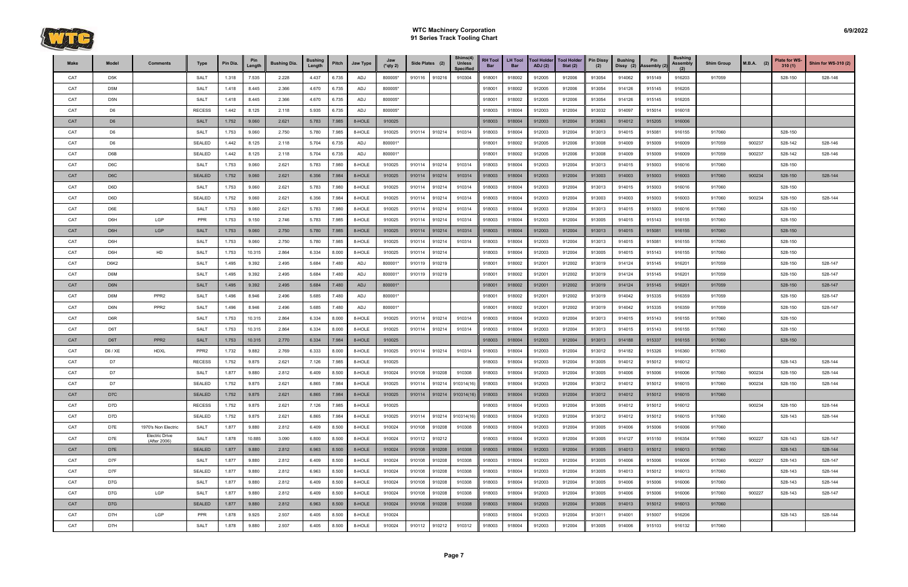

| Make       | Model            | Comments                              | Type             | Pin Dia. | Pin<br>Lenath | <b>Bushing Dia.</b> | <b>Bushing</b><br>Length | Pitch | Jaw Type | Jaw<br>$(*$ qty 2) | Side Plates (2)  | Shims(4)<br><b>Unless</b><br>Specified | <b>RH Tool</b><br>Bar | <b>LH Tool</b><br><b>Bar</b> | <b>Tool Holder</b><br><b>ADJ</b> (2) | <b>Tool Holder</b><br>Stat $(2)$ | <b>Pin Dissy</b><br>(2) | <b>Bushing</b><br>Dissy (2) | <b>Pin</b><br>Assembly (2 | <b>Bushing</b><br><b>Assembly</b><br>(2) | <b>Shim Group</b> | $M.B.A.$ (2) | Plate for WS-<br>310(1) | <b>Shim for WS-310 (2)</b> |
|------------|------------------|---------------------------------------|------------------|----------|---------------|---------------------|--------------------------|-------|----------|--------------------|------------------|----------------------------------------|-----------------------|------------------------------|--------------------------------------|----------------------------------|-------------------------|-----------------------------|---------------------------|------------------------------------------|-------------------|--------------|-------------------------|----------------------------|
| CAT        | D5K              |                                       | <b>SALT</b>      | 1.318    | 7.535         | 2.228               | 4.437                    | 6.735 | ADJ      | 800005*            | 910116 910216    | 910304                                 | 918001                | 918002                       | 912005                               | 912006                           | 913054                  | 914062                      | 915149                    | 916203                                   | 917059            |              | 528-150                 | 528-146                    |
| CAT        | D5M              |                                       | <b>SALT</b>      | 1.418    | 8.445         | 2.366               | 4.670                    | 6.735 | ADJ      | 800005*            |                  |                                        | 918001                | 918002                       | 912005                               | 912006                           | 913054                  | 914126                      | 915145                    | 916205                                   |                   |              |                         |                            |
| CAT        | D <sub>5</sub> N |                                       | <b>SALT</b>      | 1.418    | 8.445         | 2.366               | 4.670                    | 6.735 | ADJ      | 800005*            |                  |                                        | 918001                | 918002                       | 912005                               | 912006                           | 913054                  | 914126                      | 915145                    | 916205                                   |                   |              |                         |                            |
| CAT        | D6               |                                       | <b>RECESS</b>    | 1.442    | 8.125         | 2.118               | 5.935                    | 6.735 | ADJ      | 800005*            |                  |                                        | 918003                | 918004                       | 912003                               | 912004                           | 913032                  | 914097                      | 915014                    | 916018                                   |                   |              |                         |                            |
| CAT        | D <sub>6</sub>   |                                       | <b>SALT</b>      | 1.752    | 9.060         | 2.621               | 5.783                    | 7.985 | 8-HOLE   | 910025             |                  |                                        | 918003                | 918004                       | 912003                               | 912004                           | 913063                  | 914012                      | 915205                    | 916006                                   |                   |              |                         |                            |
| CAT        | D <sub>6</sub>   |                                       | <b>SALT</b>      | 1.753    | 9.060         | 2.750               | 5.780                    | 7.985 | 8-HOLE   | 910025             | 910114<br>910214 | 910314                                 | 918003                | 918004                       | 912003                               | 912004                           | 913013                  | 914015                      | 915081                    | 916155                                   | 917060            |              | 528-150                 |                            |
| CAT        | D6               |                                       | <b>SEALED</b>    | 1.442    | 8.125         | 2.118               | 5.704                    | 6.735 | ADJ      | 800001*            |                  |                                        | 918001                | 918002                       | 912005                               | 912006                           | 913008                  | 914009                      | 915009                    | 916009                                   | 917059            | 900237       | 528-142                 | 528-146                    |
| CAT        | D6B              |                                       | <b>SEALED</b>    | 1.442    | 8.125         | 2.118               | 5.704                    | 6.735 | ADJ      | 800001*            |                  |                                        | 918001                | 918002                       | 912005                               | 912006                           | 913008                  | 914009                      | 915009                    | 916009                                   | 917059            | 900237       | 528-142                 | 528-146                    |
| CAT        | D <sub>6</sub> C |                                       | <b>SALT</b>      | 1.753    | 9.060         | 2.621               | 5.783                    | 7.980 | 8-HOLE   | 910025             | 910114<br>910214 | 910314                                 | 918003                | 918004                       | 912003                               | 912004                           | 913013                  | 914015                      | 915003                    | 916016                                   | 917060            |              | 528-150                 |                            |
| CAT        | D <sub>6</sub> C |                                       | <b>SEALED</b>    | 1.752    | 9.060         | 2.621               | 6.356                    | 7.984 | 8-HOLE   | 910025             | 910114<br>910214 | 910314                                 | 918003                | 918004                       | 912003                               | 912004                           | 913003                  | 914003                      | 915003                    | 916003                                   | 917060            | 900234       | 528-150                 | 528-144                    |
| CAT        | D6D              |                                       | <b>SALT</b>      | 1.753    | 9.060         | 2.621               | 5.783                    | 7.980 | 8-HOLE   | 910025             | 910214<br>910114 | 910314                                 | 918003                | 918004                       | 912003                               | 912004                           | 913013                  | 914015                      | 915003                    | 916016                                   | 917060            |              | 528-150                 |                            |
| CAT        | D6D              |                                       | <b>SEALED</b>    | 1.752    | 9.060         | 2.621               | 6.356                    | 7.984 | 8-HOLE   | 910025             | 910114<br>910214 | 910314                                 | 918003                | 918004                       | 912003                               | 912004                           | 913003                  | 914003                      | 915003                    | 916003                                   | 917060            | 900234       | 528-150                 | 528-144                    |
| CAT        | D6E              |                                       | <b>SALT</b>      | 1.753    | 9.060         | 2.621               | 5.783                    | 7.980 | 8-HOLE   | 910025             | 910214<br>910114 | 910314                                 | 918003                | 918004                       | 912003                               | 912004                           | 913013                  | 914015                      | 915003                    | 916016                                   | 917060            |              | 528-150                 |                            |
| CAT        | D6H              | LGP                                   | PPR              | 1.753    | 9.150         | 2.746               | 5.783                    | 7.985 | 8-HOLE   | 910025             | 910114<br>910214 | 910314                                 | 918003                | 918004                       | 912003                               | 912004                           | 913005                  | 914015                      | 915143                    | 916155                                   | 917060            |              | 528-150                 |                            |
| CAT        | D6H              | <b>LGP</b>                            | <b>SALT</b>      | 1.753    | 9.060         | 2.750               | 5.780                    | 7.985 | 8-HOLE   | 910025             | 910214<br>910114 | 910314                                 | 918003                | 918004                       | 912003                               | 912004                           | 913013                  | 914015                      | 915081                    | 916155                                   | 917060            |              | 528-150                 |                            |
| CAT        | D6H              |                                       | <b>SALT</b>      | 1.753    | 9.060         | 2.750               | 5.780                    | 7.985 | 8-HOLE   | 910025             | 910214<br>910114 | 910314                                 | 918003                | 918004                       | 912003                               | 912004                           | 913013                  | 914015                      | 915081                    | 916155                                   | 917060            |              | 528-150                 |                            |
| CAT        | D6H              | HD                                    | <b>SALT</b>      | 1.753    | 10.315        | 2.864               | 6.334                    | 8.000 | 8-HOLE   | 910025             | 910214<br>910114 |                                        | 918003                | 918004                       | 912003                               | 912004                           | 913005                  | 914015                      | 915143                    | 916155                                   | 917060            |              | 528-150                 |                            |
| CAT        | D6K2             |                                       | <b>SALT</b>      | 1.495    | 9.392         | 2.495               | 5.684                    | 7.480 | ADJ      | 800001*            | 910119<br>910219 |                                        | 918001                | 918002                       | 912001                               | 912002                           | 913019                  | 914124                      | 915145                    | 916201                                   | 917059            |              | 528-150                 | 528-147                    |
| CAT        | D6M              |                                       | <b>SALT</b>      | 1.495    | 9.392         | 2.495               | 5.684                    | 7.480 | ADJ      | 800001*            | 910119<br>910219 |                                        | 918001                | 918002                       | 912001                               | 912002                           | 913019                  | 914124                      | 915145                    | 916201                                   | 917059            |              | 528-150                 | 528-147                    |
| <b>CAT</b> | D <sub>6</sub> N |                                       | <b>SALT</b>      | 1.495    | 9.392         | 2.495               | 5.684                    | 7.480 | ADJ      | 800001*            |                  |                                        | 918001                | 918002                       | 912001                               | 912002                           | 913019                  | 914124                      | 915145                    | 916201                                   | 917059            |              | 528-150                 | 528-147                    |
| CAT        | D6M              | PPR <sub>2</sub>                      | <b>SALT</b>      | 1.496    | 8.946         | 2.496               | 5.685                    | 7.480 | ADJ      | 800001*            |                  |                                        | 918001                | 918002                       | 912001                               | 912002                           | 913019                  | 914042                      | 915335                    | 916359                                   | 917059            |              | 528-150                 | 528-147                    |
| CAT        | D6N              | PPR <sub>2</sub>                      | <b>SALT</b>      | 1.496    | 8.946         | 2.496               | 5.685                    | 7.480 | ADJ      | 800001*            |                  |                                        | 918001                | 918002                       | 912001                               | 912002                           | 913019                  | 914042                      | 915335                    | 916359                                   | 917059            |              | 528-150                 | 528-147                    |
| CAT        | D6R              |                                       | <b>SALT</b>      | 1.753    | 10.315        | 2.864               | 6.334                    | 8.000 | 8-HOLE   | 910025             | 910114<br>910214 | 910314                                 | 918003                | 918004                       | 912003                               | 912004                           | 913013                  | 914015                      | 915143                    | 916155                                   | 917060            |              | 528-150                 |                            |
| CAT        | D6T              |                                       | <b>SALT</b>      | 1.753    | 10.315        | 2.864               | 6.334                    | 8.000 | 8-HOLE   | 910025             | 910214<br>910114 | 910314                                 | 918003                | 918004                       | 912003                               | 912004                           | 913013                  | 914015                      | 915143                    | 916155                                   | 917060            |              | 528-150                 |                            |
| CAT        | D6T              | PPR <sub>2</sub>                      | <b>SALT</b>      | 1.753    | 10.315        | 2.770               | 6.334                    | 7.984 | 8-HOLE   | 910025             |                  |                                        | 918003                | 918004                       | 912003                               | 912004                           | 913013                  | 914188                      | 915337                    | 916155                                   | 917060            |              | 528-150                 |                            |
| CAT        | D6 / XE          | <b>HDXL</b>                           | PPR <sub>2</sub> | 1.732    | 9.882         | 2.769               | 6.333                    | 8.000 | 8-HOLE   | 910025             | 910114<br>910214 | 910314                                 | 918003                | 918004                       | 912003                               | 912004                           | 913012                  | 914182                      | 915326                    | 916360                                   | 917060            |              |                         |                            |
| CAT        | D7               |                                       | <b>RECESS</b>    | 1.752    | 9.875         | 2.621               | 7.126                    | 7.985 | 8-HOLE   | 910025             |                  |                                        | 918003                | 918004                       | 912003                               | 912004                           | 913005                  | 914012                      | 915012                    | 916012                                   |                   |              | 528-143                 | 528-144                    |
| CAT        | D7               |                                       | <b>SALT</b>      | 1.877    | 9.880         | 2.812               | 6.409                    | 8.500 | 8-HOLE   | 910024             | 910108<br>910208 | 910308                                 | 918003                | 918004                       | 912003                               | 912004                           | 913005                  | 914006                      | 915006                    | 916006                                   | 917060            | 900234       | 528-150                 | 528-144                    |
| CAT        | D7               |                                       | SEALED           | 1.752    | 9.875         | 2.621               | 6.865                    | 7.984 | 8-HOLE   | 910025             | 910214<br>910114 | 910314(16)                             | 918003                | 918004                       | 912003                               | 912004                           | 913012                  | 914012                      | 915012                    | 916015                                   | 917060            | 900234       | 528-150                 | 528-144                    |
| CAT        | D7C              |                                       | <b>SEALED</b>    | 1.752    | 9.875         | 2.621               | 6.865                    | 7.984 | 8-HOLE   | 910025             | 910114<br>910214 | 910314(16)                             | 918003                | 918004                       | 912003                               | 912004                           | 913012                  | 914012                      | 915012                    | 916015                                   | 917060            |              |                         |                            |
| CAT        | D7D              |                                       | <b>RECESS</b>    | 1.752    | 9.875         | 2.621               | 7.126                    | 7.985 | 8-HOLE   | 910025             |                  |                                        | 918003                | 918004                       | 912003                               | 912004                           | 913005                  | 914012                      | 915012                    | 916012                                   |                   | 900234       | 528-150                 | 528-144                    |
| CAT        | D7D              |                                       | SEALED           | 1.752    | 9.875         | 2.621               | 6.865                    | 7.984 | 8-HOLE   | 910025             | 910114<br>910214 | 910314(16                              | 918003                | 918004                       | 912003                               | 912004                           | 913012                  | 914012                      | 915012                    | 916015                                   | 917060            |              | 528-143                 | 528-144                    |
| CAT        | D7E              | 1970's Non Electric                   | <b>SALT</b>      | 1.877    | 9.880         | 2.812               | 6.409                    | 8.500 | 8-HOLE   | 910024             | 910108<br>910208 | 910308                                 | 918003                | 918004                       | 912003                               | 912004                           | 913005                  | 914006                      | 915006                    | 916006                                   | 917060            |              |                         |                            |
| CAT        | D7E              | <b>Electric Drive</b><br>(After 2006) | <b>SALT</b>      | 1.878    | 10.885        | 3.090               | 6.800                    | 8.500 | 8-HOLE   | 910024             | 910112<br>910212 |                                        | 918003                | 918004                       | 912003                               | 912004                           | 913005                  | 914127                      | 915150                    | 916354                                   | 917060            | 900227       | 528-143                 | 528-147                    |
| CAT        | D7E              |                                       | <b>SEALED</b>    | 1.877    | 9.880         | 2.812               | 6.963                    | 8.500 | 8-HOLE   | 910024             | 910108<br>910208 | 910308                                 | 918003                | 918004                       | 912003                               | 912004                           | 913005                  | 914013                      | 915012                    | 916013                                   | 917060            |              | 528-143                 | 528-144                    |
| CAT        | D7F              |                                       | <b>SALT</b>      | 1.877    | 9.880         | 2.812               | 6.409                    | 8.500 | 8-HOLE   | 910024             | 910108<br>910208 | 910308                                 | 918003                | 918004                       | 912003                               | 912004                           | 913005                  | 914006                      | 915006                    | 916006                                   | 917060            | 900227       | 528-143                 | 528-147                    |
| CAT        | D7F              |                                       | <b>SEALED</b>    | 1.877    | 9.880         | 2.812               | 6.963                    | 8.500 | 8-HOLE   | 910024             | 910108<br>910208 | 910308                                 | 918003                | 918004                       | 912003                               | 912004                           | 913005                  | 914013                      | 915012                    | 916013                                   | 917060            |              | 528-143                 | 528-144                    |
| CAT        | D7G              |                                       | <b>SALT</b>      | 1.877    | 9.880         | 2.812               | 6.409                    | 8.500 | 8-HOLE   | 910024             | 910208<br>910108 | 910308                                 | 918003                | 918004                       | 912003                               | 912004                           | 913005                  | 914006                      | 915006                    | 916006                                   | 917060            |              | 528-143                 | 528-144                    |
| CAT        | D7G              | LGP                                   | <b>SALT</b>      | 1.877    | 9.880         | 2.812               | 6.409                    | 8.500 | 8-HOLE   | 910024             | 910108<br>910208 | 910308                                 | 918003                | 918004                       | 912003                               | 912004                           | 913005                  | 914006                      | 915006                    | 916006                                   | 917060            | 900227       | 528-143                 | 528-147                    |
| CAT        | D7G              |                                       | <b>SEALED</b>    | 1.877    | 9.880         | 2.812               | 6.963                    | 8.500 | 8-HOLE   | 910024             | 910208<br>910108 | 910308                                 | 918003                | 918004                       | 912003                               | 912004                           | 913005                  | 914013                      | 915012                    | 916013                                   | 917060            |              |                         |                            |
| CAT        | D7H              | LGP                                   | PPR              | 1.878    | 9.925         | 2.937               | 6.405                    | 8.500 | 8-HOLE   | 910024             |                  |                                        | 918003                | 918004                       | 912003                               | 912004                           | 913011                  | 914001                      | 915007                    | 916206                                   |                   |              | 528-143                 | 528-144                    |
| CAT        | D7H              |                                       | <b>SALT</b>      | 1.878    | 9.880         | 2.937               | 6.405                    | 8.500 | 8-HOLE   | 910024             | 910112<br>910212 | 910312                                 | 918003                | 918004                       | 912003                               | 912004                           | 913005                  | 914006                      | 915103                    | 916132                                   | 917060            |              |                         |                            |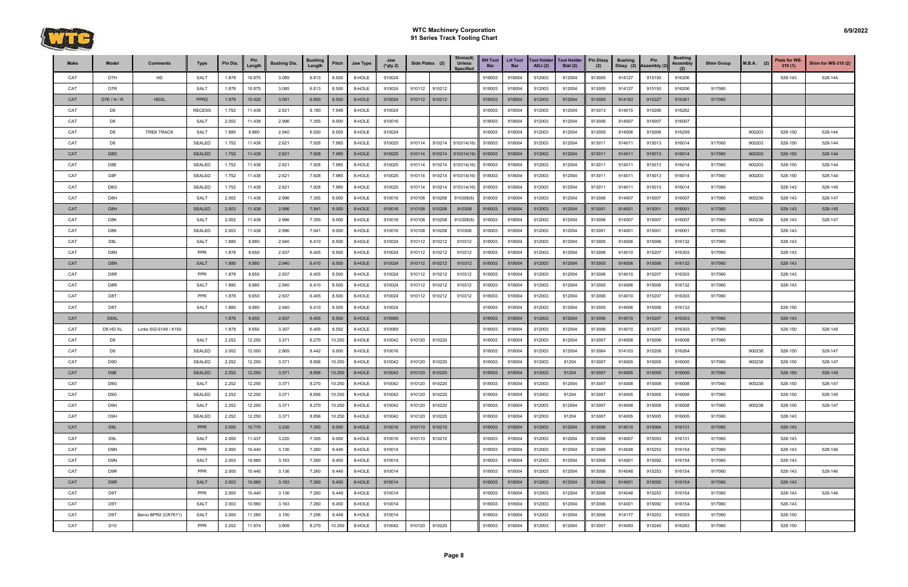

| Make | Model            | <b>Comments</b>       | Type             | Pin Dia. | Pin<br>Length | <b>Bushing Dia.</b> | <b>Bushing</b><br>Length | Pitch  | Jaw Type | Jaw<br>$(*qty 2)$ | Side Plates (2) |               | Shims(4)<br><b>Unless</b><br><b>Specified</b> | <b>RH Tool</b><br>Bar | <b>LH Tool</b><br><b>Bar</b> | <b>Tool Holder</b><br>ADJ(2) | <b>Tool Holder</b><br>Stat $(2)$ | <b>Pin Dissy</b><br>(2) | <b>Bushing</b><br>Dissy (2) | Pin<br>Assembly (2) | <b>Bushing</b><br>Assembly | <b>Shim Group</b> | $M.B.A.$ (2) | <b>Plate for WS-</b><br>310(1) | <b>Shim for WS-310 (2)</b> |
|------|------------------|-----------------------|------------------|----------|---------------|---------------------|--------------------------|--------|----------|-------------------|-----------------|---------------|-----------------------------------------------|-----------------------|------------------------------|------------------------------|----------------------------------|-------------------------|-----------------------------|---------------------|----------------------------|-------------------|--------------|--------------------------------|----------------------------|
| CAT  | D7H              | HD                    | <b>SALT</b>      | 1.878    | 10.875        | 3.085               | 6.813                    | 8.500  | 8-HOLE   | 910024            |                 |               |                                               | 918003                | 918004                       | 912003                       | 912004                           | 913005                  | 914127                      | 915150              | 916206                     |                   |              | 528-143                        | 528-144                    |
| CAT  | D7R              |                       | <b>SALT</b>      | 1.878    | 10.875        | 3.085               | 6.813                    | 8.500  | 8-HOLE   | 910024            | 910112          | 910212        |                                               | 918003                | 918004                       | 912003                       | 912004                           | 913005                  | 914127                      | 915150              | 916206                     | 917060            |              |                                |                            |
| CAT  | D7E/H/R          | <b>HDXL</b>           | PPR <sub>2</sub> | 1.879    | 10.420        | 3.091               | 6.800                    | 8.500  | 8-HOLE   | 910024            |                 | 910112 910212 |                                               | 918003                | 918004                       | 912003                       | 912004                           | 913005                  | 914183                      | 915327              | 916361                     | 917060            |              |                                |                            |
| CAT  | D <sub>8</sub>   |                       | <b>RECESS</b>    | 1.752    | 11.438        | 2.621               | 8.180                    | 7.948  | 8-HOLE   | 910024            |                 |               |                                               | 918003                | 918004                       | 912003                       | 912004                           | 913013                  | 914015                      | 915206              | 916262                     |                   |              |                                |                            |
| CAT  | D <sub>8</sub>   |                       | <b>SALT</b>      | 2.002    | 11.438        | 2.996               | 7.355                    | 9.000  | 8-HOLE   | 910016            |                 |               |                                               | 918003                | 918004                       | 912003                       | 912004                           | 913006                  | 914007                      | 915007              | 916007                     |                   |              |                                |                            |
| CAT  | D <sub>8</sub>   | <b>TREK TRACK</b>     | <b>SALT</b>      | 1.880    | 9.880         | 2.940               | 6.500                    | 8.500  | 8-HOLE   | 910024            |                 |               |                                               | 918003                | 918004                       | 912003                       | 912004                           | 913005                  | 914006                      | 915006              | 916299                     |                   | 900203       | 528-150                        | 528-144                    |
| CAT  | D <sub>8</sub>   |                       | <b>SEALED</b>    | 1.752    | 11.438        | 2.621               | 7.928                    | 7.985  | 8-HOLE   | 910025            | 910114          | 910214        | 910314(16)                                    | 918003                | 918004                       | 912003                       | 912004                           | 913011                  | 914011                      | 915013              | 916014                     | 917060            | 900203       | 528-150                        | 528-144                    |
| CAT  | D <sub>8</sub> D |                       | <b>SEALED</b>    | 1.752    | 11.438        | 2.621               | 7.928                    | 7.985  | 8-HOLE   | 910025            | 910114          | 910214        | 910314(16)                                    | 918003                | 918004                       | 912003                       | 912004                           | 913011                  | 914011                      | 915013              | 916014                     | 917060            | 900203       | 528-150                        | 528-144                    |
| CAT  | D8E              |                       | <b>SEALED</b>    | 1.752    | 11.438        | 2.621               | 7.928                    | 7.985  | 8-HOLE   | 910025            | 910114          | 910214        | 910314(16)                                    | 918003                | 918004                       | 912003                       | 912004                           | 913011                  | 914011                      | 915013              | 916014                     | 917060            | 900203       | 528-150                        | 528-144                    |
| CAT  | D8F              |                       | <b>SEALED</b>    | 1.752    | 11.438        | 2.621               | 7.928                    | 7.985  | 8-HOLE   | 910025            | 910114          | 910214        | 910314(16                                     | 918003                | 918004                       | 912003                       | 912004                           | 913011                  | 914011                      | 915013              | 916014                     | 917060            | 900203       | 528-150                        | 528-144                    |
| CAT  | D8G              |                       | <b>SEALED</b>    | 1.752    | 11.438        | 2.621               | 7.928                    | 7.985  | 8-HOLE   | 910025            | 910114          | 910214        | 910314(16                                     | 918003                | 918004                       | 912003                       | 912004                           | 913011                  | 914011                      | 915013              | 916014                     | 917060            |              | 528-143                        | 528-145                    |
| CAT  | D8H              |                       | <b>SALT</b>      | 2.002    | 11.438        | 2.996               | 7.355                    | 9.000  | 8-HOLE   | 910016            | 910108          | 910208        | 910308(8)                                     | 918003                | 918004                       | 912003                       | 912004                           | 913006                  | 914007                      | 915007              | 916007                     | 917060            | 900236       | 528-143                        | 528-147                    |
| CAT  | D <sub>8</sub> H |                       | <b>SEALED</b>    | 2.003    | 11.438        | 2.996               | 7.941                    | 9.000  | 8-HOLE   | 910016            | 910108          | 910208        | 910308                                        | 918003                | 918004                       | 912003                       | 912004                           | 913001                  | 914001                      | 915001              | 916001                     | 917060            |              | 528-143                        | 528-145                    |
| CAT  | D8K              |                       | <b>SALT</b>      | 2.002    | 11.438        | 2.996               | 7.355                    | 9.000  | 8-HOLE   | 910016            | 910108          | 910208        | 910308(8)                                     | 918003                | 918004                       | 912003                       | 912004                           | 913006                  | 914007                      | 915007              | 916007                     | 917060            | 900236       | 528-143                        | 528-147                    |
| CAT  | D8K              |                       | <b>SEALED</b>    | 2.003    | 11.438        | 2.996               | 7.941                    | 9.000  | 8-HOLE   | 910016            | 910108          | 910208        | 910308                                        | 918003                | 918004                       | 912003                       | 912004                           | 913001                  | 914001                      | 915001              | 916001                     | 917060            |              | 528-143                        |                            |
| CAT  | D8L              |                       | <b>SALT</b>      | 1.880    | 9.880         | 2.940               | 6.410                    | 8.500  | 8-HOLE   | 910024            | 910112          | 910212        | 910312                                        | 918003                | 918004                       | 912003                       | 912004                           | 913005                  | 914006                      | 915006              | 916132                     | 917060            |              | 528-143                        |                            |
| CAT  | D8N              |                       | PPR              | 1.878    | 9.650         | 2.937               | 6.405                    | 8.500  | 8-HOLE   | 910024            | 910112          | 910212        | 910312                                        | 918003                | 918004                       | 912003                       | 912004                           | 913006                  | 914010                      | 915207              | 916303                     | 917060            |              | 528-143                        |                            |
| CAT  | D <sub>8N</sub>  |                       | <b>SALT</b>      | 1.880    | 9.880         | 2.940               | 6.410                    | 8.500  | 8-HOLE   | 910024            | 910112          | 910212        | 910312                                        | 918003                | 918004                       | 912003                       | 912004                           | 913005                  | 914006                      | 915006              | 916132                     | 917060            |              | 528-143                        |                            |
| CAT  | D8R              |                       | PPR              | 1.878    | 9.650         | 2.937               | 6.405                    | 8.500  | 8-HOLE   | 910024            | 910112          | 910212        | 910312                                        | 918003                | 918004                       | 912003                       | 912004                           | 913006                  | 914010                      | 915207              | 916303                     | 917060            |              | 528-143                        |                            |
| CAT  | D8R              |                       | <b>SALT</b>      | 1.880    | 9.880         | 2.940               | 6.410                    | 8.500  | 8-HOLE   | 910024            | 910112          | 910212        | 910312                                        | 918003                | 918004                       | 912003                       | 912004                           | 913005                  | 914006                      | 915006              | 916132                     | 917060            |              | 528-143                        |                            |
| CAT  | D8T              |                       | PPR              | 1.878    | 9.650         | 2.937               | 6.405                    | 8.500  | 8-HOLE   | 910024            | 910112          | 910212        | 910312                                        | 918003                | 918004                       | 912003                       | 912004                           | 913006                  | 914010                      | 915207              | 916303                     | 917060            |              |                                |                            |
| CAT  | D8T              |                       | <b>SALT</b>      | 1.880    | 9.880         | 2.940               | 6.410                    | 8.500  | 8-HOLE   | 910024            |                 |               |                                               | 918003                | 918004                       | 912003                       | 912004                           | 913005                  | 914006                      | 915006              | 916132                     |                   |              | 528-150                        |                            |
| CAT  | D8XL             |                       |                  | 1.878    | 9.650         | 2.937               | 6.405                    | 8.500  | 8-HOLE   | 910065            |                 |               |                                               | 918003                | 918004                       | 912003                       | 912004                           | 913006                  | 914010                      | 915207              | 916303                     | 917060            |              | 528-143                        |                            |
| CAT  | D8 HD XL         | Links 502-6149 / 6150 |                  | 1.878    | 9.650         | 3.307               | 6.405                    | 8.592  | 8-HOLE   | 910069            |                 |               |                                               | 918003                | 918004                       | 912003                       | 912004                           | 913006                  | 914010                      | 915207              | 916303                     | 917060            |              | 528-150                        | 528-145                    |
| CAT  | D <sub>9</sub>   |                       | <b>SALT</b>      | 2.252    | 12.250        | 3.371               | 8.270                    | 10.250 | 8-HOLE   | 910042            | 910120          | 910220        |                                               | 918003                | 918004                       | 912003                       | 912004                           | 913007                  | 914008                      | 915008              | 916008                     | 917060            |              |                                |                            |
| CAT  | D <sub>9</sub>   |                       | <b>SEALED</b>    | 2.002    | 12.000        | 2.869               | 8.442                    | 9.000  | 8-HOLE   | 910016            |                 |               |                                               | 918003                | 918004                       | 912003                       | 912004                           | 913064                  | 914103                      | 915208              | 916264                     |                   | 900238       | 528-150                        | 528-147                    |
| CAT  | D <sub>9</sub> D |                       | <b>SEALED</b>    | 2.252    | 12.250        | 3.371               | 8.856                    | 10.250 | 8-HOLE   | 910042            | 910120          | 910220        |                                               | 918003                | 918004                       | 912003                       | 91204                            | 913007                  | 914005                      | 915005              | 916005                     | 917060            | 900238       | 528-150                        | 528-147                    |
| CAT  | D9E              |                       | <b>SEALED</b>    | 2.252    | 12.250        | 3.371               | 8.856                    | 10.250 | 8-HOLE   | 910042            | 910120          | 910220        |                                               | 918003                | 918004                       | 912003                       | 91204                            | 913007                  | 914005                      | 915005              | 916005                     | 917060            |              | 528-150                        | 528-145                    |
| CAT  | D <sub>9</sub> G |                       | <b>SALT</b>      | 2.252    | 12.250        | 3.371               | 8.270                    | 10.250 | 8-HOLE   | 910042            | 910120          | 910220        |                                               | 918003                | 918004                       | 912003                       | 912004                           | 913007                  | 914008                      | 915008              | 916008                     | 917060            | 900238       | 528-150                        | 528-147                    |
| CAT  | D <sub>9</sub> G |                       | SEALED           | 2.252    | 12.250        | 3.371               | 8.856                    | 10.250 | 8-HOLE   | 910042            | 910120          | 910220        |                                               | 918003                | 918004                       | 912003                       | 91204                            | 913007                  | 914005                      | 915005              | 916005                     | 917060            |              | 528-150                        | 528-145                    |
| CAT  | D9H              |                       | <b>SALT</b>      | 2.252    | 12.250        | 3.371               | 8.270                    | 10.250 | 8-HOLE   | 910042            | 910120          | 910220        |                                               | 918003                | 918004                       | 912003                       | 912004                           | 913007                  | 914008                      | 915008              | 916008                     | 917060            | 900238       | 528-150                        | 528-147                    |
| CAT  | D9H              |                       | SEALED           | 2.252    | 12.250        | 3.371               | 8.856                    | 10.250 | 8-HOLE   | 910042            | 910120          | 910220        |                                               | 918003                | 918004                       | 912003                       | 91204                            | 913007                  | 914005                      | 915005              | 916005                     | 917060            |              | 528-143                        |                            |
| CAT  | D <sub>9</sub> L |                       | <b>PPR</b>       | 2.000    | 10.770        | 3.230               | 7.350                    | 9.000  | 8-HOLE   | 910016            |                 | 910110 910210 |                                               | 918003                | 918004                       | 912003                       | 912004                           | 913006                  | 914010                      | 915064              | 916131                     | 917060            |              | 528-143                        |                            |
| CAT  | D9L              |                       | <b>SALT</b>      | 2.000    | 11.437        | 3.220               | 7.355                    | 9.000  | 8-HOLE   | 910016            | 910110 910210   |               |                                               | 918003                | 918004                       | 912003                       | 912004                           | 913006                  | 914007                      | 915093              | 916131                     | 917060            |              | 528-143                        |                            |
| CAT  | D9N              |                       | <b>PPR</b>       | 2.000    | 10.440        | 3.136               | 7.260                    | 9.449  | 8-HOLE   | 910014            |                 |               |                                               | 918003                | 918004                       | 912003                       | 912004                           | 913006                  | 914048                      | 915253              | 916154                     | 917060            |              | 528-143                        | 528-146                    |
| CAT  | D9N              |                       | <b>SALT</b>      | 2.003    | 10.980        | 3.163               | 7.260                    | 9.450  | 8-HOLE   | 910014            |                 |               |                                               | 918003                | 918004                       | 912003                       | 912004                           | 913006                  | 914001                      | 915092              | 916154                     | 917060            |              | 528-143                        |                            |
| CAT  | D9R              |                       | PPR              | 2.000    | 10.440        | 3.136               | 7.260                    | 9.449  | 8-HOLE   | 910014            |                 |               |                                               | 918003                | 918004                       | 912003                       | 912004                           | 913006                  | 914048                      | 915253              | 916154                     | 917060            |              | 528-143                        | 528-146                    |
| CAT  | D9R              |                       | <b>SALT</b>      | 2.003    | 10.980        | 3.163               | 7.260                    | 9.450  | 8-HOLE   | 910014            |                 |               |                                               | 918003                | 918004                       | 912003                       | 912004                           | 913006                  | 914001                      | 915092              | 916154                     | 917060            |              | 528-143                        |                            |
| CAT  | D9T              |                       | PPR              | 2.000    | 10.440        | 3.136               | 7.260                    | 9.449  | 8-HOLE   | 910014            |                 |               |                                               | 918003                | 918004                       | 912003                       | 912004                           | 913006                  | 914048                      | 915253              | 916154                     | 917060            |              | 528-143                        | 528-146                    |
| CAT  | D9T              |                       | <b>SALT</b>      | 2.003    | 10.980        | 3.163               | 7.260                    | 9.450  | 8-HOLE   | 910014            |                 |               |                                               | 918003                | 918004                       | 912003                       | 912004                           | 913006                  | 914001                      | 915092              | 916154                     | 917060            |              | 528-143                        |                            |
| CAT  | D9T              | Berco BPR2 (CR7611)   | <b>SALT</b>      | 2.000    | 11.260        | 3.150               | 7.256                    | 9.449  | 8-HOLE   | 910014            |                 |               |                                               | 918003                | 918004                       | 912003                       | 912004                           | 913006                  | 914177                      | 915253              | 916353                     | 917060            |              | 528-150                        |                            |
| CAT  | D <sub>10</sub>  |                       | PPR              | 2.252    | 11.974        | 3.809               | 8.270                    | 10.250 | 8-HOLE   | 910042            | 910120 910220   |               |                                               | 918003                | 918004                       | 912003                       | 912004                           | 913007                  | 914093                      | 915240              | 916283                     | 917060            |              | 528-150                        |                            |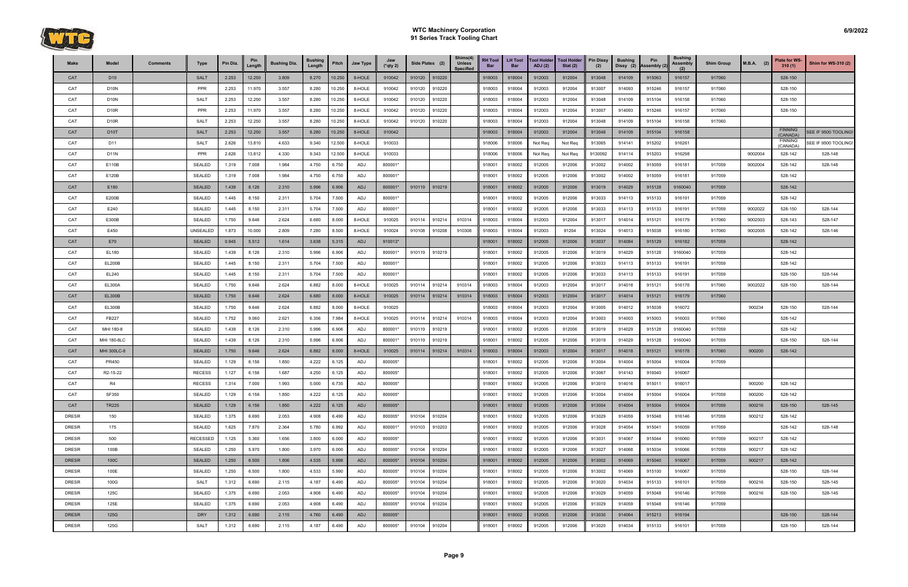

| Make         | Model             | <b>Comments</b> | Type            | Pin Dia. | Pin<br>Length | <b>Bushing Dia.</b> | <b>Bushing</b><br>Length | Pitch  | Jaw Type | Jaw<br>$(*$ qty 2) | Side Plates (2) |        | Shims(4)<br><b>Unless</b><br><b>Specified</b> | <b>RH Tool</b><br>Bar | <b>LH Tool</b><br><b>Bar</b> | <b>Tool Holder</b><br>ADJ(2) | <b>Tool Holder</b><br>Stat $(2)$ | <b>Pin Dissy</b><br>(2) | <b>Bushing</b><br>Dissy (2) | Pin<br>Assembly (2) | <b>Bushing</b><br>Assembly | <b>Shim Group</b> | $M.B.A.$ (2) | <b>Plate for WS-</b><br>310(1) | <b>Shim for WS-310 (2)</b> |
|--------------|-------------------|-----------------|-----------------|----------|---------------|---------------------|--------------------------|--------|----------|--------------------|-----------------|--------|-----------------------------------------------|-----------------------|------------------------------|------------------------------|----------------------------------|-------------------------|-----------------------------|---------------------|----------------------------|-------------------|--------------|--------------------------------|----------------------------|
| CAT          | D <sub>10</sub>   |                 | <b>SALT</b>     | 2.253    | 12.250        | 3.809               | 8.270                    | 10.250 | 8-HOLE   | 910042             | 910120 910220   |        |                                               | 918003                | 918004                       | 912003                       | 912004                           | 913048                  | 914109                      | 915063              | 916157                     | 917060            |              | 528-150                        |                            |
| CAT          | D <sub>10</sub> N |                 | PPR             | 2.253    | 11.970        | 3.557               | 8.280                    | 10.250 | 8-HOLE   | 910042             | 910120          | 910220 |                                               | 918003                | 918004                       | 912003                       | 912004                           | 913007                  | 914093                      | 915246              | 916157                     | 917060            |              | 528-150                        |                            |
| CAT          | D <sub>10</sub> N |                 | <b>SALT</b>     | 2.253    | 12.250        | 3.557               | 8.280                    | 10.250 | 8-HOLE   | 910042             | 910120          | 910220 |                                               | 918003                | 918004                       | 912003                       | 912004                           | 913048                  | 914109                      | 915104              | 916158                     | 917060            |              | 528-150                        |                            |
| CAT          | D <sub>10R</sub>  |                 | PPR             | 2.253    | 11.970        | 3.557               | 8.280                    | 10.250 | 8-HOLE   | 910042             | 910120          | 910220 |                                               | 918003                | 918004                       | 912003                       | 912004                           | 913007                  | 914093                      | 915246              | 916157                     | 917060            |              | 528-150                        |                            |
| CAT          | D <sub>10R</sub>  |                 | <b>SALT</b>     | 2.253    | 12.250        | 3.557               | 8.280                    | 10.250 | 8-HOLE   | 910042             | 910120          | 910220 |                                               | 918003                | 918004                       | 912003                       | 912004                           | 913048                  | 914109                      | 915104              | 916158                     | 917060            |              |                                |                            |
| CAT          | <b>D10T</b>       |                 | <b>SALT</b>     | 2.253    | 12.250        | 3.557               | 8.280                    | 10.250 | 8-HOLE   | 910042             |                 |        |                                               | 918003                | 918004                       | 912003                       | 912004                           | 913048                  | 914109                      | 915104              | 916158                     |                   |              | <b>FINNING</b><br>(CANADA)     | SEE IF 9500 TOOLING!       |
| CAT          | D11               |                 | <b>SALT</b>     | 2.626    | 13.810        | 4.633               | 9.340                    | 12.500 | 8-HOLE   | 910033             |                 |        |                                               | 918006                | 918006                       | Not Req                      | Not Req                          | 913065                  | 914141                      | 915202              | 916261                     |                   |              | <b>FINNING</b><br>(CANADA)     | EE IF 9500 TOOLING!        |
| CAT          | <b>D11N</b>       |                 | PPR             | 2.626    | 13.812        | 4.330               | 9.343                    | 12.500 | 8-HOLE   | 910033             |                 |        |                                               | 918006                | 918006                       | Not Req                      | Not Req                          | 9130092                 | 914114                      | 915203              | 916298                     |                   | 9002004      | 528-142                        | 528-148                    |
| CAT          | E110B             |                 | <b>SEALED</b>   | 1.319    | 7.008         | 1.984               | 4.750                    | 6.750  | ADJ      | 800001*            |                 |        |                                               | 918001                | 918002                       | 912005                       | 912006                           | 913002                  | 914002                      | 915059              | 916181                     | 917059            | 9002004      | 528-142                        | 528-148                    |
| CAT          | E120B             |                 | <b>SEALED</b>   | 1.319    | 7.008         | 1.984               | 4.750                    | 6.750  | ADJ      | 800001*            |                 |        |                                               | 918001                | 918002                       | 912005                       | 912006                           | 913002                  | 914002                      | 915059              | 916181                     | 917059            |              | 528-142                        |                            |
| CAT          | E180              |                 | <b>SEALED</b>   | 1.439    | 8.126         | 2.310               | 5.996                    | 6.906  | ADJ      | 800001*            | 910119          | 910219 |                                               | 918001                | 918002                       | 912005                       | 912006                           | 913019                  | 914029                      | 915128              | 9160040                    | 917059            |              | 528-142                        |                            |
| CAT          | E200B             |                 | <b>SEALED</b>   | 1.445    | 8.150         | 2.311               | 5.704                    | 7.500  | ADJ      | 800001*            |                 |        |                                               | 918001                | 918002                       | 912005                       | 912006                           | 913033                  | 914113                      | 915133              | 916191                     | 917059            |              | 528-142                        |                            |
| CAT          | E240              |                 | <b>SEALED</b>   | 1.445    | 8.150         | 2.311               | 5.704                    | 7.500  | ADJ      | 800001*            |                 |        |                                               | 918001                | 918002                       | 912005                       | 912006                           | 913033                  | 914113                      | 915133              | 916191                     | 917059            | 9002022      | 528-150                        | 528-144                    |
| CAT          | E300B             |                 | <b>SEALED</b>   | 1.750    | 9.646         | 2.624               | 6.680                    | 8.000  | 8-HOLE   | 910025             | 910114          | 910214 | 910314                                        | 918003                | 918004                       | 912003                       | 912004                           | 913017                  | 914014                      | 915121              | 916179                     | 917060            | 9002003      | 528-143                        | 528-147                    |
| CAT          | E450              |                 | UNSEALED        | 1.873    | 10.000        | 2.809               | 7.280                    | 8.500  | 8-HOLE   | 910024             | 910108          | 910208 | 910308                                        | 918003                | 918004                       | 912003                       | 91204                            | 913024                  | 914013                      | 915038              | 916180                     | 917060            | 9002005      | 528-142                        | 528-146                    |
| CAT          | E70               |                 | <b>SEALED</b>   | 0.945    | 5.512         | 1.614               | 3.638                    | 5.315  | ADJ      | 910013*            |                 |        |                                               | 918001                | 918002                       | 912005                       | 912006                           | 913037                  | 914084                      | 915129              | 916182                     | 917059            |              | 528-142                        |                            |
| CAT          | EL180             |                 | <b>SEALED</b>   | 1.439    | 8.126         | 2.310               | 5.996                    | 6.906  | ADJ      | 800001*            | 910119          | 910219 |                                               | 918001                | 918002                       | 912005                       | 912006                           | 913019                  | 914029                      | 915128              | 9160040                    | 917059            |              | 528-142                        |                            |
| CAT          | <b>EL200B</b>     |                 | <b>SEALED</b>   | 1.445    | 8.150         | 2.311               | 5.704                    | 7.500  | ADJ      | 800001*            |                 |        |                                               | 918001                | 918002                       | 912005                       | 912006                           | 913033                  | 914113                      | 915133              | 916191                     | 917059            |              | 528-142                        |                            |
| CAT          | EL240             |                 | <b>SEALED</b>   | 1.445    | 8.150         | 2.311               | 5.704                    | 7.500  | ADJ      | 800001*            |                 |        |                                               | 918001                | 918002                       | 912005                       | 912006                           | 913033                  | 914113                      | 915133              | 916191                     | 917059            |              | 528-150                        | 528-144                    |
| CAT          | <b>EL300A</b>     |                 | <b>SEALED</b>   | 1.750    | 9.646         | 2.624               | 6.882                    | 8.000  | 8-HOLE   | 910025             | 910114          | 910214 | 910314                                        | 918003                | 918004                       | 912003                       | 912004                           | 913017                  | 914018                      | 915121              | 916178                     | 917060            | 9002022      | 528-150                        | 528-144                    |
| CAT          | <b>EL300B</b>     |                 | <b>SEALED</b>   | 1.750    | 9.646         | 2.624               | 6.680                    | 8.000  | 8-HOLE   | 910025             | 910114          | 910214 | 910314                                        | 918003                | 918004                       | 912003                       | 912004                           | 913017                  | 914014                      | 915121              | 916179                     | 917060            |              |                                |                            |
| CAT          | <b>EL300B</b>     |                 | <b>SEALED</b>   | 1.750    | 9.646         | 2.624               | 6.882                    | 8.000  | 8-HOLE   | 910025             |                 |        |                                               | 918003                | 918004                       | 912003                       | 912004                           | 913005                  | 914012                      | 915038              | 916072                     |                   | 900234       | 528-150                        | 528-144                    |
| CAT          | FB227             |                 | <b>SEALED</b>   | 1.752    | 9.060         | 2.621               | 6.356                    | 7.984  | 8-HOLE   | 910025             | 910114          | 910214 | 910314                                        | 918003                | 918004                       | 912003                       | 912004                           | 913003                  | 914003                      | 915003              | 916003                     | 917060            |              | 528-142                        |                            |
| CAT          | MHI 180-8         |                 | <b>SEALED</b>   | 1.439    | 8.126         | 2.310               | 5.996                    | 6.906  | ADJ      | 800001*            | 910119          | 910219 |                                               | 918001                | 918002                       | 912005                       | 912006                           | 913019                  | 914029                      | 915128              | 9160040                    | 917059            |              | 528-142                        |                            |
| CAT          | MHI 180-8LC       |                 | <b>SEALED</b>   | 1.439    | 8.126         | 2.310               | 5.996                    | 6.906  | ADJ      | 800001*            | 910119          | 910219 |                                               | 918001                | 918002                       | 912005                       | 912006                           | 913019                  | 914029                      | 915128              | 9160040                    | 917059            |              | 528-150                        | 528-144                    |
| CAT          | MHI 300LC-8       |                 | <b>SEALED</b>   | 1.750    | 9.646         | 2.624               | 6.882                    | 8.000  | 8-HOLE   | 910025             | 910114          | 910214 | 910314                                        | 918003                | 918004                       | 912003                       | 912004                           | 913017                  | 914018                      | 915121              | 916178                     | 917060            | 900200       | 528-142                        |                            |
| CAT          | PR450             |                 | <b>SEALED</b>   | 1.129    | 6.156         | 1.850               | 4.222                    | 6.125  | ADJ      | 800005*            |                 |        |                                               | 918001                | 918002                       | 912005                       | 912006                           | 913004                  | 914004                      | 915004              | 916004                     | 917059            |              |                                |                            |
| CAT          | R2-15-22          |                 | <b>RECESS</b>   | 1.127    | 6.156         | 1.687               | 4.250                    | 6.125  | ADJ      | 800005*            |                 |        |                                               | 918001                | 918002                       | 912005                       | 912006                           | 913067                  | 914143                      | 916040              | 916067                     |                   |              |                                |                            |
| CAT          | R4                |                 | <b>RECESS</b>   | 1.314    | 7.000         | 1.993               | 5.000                    | 6.735  | ADJ      | 800005*            |                 |        |                                               | 918001                | 918002                       | 912005                       | 912006                           | 913010                  | 914016                      | 915011              | 916017                     |                   | 900200       | 528-142                        |                            |
| CAT          | SF350             |                 | <b>SEALED</b>   | 1.129    | 6.156         | 1.850               | 4.222                    | 6.125  | ADJ      | 800005*            |                 |        |                                               | 918001                | 918002                       | 912005                       | 912006                           | 913004                  | 914004                      | 915004              | 916004                     | 917059            | 900200       | 528-142                        |                            |
| CAT          | <b>TR225</b>      |                 | <b>SEALED</b>   | 1.129    | 6.156         | 1.850               | 4.222                    | 6.125  | ADJ      | 800005*            |                 |        |                                               | 918001                | 918002                       | 912005                       | 912006                           | 913004                  | 914004                      | 915004              | 916004                     | 917059            | 900216       | 528-150                        | 528-145                    |
| <b>DRESR</b> | 150               |                 | SEALED          | 1.375    | 6.690         | 2.053               | 4.908                    | 6.490  | ADJ      | 800005*            | 910104          | 910204 |                                               | 918001                | 918002                       | 912005                       | 912006                           | 913029                  | 914059                      | 915048              | 916146                     | 917059            | 900212       | 528-142                        |                            |
| <b>DRESR</b> | 175               |                 | SEALED          | 1.625    | 7.870         | 2.364               | 5.780                    | 6.992  | ADJ      | 800001*            | 910103          | 910203 |                                               | 918001                | 918002                       | 912005                       | 912006                           | 913028                  | 914054                      | 915041              | 916059                     | 917059            |              | 528-142                        | 528-148                    |
| DRESR        | 500               |                 | <b>RECESSED</b> | 1.125    | 5.360         | 1.656               | 3.800                    | 6.000  | ADJ      | 800005*            |                 |        |                                               | 918001                | 918002                       | 912005                       | 912006                           | 913031                  | 914067                      | 915044              | 916060                     | 917059            | 900217       | 528-142                        |                            |
| DRESR        | 100B              |                 | <b>SEALED</b>   | 1.250    | 5.970         | 1.800               | 3.970                    | 6.000  | ADJ      | 800005*            | 910104          | 910204 |                                               | 918001                | 918002                       | 912005                       | 912006                           | 913027                  | 914068                      | 915034              | 916066                     | 917059            | 900217       | 528-142                        |                            |
| <b>DRESR</b> | 100C              |                 | <b>SEALED</b>   | 1.250    | 6.500         | 1.806               | 4.535                    | 5.998  | ADJ      | 800005*            | 910104          | 910204 |                                               | 918001                | 918002                       | 912005                       | 912006                           | 913002                  | 914069                      | 915040              | 916067                     | 917059            | 900217       | 528-142                        |                            |
| <b>DRESR</b> | 100E              |                 | <b>SEALED</b>   | 1.250    | 6.500         | 1.800               | 4.533                    | 5.990  | ADJ      | 800005*            | 910104          | 910204 |                                               | 918001                | 918002                       | 912005                       | 912006                           | 913002                  | 914069                      | 915100              | 916067                     | 917059            |              | 528-150                        | 528-144                    |
| <b>DRESR</b> | 100G              |                 | <b>SALT</b>     | 1.312    | 6.690         | 2.115               | 4.187                    | 6.490  | ADJ      | 800005*            | 910104          | 910204 |                                               | 918001                | 918002                       | 912005                       | 912006                           | 913020                  | 914034                      | 915133              | 916101                     | 917059            | 900216       | 528-150                        | 528-145                    |
| <b>DRESR</b> | 125C              |                 | <b>SEALED</b>   | 1.375    | 6.690         | 2.053               | 4.908                    | 6.490  | ADJ      | 800005*            | 910104          | 910204 |                                               | 918001                | 918002                       | 912005                       | 912006                           | 913029                  | 914059                      | 915048              | 916146                     | 917059            | 900216       | 528-150                        | 528-145                    |
| <b>DRESR</b> | 125E              |                 | <b>SEALED</b>   | 1.375    | 6.690         | 2.053               | 4.908                    | 6.490  | ADJ      | 800005*            | 910104          | 910204 |                                               | 918001                | 918002                       | 912005                       | 912006                           | 913029                  | 914059                      | 915048              | 916146                     | 917059            |              |                                |                            |
| <b>DRESR</b> | 125G              |                 | <b>DRY</b>      | 1.312    | 6.690         | 2.115               | 4.760                    | 6.490  | ADJ      | 800005*            |                 |        |                                               | 918001                | 918002                       | 912005                       | 912006                           | 913030                  | 914064                      | 915213              | 916194                     |                   |              | 528-150                        | 528-144                    |
| DRESR        | 125G              |                 | <b>SALT</b>     | 1.312    | 6.690         | 2.115               | 4.187                    | 6.490  | ADJ      | 800005*            | 910104          | 910204 |                                               | 918001                | 918002                       | 912005                       | 912006                           | 913020                  | 914034                      | 915133              | 916101                     | 917059            |              | 528-150                        | 528-144                    |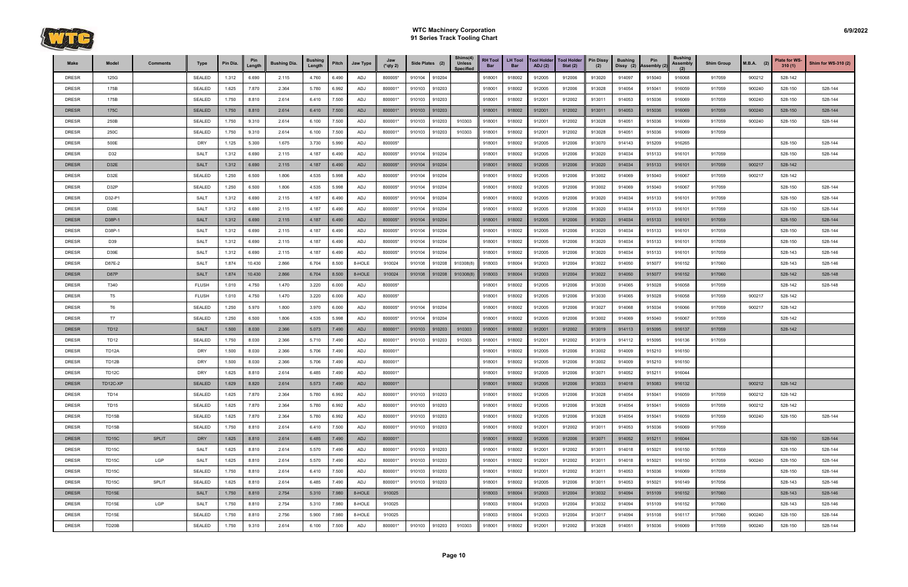

| <b>Make</b>  | Model              | <b>Comments</b> | <b>Type</b>   | Pin Dia. | Length | <b>Bushing Dia.</b> | <b>Bushing</b><br>Length | Pitch | Jaw Type   | Jaw<br>$(*$ qty 2) |        | Side Plates (2) | Shims(4)<br><b>Unless</b><br><b>Specified</b> | <b>RH Tool</b><br>Bar | <b>LH Tool</b><br><b>Bar</b> | <b>Tool Holder</b><br>ADJ(2) | <b>Tool Holder</b><br>Stat $(2)$ | <b>Pin Dissy</b><br>(2) | <b>Bushing</b><br>Dissy (2) | Pin<br>Assembly (2) | <b>Bushing</b><br><b>Assembly</b><br>(2) | <b>Shim Group</b> | $M.B.A.$ (2) | <b>Plate for WS-</b><br>310(1) | Shim for WS-310 (2) |
|--------------|--------------------|-----------------|---------------|----------|--------|---------------------|--------------------------|-------|------------|--------------------|--------|-----------------|-----------------------------------------------|-----------------------|------------------------------|------------------------------|----------------------------------|-------------------------|-----------------------------|---------------------|------------------------------------------|-------------------|--------------|--------------------------------|---------------------|
| <b>DRESR</b> | 125G               |                 | <b>SEALED</b> | 1.312    | 6.690  | 2.115               | 4.760                    | 6.490 | ADJ        | 800005*            | 910104 | 910204          |                                               | 918001                | 918002                       | 912005                       | 912006                           | 913020                  | 914097                      | 915040              | 916068                                   | 917059            | 900212       | 528-142                        |                     |
| <b>DRESR</b> | 175B               |                 | <b>SEALED</b> | 1.625    | 7.870  | 2.364               | 5.780                    | 6.992 | ADJ        | 800001*            | 910103 | 910203          |                                               | 918001                | 918002                       | 912005                       | 912006                           | 913028                  | 914054                      | 915041              | 916059                                   | 917059            | 900240       | 528-150                        | 528-144             |
| <b>DRESR</b> | 175B               |                 | <b>SEALED</b> | 1.750    | 8.810  | 2.614               | 6.410                    | 7.500 | ADJ        | 800001*            | 910103 | 910203          |                                               | 918001                | 918002                       | 912001                       | 912002                           | 913011                  | 914053                      | 915036              | 916069                                   | 917059            | 900240       | 528-150                        | 528-144             |
| <b>DRESR</b> | 175C               |                 | <b>SEALED</b> | 1.750    | 8.810  | 2.614               | 6.410                    | 7.500 | ADJ        | 800001*            | 910103 | 910203          |                                               | 918001                | 918002                       | 912001                       | 912002                           | 913011                  | 914053                      | 915036              | 916069                                   | 917059            | 900240       | 528-150                        | 528-144             |
| DRESR        | 250B               |                 | SEALED        | 1.750    | 9.310  | 2.614               | 6.100                    | 7.500 | ADJ        | 800001*            | 910103 | 910203          | 910303                                        | 918001                | 918002                       | 912001                       | 912002                           | 913028                  | 914051                      | 915036              | 916069                                   | 917059            | 900240       | 528-150                        | 528-144             |
| <b>DRESR</b> | 250C               |                 | SEALED        | 1.750    | 9.310  | 2.614               | 6.100                    | 7.500 | ADJ        | 800001*            | 910103 | 910203          | 910303                                        | 918001                | 918002                       | 912001                       | 912002                           | 913028                  | 914051                      | 915036              | 916069                                   | 917059            |              |                                |                     |
| <b>DRESR</b> | 500E               |                 | <b>DRY</b>    | 1.125    | 5.300  | 1.675               | 3.730                    | 5.990 | ADJ        | 800005*            |        |                 |                                               | 918001                | 918002                       | 912005                       | 912006                           | 913070                  | 914143                      | 915209              | 916265                                   |                   |              | 528-150                        | 528-144             |
| <b>DRESR</b> | D32                |                 | <b>SALT</b>   | 1.312    | 6.690  | 2.115               | 4.187                    | 6.490 | ADJ        | 800005*            | 910104 | 910204          |                                               | 918001                | 918002                       | 912005                       | 912006                           | 913020                  | 914034                      | 915133              | 916101                                   | 917059            |              | 528-150                        | 528-144             |
| <b>DRESR</b> | D32E               |                 | <b>SALT</b>   | 1.312    | 6.690  | 2.115               | 4.187                    | 6.490 | <b>ADJ</b> | 800005*            | 910104 | 910204          |                                               | 918001                | 918002                       | 912005                       | 912006                           | 913020                  | 914034                      | 915133              | 916101                                   | 917059            | 900217       | 528-142                        |                     |
| <b>DRESR</b> | D32E               |                 | <b>SEALED</b> | 1.250    | 6.500  | 1.806               | 4.535                    | 5.998 | ADJ        | 800005*            | 910104 | 910204          |                                               | 918001                | 918002                       | 912005                       | 912006                           | 913002                  | 914069                      | 915040              | 916067                                   | 917059            | 900217       | 528-142                        |                     |
| <b>DRESR</b> | D32P               |                 | <b>SEALED</b> | 1.250    | 6.500  | 1.806               | 4.535                    | 5.998 | ADJ        | 800005*            | 910104 | 910204          |                                               | 918001                | 918002                       | 912005                       | 912006                           | 913002                  | 914069                      | 915040              | 916067                                   | 917059            |              | 528-150                        | 528-144             |
| DRESR        | D32-P1             |                 | SALT          | 1.312    | 6.690  | 2.115               | 4.187                    | 6.490 | ADJ        | 800005*            | 910104 | 910204          |                                               | 918001                | 918002                       | 912005                       | 912006                           | 913020                  | 914034                      | 915133              | 916101                                   | 917059            |              | 528-150                        | 528-144             |
| <b>DRESR</b> | D38E               |                 | <b>SALT</b>   | 1.312    | 6.690  | 2.115               | 4.187                    | 6.490 | ADJ        | 800005*            | 910104 | 910204          |                                               | 918001                | 918002                       | 912005                       | 912006                           | 913020                  | 914034                      | 915133              | 916101                                   | 917059            |              | 528-150                        | 528-144             |
| <b>DRESR</b> | D38P-1             |                 | <b>SALT</b>   | 1.312    | 6.690  | 2.115               | 4.187                    | 6.490 | ADJ        | 800005*            | 910104 | 910204          |                                               | 918001                | 918002                       | 912005                       | 912006                           | 913020                  | 914034                      | 915133              | 916101                                   | 917059            |              | 528-150                        | 528-144             |
| <b>DRESR</b> | D38P-1             |                 | <b>SALT</b>   | 1.312    | 6.690  | 2.115               | 4.187                    | 6.490 | ADJ        | 800005*            | 910104 | 910204          |                                               | 918001                | 918002                       | 912005                       | 912006                           | 913020                  | 914034                      | 915133              | 916101                                   | 917059            |              | 528-150                        | 528-144             |
| <b>DRESR</b> | D39                |                 | SALT          | 1.312    | 6.690  | 2.115               | 4.187                    | 6.490 | ADJ        | 800005*            | 910104 | 910204          |                                               | 918001                | 918002                       | 912005                       | 912006                           | 913020                  | 914034                      | 915133              | 916101                                   | 917059            |              | 528-150                        | 528-144             |
| <b>DRESR</b> | D39E               |                 | <b>SALT</b>   | 1.312    | 6.690  | 2.115               | 4.187                    | 6.490 | ADJ        | 800005*            | 910104 | 910204          |                                               | 918001                | 918002                       | 912005                       | 912006                           | 913020                  | 914034                      | 915133              | 916101                                   | 917059            |              | 528-143                        | 528-146             |
| <b>DRESR</b> | D87E-2             |                 | SALT          | 1.874    | 10.430 | 2.866               | 6.704                    | 8.500 | 8-HOLE     | 910024             | 910108 | 910208          | 910308(8)                                     | 918003                | 918004                       | 912003                       | 912004                           | 913022                  | 914050                      | 915077              | 916152                                   | 917060            |              | 528-143                        | 528-146             |
| <b>DRESR</b> | D87P               |                 | <b>SALT</b>   | 1.874    | 10.430 | 2.866               | 6.704                    | 8.500 | 8-HOLE     | 910024             | 910108 | 910208          | 910308(8)                                     | 918003                | 918004                       | 912003                       | 912004                           | 913022                  | 914050                      | 915077              | 916152                                   | 917060            |              | 528-142                        | 528-148             |
| <b>DRESR</b> | T340               |                 | <b>FLUSH</b>  | 1.010    | 4.750  | 1.470               | 3.220                    | 6.000 | ADJ        | 800005*            |        |                 |                                               | 918001                | 918002                       | 912005                       | 912006                           | 913030                  | 914065                      | 915028              | 916058                                   | 917059            |              | 528-142                        | 528-148             |
| <b>DRESR</b> | T <sub>5</sub>     |                 | <b>FLUSH</b>  | 1.010    | 4.750  | 1.470               | 3.220                    | 6.000 | ADJ        | 800005*            |        |                 |                                               | 918001                | 918002                       | 912005                       | 912006                           | 913030                  | 914065                      | 915028              | 916058                                   | 917059            | 900217       | 528-142                        |                     |
| <b>DRESR</b> | T <sub>6</sub>     |                 | <b>SEALED</b> | 1.250    | 5.970  | 1.800               | 3.970                    | 6.000 | ADJ        | 800005*            | 910104 | 910204          |                                               | 918001                | 918002                       | 912005                       | 912006                           | 913027                  | 914068                      | 915034              | 916066                                   | 917059            | 900217       | 528-142                        |                     |
| DRESR        | <b>T7</b>          |                 | SEALED        | 1.250    | 6.500  | 1.806               | 4.535                    | 5.998 | ADJ        | 800005*            | 910104 | 910204          |                                               | 918001                | 918002                       | 912005                       | 912006                           | 913002                  | 914069                      | 915040              | 916067                                   | 917059            |              | 528-142                        |                     |
| <b>DRESR</b> | <b>TD12</b>        |                 | <b>SALT</b>   | 1.500    | 8.030  | 2.366               | 5.073                    | 7.490 | ADJ        | 800001*            | 910103 | 910203          | 910303                                        | 918001                | 918002                       | 912001                       | 912002                           | 913019                  | 914113                      | 915095              | 916137                                   | 917059            |              | 528-142                        |                     |
| DRESR        | <b>TD12</b>        |                 | <b>SEALED</b> | 1.750    | 8.030  | 2.366               | 5.710                    | 7.490 | ADJ        | 800001*            | 910103 | 910203          | 910303                                        | 918001                | 918002                       | 912001                       | 912002                           | 913019                  | 914112                      | 915095              | 916136                                   | 917059            |              |                                |                     |
| <b>DRESR</b> | TD <sub>12</sub> A |                 | <b>DRY</b>    | 1.500    | 8.030  | 2.366               | 5.706                    | 7.490 | ADJ        | 800001*            |        |                 |                                               | 918001                | 918002                       | 912005                       | 912006                           | 913002                  | 914009                      | 915210              | 916150                                   |                   |              |                                |                     |
| <b>DRESR</b> | TD12B              |                 | <b>DRY</b>    | 1.500    | 8.030  | 2.366               | 5.706                    | 7.490 | ADJ        | 800001*            |        |                 |                                               | 918001                | 918002                       | 912005                       | 912006                           | 913002                  | 914009                      | 915210              | 916150                                   |                   |              |                                |                     |
| <b>DRESR</b> | TD <sub>12</sub> C |                 | <b>DRY</b>    | 1.625    | 8.810  | 2.614               | 6.485                    | 7.490 | ADJ        | 800001*            |        |                 |                                               | 918001                | 918002                       | 912005                       | 912006                           | 913071                  | 914052                      | 915211              | 916044                                   |                   |              |                                |                     |
| <b>DRESR</b> | TD12C-XP           |                 | <b>SEALED</b> | 1.629    | 8.820  | 2.614               | 5.573                    | 7.490 | ADJ        | 800001*            |        |                 |                                               | 918001                | 918002                       | 912005                       | 912006                           | 913033                  | 914018                      | 915083              | 916132                                   |                   | 900212       | 528-142                        |                     |
| <b>DRESR</b> | <b>TD14</b>        |                 | SEALED        | 1.625    | 7.870  | 2.364               | 5.780                    | 6.992 | ADJ        | 800001*            | 910103 | 910203          |                                               | 918001                | 918002                       | 912005                       | 912006                           | 913028                  | 914054                      | 915041              | 916059                                   | 917059            | 900212       | 528-142                        |                     |
| <b>DRESR</b> | <b>TD15</b>        |                 | SEALED        | 1.625    | 7.870  | 2.364               | 5.780                    | 6.992 | ADJ        | 800001*            | 910103 | 910203          |                                               | 918001                | 918002                       | 912005                       | 912006                           | 913028                  | 914054                      | 915041              | 916059                                   | 917059            | 900212       | 528-142                        |                     |
| DRESR        | TD15B              |                 | SEALED        | 1.625    | 7.870  | 2.364               | 5.780                    | 6.992 | ADJ        | 800001*            | 910103 | 910203          |                                               | 918001                | 918002                       | 912005                       | 912006                           | 913028                  | 914054                      | 915041              | 916059                                   | 917059            | 900240       | 528-150                        | 528-144             |
| <b>DRESR</b> | TD15B              |                 | SEALED        | 1.750    | 8.810  | 2.614               | 6.410                    | 7.500 | ADJ        | 800001*            | 910103 | 910203          |                                               | 918001                | 918002                       | 912001                       | 912002                           | 913011                  | 914053                      | 915036              | 916069                                   | 917059            |              |                                |                     |
| <b>DRESR</b> | TD <sub>15C</sub>  | <b>SPLIT</b>    | <b>DRY</b>    | 1.625    | 8.810  | 2.614               | 6.485                    | 7.490 | ADJ        | 800001*            |        |                 |                                               | 918001                | 918002                       | 912005                       | 912006                           | 913071                  | 914052                      | 915211              | 916044                                   |                   |              | 528-150                        | 528-144             |
| DRESR        | TD <sub>15</sub> C |                 | <b>SALT</b>   | 1.625    | 8.810  | 2.614               | 5.570                    | 7.490 | ADJ        | 800001*            | 910103 | 910203          |                                               | 918001                | 918002                       | 912001                       | 912002                           | 913011                  | 914018                      | 915021              | 916150                                   | 917059            |              | 528-150                        | 528-144             |
| DRESR        | TD15C              | LGP             | <b>SALT</b>   | 1.625    | 8.810  | 2.614               | 5.570                    | 7.490 | ADJ        | 800001*            | 910103 | 910203          |                                               | 918001                | 918002                       | 912001                       | 912002                           | 913011                  | 914018                      | 915021              | 916150                                   | 917059            | 900240       | 528-150                        | 528-144             |
| <b>DRESR</b> | TD15C              |                 | SEALED        | 1.750    | 8.810  | 2.614               | 6.410                    | 7.500 | ADJ        | 800001*            | 910103 | 910203          |                                               | 918001                | 918002                       | 912001                       | 912002                           | 913011                  | 914053                      | 915036              | 916069                                   | 917059            |              | 528-150                        | 528-144             |
| DRESR        | TD15C              | <b>SPLIT</b>    | SEALED        | 1.625    | 8.810  | 2.614               | 6.485                    | 7.490 | ADJ        | 800001*            | 910103 | 910203          |                                               | 918001                | 918002                       | 912005                       | 912006                           | 913011                  | 914053                      | 915021              | 916149                                   | 917056            |              | 528-143                        | 528-146             |
| <b>DRESR</b> | TD15E              |                 | <b>SALT</b>   | 1.750    | 8.810  | 2.754               | 5.310                    | 7.980 | 8-HOLE     | 910025             |        |                 |                                               | 918003                | 918004                       | 912003                       | 912004                           | 913032                  | 914094                      | 915109              | 916152                                   | 917060            |              | 528-143                        | 528-146             |
| <b>DRESR</b> | TD15E              | LGP             | SALT          | 1.750    | 8.810  | 2.754               | 5.310                    | 7.980 | 8-HOLE     | 910025             |        |                 |                                               | 918003                | 918004                       | 912003                       | 912004                           | 913032                  | 914094                      | 915109              | 916152                                   | 917060            |              | 528-143                        | 528-146             |
| <b>DRESR</b> | TD15E              |                 | SEALED        | 1.750    | 8.810  | 2.756               | 5.900                    | 7.980 | 8-HOLE     | 910025             |        |                 |                                               | 918003                | 918004                       | 912003                       | 912004                           | 913017                  | 914094                      | 915108              | 916117                                   | 917060            | 900240       | 528-150                        | 528-144             |
| DRESR        | TD <sub>20</sub> B |                 | SEALED        | 1.750    | 9.310  | 2.614               | 6.100                    | 7.500 | ADJ        | 800001*            | 910103 | 910203          | 910303                                        | 918001                | 918002                       | 912001                       | 912002                           | 913028                  | 914051                      | 915036              | 916069                                   | 917059            | 900240       | 528-150                        | 528-144             |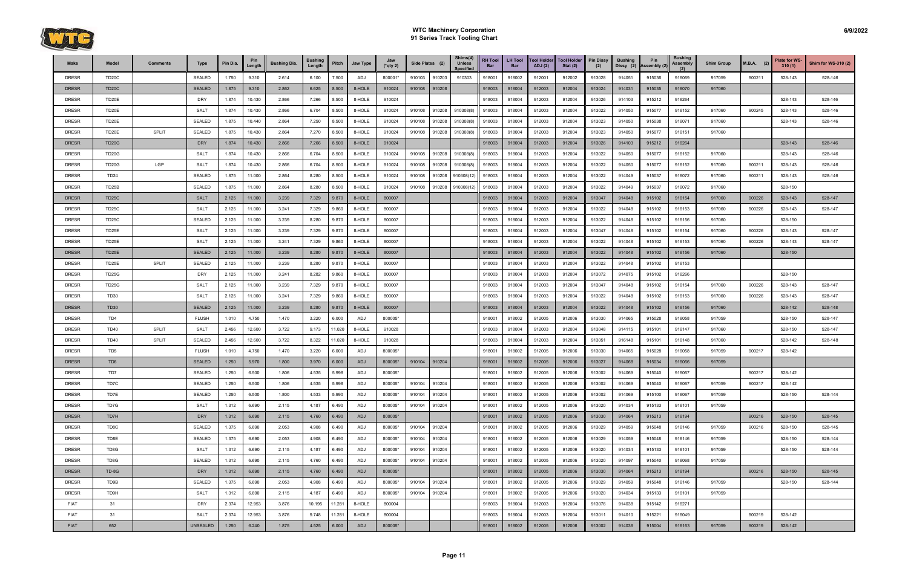

| Make         | Model              | <b>Comments</b> | <b>Type</b>     | Pin Dia. | Pin<br>Length | <b>Bushing Dia.</b> | <b>Bushing</b><br>Length | Pitch  | Jaw Type | Jaw<br>$(*$ qty 2) | Side Plates (2) |        | Shims(4)<br><b>Unless</b><br><b>Specified</b> | <b>RH Tool</b><br>Bar | <b>LH Tool</b><br><b>Bar</b> | <b>Tool Holder</b><br><b>ADJ</b> (2) | <b>Tool Holder</b><br>Stat $(2)$ | <b>Pin Dissy</b><br>(2) | <b>Bushing</b><br>Dissy (2) | Pin<br>Assembly (2) | <b>Bushing</b><br><b>Assembly</b><br>(2) | <b>Shim Group</b> | $M.B.A.$ (2) | <b>Plate for WS-</b><br>310(1) | Shim for WS-310 (2) |
|--------------|--------------------|-----------------|-----------------|----------|---------------|---------------------|--------------------------|--------|----------|--------------------|-----------------|--------|-----------------------------------------------|-----------------------|------------------------------|--------------------------------------|----------------------------------|-------------------------|-----------------------------|---------------------|------------------------------------------|-------------------|--------------|--------------------------------|---------------------|
| <b>DRESR</b> | TD <sub>20</sub> C |                 | <b>SEALED</b>   | 1.750    | 9.310         | 2.614               | 6.100                    | 7.500  | ADJ      | 800001*            | 910103          | 910203 | 910303                                        | 918001                | 918002                       | 912001                               | 912002                           | 913028                  | 914051                      | 915036              | 916069                                   | 917059            | 900211       | 528-143                        | 528-146             |
| <b>DRESR</b> | <b>TD20C</b>       |                 | <b>SEALED</b>   | 1.875    | 9.310         | 2.862               | 6.625                    | 8.500  | 8-HOLE   | 910024             | 910108          | 910208 |                                               | 918003                | 918004                       | 912003                               | 912004                           | 913024                  | 914031                      | 915035              | 916070                                   | 917060            |              |                                |                     |
| <b>DRESR</b> | TD20E              |                 | <b>DRY</b>      | 1.874    | 10.430        | 2.866               | 7.266                    | 8.500  | 8-HOLE   | 910024             |                 |        |                                               | 918003                | 918004                       | 912003                               | 912004                           | 913026                  | 914103                      | 915212              | 916264                                   |                   |              | 528-143                        | 528-146             |
| <b>DRESR</b> | TD20E              |                 | <b>SALT</b>     | 1.874    | 10.430        | 2.866               | 6.704                    | 8.500  | 8-HOLE   | 910024             | 910108          | 910208 | 910308(8)                                     | 918003                | 918004                       | 912003                               | 912004                           | 913022                  | 914050                      | 915077              | 916152                                   | 917060            | 900245       | 528-143                        | 528-146             |
| <b>DRESR</b> | TD20E              |                 | <b>SEALED</b>   | 1.875    | 10.440        | 2.864               | 7.250                    | 8.500  | 8-HOLE   | 910024             | 910108          | 910208 | 910308(8)                                     | 918003                | 918004                       | 912003                               | 912004                           | 913023                  | 914050                      | 915038              | 916071                                   | 917060            |              | 528-143                        | 528-146             |
| <b>DRESR</b> | TD20E              | <b>SPLIT</b>    | <b>SEALED</b>   | 1.875    | 10.430        | 2.864               | 7.270                    | 8.500  | 8-HOLE   | 910024             | 910108          | 910208 | 910308(8                                      | 918003                | 918004                       | 912003                               | 912004                           | 913023                  | 914050                      | 915077              | 916151                                   | 917060            |              |                                |                     |
| <b>DRESR</b> | <b>TD20G</b>       |                 | <b>DRY</b>      | 1.874    | 10.430        | 2.866               | 7.266                    | 8.500  | 8-HOLE   | 910024             |                 |        |                                               | 918003                | 918004                       | 912003                               | 912004                           | 913026                  | 914103                      | 915212              | 916264                                   |                   |              | 528-143                        | 528-146             |
| <b>DRESR</b> | <b>TD20G</b>       |                 | <b>SALT</b>     | 1.874    | 10.430        | 2.866               | 6.704                    | 8.500  | 8-HOLE   | 910024             | 910108          | 910208 | 910308(8)                                     | 918003                | 918004                       | 912003                               | 912004                           | 913022                  | 914050                      | 915077              | 916152                                   | 917060            |              | 528-143                        | 528-146             |
| <b>DRESR</b> | <b>TD20G</b>       | LGP             | <b>SALT</b>     | 1.874    | 10.430        | 2.866               | 6.704                    | 8.500  | 8-HOLE   | 910024             | 910108          | 910208 | 910308(8)                                     | 918003                | 918004                       | 912003                               | 912004                           | 913022                  | 914050                      | 915077              | 916152                                   | 917060            | 900211       | 528-143                        | 528-146             |
| <b>DRESR</b> | <b>TD24</b>        |                 | <b>SEALED</b>   | 1.875    | 11.000        | 2.864               | 8.280                    | 8.500  | 8-HOLE   | 910024             | 910108          | 910208 | 910308(12)                                    | 918003                | 918004                       | 912003                               | 912004                           | 913022                  | 914049                      | 915037              | 916072                                   | 917060            | 900211       | 528-143                        | 528-146             |
| <b>DRESR</b> | TD25B              |                 | <b>SEALED</b>   | 1.875    | 11.000        | 2.864               | 8.280                    | 8.500  | 8-HOLE   | 910024             | 910108          | 910208 | 910308(12)                                    | 918003                | 918004                       | 912003                               | 912004                           | 913022                  | 914049                      | 915037              | 916072                                   | 917060            |              | 528-150                        |                     |
| <b>DRESR</b> | <b>TD25C</b>       |                 | <b>SALT</b>     | 2.125    | 11.000        | 3.239               | 7.329                    | 9.870  | 8-HOLE   | 800007             |                 |        |                                               | 918003                | 918004                       | 912003                               | 912004                           | 913047                  | 914048                      | 915102              | 916154                                   | 917060            | 900226       | 528-143                        | 528-147             |
| <b>DRESR</b> | TD <sub>25</sub> C |                 | <b>SALT</b>     | 2.125    | 11.000        | 3.241               | 7.329                    | 9.860  | 8-HOLE   | 800007             |                 |        |                                               | 918003                | 918004                       | 912003                               | 912004                           | 913022                  | 914048                      | 915102              | 916153                                   | 917060            | 900226       | 528-143                        | 528-147             |
| <b>DRESR</b> | TD <sub>25</sub> C |                 | <b>SEALED</b>   | 2.125    | 11.000        | 3.239               | 8.280                    | 9.870  | 8-HOLE   | 800007             |                 |        |                                               | 918003                | 918004                       | 912003                               | 912004                           | 913022                  | 914048                      | 915102              | 916156                                   | 917060            |              | 528-150                        |                     |
| <b>DRESR</b> | TD25E              |                 | <b>SALT</b>     | 2.125    | 11.000        | 3.239               | 7.329                    | 9.870  | 8-HOLE   | 800007             |                 |        |                                               | 918003                | 918004                       | 912003                               | 912004                           | 913047                  | 914048                      | 915102              | 916154                                   | 917060            | 900226       | 528-143                        | 528-147             |
| <b>DRESR</b> | TD25E              |                 | SALT            | 2.125    | 11.000        | 3.241               | 7.329                    | 9.860  | 8-HOLE   | 800007             |                 |        |                                               | 918003                | 918004                       | 912003                               | 912004                           | 913022                  | 914048                      | 915102              | 916153                                   | 917060            | 900226       | 528-143                        | 528-147             |
| <b>DRESR</b> | TD25E              |                 | <b>SEALED</b>   | 2.125    | 11.000        | 3.239               | 8.280                    | 9.870  | 8-HOLE   | 800007             |                 |        |                                               | 918003                | 918004                       | 912003                               | 912004                           | 913022                  | 914048                      | 915102              | 916156                                   | 917060            |              | 528-150                        |                     |
| <b>DRESR</b> | TD25E              | <b>SPLIT</b>    | <b>SEALED</b>   | 2.125    | 11.000        | 3.239               | 8.280                    | 9.870  | 8-HOLE   | 800007             |                 |        |                                               | 918003                | 918004                       | 912003                               | 912004                           | 913022                  | 914048                      | 915102              | 916153                                   |                   |              |                                |                     |
| <b>DRESR</b> | <b>TD25G</b>       |                 | <b>DRY</b>      | 2.125    | 11.000        | 3.241               | 8.282                    | 9.860  | 8-HOLE   | 800007             |                 |        |                                               | 918003                | 918004                       | 912003                               | 912004                           | 913072                  | 914075                      | 915102              | 916266                                   |                   |              | 528-150                        |                     |
| <b>DRESR</b> | TD25G              |                 | <b>SALT</b>     | 2.125    | 11.000        | 3.239               | 7.329                    | 9.870  | 8-HOLE   | 800007             |                 |        |                                               | 918003                | 918004                       | 912003                               | 912004                           | 913047                  | 914048                      | 915102              | 916154                                   | 917060            | 900226       | 528-143                        | 528-147             |
| <b>DRESR</b> | <b>TD30</b>        |                 | <b>SALT</b>     | 2.125    | 11.000        | 3.241               | 7.329                    | 9.860  | 8-HOLE   | 800007             |                 |        |                                               | 918003                | 918004                       | 912003                               | 912004                           | 913022                  | 914048                      | 915102              | 916153                                   | 917060            | 900226       | 528-143                        | 528-147             |
| <b>DRESR</b> | <b>TD30</b>        |                 | <b>SEALED</b>   | 2.125    | 11.000        | 3.239               | 8.280                    | 9.870  | 8-HOLE   | 800007             |                 |        |                                               | 918003                | 918004                       | 912003                               | 912004                           | 913022                  | 914048                      | 915102              | 916156                                   | 917060            |              | 528-142                        | 528-148             |
| <b>DRESR</b> | TD4                |                 | <b>FLUSH</b>    | 1.010    | 4.750         | 1.470               | 3.220                    | 6.000  | ADJ      | 800005*            |                 |        |                                               | 918001                | 918002                       | 912005                               | 912006                           | 913030                  | 914065                      | 915028              | 916058                                   | 917059            |              | 528-150                        | 528-147             |
| <b>DRESR</b> | <b>TD40</b>        | <b>SPLIT</b>    | <b>SALT</b>     | 2.456    | 12.600        | 3.722               | 9.173                    | 11.020 | 8-HOLE   | 910028             |                 |        |                                               | 918003                | 918004                       | 912003                               | 912004                           | 913048                  | 914115                      | 915101              | 916147                                   | 917060            |              | 528-150                        | 528-147             |
| <b>DRESR</b> | <b>TD40</b>        | <b>SPLIT</b>    | <b>SEALED</b>   | 2.456    | 12.600        | 3.722               | 8.322                    | 11.020 | 8-HOLE   | 910028             |                 |        |                                               | 918003                | 918004                       | 912003                               | 912004                           | 913051                  | 916148                      | 915101              | 916148                                   | 917060            |              | 528-142                        | 528-148             |
| <b>DRESR</b> | TD <sub>5</sub>    |                 | <b>FLUSH</b>    | 1.010    | 4.750         | 1.470               | 3.220                    | 6.000  | ADJ      | 800005*            |                 |        |                                               | 918001                | 918002                       | 912005                               | 912006                           | 913030                  | 914065                      | 915028              | 916058                                   | 917059            | 900217       | 528-142                        |                     |
| <b>DRESR</b> | TD <sub>6</sub>    |                 | <b>SEALED</b>   | 1.250    | 5.970         | 1.800               | 3.970                    | 6.000  | ADJ      | 800005*            | 910104          | 910204 |                                               | 918001                | 918002                       | 912005                               | 912006                           | 913027                  | 914068                      | 915034              | 916066                                   | 917059            |              |                                |                     |
| <b>DRESR</b> | TD7                |                 | <b>SEALED</b>   | 1.250    | 6.500         | 1.806               | 4.535                    | 5.998  | ADJ      | 800005*            |                 |        |                                               | 918001                | 918002                       | 912005                               | 912006                           | 913002                  | 914069                      | 915040              | 916067                                   |                   | 900217       | 528-142                        |                     |
| <b>DRESR</b> | TD7C               |                 | <b>SEALED</b>   | 1.250    | 6.500         | 1.806               | 4.535                    | 5.998  | ADJ      | 800005*            | 910104          | 910204 |                                               | 918001                | 918002                       | 912005                               | 912006                           | 913002                  | 914069                      | 915040              | 916067                                   | 917059            | 900217       | 528-142                        |                     |
| <b>DRESR</b> | TD7E               |                 | <b>SEALED</b>   | 1.250    | 6.500         | 1.800               | 4.533                    | 5.990  | ADJ      | 800005*            | 910104          | 910204 |                                               | 918001                | 918002                       | 912005                               | 912006                           | 913002                  | 914069                      | 915100              | 916067                                   | 917059            |              | 528-150                        | 528-144             |
| <b>DRESR</b> | TD7G               |                 | SALT            | 1.312    | 6.690         | 2.115               | 4.187                    | 6.490  | ADJ      | 800005*            | 910104          | 910204 |                                               | 918001                | 918002                       | 912005                               | 912006                           | 913020                  | 914034                      | 915133              | 916101                                   | 917059            |              |                                |                     |
| <b>DRESR</b> | TD7H               |                 | <b>DRY</b>      | 1.312    | 6.690         | 2.115               | 4.760                    | 6.490  | ADJ      | 800005*            |                 |        |                                               | 918001                | 918002                       | 912005                               | 912006                           | 913030                  | 914064                      | 915213              | 916194                                   |                   | 900216       | 528-150                        | 528-145             |
| <b>DRESR</b> | TD8C               |                 | SEALED          | 1.375    | 6.690         | 2.053               | 4.908                    | 6.490  | ADJ      | 800005*            | 910104          | 910204 |                                               | 918001                | 918002                       | 912005                               | 912006                           | 913029                  | 914059                      | 915048              | 916146                                   | 917059            | 900216       | 528-150                        | 528-145             |
| <b>DRESR</b> | TD8E               |                 | <b>SEALED</b>   | 1.375    | 6.690         | 2.053               | 4.908                    | 6.490  | ADJ      | 800005*            | 910104          | 910204 |                                               | 918001                | 918002                       | 912005                               | 912006                           | 913029                  | 914059                      | 915048              | 916146                                   | 917059            |              | 528-150                        | 528-144             |
| <b>DRESR</b> | TD8G               |                 | <b>SALT</b>     | 1.312    | 6.690         | 2.115               | 4.187                    | 6.490  | ADJ      | 800005*            | 910104          | 910204 |                                               | 918001                | 918002                       | 912005                               | 912006                           | 913020                  | 914034                      | 915133              | 916101                                   | 917059            |              | 528-150                        | 528-144             |
| <b>DRESR</b> | TD8G               |                 | <b>SEALED</b>   | 1.312    | 6.690         | 2.115               | 4.760                    | 6.490  | ADJ      | 800005*            | 910104          | 910204 |                                               | 918001                | 918002                       | 912005                               | 912006                           | 913020                  | 914097                      | 915040              | 916068                                   | 917059            |              |                                |                     |
| <b>DRESR</b> | TD-8G              |                 | <b>DRY</b>      | 1.312    | 6.690         | 2.115               | 4.760                    | 6.490  | ADJ      | 800005*            |                 |        |                                               | 918001                | 918002                       | 912005                               | 912006                           | 913030                  | 914064                      | 915213              | 916194                                   |                   | 900216       | 528-150                        | 528-145             |
| <b>DRESR</b> | TD9B               |                 | <b>SEALED</b>   | 1.375    | 6.690         | 2.053               | 4.908                    | 6.490  | ADJ      | 800005*            | 910104          | 910204 |                                               | 918001                | 918002                       | 912005                               | 912006                           | 913029                  | 914059                      | 915048              | 916146                                   | 917059            |              | 528-150                        | 528-144             |
| <b>DRESR</b> | TD9H               |                 | <b>SALT</b>     | 1.312    | 6.690         | 2.115               | 4.187                    | 6.490  | ADJ      | 800005*            | 910104          | 910204 |                                               | 918001                | 918002                       | 912005                               | 912006                           | 913020                  | 914034                      | 915133              | 916101                                   | 917059            |              |                                |                     |
| <b>FIAT</b>  | 31                 |                 | <b>DRY</b>      | 2.374    | 12.953        | 3.876               | 10.195                   | 11.281 | 8-HOLE   | 800004             |                 |        |                                               | 918003                | 918004                       | 912003                               | 912004                           | 913076                  | 914038                      | 915142              | 916271                                   |                   |              |                                |                     |
| <b>FIAT</b>  | 31                 |                 | <b>SALT</b>     | 2.374    | 12.953        | 3.876               | 9.748                    | 11.281 | 8-HOLE   | 800004             |                 |        |                                               | 918003                | 918004                       | 912003                               | 912004                           | 913011                  | 914010                      | 915221              | 916049                                   |                   | 900219       | 528-142                        |                     |
| <b>FIAT</b>  | 652                |                 | <b>UNSEALED</b> | 1.250    | 6.240         | 1.875               | 4.525                    | 6.000  | ADJ      | 800005*            |                 |        |                                               | 918001                | 918002                       | 912005                               | 912006                           | 913002                  | 914036                      | 915004              | 916163                                   | 917059            | 900219       | 528-142                        |                     |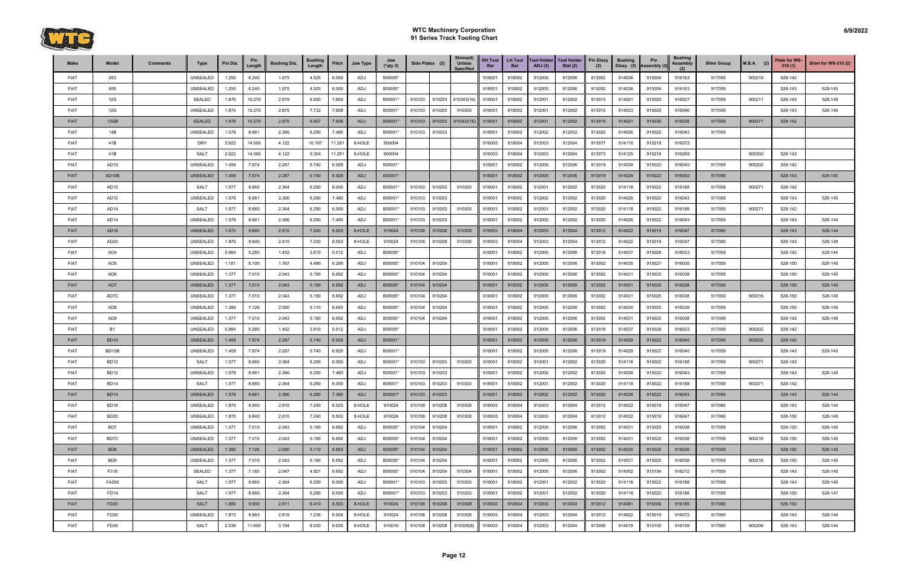

| Make        | Model            | <b>Comments</b> | <b>Type</b>     | Pin Dia. | Pin<br>Length | <b>Bushing Dia.</b> | <b>Bushing</b><br>Length | Pitch  | Jaw Type | Jaw<br>$(*$ qty 2) | Side Plates (2) |        | Shims(4)<br><b>Unless</b><br><b>Specified</b> | <b>RH Tool</b><br>Bar | <b>LH Tool</b><br><b>Bar</b> | <b>Tool Holder</b><br>ADJ(2) | <b>Tool Holder</b><br>Stat $(2)$ | <b>Pin Dissy</b><br>(2) | <b>Bushing</b><br>Dissy (2) | Pin<br>Assembly (2) | <b>Bushing</b><br>Assembly | <b>Shim Group</b> | $M.B.A.$ (2) | Plate for WS-<br>310(1) | <b>Shim for WS-310 (2)</b> |
|-------------|------------------|-----------------|-----------------|----------|---------------|---------------------|--------------------------|--------|----------|--------------------|-----------------|--------|-----------------------------------------------|-----------------------|------------------------------|------------------------------|----------------------------------|-------------------------|-----------------------------|---------------------|----------------------------|-------------------|--------------|-------------------------|----------------------------|
| <b>FIAT</b> | 653              |                 | UNSEALED        | 1.250    | 6.240         | 1.875               | 4.525                    | 6.000  | ADJ      | 800005*            |                 |        |                                               | 918001                | 918002                       | 912005                       | 912006                           | 913002                  | 914036                      | 915004              | 916163                     | 917059            | 900219       | 528-142                 |                            |
| <b>FIAT</b> | 655              |                 | UNSEALED        | 1.250    | 6.240         | 1.875               | 4.525                    | 6.000  | ADJ      | 800005*            |                 |        |                                               | 918001                | 918002                       | 912005                       | 912006                           | 913002                  | 914036                      | 915004              | 916163                     | 917059            |              | 528-143                 | 528-145                    |
| <b>FIAT</b> | 12G              |                 | <b>SEALED</b>   | 1.876    | 10.270        | 2.879               | 6.930                    | 7.850  | ADJ      | 800001*            | 910103          | 910203 | 910303(16                                     | 918001                | 918002                       | 912001                       | 912002                           | 913015                  | 914021                      | 915020              | 916027                     | 917059            | 900211       | 528-143                 | 528-145                    |
| <b>FIAT</b> | 12G              |                 | UNSEALED        | 1.874    | 10.270        | 2.875               | 7.732                    | 7.858  | ADJ      | 800001*            | 910103          | 910203 | 910303                                        | 918001                | 918002                       | 912001                       | 912002                           | 913015                  | 914023                      | 915020              | 916046                     | 917059            |              | 528-143                 | 528-145                    |
| <b>FIAT</b> | 12GB             |                 | <b>SEALED</b>   | 1.878    | 10.270        | 2.875               | 6.927                    | 7.858  | ADJ      | 800001*            | 910103          | 910203 | 910303(16)                                    | 918001                | 918002                       | 912001                       | 912002                           | 913015                  | 914021                      | 915030              | 916028                     | 917059            | 900271       | 528-142                 |                            |
| <b>FIAT</b> | 14B              |                 | UNSEALED        | 1.578    | 8.661         | 2.366               | 6.290                    | 7.480  | ADJ      | 800001*            | 910103          | 910203 |                                               | 918001                | 918002                       | 912002                       | 912002                           | 913020                  | 914026                      | 915022              | 916043                     | 917059            |              |                         |                            |
| <b>FIAT</b> | 41B              |                 | <b>DRY</b>      | 2.622    | 14.000        | 4.122               | 10.197                   | 11.281 | 8-HOLE   | 800004             |                 |        |                                               | 918003                | 918004                       | 912003                       | 912004                           | 913077                  | 914110                      | 915218              | 916272                     |                   |              |                         |                            |
| <b>FIAT</b> | 41B              |                 | <b>SALT</b>     | 2.622    | 14.000        | 4.122               | 9.354                    | 11.281 | 8-HOLE   | 800004             |                 |        |                                               | 918003                | 918004                       | 912003                       | 912004                           | 913073                  | 914125                      | 915218              | 916269                     |                   | 900202       | 528-142                 |                            |
| <b>FIAT</b> | AD <sub>10</sub> |                 | UNSEALED        | 1.459    | 7.874         | 2.287               | 5.740                    | 6.929  | ADJ      | 800001*            |                 |        |                                               | 918001                | 918002                       | 912005                       | 912006                           | 913019                  | 914029                      | 915022              | 916040                     | 917059            | 900202       | 528-142                 |                            |
| <b>FIAT</b> | AD10B            |                 | <b>UNSEALED</b> | 1.459    | 7.874         | 2.287               | 5.740                    | 6.929  | ADJ      | 800001*            |                 |        |                                               | 918001                | 918002                       | 912005                       | 912006                           | 913019                  | 914029                      | 915022              | 916040                     | 917059            |              | 528-143                 | 528-145                    |
| <b>FIAT</b> | AD <sub>12</sub> |                 | <b>SALT</b>     | 1.577    | 8.660         | 2.364               | 6.290                    | 6.000  | ADJ      | 800001*            | 910103          | 910203 | 910303                                        | 918001                | 918002                       | 912001                       | 912002                           | 913020                  | 914118                      | 915022              | 916188                     | 917059            | 900271       | 528-142                 |                            |
| <b>FIAT</b> | AD <sub>12</sub> |                 | UNSEALED        | 1.578    | 8.661         | 2.366               | 6.290                    | 7.480  | ADJ      | 800001*            | 910103          | 910203 |                                               | 918001                | 918002                       | 912002                       | 912002                           | 913020                  | 914026                      | 915022              | 916043                     | 917059            |              | 528-143                 | 528-145                    |
| <b>FIAT</b> | AD <sub>14</sub> |                 | <b>SALT</b>     | 1.577    | 8.660         | 2.364               | 6.290                    | 6.000  | ADJ      | 800001*            | 910103          | 910203 | 910303                                        | 918001                | 918002                       | 912001                       | 912002                           | 913020                  | 914118                      | 915022              | 916188                     | 917059            | 900271       | 528-142                 |                            |
| <b>FIAT</b> | AD14             |                 | UNSEALED        | 1.578    | 8.661         | 2.366               | 6.290                    | 7.480  | ADJ      | 800001*            | 910103          | 910203 |                                               | 918001                | 918002                       | 912002                       | 912002                           | 913020                  | 914026                      | 915022              | 916043                     | 917059            |              | 528-143                 | 528-144                    |
| <b>FIAT</b> | AD <sub>18</sub> |                 | <b>UNSEALED</b> | 1.870    | 9.840         | 2.815               | 7.240                    | 8.503  | 8-HOLE   | 910024             | 910108          | 910208 | 910308                                        | 918003                | 918004                       | 912003                       | 912004                           | 913012                  | 914022                      | 915019              | 916047                     | 917060            |              | 528-143                 | 528-144                    |
| <b>FIAT</b> | AD <sub>20</sub> |                 | UNSEALED        | 1.870    | 9.840         | 2.815               | 7.240                    | 8.503  | 8-HOLE   | 910024             | 910108          | 910208 | 910308                                        | 918003                | 918004                       | 912003                       | 912004                           | 913012                  | 914022                      | 915019              | 916047                     | 917060            |              | 528-142                 | 528-148                    |
| <b>FIAT</b> | AD4              |                 | UNSEALED        | 0.984    | 5.280         | 1.452               | 3.810                    | 5.512  | ADJ      | 800005*            |                 |        |                                               | 918001                | 918002                       | 912005                       | 912006                           | 913018                  | 914037                      | 915028              | 916033                     | 917059            |              | 528-142                 | 528-144                    |
| <b>FIAT</b> | AD <sub>5</sub>  |                 | UNSEALED        | 1.181    | 6.100         | 1.767               | 4.490                    | 6.299  | ADJ      | 800005*            | 910104          | 910204 |                                               | 918001                | 918002                       | 912005                       | 912006                           | 913002                  | 914035                      | 915027              | 916035                     | 917059            |              | 528-150                 | 528-145                    |
| <b>FIAT</b> | AD <sub>6</sub>  |                 | UNSEALED        | 1.377    | 7.010         | 2.043               | 5.190                    | 6.692  | ADJ      | 800005*            | 910104          | 910204 |                                               | 918001                | 918002                       | 912005                       | 912006                           | 913002                  | 914031                      | 915025              | 916038                     | 917059            |              | 528-150                 | 528-145                    |
| <b>FIAT</b> | AD7              |                 | <b>UNSEALED</b> | 1.377    | 7.010         | 2.043               | 5.190                    | 6.692  | ADJ      | 800005*            | 910104          | 910204 |                                               | 918001                | 918002                       | 912005                       | 912006                           | 913002                  | 914031                      | 915025              | 916038                     | 917059            |              | 528-150                 | 528-145                    |
| <b>FIAT</b> | AD7C             |                 | UNSEALED        | 1.377    | 7.010         | 2.043               | 5.190                    | 6.692  | ADJ      | 800005*            | 910104          | 910204 |                                               | 918001                | 918002                       | 912005                       | 912006                           | 913002                  | 914031                      | 915025              | 916038                     | 917059            | 900216       | 528-150                 | 528-145                    |
| <b>FIAT</b> | AD <sub>8</sub>  |                 | UNSEALED        | 1.380    | 7.126         | 2.050               | 5.110                    | 6.693  | ADJ      | 800005*            | 910104          | 910204 |                                               | 918001                | 918002                       | 912005                       | 912006                           | 913002                  | 914030                      | 915025              | 916039                     | 917059            |              | 528-150                 | 528-145                    |
| <b>FIAT</b> | AD <sub>9</sub>  |                 | UNSEALED        | 1.377    | 7.010         | 2.043               | 5.190                    | 6.692  | ADJ      | 800005*            | 910104          | 910204 |                                               | 918001                | 918002                       | 912005                       | 912006                           | 913002                  | 914031                      | 915025              | 916038                     | 917059            |              | 528-142                 | 528-148                    |
| <b>FIAT</b> | <b>B1</b>        |                 | UNSEALED        | 0.984    | 5.280         | 1.452               | 3.810                    | 5.512  | ADJ      | 800005*            |                 |        |                                               | 918001                | 918002                       | 912005                       | 912006                           | 913018                  | 914037                      | 915028              | 916033                     | 917059            | 900202       | 528-142                 |                            |
| <b>FIAT</b> | <b>BD10</b>      |                 | <b>UNSEALED</b> | 1.459    | 7.874         | 2.287               | 5.740                    | 6.929  | ADJ      | 800001*            |                 |        |                                               | 918001                | 918002                       | 912005                       | 912006                           | 913019                  | 914029                      | 915022              | 916040                     | 917059            | 900202       | 528-142                 |                            |
| <b>FIAT</b> | BD10B            |                 | UNSEALED        | 1.459    | 7.874         | 2.287               | 5.740                    | 6.929  | ADJ      | 800001*            |                 |        |                                               | 918001                | 918002                       | 912005                       | 912006                           | 913019                  | 914029                      | 915022              | 916040                     | 917059            |              | 528-143                 | 528-145                    |
| <b>FIAT</b> | <b>BD12</b>      |                 | <b>SALT</b>     | 1.577    | 8.660         | 2.364               | 6.290                    | 6.000  | ADJ      | 800001*            | 910103          | 910203 | 910303                                        | 918001                | 918002                       | 912001                       | 912002                           | 913020                  | 914118                      | 915022              | 916188                     | 917059            | 900271       | 528-142                 |                            |
| <b>FIAT</b> | BD <sub>12</sub> |                 | UNSEALED        | 1.578    | 8.661         | 2.366               | 6.290                    | 7.480  | ADJ      | 800001*            | 910103          | 910203 |                                               | 918001                | 918002                       | 912002                       | 912002                           | 913020                  | 914026                      | 915022              | 916043                     | 917059            |              | 528-143                 | 528-145                    |
| <b>FIAT</b> | <b>BD14</b>      |                 | <b>SALT</b>     | 1.577    | 8.660         | 2.364               | 6.290                    | 6.000  | ADJ      | 800001*            | 910103          | 910203 | 910303                                        | 918001                | 918002                       | 912001                       | 912002                           | 913020                  | 914118                      | 915022              | 916188                     | 917059            | 900271       | 528-142                 |                            |
| <b>FIAT</b> | <b>BD14</b>      |                 | <b>UNSEALED</b> | 1.578    | 8.661         | 2.366               | 6.290                    | 7.480  | ADJ      | 800001*            | 910103 910203   |        |                                               | 918001                | 918002                       | 912002                       | 912002                           | 913020                  | 914026                      | 915022              | 916043                     | 917059            |              | 528-143                 | 528-144                    |
| <b>FIAT</b> | BD <sub>18</sub> |                 | UNSEALED        | 1.870    | 9.840         | 2.815               | 7.240                    | 8.503  | 8-HOLE   | 910024             | 910108          | 910208 | 910308                                        | 918003                | 918004                       | 912003                       | 912004                           | 913012                  | 914022                      | 915019              | 916047                     | 917060            |              | 528-143                 | 528-144                    |
| <b>FIAT</b> | <b>BD20</b>      |                 | UNSEALED        | 1.870    | 9.840         | 2.815               | 7.240                    | 8.503  | 8-HOLE   | 910024             | 910108          | 910208 | 910308                                        | 918003                | 918004                       | 912003                       | 912004                           | 913012                  | 914022                      | 915019              | 916047                     | 917060            |              | 528-150                 | 528-145                    |
| <b>FIAT</b> | BD7              |                 | UNSEALED        | 1.377    | 7.010         | 2.043               | 5.190                    | 6.692  | ADJ      | 800005*            | 910104          | 910204 |                                               | 918001                | 918002                       | 912005                       | 912006                           | 913002                  | 914031                      | 915025              | 916038                     | 917059            |              | 528-150                 | 528-145                    |
| <b>FIAT</b> | BD7C             |                 | UNSEALED        | 1.377    | 7.010         | 2.043               | 5.190                    | 6.692  | ADJ      | 800005*            | 910104          | 910204 |                                               | 918001                | 918002                       | 912005                       | 912006                           | 913002                  | 914031                      | 915025              | 916038                     | 917059            | 900216       | 528-150                 | 528-145                    |
| <b>FIAT</b> | BD <sub>8</sub>  |                 | <b>UNSEALED</b> | 1.380    | 7.126         | 2.050               | 5.110                    | 6.693  | ADJ      | 800005*            | 910104          | 910204 |                                               | 918001                | 918002                       | 912005                       | 912006                           | 913002                  | 914030                      | 915025              | 916039                     | 917059            |              | 528-150                 | 528-145                    |
| <b>FIAT</b> | BD9              |                 | UNSEALED        | 1.377    | 7.010         | 2.043               | 5.190                    | 6.692  | ADJ      | 800005*            | 910104          | 910204 |                                               | 918001                | 918002                       | 912005                       | 912006                           | 913002                  | 914031                      | 915025              | 916038                     | 917059            | 900216       | 528-150                 | 528-145                    |
| <b>FIAT</b> | F318             |                 | SEALED          | 1.377    | 7.165         | 2.047               | 4.921                    | 6.692  | ADJ      | 800005*            | 910104          | 910204 | 910304                                        | 918001                | 918002                       | 912005                       | 912006                           | 913002                  | 914002                      | 915154              | 916212                     | 917059            |              | 528-143                 | 528-145                    |
| <b>FIAT</b> | FA200            |                 | <b>SALT</b>     | 1.577    | 8.660         | 2.364               | 6.290                    | 6.000  | ADJ      | 800001*            | 910103          | 910203 | 910303                                        | 918001                | 918002                       | 912001                       | 912002                           | 913020                  | 914118                      | 915022              | 916188                     | 917059            |              | 528-143                 | 528-145                    |
| <b>FIAT</b> | FD14             |                 | <b>SALT</b>     | 1.577    | 8.660         | 2.364               | 6.290                    | 6.000  | ADJ      | 800001*            | 910103          | 910203 | 910303                                        | 918001                | 918002                       | 912001                       | 912002                           | 913020                  | 914118                      | 915022              | 916188                     | 917059            |              | 528-150                 | 528-147                    |
| <b>FIAT</b> | <b>FD20</b>      |                 | <b>SALT</b>     | 1.880    | 9.900         | 2.811               | 6.410                    | 8.503  | 8-HOLE   | 910024             | 910108          | 910208 | 910308                                        | 918003                | 918004                       | 912003                       | 912004                           | 913012                  | 914081                      | 915006              | 916185                     | 917060            |              | 528-150                 |                            |
| <b>FIAT</b> | FD20             |                 | UNSEALED        | 1.873    | 9.843         | 2.819               | 7.236                    | 8.504  | 8-HOLE   | 910024             | 910108          | 910208 | 910308                                        | 918003                | 918004                       | 912003                       | 912004                           | 913012                  | 914022                      | 915019              | 916072                     | 917060            |              | 528-143                 | 528-144                    |
| <b>FIAT</b> | FD30             |                 | <b>SALT</b>     | 2.036    | 11.650        | 3.194               | 8.030                    | 9.035  | 8-HOLE   | 910016             | 910108          | 910208 | 910308(8)                                     | 918003                | 918004                       | 912003                       | 912004                           | 913006                  | 914019                      | 915105              | 916159                     | 917060            | 900206       | 528-143                 | 528-144                    |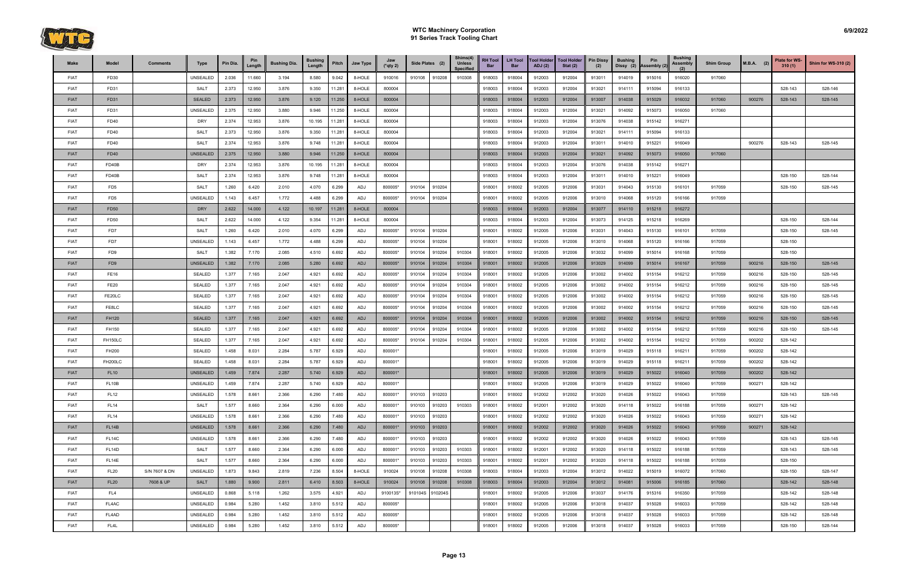

| Make        | Model              | <b>Comments</b> | Type            | Pin Dia. | Pin<br>Length | <b>Bushing Dia.</b> | <b>Bushing</b><br>Length | Pitch  | Jaw Type | Jaw<br>$(*$ qty 2) | Side Plates (2)    | Shims(4)<br><b>Unless</b><br><b>Specified</b> | <b>RH Tool</b><br>Bar | <b>LH Tool</b><br><b>Bar</b> | <b>Tool Holder</b><br>ADJ(2) | <b>Tool Holder</b><br>Stat $(2)$ | <b>Pin Dissy</b><br>(2) | <b>Bushing</b> | Pin<br>Dissy (2) Assembly (2 | <b>Bushing</b><br>Assembly | <b>Shim Group</b> | $M.B.A.$ (2) | Plate for WS-<br>310(1) | <b>Shim for WS-310 (2)</b> |
|-------------|--------------------|-----------------|-----------------|----------|---------------|---------------------|--------------------------|--------|----------|--------------------|--------------------|-----------------------------------------------|-----------------------|------------------------------|------------------------------|----------------------------------|-------------------------|----------------|------------------------------|----------------------------|-------------------|--------------|-------------------------|----------------------------|
| <b>FIAT</b> | FD30               |                 | UNSEALED        | 2.036    | 11.660        | 3.194               | 8.580                    | 9.042  | 8-HOLE   | 910016             | 910108<br>910208   | 910308                                        | 918003                | 918004                       | 912003                       | 912004                           | 913011                  | 914019         | 915016                       | 916020                     | 917060            |              |                         |                            |
| <b>FIAT</b> | FD31               |                 | <b>SALT</b>     | 2.373    | 12.950        | 3.876               | 9.350                    | 11.281 | 8-HOLE   | 800004             |                    |                                               | 918003                | 918004                       | 912003                       | 912004                           | 913021                  | 914111         | 915094                       | 916133                     |                   |              | 528-143                 | 528-146                    |
| <b>FIAT</b> | FD31               |                 | <b>SEALED</b>   | 2.373    | 12.950        | 3.876               | 9.120                    | 11.250 | 8-HOLE   | 800004             |                    |                                               | 918003                | 918004                       | 912003                       | 912004                           | 913007                  | 914038         | 915029                       | 916032                     | 917060            | 900276       | 528-143                 | 528-145                    |
| <b>FIAT</b> | FD31               |                 | <b>UNSEALED</b> | 2.375    | 12.950        | 3.880               | 9.946                    | 11.250 | 8-HOLE   | 800004             |                    |                                               | 918003                | 918004                       | 912003                       | 912004                           | 913021                  | 914092         | 915073                       | 916050                     | 917060            |              |                         |                            |
| <b>FIAT</b> | FD40               |                 | <b>DRY</b>      | 2.374    | 12.953        | 3.876               | 10.195                   | 11.281 | 8-HOLE   | 800004             |                    |                                               | 918003                | 918004                       | 912003                       | 912004                           | 913076                  | 914038         | 915142                       | 916271                     |                   |              |                         |                            |
| <b>FIAT</b> | FD40               |                 | <b>SALT</b>     | 2.373    | 12.950        | 3.876               | 9.350                    | 11.281 | 8-HOLE   | 800004             |                    |                                               | 918003                | 918004                       | 912003                       | 912004                           | 913021                  | 914111         | 915094                       | 916133                     |                   |              |                         |                            |
| <b>FIAT</b> | FD40               |                 | <b>SALT</b>     | 2.374    | 12.953        | 3.876               | 9.748                    | 11.281 | 8-HOLE   | 800004             |                    |                                               | 918003                | 918004                       | 912003                       | 912004                           | 913011                  | 914010         | 915221                       | 916049                     |                   | 900276       | 528-143                 | 528-145                    |
| <b>FIAT</b> | FD40               |                 | <b>UNSEALED</b> | 2.375    | 12.950        | 3.880               | 9.946                    | 11.250 | 8-HOLE   | 800004             |                    |                                               | 918003                | 918004                       | 912003                       | 912004                           | 913021                  | 914092         | 915073                       | 916050                     | 917060            |              |                         |                            |
| <b>FIAT</b> | FD40B              |                 | <b>DRY</b>      | 2.374    | 12.953        | 3.876               | 10.195                   | 11.281 | 8-HOLE   | 800004             |                    |                                               | 918003                | 918004                       | 912003                       | 912004                           | 913076                  | 914038         | 915142                       | 916271                     |                   |              |                         |                            |
| <b>FIAT</b> | FD40B              |                 | <b>SALT</b>     | 2.374    | 12.953        | 3.876               | 9.748                    | 11.281 | 8-HOLE   | 800004             |                    |                                               | 918003                | 918004                       | 912003                       | 912004                           | 913011                  | 914010         | 915221                       | 916049                     |                   |              | 528-150                 | 528-144                    |
| <b>FIAT</b> | FD <sub>5</sub>    |                 | <b>SALT</b>     | 1.260    | 6.420         | 2.010               | 4.070                    | 6.299  | ADJ      | 800005*            | 910104<br>910204   |                                               | 918001                | 918002                       | 912005                       | 912006                           | 913031                  | 914043         | 915130                       | 916101                     | 917059            |              | 528-150                 | 528-145                    |
| <b>FIAT</b> | FD <sub>5</sub>    |                 | <b>UNSEALED</b> | 1.143    | 6.457         | 1.772               | 4.488                    | 6.299  | ADJ      | 800005*            | 910204<br>910104   |                                               | 918001                | 918002                       | 912005                       | 912006                           | 913010                  | 914068         | 915120                       | 916166                     | 917059            |              |                         |                            |
| <b>FIAT</b> | FD50               |                 | <b>DRY</b>      | 2.622    | 14.000        | 4.122               | 10.197                   | 11.281 | 8-HOLE   | 800004             |                    |                                               | 918003                | 918004                       | 912003                       | 912004                           | 913077                  | 914110         | 915218                       | 916272                     |                   |              |                         |                            |
| <b>FIAT</b> | <b>FD50</b>        |                 | SALT            | 2.622    | 14.000        | 4.122               | 9.354                    | 11.281 | 8-HOLE   | 800004             |                    |                                               | 918003                | 918004                       | 912003                       | 912004                           | 913073                  | 914125         | 915218                       | 916269                     |                   |              | 528-150                 | 528-144                    |
| <b>FIAT</b> | FD7                |                 | <b>SALT</b>     | 1.260    | 6.420         | 2.010               | 4.070                    | 6.299  | ADJ      | 800005*            | 910104<br>910204   |                                               | 918001                | 918002                       | 912005                       | 912006                           | 913031                  | 914043         | 915130                       | 916101                     | 917059            |              | 528-150                 | 528-145                    |
| <b>FIAT</b> | FD7                |                 | <b>UNSEALED</b> | 1.143    | 6.457         | 1.772               | 4.488                    | 6.299  | ADJ      | 800005*            | 910104<br>910204   |                                               | 918001                | 918002                       | 912005                       | 912006                           | 913010                  | 914068         | 915120                       | 916166                     | 917059            |              | 528-150                 |                            |
| <b>FIAT</b> | FD <sub>9</sub>    |                 | <b>SALT</b>     | 1.382    | 7.170         | 2.085               | 4.510                    | 6.692  | ADJ      | 800005*            | 910204<br>910104   | 910304                                        | 918001                | 918002                       | 912005                       | 912006                           | 913032                  | 914099         | 915014                       | 916168                     | 917059            |              | 528-150                 |                            |
| <b>FIAT</b> | FD <sub>9</sub>    |                 | <b>UNSEALED</b> | 1.382    | 7.170         | 2.085               | 5.280                    | 6.692  | ADJ      | 800005*            | 910104<br>910204   | 910304                                        | 918001                | 918002                       | 912005                       | 912006                           | 913029                  | 914099         | 915014                       | 916167                     | 917059            | 900216       | 528-150                 | 528-145                    |
| <b>FIAT</b> | <b>FE16</b>        |                 | SEALED          | 1.377    | 7.165         | 2.047               | 4.921                    | 6.692  | ADJ      | 800005*            | 910104<br>910204   | 910304                                        | 918001                | 918002                       | 912005                       | 912006                           | 913002                  | 914002         | 915154                       | 916212                     | 917059            | 900216       | 528-150                 | 528-145                    |
| <b>FIAT</b> | <b>FE20</b>        |                 | SEALED          | 1.377    | 7.165         | 2.047               | 4.921                    | 6.692  | ADJ      | 800005*            | 910204<br>910104   | 910304                                        | 918001                | 918002                       | 912005                       | 912006                           | 913002                  | 914002         | 915154                       | 916212                     | 917059            | 900216       | 528-150                 | 528-145                    |
| <b>FIAT</b> | FE20LC             |                 | <b>SEALED</b>   | 1.377    | 7.165         | 2.047               | 4.921                    | 6.692  | ADJ      | 800005*            | 910104<br>910204   | 910304                                        | 918001                | 918002                       | 912005                       | 912006                           | 913002                  | 914002         | 915154                       | 916212                     | 917059            | 900216       | 528-150                 | 528-145                    |
| <b>FIAT</b> | FE8LC              |                 | SEALED          | 1.377    | 7.165         | 2.047               | 4.921                    | 6.692  | ADJ      | 800005*            | 910104<br>910204   | 910304                                        | 918001                | 918002                       | 912005                       | 912006                           | 913002                  | 914002         | 915154                       | 916212                     | 917059            | 900216       | 528-150                 | 528-145                    |
| <b>FIAT</b> | <b>FH120</b>       |                 | <b>SEALED</b>   | 1.377    | 7.165         | 2.047               | 4.921                    | 6.692  | ADJ      | 800005*            | 910104<br>910204   | 910304                                        | 918001                | 918002                       | 912005                       | 912006                           | 913002                  | 914002         | 915154                       | 916212                     | 917059            | 900216       | 528-150                 | 528-145                    |
| <b>FIAT</b> | FH150              |                 | SEALED          | 1.377    | 7.165         | 2.047               | 4.921                    | 6.692  | ADJ      | 800005*            | 910204<br>910104   | 910304                                        | 918001                | 918002                       | 912005                       | 912006                           | 913002                  | 914002         | 915154                       | 916212                     | 917059            | 900216       | 528-150                 | 528-145                    |
| <b>FIAT</b> | <b>FH150LC</b>     |                 | SEALED          | 1.377    | 7.165         | 2.047               | 4.921                    | 6.692  | ADJ      | 800005*            | 910204<br>910104   | 910304                                        | 918001                | 918002                       | 912005                       | 912006                           | 913002                  | 914002         | 915154                       | 916212                     | 917059            | 900202       | 528-142                 |                            |
| <b>FIAT</b> | FH200              |                 | SEALED          | 1.458    | 8.031         | 2.284               | 5.787                    | 6.929  | ADJ      | 800001*            |                    |                                               | 918001                | 918002                       | 912005                       | 912006                           | 913019                  | 914029         | 915118                       | 916211                     | 917059            | 900202       | 528-142                 |                            |
| <b>FIAT</b> | <b>FH200LC</b>     |                 | SEALED          | 1.458    | 8.031         | 2.284               | 5.787                    | 6.929  | ADJ      | 800001*            |                    |                                               | 918001                | 918002                       | 912005                       | 912006                           | 913019                  | 914029         | 915118                       | 916211                     | 917059            | 900202       | 528-142                 |                            |
| <b>FIAT</b> | <b>FL10</b>        |                 | <b>UNSEALED</b> | 1.459    | 7.874         | 2.287               | 5.740                    | 6.929  | ADJ      | 800001*            |                    |                                               | 918001                | 918002                       | 912005                       | 912006                           | 913019                  | 914029         | 915022                       | 916040                     | 917059            | 900202       | 528-142                 |                            |
| <b>FIAT</b> | FL <sub>10</sub> B |                 | UNSEALED        | 1.459    | 7.874         | 2.287               | 5.740                    | 6.929  | ADJ      | 800001*            |                    |                                               | 918001                | 918002                       | 912005                       | 912006                           | 913019                  | 914029         | 915022                       | 916040                     | 917059            | 900271       | 528-142                 |                            |
| <b>FIAT</b> | <b>FL12</b>        |                 | <b>UNSEALED</b> | 1.578    | 8.661         | 2.366               | 6.290                    | 7.480  | ADJ      | 800001*            | 910103<br>910203   |                                               | 918001                | 918002                       | 912002                       | 912002                           | 913020                  | 914026         | 915022                       | 916043                     | 917059            |              | 528-143                 | 528-145                    |
| <b>FIAT</b> | <b>FL14</b>        |                 | SALT            | 1.577    | 8.660         | 2.364               | 6.290                    | 6.000  | ADJ      | 800001*            | 910103<br>910203   | 910303                                        | 918001                | 918002                       | 912001                       | 912002                           | 913020                  | 914118         | 915022                       | 916188                     | 917059            | 900271       | 528-142                 |                            |
| <b>FIAT</b> | <b>FL14</b>        |                 | UNSEALED        | 1.578    | 8.661         | 2.366               | 6.290                    | 7.480  | ADJ      | 800001*            | 910103<br>910203   |                                               | 918001                | 918002                       | 912002                       | 912002                           | 913020                  | 914026         | 915022                       | 916043                     | 917059            | 900271       | 528-142                 |                            |
| <b>FIAT</b> | FL <sub>14</sub> B |                 | <b>UNSEALED</b> | 1.578    | 8.661         | 2.366               | 6.290                    | 7.480  | ADJ      | 800001*            | 910103<br>910203   |                                               | 918001                | 918002                       | 912002                       | 912002                           | 913020                  | 914026         | 915022                       | 916043                     | 917059            | 900271       | 528-142                 |                            |
| <b>FIAT</b> | FL <sub>14</sub> C |                 | UNSEALED        | 1.578    | 8.661         | 2.366               | 6.290                    | 7.480  | ADJ      | 800001*            | 910103<br>910203   |                                               | 918001                | 918002                       | 912002                       | 912002                           | 913020                  | 914026         | 915022                       | 916043                     | 917059            |              | 528-143                 | 528-145                    |
| <b>FIAT</b> | FL <sub>14</sub> D |                 | SALT            | 1.577    | 8.660         | 2.364               | 6.290                    | 6.000  | ADJ      | 800001*            | 910103<br>910203   | 910303                                        | 918001                | 918002                       | 912001                       | 912002                           | 913020                  | 914118         | 915022                       | 916188                     | 917059            |              | 528-143                 | 528-145                    |
| <b>FIAT</b> | FL <sub>14E</sub>  |                 | <b>SALT</b>     | 1.577    | 8.660         | 2.364               | 6.290                    | 6.000  | ADJ      | 800001*            | 910203<br>910103   | 910303                                        | 918001                | 918002                       | 912001                       | 912002                           | 913020                  | 914118         | 915022                       | 916188                     | 917059            |              | 528-150                 |                            |
| <b>FIAT</b> | <b>FL20</b>        | S/N 7607 & DN   | UNSEALED        | 1.873    | 9.843         | 2.819               | 7.236                    | 8.504  | 8-HOLE   | 910024             | 910108<br>910208   | 910308                                        | 918003                | 918004                       | 912003                       | 912004                           | 913012                  | 914022         | 915019                       | 916072                     | 917060            |              | 528-150                 | 528-147                    |
| <b>FIAT</b> | <b>FL20</b>        | 7608 & UP       | <b>SALT</b>     | 1.880    | 9.900         | 2.811               | 6.410                    | 8.503  | 8-HOLE   | 910024             | 910108<br>910208   | 910308                                        | 918003                | 918004                       | 912003                       | 912004                           | 913012                  | 914081         | 915006                       | 916185                     | 917060            |              | 528-142                 | 528-148                    |
| <b>FIAT</b> | FL <sub>4</sub>    |                 | UNSEALED        | 0.868    | 5.118         | 1.262               | 3.575                    | 4.921  | ADJ      | 910013S*           | 910204S<br>910104S |                                               | 918001                | 918002                       | 912005                       | 912006                           | 913037                  | 914176         | 915316                       | 916350                     | 917059            |              | 528-142                 | 528-148                    |
| <b>FIAT</b> | FL4AC              |                 | UNSEALED        | 0.984    | 5.280         | 1.452               | 3.810                    | 5.512  | ADJ      | 800005*            |                    |                                               | 918001                | 918002                       | 912005                       | 912006                           | 913018                  | 914037         | 915028                       | 916033                     | 917059            |              | 528-142                 | 528-148                    |
| <b>FIAT</b> | FL4AD              |                 | UNSEALED        | 0.984    | 5.280         | 1.452               | 3.810                    | 5.512  | ADJ      | 800005*            |                    |                                               | 918001                | 918002                       | 912005                       | 912006                           | 913018                  | 914037         | 915028                       | 916033                     | 917059            |              | 528-142                 | 528-148                    |
| <b>FIAT</b> | FL4L               |                 | UNSEALED        | 0.984    | 5.280         | 1.452               | 3.810                    | 5.512  | ADJ      | 800005*            |                    |                                               | 918001                | 918002                       | 912005                       | 912006                           | 913018                  | 914037         | 915028                       | 916033                     | 917059            |              | 528-150                 | 528-144                    |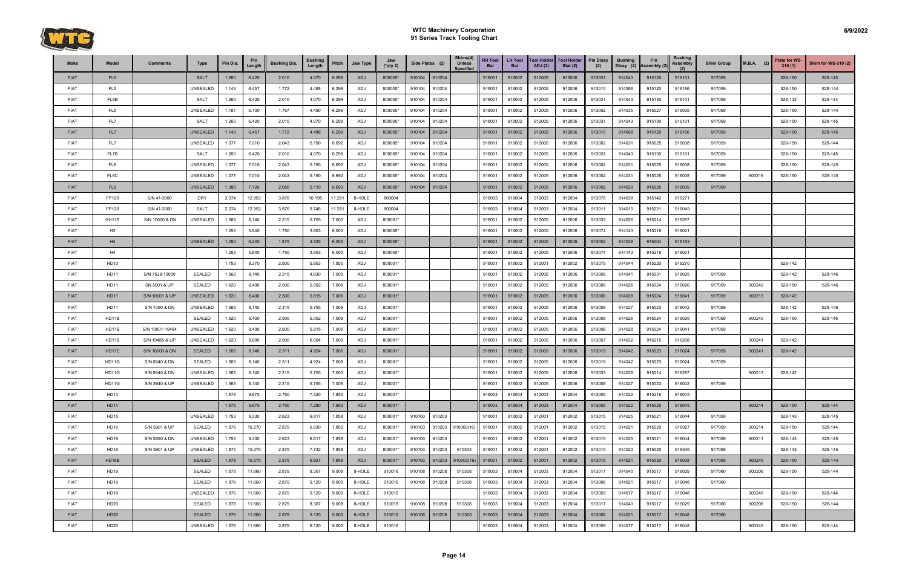

| Make        | Model           | <b>Comments</b> | Type            | Pin Dia. | Pin<br>Length | <b>Bushing Dia.</b> | <b>Bushing</b><br>Length | Pitch  | Jaw Type   | Jaw<br>$(*$ qty 2) | Side Plates (2)  | Shims(4)<br><b>Unless</b><br><b>Specified</b> | <b>RH Tool</b><br>Bar | <b>LH Tool</b><br>Bar | <b>Tool Holder</b><br>ADJ(2) | <b>Tool Holder</b><br>Stat $(2)$ | <b>Pin Dissy</b><br>(2) | <b>Bushing</b><br>Dissy (2) | Pin<br>Assembly (2) | <b>Bushing</b><br>Assembly | <b>Shim Group</b> | $M.B.A.$ (2) | Plate for WS<br>310(1) | <b>Shim for WS-310 (2)</b> |
|-------------|-----------------|-----------------|-----------------|----------|---------------|---------------------|--------------------------|--------|------------|--------------------|------------------|-----------------------------------------------|-----------------------|-----------------------|------------------------------|----------------------------------|-------------------------|-----------------------------|---------------------|----------------------------|-------------------|--------------|------------------------|----------------------------|
| <b>FIAT</b> | FL <sub>5</sub> |                 | <b>SALT</b>     | 1.260    | 6.420         | 2.010               | 4.070                    | 6.299  | <b>ADJ</b> | 800005*            | 910104<br>910204 |                                               | 918001                | 918002                | 912005                       | 912006                           | 913031                  | 914043                      | 915130              | 916101                     | 917059            |              | 528-150                | 528-145                    |
| <b>FIAT</b> | FL <sub>5</sub> |                 | UNSEALED        | 1.143    | 6.457         | 1.772               | 4.488                    | 6.299  | ADJ        | 800005*            | 910204<br>910104 |                                               | 918001                | 918002                | 912005                       | 912006                           | 913010                  | 914068                      | 915120              | 916166                     | 917059            |              | 528-150                | 528-144                    |
| <b>FIAT</b> | FL5B            |                 | <b>SALT</b>     | 1.260    | 6.420         | 2.010               | 4.070                    | 6.299  | ADJ        | 800005*            | 910104<br>910204 |                                               | 918001                | 918002                | 912005                       | 912006                           | 913031                  | 914043                      | 915130              | 916101                     | 917059            |              | 528-142                | 528-144                    |
| <b>FIAT</b> | FL6             |                 | <b>UNSEALED</b> | 1.181    | 6.100         | 1.767               | 4.490                    | 6.299  | ADJ        | 800005*            | 910104<br>910204 |                                               | 918001                | 918002                | 912005                       | 912006                           | 913002                  | 914035                      | 915027              | 916035                     | 917059            |              | 528-150                | 528-144                    |
| <b>FIAT</b> | FL7             |                 | <b>SALT</b>     | 1.260    | 6.420         | 2.010               | 4.070                    | 6.299  | ADJ        | 800005*            | 910104<br>910204 |                                               | 918001                | 918002                | 912005                       | 912006                           | 913031                  | 914043                      | 915130              | 916101                     | 917059            |              | 528-150                | 528-145                    |
| <b>FIAT</b> | FL7             |                 | <b>UNSEALED</b> | 1.143    | 6.457         | 1.772               | 4.488                    | 6.299  | ADJ        | 800005*            | 910204<br>910104 |                                               | 918001                | 918002                | 912005                       | 912006                           | 913010                  | 914068                      | 915120              | 916166                     | 917059            |              | 528-150                | 528-145                    |
| <b>FIAT</b> | FL7             |                 | UNSEALED        | 1.377    | 7.010         | 2.043               | 5.190                    | 6.692  | ADJ        | 800005*            | 910204<br>910104 |                                               | 918001                | 918002                | 912005                       | 912006                           | 913002                  | 914031                      | 915025              | 916038                     | 917059            |              | 528-150                | 528-144                    |
| <b>FIAT</b> | FL7B            |                 | SALT            | 1.260    | 6.420         | 2.010               | 4.070                    | 6.299  | ADJ        | 800005*            | 910204<br>910104 |                                               | 918001                | 918002                | 912005                       | 912006                           | 913031                  | 914043                      | 915130              | 916101                     | 917059            |              | 528-150                | 528-145                    |
| <b>FIAT</b> | FL8             |                 | UNSEALED        | 1.377    | 7.010         | 2.043               | 5.190                    | 6.692  | ADJ        | 800005*            | 910104<br>910204 |                                               | 918001                | 918002                | 912005                       | 912006                           | 913002                  | 914031                      | 915025              | 916038                     | 917059            |              | 528-150                | 528-145                    |
| <b>FIAT</b> | FL8C            |                 | UNSEALED        | 1.377    | 7.010         | 2.043               | 5.190                    | 6.692  | ADJ        | 800005*            | 910204<br>910104 |                                               | 918001                | 918002                | 912005                       | 912006                           | 913002                  | 914031                      | 915025              | 916038                     | 917059            | 900216       | 528-150                | 528-145                    |
| <b>FIAT</b> | FL <sub>9</sub> |                 | <b>UNSEALED</b> | 1.380    | 7.126         | 2.050               | 5.110                    | 6.693  | <b>ADJ</b> | 800005*            | 910104<br>910204 |                                               | 918001                | 918002                | 912005                       | 912006                           | 913002                  | 914030                      | 915025              | 916039                     | 917059            |              |                        |                            |
| <b>FIAT</b> | FP120           | S/N 41-3000     | <b>DRY</b>      | 2.374    | 12.953        | 3.876               | 10.195                   | 11.281 | 8-HOLE     | 800004             |                  |                                               | 918003                | 918004                | 912003                       | 912004                           | 913076                  | 914038                      | 915142              | 916271                     |                   |              |                        |                            |
| <b>FIAT</b> | FP120           | S/N 41-3000     | <b>SALT</b>     | 2.374    | 12.953        | 3.876               | 9.748                    | 11.281 | 8-HOLE     | 800004             |                  |                                               | 918003                | 918004                | 912003                       | 912004                           | 913011                  | 914010                      | 915221              | 916049                     |                   |              |                        |                            |
| <b>FIAT</b> | GH11E           | S/N 10000 & DN  | UNSEALED        | 1.565    | 8.140         | 2.315               | 5.755                    | 7.000  | ADJ        | 800001*            |                  |                                               | 918001                | 918002                | 912005                       | 912006                           | 913033                  | 914026                      | 915214              | 916267                     |                   |              |                        |                            |
| <b>FIAT</b> | H3              |                 |                 | 1.253    | 5.840         | 1.750               | 3.603                    | 6.000  | ADJ        | 800005*            |                  |                                               | 918001                | 918002                | 912005                       | 912006                           | 913074                  | 914143                      | 915219              | 916021                     |                   |              |                        |                            |
| <b>FIAT</b> | H4              |                 | <b>UNSEALED</b> | 1.250    | 6.240         | 1.875               | 4.525                    | 6.000  | <b>ADJ</b> | 800005*            |                  |                                               | 918001                | 918002                | 912005                       | 912006                           | 913002                  | 914036                      | 915004              | 916163                     |                   |              |                        |                            |
| <b>FIAT</b> | H4              |                 |                 | 1.253    | 5.840         | 1.750               | 3.603                    | 6.000  | ADJ        | 800005*            |                  |                                               | 918001                | 918002                | 912005                       | 912006                           | 913074                  | 914143                      | 915219              | 916021                     |                   |              |                        |                            |
| <b>FIAT</b> | HD10            |                 |                 | 1.753    | 8.370         | 2.500               | 5.853                    | 7.850  | ADJ        | 800001*            |                  |                                               | 918001                | 918002                | 912001                       | 912002                           | 913075                  | 914044                      | 915220              | 916270                     |                   |              | 528-142                |                            |
| <b>FIAT</b> | HD11            | S/N 7538-10000  | SEALED          | 1.562    | 8.140         | 2.315               | 4.930                    | 7.000  | ADJ        | 800001*            |                  |                                               | 918001                | 918002                | 912005                       | 912006                           | 913008                  | 914041                      | 915031              | 916025                     | 917059            |              | 528-142                | 528-146                    |
| <b>FIAT</b> | <b>HD11</b>     | SN 5901 & UP    | SEALED          | 1.620    | 8.400         | 2.500               | 5.002                    | 7.006  | ADJ        | 800001*            |                  |                                               | 918001                | 918002                | 912005                       | 912006                           | 913008                  | 914026                      | 915024              | 916026                     | 917059            | 900240       | 528-150                | 528-146                    |
| <b>FIAT</b> | <b>HD11</b>     | S/N 10001 & UP  | <b>UNSEALED</b> | 1.620    | 8.400         | 2.500               | 5.815                    | 7.006  | ADJ        | 800001*            |                  |                                               | 918001                | 918002                | 912005                       | 912006                           | 913008                  | 914028                      | 915024              | 916041                     | 917059            | 900213       | 528-142                |                            |
| <b>FIAT</b> | <b>HD11</b>     | S/N 1000 & DN   | <b>UNSEALED</b> | 1.565    | 8.140         | 2.315               | 5.755                    | 7.006  | ADJ        | 800001*            |                  |                                               | 918001                | 918002                | 912005                       | 912006                           | 913008                  | 914027                      | 915023              | 916042                     | 917059            |              | 528-142                | 528-146                    |
| <b>FIAT</b> | HD11B           |                 | <b>SEALED</b>   | 1.620    | 8.400         | 2.500               | 5.002                    | 7.006  | ADJ        | 800001*            |                  |                                               | 918001                | 918002                | 912005                       | 912006                           | 913008                  | 914026                      | 915024              | 916026                     | 917059            | 900240       | 528-150                | 528-146                    |
| <b>FIAT</b> | HD11B           | S/N 10001-19484 | <b>UNSEALED</b> | 1.620    | 8.400         | 2.500               | 5.815                    | 7.006  | ADJ        | 800001*            |                  |                                               | 918001                | 918002                | 912005                       | 912006                           | 913008                  | 914028                      | 915024              | 916041                     | 917059            |              |                        |                            |
| <b>FIAT</b> | HD11B           | S/N 19485 & UP  | UNSEALED        | 1.620    | 8.600         | 2.500               | 6.094                    | 7.006  | ADJ        | 800001*            |                  |                                               | 918001                | 918002                | 912005                       | 912006                           | 913057                  | 914032                      | 915215              | 916268                     |                   | 900241       | 528-142                |                            |
| <b>FIAT</b> | HD11E           | S/N 10000 & DN  | <b>SEALED</b>   | 1.565    | 8.140         | 2.311               | 4.924                    | 7.006  | <b>ADJ</b> | 800001*            |                  |                                               | 918001                | 918002                | 912005                       | 912006                           | 913019                  | 914042                      | 915023              | 916024                     | 917059            | 900241       | 528-142                |                            |
| <b>FIAT</b> | HD11G           | S/N 8940 & DN   | SEALED          | 1.565    | 8.140         | 2.311               | 4.924                    | 7.006  | ADJ        | 800001*            |                  |                                               | 918001                | 918002                | 912005                       | 912006                           | 913019                  | 914042                      | 915023              | 916024                     | 917059            |              |                        |                            |
| <b>FIAT</b> | HD11G           | S/N 8940 & DN   | <b>UNSEALED</b> | 1.565    | 8.140         | 2.315               | 5.755                    | 7.000  | ADJ        | 800001*            |                  |                                               | 918001                | 918002                | 912005                       | 912006                           | 913033                  | 914026                      | 915214              | 916267                     |                   | 900213       | 528-142                |                            |
| <b>FIAT</b> | HD11G           | S/N 8940 & UP   | UNSEALED        | 1.565    | 8.140         | 2.315               | 5.755                    | 7.006  | ADJ        | 800001*            |                  |                                               | 918001                | 918002                | 912005                       | 912006                           | 913008                  | 914027                      | 915023              | 916042                     | 917059            |              |                        |                            |
| <b>FIAT</b> | HD14            |                 |                 | 1.878    | 9.670         | 2.750               | 7.320                    | 7.850  | ADJ        | 800001*            |                  |                                               | 918003                | 918004                | 912003                       | 912004                           | 913005                  | 914022                      | 915216              | 916045                     |                   |              |                        |                            |
| <b>FIAT</b> | <b>HD14</b>     |                 |                 | 1.875    | 9.670         | 2.750               | 7.280                    | 7.850  | ADJ        | 800001*            |                  |                                               | 918003                | 918004                | 912003                       | 912004                           | 913005                  | 914022                      | 915020              | 916045                     |                   | 900214       | 528-150                | 528-144                    |
| <b>FIAT</b> | HD15            |                 | UNSEALED        | 1.753    | 9.330         | 2.623               | 6.817                    | 7.858  | ADJ        | 800001*            | 910103<br>910203 |                                               | 918001                | 918002                | 912001                       | 912002                           | 913015                  | 914025                      | 915021              | 916044                     | 917059            |              | 528-143                | 528-145                    |
| <b>FIAT</b> | HD16            | S/N 5901 & UP   | SEALED          | 1.876    | 10.270        | 2.879               | 6.930                    | 7.850  | ADJ        | 800001*            | 910203<br>910103 | 910303(16)                                    | 918001                | 918002                | 912001                       | 912002                           | 913015                  | 914021                      | 915020              | 916027                     | 917059            | 900214       | 528-150                | 528-144                    |
| <b>FIAT</b> | HD16            | S/N 5900 & DN   | UNSEALED        | 1.753    | 9.330         | 2.623               | 6.817                    | 7.858  | ADJ        | 800001*            | 910103<br>910203 |                                               | 918001                | 918002                | 912001                       | 912002                           | 913015                  | 914025                      | 915021              | 916044                     | 917059            | 900211       | 528-143                | 528-145                    |
| <b>FIAT</b> | HD16            | S/N 5901 & UP   | UNSEALED        | 1.874    | 10.270        | 2.875               | 7.732                    | 7.858  | ADJ        | 800001*            | 910103<br>910203 | 910303                                        | 918001                | 918002                | 912001                       | 912002                           | 913015                  | 914023                      | 915020              | 916046                     | 917059            |              | 528-143                | 528-145                    |
| <b>FIAT</b> | HD16B           |                 | <b>SEALED</b>   | 1.878    | 10.270        | 2.875               | 6.927                    | 7.858  | ADJ        | 800001*            | 910103<br>910203 | 910303(16)                                    | 918001                | 918002                | 912001                       | 912002                           | 913015                  | 914021                      | 915030              | 916028                     | 917059            | 900245       | 528-150                | 528-144                    |
| <b>FIAT</b> | HD19            |                 | SEALED          | 1.878    | 11.660        | 2.879               | 8.307                    | 9.008  | 8-HOLE     | 910016             | 910108<br>910208 | 910308                                        | 918003                | 918004                | 912003                       | 912004                           | 913017                  | 914040                      | 915017              | 916029                     | 917060            | 900206       | 528-150                | 528-144                    |
| <b>FIAT</b> | <b>HD19</b>     |                 | SEALED          | 1.876    | 11.660        | 2.879               | 9.120                    | 9.000  | 8-HOLE     | 910016             | 910108<br>910208 | 910308                                        | 918003                | 918004                | 912003                       | 912004                           | 913006                  | 914021                      | 915017              | 916048                     | 917060            |              |                        |                            |
| <b>FIAT</b> | <b>HD19</b>     |                 | UNSEALED        | 1.876    | 11.660        | 2.879               | 9.120                    | 9.000  | 8-HOLE     | 910016             |                  |                                               | 918003                | 918004                | 912003                       | 912004                           | 913059                  | 914077                      | 915217              | 916048                     |                   | 900245       | 528-150                | 528-144                    |
| <b>FIAT</b> | HD20            |                 | SEALED          | 1.878    | 11.660        | 2.879               | 8.307                    | 9.008  | 8-HOLE     | 910016             | 910108<br>910208 | 910308                                        | 918003                | 918004                | 912003                       | 912004                           | 913017                  | 914040                      | 915017              | 916029                     | 917060            | 900206       | 528-150                | 528-144                    |
| <b>FIAT</b> | <b>HD20</b>     |                 | <b>SEALED</b>   | 1.876    | 11.660        | 2.879               | 9.120                    | 9.000  | 8-HOLE     | 910016             | 910108<br>910208 | 910308                                        | 918003                | 918004                | 912003                       | 912004                           | 913006                  | 914021                      | 915017              | 916048                     | 917060            |              |                        |                            |
| <b>FIAT</b> | HD20            |                 | UNSEALED        | 1.876    | 11.660        | 2.879               | 9.120                    | 9.000  | 8-HOLE     | 910016             |                  |                                               | 918003                | 918004                | 912003                       | 912004                           | 913059                  | 914077                      | 915217              | 916048                     |                   | 900245       | 528-150                | 528-144                    |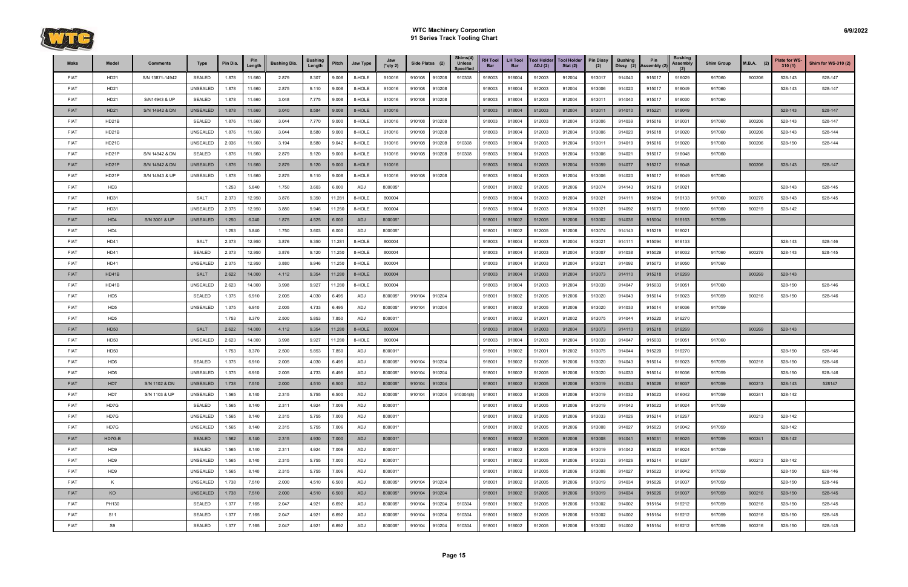

| Make        | Model           | <b>Comments</b> | Type            | Pin Dia. | Pin<br>Length | <b>Bushing Dia.</b> | <b>Bushing</b><br>Length | Pitch  | Jaw Type   | Jaw<br>(*qty 2) | Side Plates (2)  | Shims(4)<br><b>Unless</b><br><b>Specified</b> | <b>RH Tool</b><br>Bar | <b>LH Tool</b><br><b>Bar</b> | <b>Tool Holder</b><br>ADJ(2) | <b>Tool Holder</b><br>Stat $(2)$ | <b>Pin Dissy</b><br>(2) | <b>Bushing</b><br>Dissy (2) | Pin<br>Assembly (2) | <b>Bushing</b><br>Assembly<br>(2) | <b>Shim Group</b> | $M.B.A.$ (2) | Plate for WS-<br>310(1) | Shim for WS-310 (2) |
|-------------|-----------------|-----------------|-----------------|----------|---------------|---------------------|--------------------------|--------|------------|-----------------|------------------|-----------------------------------------------|-----------------------|------------------------------|------------------------------|----------------------------------|-------------------------|-----------------------------|---------------------|-----------------------------------|-------------------|--------------|-------------------------|---------------------|
| <b>FIAT</b> | HD21            | S/N 13871-14942 | SEALED          | 1.878    | 11.660        | 2.879               | 8.307                    | 9.008  | 8-HOLE     | 910016          | 910108<br>910208 | 910308                                        | 918003                | 918004                       | 912003                       | 912004                           | 913017                  | 914040                      | 915017              | 916029                            | 917060            | 900206       | 528-143                 | 528-147             |
| <b>FIAT</b> | HD21            |                 | UNSEALED        | 1.878    | 11.660        | 2.875               | 9.110                    | 9.008  | 8-HOLE     | 910016          | 910108<br>910208 |                                               | 918003                | 918004                       | 912003                       | 912004                           | 913006                  | 914020                      | 915017              | 916049                            | 917060            |              | 528-143                 | 528-147             |
| <b>FIAT</b> | HD21            | S/N14943 & UP   | <b>SEALED</b>   | 1.878    | 11.660        | 3.048               | 7.775                    | 9.008  | 8-HOLE     | 910016          | 910108<br>910208 |                                               | 918003                | 918004                       | 912003                       | 912004                           | 913011                  | 914040                      | 915017              | 916030                            | 917060            |              |                         |                     |
| <b>FIAT</b> | HD21            | S/N 14942 & DN  | UNSEALED        | 1.878    | 11.660        | 3.040               | 8.584                    | 9.008  | 8-HOLE     | 910016          |                  |                                               | 918003                | 918004                       | 912003                       | 912004                           | 913011                  | 914010                      | 915221              | 916049                            |                   |              | 528-143                 | 528-147             |
| <b>FIAT</b> | HD21B           |                 | SEALED          | 1.876    | 11.660        | 3.044               | 7.770                    | 9.000  | 8-HOLE     | 910016          | 910108<br>910208 |                                               | 918003                | 918004                       | 912003                       | 912004                           | 913006                  | 914039                      | 915016              | 916031                            | 917060            | 900206       | 528-143                 | 528-147             |
| <b>FIAT</b> | HD21B           |                 | <b>UNSEALED</b> | 1.876    | 11.660        | 3.044               | 8.580                    | 9.000  | 8-HOLE     | 910016          | 910108<br>910208 |                                               | 918003                | 918004                       | 912003                       | 912004                           | 913006                  | 914020                      | 915018              | 916020                            | 917060            | 900206       | 528-143                 | 528-144             |
| <b>FIAT</b> | HD21C           |                 | UNSEALED        | 2.036    | 11.660        | 3.194               | 8.580                    | 9.042  | 8-HOLE     | 910016          | 910108<br>910208 | 910308                                        | 918003                | 918004                       | 912003                       | 912004                           | 913011                  | 914019                      | 915016              | 916020                            | 917060            | 900206       | 528-150                 | 528-144             |
| <b>FIAT</b> | HD21P           | S/N 14942 & DN  | SEALED          | 1.876    | 11.660        | 2.879               | 9.120                    | 9.000  | 8-HOLE     | 910016          | 910108<br>910208 | 910308                                        | 918003                | 918004                       | 912003                       | 912004                           | 913006                  | 914021                      | 915017              | 916048                            | 917060            |              |                         |                     |
| <b>FIAT</b> | HD21P           | S/N 14942 & DN  | <b>UNSEALED</b> | 1.876    | 11.660        | 2.879               | 9.120                    | 9.000  | 8-HOLE     | 910016          |                  |                                               | 918003                | 918004                       | 912003                       | 912004                           | 913059                  | 914077                      | 915217              | 916048                            |                   | 900206       | 528-143                 | 528-147             |
| <b>FIAT</b> | HD21P           | S/N 14943 & UP  | <b>UNSEALED</b> | 1.878    | 11.660        | 2.875               | 9.110                    | 9.008  | 8-HOLE     | 910016          | 910108<br>910208 |                                               | 918003                | 918004                       | 912003                       | 912004                           | 913006                  | 914020                      | 915017              | 916049                            | 917060            |              |                         |                     |
| <b>FIAT</b> | HD <sub>3</sub> |                 |                 | 1.253    | 5.840         | 1.750               | 3.603                    | 6.000  | ADJ        | 800005*         |                  |                                               | 918001                | 918002                       | 912005                       | 912006                           | 913074                  | 914143                      | 915219              | 916021                            |                   |              | 528-143                 | 528-145             |
| <b>FIAT</b> | HD31            |                 | <b>SALT</b>     | 2.373    | 12.950        | 3.876               | 9.350                    | 11.281 | 8-HOLE     | 800004          |                  |                                               | 918003                | 918004                       | 912003                       | 912004                           | 913021                  | 914111                      | 915094              | 916133                            | 917060            | 900276       | 528-143                 | 528-145             |
| <b>FIAT</b> | HD31            |                 | UNSEALED        | 2.375    | 12.950        | 3.880               | 9.946                    | 11.250 | 8-HOLE     | 800004          |                  |                                               | 918003                | 918004                       | 912003                       | 912004                           | 913021                  | 914092                      | 915073              | 916050                            | 917060            | 900219       | 528-142                 |                     |
| <b>FIAT</b> | HD4             | S/N 3001 & UP   | <b>UNSEALED</b> | 1.250    | 6.240         | 1.875               | 4.525                    | 6.000  | ADJ        | 800005*         |                  |                                               | 918001                | 918002                       | 912005                       | 912006                           | 913002                  | 914036                      | 915004              | 916163                            | 917059            |              |                         |                     |
| <b>FIAT</b> | HD4             |                 |                 | 1.253    | 5.840         | 1.750               | 3.603                    | 6.000  | ADJ        | 800005*         |                  |                                               | 91800 <sup>-</sup>    | 918002                       | 912005                       | 912006                           | 913074                  | 914143                      | 915219              | 916021                            |                   |              |                         |                     |
| <b>FIAT</b> | HD41            |                 | SALT            | 2.373    | 12.950        | 3.876               | 9.350                    | 11.281 | 8-HOLE     | 800004          |                  |                                               | 918003                | 918004                       | 912003                       | 912004                           | 913021                  | 914111                      | 915094              | 916133                            |                   |              | 528-143                 | 528-146             |
| <b>FIAT</b> | HD41            |                 | SEALED          | 2.373    | 12.950        | 3.876               | 9.120                    | 11.250 | 8-HOLE     | 800004          |                  |                                               | 918003                | 918004                       | 912003                       | 912004                           | 913007                  | 914038                      | 915029              | 916032                            | 917060            | 900276       | 528-143                 | 528-145             |
| <b>FIAT</b> | HD41            |                 | <b>UNSEALED</b> | 2.375    | 12.950        | 3.880               | 9.946                    | 11.250 | 8-HOLE     | 800004          |                  |                                               | 918003                | 918004                       | 912003                       | 912004                           | 913021                  | 914092                      | 915073              | 916050                            | 917060            |              |                         |                     |
| <b>FIAT</b> | HD41B           |                 | <b>SALT</b>     | 2.622    | 14.000        | 4.112               | 9.354                    | 11.280 | 8-HOLE     | 800004          |                  |                                               | 918003                | 918004                       | 912003                       | 912004                           | 913073                  | 914110                      | 915218              | 916269                            |                   | 900269       | 528-143                 |                     |
| <b>FIAT</b> | HD41B           |                 | <b>UNSEALED</b> | 2.623    | 14.000        | 3.998               | 9.927                    | 11.280 | 8-HOLE     | 800004          |                  |                                               | 918003                | 918004                       | 912003                       | 912004                           | 913039                  | 914047                      | 915033              | 916051                            | 917060            |              | 528-150                 | 528-146             |
| <b>FIAT</b> | HD <sub>5</sub> |                 | SEALED          | 1.375    | 6.910         | 2.005               | 4.030                    | 6.495  | ADJ        | 800005*         | 910104<br>910204 |                                               | 918001                | 918002                       | 912005                       | 912006                           | 913020                  | 914043                      | 915014              | 916023                            | 917059            | 900216       | 528-150                 | 528-146             |
| <b>FIAT</b> | HD <sub>5</sub> |                 | UNSEALED        | 1.375    | 6.910         | 2.005               | 4.733                    | 6.495  | ADJ        | 800005*         | 910204<br>910104 |                                               | 918001                | 918002                       | 912005                       | 912006                           | 913020                  | 914033                      | 915014              | 916036                            | 917059            |              |                         |                     |
| <b>FIAT</b> | HD <sub>5</sub> |                 |                 | 1.753    | 8.370         | 2.500               | 5.853                    | 7.850  | ADJ        | 800001*         |                  |                                               | 918001                | 918002                       | 912001                       | 912002                           | 913075                  | 914044                      | 915220              | 916270                            |                   |              |                         |                     |
| <b>FIAT</b> | <b>HD50</b>     |                 | <b>SALT</b>     | 2.622    | 14.000        | 4.112               | 9.354                    | 11.280 | 8-HOLE     | 800004          |                  |                                               | 918003                | 918004                       | 912003                       | 912004                           | 913073                  | 914110                      | 915218              | 916269                            |                   | 900269       | 528-143                 |                     |
| <b>FIAT</b> | HD50            |                 | <b>UNSEALED</b> | 2.623    | 14.000        | 3.998               | 9.927                    | 11.280 | 8-HOLE     | 800004          |                  |                                               | 918003                | 918004                       | 912003                       | 912004                           | 913039                  | 914047                      | 915033              | 916051                            | 917060            |              |                         |                     |
| <b>FIAT</b> | HD50            |                 |                 | 1.753    | 8.370         | 2.500               | 5.853                    | 7.850  | ADJ        | 800001*         |                  |                                               | 918001                | 918002                       | 912001                       | 912002                           | 913075                  | 914044                      | 915220              | 916270                            |                   |              | 528-150                 | 528-146             |
| <b>FIAT</b> | HD <sub>6</sub> |                 | SEALED          | 1.375    | 6.910         | 2.005               | 4.030                    | 6.495  | ADJ        | 800005*         | 910104<br>910204 |                                               | 918001                | 918002                       | 912005                       | 912006                           | 913020                  | 914043                      | 915014              | 916023                            | 917059            | 900216       | 528-150                 | 528-146             |
| <b>FIAT</b> | HD <sub>6</sub> |                 | UNSEALED        | 1.375    | 6.910         | 2.005               | 4.733                    | 6.495  | ADJ        | 800005*         | 910104<br>910204 |                                               | 918001                | 918002                       | 912005                       | 912006                           | 913020                  | 914033                      | 915014              | 916036                            | 917059            |              | 528-150                 | 528-146             |
| <b>FIAT</b> | HD7             | S/N 1102 & DN   | <b>UNSEALED</b> | 1.738    | 7.510         | 2.000               | 4.510                    | 6.500  | <b>ADJ</b> | 800005*         | 910204<br>910104 |                                               | 918001                | 918002                       | 912005                       | 912006                           | 913019                  | 914034                      | 915026              | 916037                            | 917059            | 900213       | 528-143                 | 528147              |
| <b>FIAT</b> | HD7             | S/N 1103 & UP   | UNSEALED        | 1.565    | 8.140         | 2.315               | 5.755                    | 6.500  | ADJ        | 800005*         | 910204<br>910104 | 910304(8)                                     | 918001                | 918002                       | 912005                       | 912006                           | 913019                  | 914032                      | 915023              | 916042                            | 917059            | 900241       | 528-142                 |                     |
| <b>FIAT</b> | HD7G            |                 | SEALED          | 1.565    | 8.140         | 2.311               | 4.924                    | 7.006  | ADJ        | 800001*         |                  |                                               | 918001                | 918002                       | 912005                       | 912006                           | 913019                  | 914042                      | 915023              | 916024                            | 917059            |              |                         |                     |
| <b>FIAT</b> | HD7G            |                 | UNSEALED        | 1.565    | 8.140         | 2.315               | 5.755                    | 7.000  | ADJ        | 800001*         |                  |                                               | 918001                | 918002                       | 912005                       | 912006                           | 913033                  | 914026                      | 915214              | 916267                            |                   | 900213       | 528-142                 |                     |
| <b>FIAT</b> | HD7G            |                 | UNSEALED        | 1.565    | 8.140         | 2.315               | 5.755                    | 7.006  | ADJ        | 800001*         |                  |                                               | 918001                | 918002                       | 912005                       | 912006                           | 913008                  | 914027                      | 915023              | 916042                            | 917059            |              | 528-142                 |                     |
| <b>FIAT</b> | HD7G-B          |                 | <b>SEALED</b>   | 1.562    | 8.140         | 2.315               | 4.930                    | 7.000  | ADJ        | 800001*         |                  |                                               | 918001                | 918002                       | 912005                       | 912006                           | 913008                  | 914041                      | 915031              | 916025                            | 917059            | 900241       | 528-142                 |                     |
| <b>FIAT</b> | HD <sub>9</sub> |                 | SEALED          | 1.565    | 8.140         | 2.311               | 4.924                    | 7.006  | ADJ        | 800001*         |                  |                                               | 918001                | 918002                       | 912005                       | 912006                           | 913019                  | 914042                      | 915023              | 916024                            | 917059            |              |                         |                     |
| <b>FIAT</b> | HD9             |                 | UNSEALED        | 1.565    | 8.140         | 2.315               | 5.755                    | 7.000  | ADJ        | 800001*         |                  |                                               | 918001                | 918002                       | 912005                       | 912006                           | 913033                  | 914026                      | 915214              | 916267                            |                   | 900213       | 528-142                 |                     |
| <b>FIAT</b> | HD <sub>9</sub> |                 | UNSEALED        | 1.565    | 8.140         | 2.315               | 5.755                    | 7.006  | ADJ        | 800001*         |                  |                                               | 918001                | 918002                       | 912005                       | 912006                           | 913008                  | 914027                      | 915023              | 916042                            | 917059            |              | 528-150                 | 528-146             |
| <b>FIAT</b> | K               |                 | UNSEALED        | 1.738    | 7.510         | 2.000               | 4.510                    | 6.500  | ADJ        | 800005*         | 910104<br>910204 |                                               | 918001                | 918002                       | 912005                       | 912006                           | 913019                  | 914034                      | 915026              | 916037                            | 917059            |              | 528-150                 | 528-146             |
| <b>FIAT</b> | KO              |                 | <b>UNSEALED</b> | 1.738    | 7.510         | 2.000               | 4.510                    | 6.500  | <b>ADJ</b> | 800005*         | 910204<br>910104 |                                               | 918001                | 918002                       | 912005                       | 912006                           | 913019                  | 914034                      | 915026              | 916037                            | 917059            | 900216       | 528-150                 | 528-145             |
| <b>FIAT</b> | PH130           |                 | SEALED          | 1.377    | 7.165         | 2.047               | 4.921                    | 6.692  | ADJ        | 800005*         | 910204<br>910104 | 910304                                        | 918001                | 918002                       | 912005                       | 912006                           | 913002                  | 914002                      | 915154              | 916212                            | 917059            | 900216       | 528-150                 | 528-145             |
| <b>FIAT</b> | S11             |                 | SEALED          | 1.377    | 7.165         | 2.047               | 4.921                    | 6.692  | ADJ        | 800005*         | 910104<br>910204 | 910304                                        | 918001                | 918002                       | 912005                       | 912006                           | 913002                  | 914002                      | 915154              | 916212                            | 917059            | 900216       | 528-150                 | 528-145             |
| <b>FIAT</b> | S9              |                 | SEALED          | 1.377    | 7.165         | 2.047               | 4.921                    | 6.692  | ADJ        | 800005*         | 910204<br>910104 | 910304                                        | 918001                | 918002                       | 912005                       | 912006                           | 913002                  | 914002                      | 915154              | 916212                            | 917059            | 900216       | 528-150                 | 528-145             |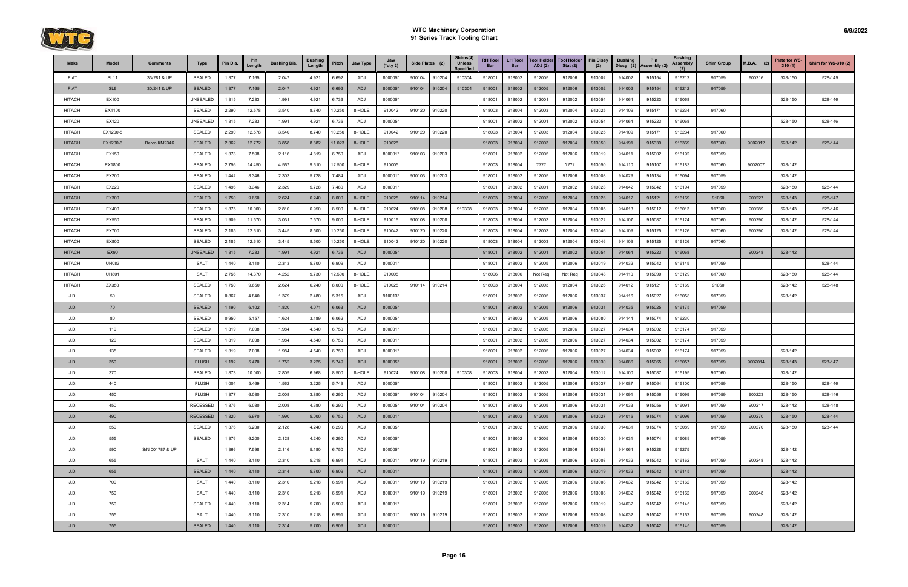

| Make           | Model           | <b>Comments</b> | Type            | Pin Dia. | Pin<br>Length | <b>Bushing Dia.</b> | <b>Bushing</b><br>Length | Pitch  | Jaw Type | Jaw<br>$(*$ qty 2) | Side Plates (2) |        | Shims(4)<br><b>Unless</b><br><b>Specified</b> | <b>RH Tool</b><br>Bar | <b>LH Tool</b><br><b>Bar</b> | <b>Tool Holder</b><br>ADJ(2) | <b>Tool Holder</b><br>Stat $(2)$ | <b>Pin Dissy</b><br>(2) | <b>Bushing</b><br>Dissy (2) | Pin<br>Assembly (2) | <b>Bushing</b><br>Assembly | <b>Shim Group</b> | <b>M.B.A.</b><br>(2) | <b>Plate for WS-</b><br>310(1) | Shim for WS-310 (2) |
|----------------|-----------------|-----------------|-----------------|----------|---------------|---------------------|--------------------------|--------|----------|--------------------|-----------------|--------|-----------------------------------------------|-----------------------|------------------------------|------------------------------|----------------------------------|-------------------------|-----------------------------|---------------------|----------------------------|-------------------|----------------------|--------------------------------|---------------------|
| <b>FIAT</b>    | <b>SL11</b>     | 33/281 & UP     | <b>SEALED</b>   | 1.377    | 7.165         | 2.047               | 4.921                    | 6.692  | ADJ      | 800005*            | 910104          | 910204 | 910304                                        | 918001                | 918002                       | 912005                       | 912006                           | 913002                  | 914002                      | 915154              | 916212                     | 917059            | 900216               | 528-150                        | 528-145             |
| <b>FIAT</b>    | SL <sub>9</sub> | 30/241 & UP     | <b>SEALED</b>   | 1.377    | 7.165         | 2.047               | 4.921                    | 6.692  | ADJ      | 800005*            | 910104          | 910204 | 910304                                        | 918001                | 918002                       | 912005                       | 912006                           | 913002                  | 914002                      | 915154              | 916212                     | 917059            |                      |                                |                     |
| <b>HITACHI</b> | EX100           |                 | UNSEALED        | 1.315    | 7.283         | 1.991               | 4.921                    | 6.736  | ADJ      | 800005*            |                 |        |                                               | 918001                | 918002                       | 912001                       | 912002                           | 913054                  | 914064                      | 915223              | 916068                     |                   |                      | 528-150                        | 528-146             |
| <b>HITACHI</b> | EX1100          |                 | <b>SEALED</b>   | 2.290    | 12.578        | 3.540               | 8.740                    | 10.250 | 8-HOLE   | 910042             | 910120          | 910220 |                                               | 918003                | 918004                       | 912003                       | 912004                           | 913025                  | 914109                      | 915171              | 916234                     | 917060            |                      |                                |                     |
| <b>HITACHI</b> | EX120           |                 | UNSEALED        | 1.315    | 7.283         | 1.991               | 4.921                    | 6.736  | ADJ      | 800005*            |                 |        |                                               | 918001                | 918002                       | 912001                       | 912002                           | 913054                  | 914064                      | 915223              | 916068                     |                   |                      | 528-150                        | 528-146             |
| <b>HITACHI</b> | EX1200-5        |                 | <b>SEALED</b>   | 2.290    | 12.578        | 3.540               | 8.740                    | 10.250 | 8-HOLE   | 910042             | 910120          | 910220 |                                               | 918003                | 918004                       | 912003                       | 912004                           | 913025                  | 914109                      | 915171              | 916234                     | 917060            |                      |                                |                     |
| <b>HITACHI</b> | EX1200-6        | Berco KM2346    | <b>SEALED</b>   | 2.362    | 12.772        | 3.858               | 8.882                    | 11.023 | 8-HOLE   | 910028             |                 |        |                                               | 918003                | 918004                       | 912003                       | 912004                           | 913050                  | 914191                      | 915339              | 916369                     | 917060            | 9002012              | 528-142                        | 528-144             |
| <b>HITACHI</b> | EX150           |                 | <b>SEALED</b>   | 1.378    | 7.598         | 2.116               | 4.819                    | 6.750  | ADJ      | 800001*            | 910103          | 910203 |                                               | 918001                | 918002                       | 912005                       | 912006                           | 913019                  | 914011                      | 915002              | 916192                     | 917059            |                      |                                |                     |
| <b>HITACHI</b> | EX1800          |                 | <b>SEALED</b>   | 2.756    | 14.450        | 4.567               | 9.610                    | 12.500 | 8-HOLE   | 910005             |                 |        |                                               | 918003                | 918004                       | ????                         | ????                             | 913050                  | 914110                      | 915107              | 916183                     | 917060            | 9002007              | 528-142                        |                     |
| <b>HITACHI</b> | EX200           |                 | <b>SEALED</b>   | 1.442    | 8.346         | 2.303               | 5.728                    | 7.484  | ADJ      | 800001*            | 910103          | 910203 |                                               | 918001                | 918002                       | 912005                       | 912006                           | 913008                  | 914029                      | 915134              | 916094                     | 917059            |                      | 528-142                        |                     |
| <b>HITACHI</b> | EX220           |                 | <b>SEALED</b>   | 1.496    | 8.346         | 2.329               | 5.728                    | 7.480  | ADJ      | 800001*            |                 |        |                                               | 918001                | 918002                       | 912001                       | 912002                           | 913028                  | 914042                      | 915042              | 916194                     | 917059            |                      | 528-150                        | 528-144             |
| <b>HITACHI</b> | EX300           |                 | <b>SEALED</b>   | 1.750    | 9.650         | 2.624               | 6.240                    | 8.000  | 8-HOLE   | 910025             | 910114          | 910214 |                                               | 918003                | 918004                       | 912003                       | 912004                           | 913026                  | 914012                      | 915121              | 916169                     | 91060             | 900227               | 528-143                        | 528-147             |
| <b>HITACHI</b> | EX400           |                 | <b>SEALED</b>   | 1.875    | 10.000        | 2.810               | 6.950                    | 8.500  | 8-HOLE   | 910024             | 910108          | 910208 | 910308                                        | 918003                | 918004                       | 912003                       | 912004                           | 913005                  | 914013                      | 915012              | 916013                     | 917060            | 900289               | 528-143                        | 528-146             |
| <b>HITACHI</b> | EX550           |                 | <b>SEALED</b>   | 1.909    | 11.570        | 3.031               | 7.570                    | 9.000  | 8-HOLE   | 910016             | 910108          | 910208 |                                               | 918003                | 918004                       | 912003                       | 912004                           | 913022                  | 914107                      | 915087              | 916124                     | 917060            | 900290               | 528-142                        | 528-144             |
| <b>HITACHI</b> | EX700           |                 | <b>SEALED</b>   | 2.185    | 12.610        | 3.445               | 8.500                    | 10.250 | 8-HOLE   | 910042             | 910120          | 910220 |                                               | 918003                | 918004                       | 912003                       | 912004                           | 913046                  | 914109                      | 915125              | 916126                     | 917060            | 900290               | 528-142                        | 528-144             |
| <b>HITACHI</b> | EX800           |                 | <b>SEALED</b>   | 2.185    | 12.610        | 3.445               | 8.500                    | 10.250 | 8-HOLE   | 910042             | 910120          | 910220 |                                               | 918003                | 918004                       | 912003                       | 912004                           | 913046                  | 914109                      | 915125              | 916126                     | 917060            |                      |                                |                     |
| <b>HITACHI</b> | <b>EX90</b>     |                 | <b>UNSEALED</b> | 1.315    | 7.283         | 1.991               | 4.921                    | 6.736  | ADJ      | 800005*            |                 |        |                                               | 918001                | 918002                       | 912001                       | 912002                           | 913054                  | 914064                      | 915223              | 916068                     |                   | 900248               | 528-142                        |                     |
| <b>HITACHI</b> | <b>UH083</b>    |                 | SALT            | 1.440    | 8.110         | 2.313               | 5.700                    | 6.909  | ADJ      | 800001*            |                 |        |                                               | 918001                | 918002                       | 912005                       | 912006                           | 913019                  | 914032                      | 915042              | 916145                     | 917059            |                      |                                | 528-144             |
| <b>HITACHI</b> | <b>UH801</b>    |                 | <b>SALT</b>     | 2.756    | 14.370        | 4.252               | 9.730                    | 12.500 | 8-HOLE   | 910005             |                 |        |                                               | 918006                | 918006                       | Not Req                      | Not Req                          | 913048                  | 914110                      | 915090              | 916129                     | 617060            |                      | 528-150                        | 528-144             |
| <b>HITACHI</b> | ZX350           |                 | <b>SEALED</b>   | 1.750    | 9.650         | 2.624               | 6.240                    | 8.000  | 8-HOLE   | 910025             | 910114          | 910214 |                                               | 918003                | 918004                       | 912003                       | 912004                           | 913026                  | 914012                      | 915121              | 916169                     | 91060             |                      | 528-142                        | 528-148             |
| J.D.           | 50              |                 | <b>SEALED</b>   | 0.867    | 4.840         | 1.379               | 2.480                    | 5.315  | ADJ      | 910013*            |                 |        |                                               | 918001                | 918002                       | 912005                       | 912006                           | 913037                  | 914116                      | 915027              | 916058                     | 917059            |                      | 528-142                        |                     |
| J.D.           | 70              |                 | <b>SEALED</b>   | 1.190    | 6.102         | 1.820               | 4.071                    | 6.063  | ADJ      | 800005*            |                 |        |                                               | 918001                | 918002                       | 912005                       | 912006                           | 913031                  | 914035                      | 915025              | 916175                     | 917059            |                      |                                |                     |
| J.D.           | 80              |                 | <b>SEALED</b>   | 0.950    | 5.157         | 1.624               | 3.189                    | 6.062  | ADJ      | 800005*            |                 |        |                                               | 918001                | 918002                       | 912005                       | 912006                           | 913080                  | 914144                      | 915074              | 916230                     |                   |                      |                                |                     |
| J.D.           | 110             |                 | <b>SEALED</b>   | 1.319    | 7.008         | 1.984               | 4.540                    | 6.750  | ADJ      | 800001*            |                 |        |                                               | 918001                | 918002                       | 912005                       | 912006                           | 913027                  | 914034                      | 915002              | 916174                     | 917059            |                      |                                |                     |
| J.D.           | 120             |                 | <b>SEALED</b>   | 1.319    | 7.008         | 1.984               | 4.540                    | 6.750  | ADJ      | 800001*            |                 |        |                                               | 918001                | 918002                       | 912005                       | 912006                           | 913027                  | 914034                      | 915002              | 916174                     | 917059            |                      |                                |                     |
| J.D.           | 135             |                 | <b>SEALED</b>   | 1.319    | 7.008         | 1.984               | 4.540                    | 6.750  | ADJ      | 800001*            |                 |        |                                               | 918001                | 918002                       | 912005                       | 912006                           | 913027                  | 914034                      | 915002              | 916174                     | 917059            |                      | 528-142                        |                     |
| J.D.           | 350             |                 | <b>FLUSH</b>    | 1.192    | 5.470         | 1.752               | 3.225                    | 5.749  | ADJ      | 800005*            |                 |        |                                               | 918001                | 918002                       | 912005                       | 912006                           | 913030                  | 914086                      | 915065              | 916057                     | 917059            | 9002014              | 528-143                        | 528-147             |
| J.D.           | 370             |                 | <b>SEALED</b>   | 1.873    | 10.000        | 2.809               | 6.968                    | 8.500  | 8-HOLE   | 910024             | 910108          | 910208 | 910308                                        | 918003                | 918004                       | 912003                       | 912004                           | 913012                  | 914100                      | 915087              | 916195                     | 917060            |                      | 528-142                        |                     |
| J.D.           | 440             |                 | <b>FLUSH</b>    | 1.004    | 5.469         | 1.562               | 3.225                    | 5.749  | ADJ      | 800005*            |                 |        |                                               | 918001                | 918002                       | 912005                       | 912006                           | 913037                  | 914087                      | 915064              | 916100                     | 917059            |                      | 528-150                        | 528-146             |
| J.D.           | 450             |                 | <b>FLUSH</b>    | 1.377    | 6.080         | 2.008               | 3.880                    | 6.290  | ADJ      | 800005*            | 910104          | 910204 |                                               | 918001                | 918002                       | 912005                       | 912006                           | 913031                  | 914091                      | 915056              | 916099                     | 917059            | 900223               | 528-150                        | 528-146             |
| J.D.           | 450             |                 | <b>RECESSED</b> | 1.376    | 6.080         | 2.008               | 4.380                    | 6.290  | ADJ      | 800005*            | 910104 910204   |        |                                               | 918001                | 918002                       | 912005                       | 912006                           | 913031                  | 914033                      | 915056              | 916091                     | 917059            | 900217               | 528-142                        | 528-148             |
| J.D.           | 490             |                 | <b>RECESSED</b> | 1.320    | 6.970         | 1.990               | 5.000                    | 6.750  | ADJ      | 800001*            |                 |        |                                               | 918001                | 918002                       | 912005                       | 912006                           | 913027                  | 914016                      | 915074              | 916096                     | 917059            | 900270               | 528-150                        | 528-144             |
| J.D.           | 550             |                 | SEALED          | 1.376    | 6.200         | 2.128               | 4.240                    | 6.290  | ADJ      | 800005*            |                 |        |                                               | 918001                | 918002                       | 912005                       | 912006                           | 913030                  | 914031                      | 915074              | 916089                     | 917059            | 900270               | 528-150                        | 528-144             |
| J.D.           | 555             |                 | SEALED          | 1.376    | 6.200         | 2.128               | 4.240                    | 6.290  | ADJ      | 800005*            |                 |        |                                               | 918001                | 918002                       | 912005                       | 912006                           | 913030                  | 914031                      | 915074              | 916089                     | 917059            |                      |                                |                     |
| J.D.           | 590             | S/N 001787 & UP |                 | 1.366    | 7.598         | 2.116               | 5.180                    | 6.750  | ADJ      | 800005*            |                 |        |                                               | 918001                | 918002                       | 912005                       | 912006                           | 913053                  | 914064                      | 915228              | 916275                     |                   |                      | 528-142                        |                     |
| J.D.           | 655             |                 | <b>SALT</b>     | 1.440    | 8.110         | 2.310               | 5.218                    | 6.991  | ADJ      | 800001*            | 910119 910219   |        |                                               | 918001                | 918002                       | 912005                       | 912006                           | 913008                  | 914032                      | 915042              | 916162                     | 917059            | 900248               | 528-142                        |                     |
| J.D.           | 655             |                 | <b>SEALED</b>   | 1.440    | 8.110         | 2.314               | 5.700                    | 6.909  | ADJ      | 800001*            |                 |        |                                               | 918001                | 918002                       | 912005                       | 912006                           | 913019                  | 914032                      | 915042              | 916145                     | 917059            |                      | 528-142                        |                     |
| J.D.           | 700             |                 | <b>SALT</b>     | 1.440    | 8.110         | 2.310               | 5.218                    | 6.991  | ADJ      | 800001*            | 910119          | 910219 |                                               | 918001                | 918002                       | 912005                       | 912006                           | 913008                  | 914032                      | 915042              | 916162                     | 917059            |                      | 528-142                        |                     |
| J.D.           | 750             |                 | <b>SALT</b>     | 1.440    | 8.110         | 2.310               | 5.218                    | 6.991  | ADJ      | 800001*            | 910119          | 910219 |                                               | 918001                | 918002                       | 912005                       | 912006                           | 913008                  | 914032                      | 915042              | 916162                     | 917059            | 900248               | 528-142                        |                     |
| J.D.           | 750             |                 | <b>SEALED</b>   | 1.440    | 8.110         | 2.314               | 5.700                    | 6.909  | ADJ      | 800001*            |                 |        |                                               | 918001                | 918002                       | 912005                       | 912006                           | 913019                  | 914032                      | 915042              | 916145                     | 917059            |                      | 528-142                        |                     |
| J.D.           | 755             |                 | <b>SALT</b>     | 1.440    | 8.110         | 2.310               | 5.218                    | 6.991  | ADJ      | 800001*            | 910119 910219   |        |                                               | 918001                | 918002                       | 912005                       | 912006                           | 913008                  | 914032                      | 915042              | 916162                     | 917059            | 900248               | 528-142                        |                     |
| J.D.           | 755             |                 | <b>SEALED</b>   | 1.440    | 8.110         | 2.314               | 5.700                    | 6.909  | ADJ      | 800001*            |                 |        |                                               | 918001                | 918002                       | 912005                       | 912006                           | 913019                  | 914032                      | 915042              | 916145                     | 917059            |                      | 528-142                        |                     |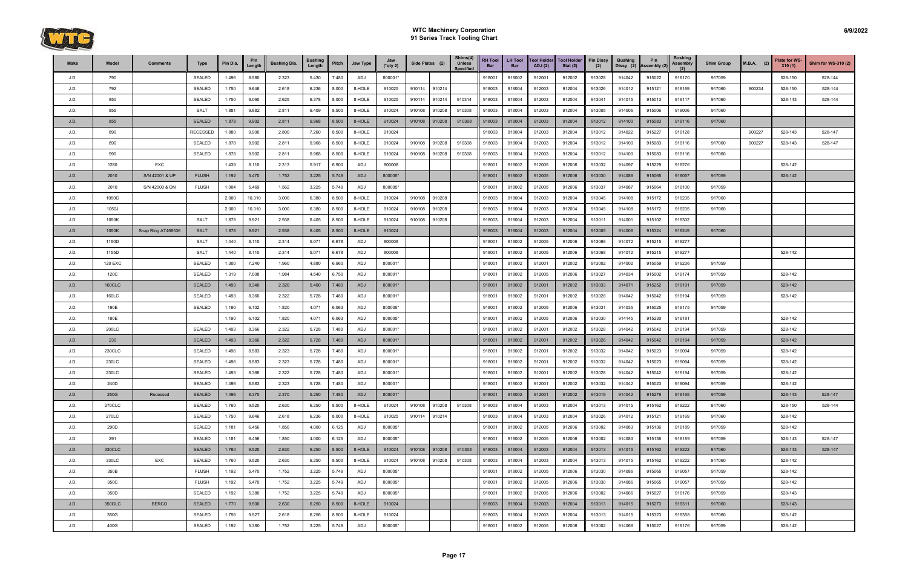

| Make | Model   | <b>Comments</b>    | Type            | Pin Dia. | Pin<br>Length | <b>Bushing Dia.</b> | <b>Bushing</b><br>Length | Pitch | Jaw Type | Jaw<br>$(*$ qty 2) | Side Plates (2) |        | Shims(4)<br><b>Unless</b><br><b>Specified</b> | <b>RH Tool</b><br>Bar | <b>LH Tool</b><br><b>Bar</b> | <b>Tool Holder</b><br>ADJ(2) | <b>Tool Holder</b><br>Stat $(2)$ | <b>Pin Dissy</b><br>(2) | <b>Bushing</b><br>Dissy (2) | Pin<br>Assembly (2) | <b>Bushing</b><br><b>Assembly</b><br>(2) | <b>Shim Group</b> | $M.B.A.$ (2) | <b>Plate for WS-</b><br>310(1) | <b>Shim for WS-310 (2)</b> |
|------|---------|--------------------|-----------------|----------|---------------|---------------------|--------------------------|-------|----------|--------------------|-----------------|--------|-----------------------------------------------|-----------------------|------------------------------|------------------------------|----------------------------------|-------------------------|-----------------------------|---------------------|------------------------------------------|-------------------|--------------|--------------------------------|----------------------------|
| J.D. | 790     |                    | <b>SEALED</b>   | 1.496    | 8.580         | 2.323               | 5.430                    | 7.480 | ADJ      | 800001*            |                 |        |                                               | 918001                | 918002                       | 912001                       | 912002                           | 913028                  | 914042                      | 915022              | 916170                                   | 917059            |              | 528-150                        | 528-144                    |
| J.D. | 792     |                    | <b>SEALED</b>   | 1.750    | 9.646         | 2.618               | 6.236                    | 8.000 | 8-HOLE   | 910025             | 910114          | 910214 |                                               | 918003                | 918004                       | 912003                       | 912004                           | 913026                  | 914012                      | 915121              | 916169                                   | 917060            | 900234       | 528-150                        | 528-144                    |
| J.D. | 850     |                    | <b>SEALED</b>   | 1.750    | 9.060         | 2.625               | 6.378                    | 8.000 | 8-HOLE   | 910025             | 910114          | 910214 | 910314                                        | 918003                | 918004                       | 912003                       | 912004                           | 913041                  | 914015                      | 915013              | 916117                                   | 917060            |              | 528-143                        | 528-144                    |
| J.D. | 855     |                    | <b>SALT</b>     | 1.881    | 9.882         | 2.811               | 9.409                    | 8.500 | 8-HOLE   | 910024             | 910108          | 910208 | 910308                                        | 918003                | 918004                       | 912003                       | 912004                           | 913005                  | 914006                      | 915006              | 916006                                   | 917060            |              |                                |                            |
| J.D. | 855     |                    | <b>SEALED</b>   | 1.878    | 9.902         | 2.811               | 9.968                    | 8.500 | 8-HOLE   | 910024             | 910108          | 910208 | 910308                                        | 918003                | 918004                       | 912003                       | 912004                           | 913012                  | 914100                      | 915083              | 916116                                   | 917060            |              |                                |                            |
| J.D. | 890     |                    | <b>RECESSED</b> | 1.880    | 9.900         | 2.800               | 7.260                    | 8.500 | 8-HOLE   | 910024             |                 |        |                                               | 918003                | 918004                       | 912003                       | 912004                           | 913012                  | 914022                      | 915227              | 916128                                   |                   | 900227       | 528-143                        | 528-147                    |
| J.D. | 890     |                    | <b>SEALED</b>   | 1.878    | 9.902         | 2.811               | 9.968                    | 8.500 | 8-HOLE   | 910024             | 910108          | 910208 | 910308                                        | 918003                | 918004                       | 912003                       | 912004                           | 913012                  | 914100                      | 915083              | 916116                                   | 917060            | 900227       | 528-143                        | 528-147                    |
| J.D. | 990     |                    | <b>SEALED</b>   | 1.878    | 9.902         | 2.811               | 9.968                    | 8.500 | 8-HOLE   | 910024             | 910108          | 910208 | 910308                                        | 918003                | 918004                       | 912003                       | 912004                           | 913012                  | 914100                      | 915083              | 916116                                   | 917060            |              |                                |                            |
| J.D. | 1280    | EXC                |                 | 1.439    | 8.110         | 2.313               | 5.917                    | 6.900 | ADJ      | 800008             |                 |        |                                               | 918001                | 918002                       | 912005                       | 912006                           | 913032                  | 914097                      | 915229              | 916276                                   |                   |              | 528-142                        |                            |
| J.D. | 2010    | S/N 42001 & UP     | <b>FLUSH</b>    | 1.192    | 5.470         | 1.752               | 3.225                    | 5.749 | ADJ      | 800005*            |                 |        |                                               | 918001                | 918002                       | 912005                       | 912006                           | 913030                  | 914086                      | 915065              | 916057                                   | 917059            |              | 528-142                        |                            |
| J.D. | 2010    | S/N 42000 & DN     | <b>FLUSH</b>    | 1.004    | 5.469         | 1.562               | 3.225                    | 5.749 | ADJ      | 800005*            |                 |        |                                               | 918001                | 918002                       | 912005                       | 912006                           | 913037                  | 914087                      | 915064              | 916100                                   | 917059            |              |                                |                            |
| J.D. | 1050C   |                    |                 | 2.000    | 10.310        | 3.000               | 6.380                    | 8.500 | 8-HOLE   | 910024             | 910108          | 910208 |                                               | 918003                | 918004                       | 912003                       | 912004                           | 913045                  | 914108                      | 915172              | 916235                                   | 917060            |              |                                |                            |
| J.D. | 1050J   |                    |                 | 2.000    | 10.310        | 3.000               | 6.380                    | 8.500 | 8-HOLE   | 910024             | 910108          | 910208 |                                               | 918003                | 918004                       | 912003                       | 912004                           | 913045                  | 914108                      | 915172              | 916235                                   | 917060            |              |                                |                            |
| J.D. | 1050K   |                    | <b>SALT</b>     | 1.878    | 9.921         | 2.938               | 6.405                    | 8.500 | 8-HOLE   | 910024             | 910108          | 910208 |                                               | 918003                | 918004                       | 912003                       | 912004                           | 913011                  | 914001                      | 915102              | 916302                                   |                   |              |                                |                            |
| J.D. | 1050K   | Snap Ring AT468536 | <b>SALT</b>     | 1.878    | 9.921         | 2.938               | 6.405                    | 8.500 | 8-HOLE   | 910024             |                 |        |                                               | 918003                | 918004                       | 912003                       | 912004                           | 913005                  | 914006                      | 915324              | 916249                                   | 917060            |              |                                |                            |
| J.D. | 1150D   |                    | <b>SALT</b>     | 1.440    | 8.110         | 2.314               | 5.071                    | 6.678 | ADJ      | 800008             |                 |        |                                               | 918001                | 918002                       | 912005                       | 912006                           | 913068                  | 914072                      | 915215              | 916277                                   |                   |              |                                |                            |
| J.D. | 1155D   |                    | <b>SALT</b>     | 1.440    | 8.110         | 2.314               | 5.071                    | 6.678 | ADJ      | 800008             |                 |        |                                               | 918001                | 918002                       | 912005                       | 912006                           | 913068                  | 914072                      | 915215              | 916277                                   |                   |              | 528-142                        |                            |
| J.D. | 120 EXC |                    | <b>SEALED</b>   | 1.300    | 7.240         | 1.960               | 4.880                    | 6.960 | ADJ      | 800001*            |                 |        |                                               | 918001                | 918002                       | 912001                       | 912002                           | 913002                  | 914002                      | 915059              | 916236                                   | 917059            |              |                                |                            |
| J.D. | 120C    |                    | <b>SEALED</b>   | 1.319    | 7.008         | 1.984               | 4.540                    | 6.750 | ADJ      | 800001*            |                 |        |                                               | 918001                | 918002                       | 912005                       | 912006                           | 913027                  | 914034                      | 915002              | 916174                                   | 917059            |              | 528-142                        |                            |
| J.D. | 160CLC  |                    | <b>SEALED</b>   | 1.493    | 8.340         | 2.320               | 5.400                    | 7.480 | ADJ      | 800001*            |                 |        |                                               | 918001                | 918002                       | 912001                       | 912002                           | 913033                  | 914071                      | 915252              | 916191                                   | 917059            |              | 528-142                        |                            |
| J.D. | 160LC   |                    | <b>SEALED</b>   | 1.493    | 8.366         | 2.322               | 5.728                    | 7.480 | ADJ      | 800001*            |                 |        |                                               | 918001                | 918002                       | 912001                       | 912002                           | 913028                  | 914042                      | 915042              | 916194                                   | 917059            |              | 528-142                        |                            |
| J.D. | 190E    |                    | <b>SEALED</b>   | 1.190    | 6.102         | 1.820               | 4.071                    | 6.063 | ADJ      | 800005*            |                 |        |                                               | 918001                | 918002                       | 912005                       | 912006                           | 913031                  | 914035                      | 915025              | 916175                                   | 917059            |              |                                |                            |
| J.D. | 190E    |                    |                 | 1.190    | 6.102         | 1.820               | 4.071                    | 6.063 | ADJ      | 800005*            |                 |        |                                               | 918001                | 918002                       | 912005                       | 912006                           | 913030                  | 914145                      | 915230              | 916181                                   |                   |              | 528-142                        |                            |
| J.D. | 200LC   |                    | <b>SEALED</b>   | 1.493    | 8.366         | 2.322               | 5.728                    | 7.480 | ADJ      | 800001*            |                 |        |                                               | 918001                | 918002                       | 912001                       | 912002                           | 913028                  | 914042                      | 915042              | 916194                                   | 917059            |              | 528-142                        |                            |
| J.D. | 230     |                    | <b>SEALED</b>   | 1.493    | 8.366         | 2.322               | 5.728                    | 7.480 | ADJ      | 800001*            |                 |        |                                               | 918001                | 918002                       | 912001                       | 912002                           | 913028                  | 914042                      | 915042              | 916194                                   | 917059            |              | 528-142                        |                            |
| J.D. | 230CLC  |                    | <b>SEALED</b>   | 1.496    | 8.583         | 2.323               | 5.728                    | 7.480 | ADJ      | 800001*            |                 |        |                                               | 918001                | 918002                       | 912001                       | 912002                           | 913032                  | 914042                      | 915023              | 916094                                   | 917059            |              | 528-142                        |                            |
| J.D. | 230LC   |                    | <b>SEALED</b>   | 1.496    | 8.583         | 2.323               | 5.728                    | 7.480 | ADJ      | 800001*            |                 |        |                                               | 918001                | 918002                       | 912001                       | 912002                           | 913032                  | 914042                      | 915023              | 916094                                   | 917059            |              | 528-142                        |                            |
| J.D. | 230LC   |                    | <b>SEALED</b>   | 1.493    | 8.366         | 2.322               | 5.728                    | 7.480 | ADJ      | 800001*            |                 |        |                                               | 918001                | 918002                       | 912001                       | 912002                           | 913028                  | 914042                      | 915042              | 916194                                   | 917059            |              | 528-142                        |                            |
| J.D. | 240D    |                    | <b>SEALED</b>   | 1.496    | 8.583         | 2.323               | 5.728                    | 7.480 | ADJ      | 800001*            |                 |        |                                               | 918001                | 918002                       | 912001                       | 912002                           | 913032                  | 914042                      | 915023              | 916094                                   | 917059            |              | 528-142                        |                            |
| J.D. | 250G    | Recessed           | <b>SEALED</b>   | 1.496    | 8.370         | 2.370               | 5.250                    | 7.480 | ADJ      | 800001*            |                 |        |                                               | 918001                | 918002                       | 912001                       | 912002                           | 913019                  | 914042                      | 915279              | 916165                                   | 917059            |              | 528-143                        | 528-147                    |
| J.D. | 270CLC  |                    | SEALED          | 1.760    | 9.520         | 2.630               | 6.250                    | 8.500 | 8-HOLE   | 910024             | 910108          | 910208 | 910308                                        | 918003                | 918004                       | 912003                       | 912004                           | 913013                  | 914015                      | 915162              | 916222                                   | 917060            |              | 528-150                        | 528-144                    |
| J.D. | 270LC   |                    | <b>SEALED</b>   | 1.750    | 9.646         | 2.618               | 6.236                    | 8.000 | 8-HOLE   | 910025             | 910114          | 910214 |                                               | 918003                | 918004                       | 912003                       | 912004                           | 913026                  | 914012                      | 915121              | 916169                                   | 917060            |              | 528-142                        |                            |
| J.D. | 290D    |                    | SEALED          | 1.181    | 6.456         | 1.850               | 4.000                    | 6.125 | ADJ      | 800005*            |                 |        |                                               | 918001                | 918002                       | 912005                       | 912006                           | 913002                  | 914083                      | 915136              | 916189                                   | 917059            |              | 528-142                        |                            |
| J.D. | 291     |                    | SEALED          | 1.181    | 6.456         | 1.850               | 4.000                    | 6.125 | ADJ      | 800005*            |                 |        |                                               | 918001                | 918002                       | 912005                       | 912006                           | 913002                  | 914083                      | 915136              | 916189                                   | 917059            |              | 528-143                        | 528-147                    |
| J.D. | 330CLC  |                    | <b>SEALED</b>   | 1.760    | 9.520         | 2.630               | 6.250                    | 8.500 | 8-HOLE   | 910024             | 910108          | 910208 | 910308                                        | 918003                | 918004                       | 912003                       | 912004                           | 913013                  | 914015                      | 915162              | 916222                                   | 917060            |              | 528-143                        | 528-147                    |
| J.D. | 330LC   | EXC                | <b>SEALED</b>   | 1.760    | 9.520         | 2.630               | 6.250                    | 8.500 | 8-HOLE   | 910024             | 910108          | 910208 | 910308                                        | 918003                | 918004                       | 912003                       | 912004                           | 913013                  | 914015                      | 915162              | 916222                                   | 917060            |              | 528-142                        |                            |
| J.D. | 350B    |                    | <b>FLUSH</b>    | 1.192    | 5.470         | 1.752               | 3.225                    | 5.749 | ADJ      | 800005*            |                 |        |                                               | 918001                | 918002                       | 912005                       | 912006                           | 913030                  | 914086                      | 915065              | 916057                                   | 917059            |              | 528-142                        |                            |
| J.D. | 350C    |                    | <b>FLUSH</b>    | 1.192    | 5.470         | 1.752               | 3.225                    | 5.749 | ADJ      | 800005*            |                 |        |                                               | 918001                | 918002                       | 912005                       | 912006                           | 913030                  | 914086                      | 915065              | 916057                                   | 917059            |              | 528-142                        |                            |
| J.D. | 350D    |                    | <b>SEALED</b>   | 1.192    | 5.380         | 1.752               | 3.225                    | 5.749 | ADJ      | 800005*            |                 |        |                                               | 918001                | 918002                       | 912005                       | 912006                           | 913002                  | 914066                      | 915027              | 916176                                   | 917059            |              | 528-143                        |                            |
| J.D. | 350GLC  | <b>BERCO</b>       | <b>SEALED</b>   | 1.770    | 9.500         | 2.630               | 6.250                    | 8.500 | 8-HOLE   | 910024             |                 |        |                                               | 918003                | 918004                       | 912003                       | 912004                           | 913013                  | 914015                      | 915273              | 916311                                   | 917060            |              | 528-143                        |                            |
| J.D. | 350G    |                    | <b>SEALED</b>   | 1.756    | 9.527         | 2.618               | 6.256                    | 8.500 | 8-HOLE   | 910024             |                 |        |                                               | 918003                | 918004                       | 912003                       | 912004                           | 913013                  | 914015                      | 915323              | 916358                                   | 917060            |              | 528-142                        |                            |
| J.D. | 400G    |                    | SEALED          | 1.192    | 5.380         | 1.752               | 3.225                    | 5.749 | ADJ      | 800005*            |                 |        |                                               | 918001                | 918002                       | 912005                       | 912006                           | 913002                  | 914066                      | 915027              | 916176                                   | 917059            |              | 528-142                        |                            |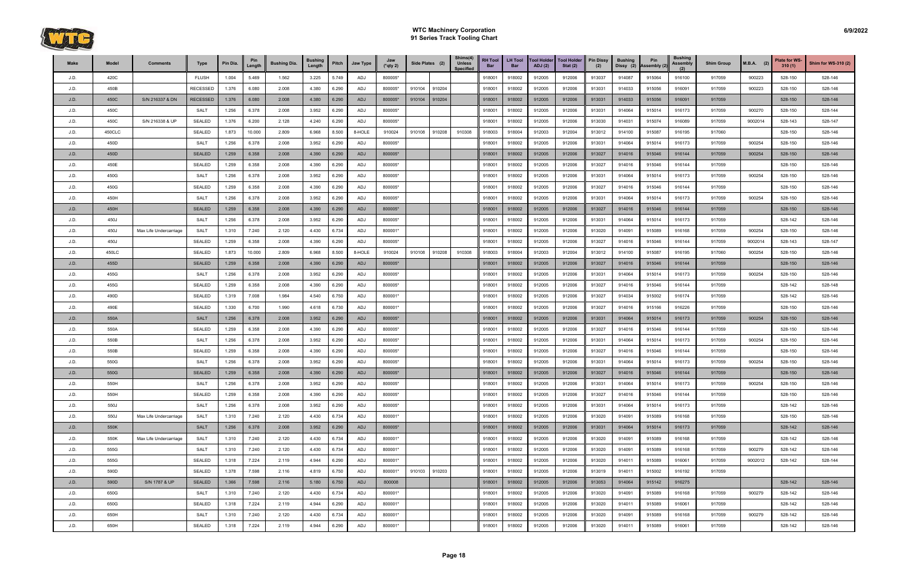

| Make | Model  | <b>Comments</b>        | Type            | Pin Dia. | Pin<br>Length | <b>Bushing Dia.</b> | <b>Bushing</b><br>Length | Pitch | Jaw Type   | Jaw<br>$(*$ qty 2) | Side Plates (2)  | Shims(4)<br><b>Unless</b><br><b>Specified</b> | <b>RH Tool</b><br>Bar | <b>LH Tool</b><br><b>Bar</b> | <b>Tool Holder</b><br><b>ADJ</b> (2) | <b>Tool Holder</b><br>Stat $(2)$ | <b>Pin Dissy</b><br>(2) | <b>Bushing</b><br>Dissy (2) | Pin<br>Assembly (2) | <b>Bushing</b><br><b>Assembly</b><br>(2) | <b>Shim Group</b> | $M.B.A.$ (2) | <b>Plate for WS-</b><br>310(1) | <b>Shim for WS-310 (2)</b> |
|------|--------|------------------------|-----------------|----------|---------------|---------------------|--------------------------|-------|------------|--------------------|------------------|-----------------------------------------------|-----------------------|------------------------------|--------------------------------------|----------------------------------|-------------------------|-----------------------------|---------------------|------------------------------------------|-------------------|--------------|--------------------------------|----------------------------|
| J.D. | 420C   |                        | <b>FLUSH</b>    | 1.004    | 5.469         | 1.562               | 3.225                    | 5.749 | ADJ        | 800005*            |                  |                                               | 918001                | 918002                       | 912005                               | 912006                           | 913037                  | 914087                      | 915064              | 916100                                   | 917059            | 900223       | 528-150                        | 528-146                    |
| J.D. | 450B   |                        | <b>RECESSED</b> | 1.376    | 6.080         | 2.008               | 4.380                    | 6.290 | ADJ        | 800005*            | 910104<br>910204 |                                               | 918001                | 918002                       | 912005                               | 912006                           | 913031                  | 914033                      | 915056              | 916091                                   | 917059            | 900223       | 528-150                        | 528-146                    |
| J.D. | 450C   | S/N 216337 & DN        | <b>RECESSED</b> | 1.376    | 6.080         | 2.008               | 4.380                    | 6.290 | <b>ADJ</b> | 800005*            | 910204<br>910104 |                                               | 918001                | 918002                       | 912005                               | 912006                           | 913031                  | 914033                      | 915056              | 916091                                   | 917059            |              | 528-150                        | 528-146                    |
| J.D. | 450C   |                        | <b>SALT</b>     | 1.256    | 6.378         | 2.008               | 3.952                    | 6.290 | ADJ        | 800005*            |                  |                                               | 918001                | 918002                       | 912005                               | 912006                           | 913031                  | 914064                      | 915014              | 916173                                   | 917059            | 900270       | 528-150                        | 528-144                    |
| J.D. | 450C   | S/N 216338 & UP        | SEALED          | 1.376    | 6.200         | 2.128               | 4.240                    | 6.290 | ADJ        | 800005*            |                  |                                               | 918001                | 918002                       | 912005                               | 912006                           | 913030                  | 914031                      | 915074              | 916089                                   | 917059            | 9002014      | 528-143                        | 528-147                    |
| J.D. | 450CLC |                        | SEALED          | 1.873    | 10.000        | 2.809               | 6.968                    | 8.500 | 8-HOLE     | 910024             | 910108<br>910208 | 910308                                        | 918003                | 918004                       | 912003                               | 912004                           | 913012                  | 914100                      | 915087              | 916195                                   | 917060            |              | 528-150                        | 528-146                    |
| J.D. | 450D   |                        | <b>SALT</b>     | 1.256    | 6.378         | 2.008               | 3.952                    | 6.290 | ADJ        | 800005*            |                  |                                               | 918001                | 918002                       | 912005                               | 912006                           | 913031                  | 914064                      | 915014              | 916173                                   | 917059            | 900254       | 528-150                        | 528-146                    |
| J.D. | 450D   |                        | <b>SEALED</b>   | 1.259    | 6.358         | 2.008               | 4.390                    | 6.290 | <b>ADJ</b> | 800005*            |                  |                                               | 918001                | 918002                       | 912005                               | 912006                           | 913027                  | 914016                      | 915046              | 916144                                   | 917059            | 900254       | 528-150                        | 528-146                    |
| J.D. | 450E   |                        | SEALED          | 1.259    | 6.358         | 2.008               | 4.390                    | 6.290 | ADJ        | 800005*            |                  |                                               | 918001                | 918002                       | 912005                               | 912006                           | 913027                  | 914016                      | 915046              | 916144                                   | 917059            |              | 528-150                        | 528-146                    |
| J.D. | 450G   |                        | SALT            | 1.256    | 6.378         | 2.008               | 3.952                    | 6.290 | ADJ        | 800005*            |                  |                                               | 918001                | 918002                       | 912005                               | 912006                           | 913031                  | 914064                      | 915014              | 916173                                   | 917059            | 900254       | 528-150                        | 528-146                    |
| J.D. | 450G   |                        | SEALED          | 1.259    | 6.358         | 2.008               | 4.390                    | 6.290 | ADJ        | 800005*            |                  |                                               | 918001                | 918002                       | 912005                               | 912006                           | 913027                  | 914016                      | 915046              | 916144                                   | 917059            |              | 528-150                        | 528-146                    |
| J.D. | 450H   |                        | SALT            | 1.256    | 6.378         | 2.008               | 3.952                    | 6.290 | ADJ        | 800005*            |                  |                                               | 918001                | 918002                       | 912005                               | 912006                           | 913031                  | 914064                      | 915014              | 916173                                   | 917059            | 900254       | 528-150                        | 528-146                    |
| J.D. | 450H   |                        | <b>SEALED</b>   | 1.259    | 6.358         | 2.008               | 4.390                    | 6.290 | <b>ADJ</b> | 800005*            |                  |                                               | 918001                | 918002                       | 912005                               | 912006                           | 913027                  | 914016                      | 915046              | 916144                                   | 917059            |              | 528-150                        | 528-146                    |
| J.D. | 450J   |                        | SALT            | 1.256    | 6.378         | 2.008               | 3.952                    | 6.290 | ADJ        | 800005*            |                  |                                               | 918001                | 918002                       | 912005                               | 912006                           | 913031                  | 914064                      | 915014              | 916173                                   | 917059            |              | 528-142                        | 528-146                    |
| J.D. | 450J   | Max Life Undercarriage | <b>SALT</b>     | 1.310    | 7.240         | 2.120               | 4.430                    | 6.734 | ADJ        | 800001*            |                  |                                               | 918001                | 918002                       | 912005                               | 912006                           | 913020                  | 914091                      | 915089              | 916168                                   | 917059            | 900254       | 528-150                        | 528-146                    |
| J.D. | 450J   |                        | <b>SEALED</b>   | 1.259    | 6.358         | 2.008               | 4.390                    | 6.290 | ADJ        | 800005*            |                  |                                               | 918001                | 918002                       | 912005                               | 912006                           | 913027                  | 914016                      | 915046              | 916144                                   | 917059            | 9002014      | 528-143                        | 528-147                    |
| J.D. | 450LC  |                        | SEALED          | 1.873    | 10.000        | 2.809               | 6.968                    | 8.500 | 8-HOLE     | 910024             | 910108<br>910208 | 910308                                        | 918003                | 918004                       | 912003                               | 912004                           | 913012                  | 914100                      | 915087              | 916195                                   | 917060            | 900254       | 528-150                        | 528-146                    |
| J.D. | 455D   |                        | SEALED          | 1.259    | 6.358         | 2.008               | 4.390                    | 6.290 | ADJ        | 800005*            |                  |                                               | 918001                | 918002                       | 912005                               | 912006                           | 913027                  | 914016                      | 915046              | 916144                                   | 917059            |              | 528-150                        | 528-146                    |
| J.D. | 455G   |                        | <b>SALT</b>     | 1.256    | 6.378         | 2.008               | 3.952                    | 6.290 | ADJ        | 800005*            |                  |                                               | 918001                | 918002                       | 912005                               | 912006                           | 913031                  | 914064                      | 915014              | 916173                                   | 917059            | 900254       | 528-150                        | 528-146                    |
| J.D. | 455G   |                        | SEALED          | 1.259    | 6.358         | 2.008               | 4.390                    | 6.290 | ADJ        | 800005*            |                  |                                               | 918001                | 918002                       | 912005                               | 912006                           | 913027                  | 914016                      | 915046              | 916144                                   | 917059            |              | 528-142                        | 528-148                    |
| J.D. | 490D   |                        | SEALED          | 1.319    | 7.008         | 1.984               | 4.540                    | 6.750 | ADJ        | 800001*            |                  |                                               | 918001                | 918002                       | 912005                               | 912006                           | 913027                  | 914034                      | 915002              | 916174                                   | 917059            |              | 528-142                        | 528-146                    |
| J.D. | 490E   |                        | SEALED          | 1.330    | 6.700         | 1.990               | 4.618                    | 6.730 | ADJ        | 800001*            |                  |                                               | 918001                | 918002                       | 912005                               | 912006                           | 913027                  | 914016                      | 915166              | 916226                                   | 917059            |              | 528-150                        | 528-146                    |
| J.D. | 550A   |                        | <b>SALT</b>     | 1.256    | 6.378         | 2.008               | 3.952                    | 6.290 | ADJ        | 800005*            |                  |                                               | 918001                | 918002                       | 912005                               | 912006                           | 913031                  | 914064                      | 915014              | 916173                                   | 917059            | 900254       | 528-150                        | 528-146                    |
| J.D. | 550A   |                        | SEALED          | 1.259    | 6.358         | 2.008               | 4.390                    | 6.290 | ADJ        | 800005*            |                  |                                               | 918001                | 918002                       | 912005                               | 912006                           | 913027                  | 914016                      | 915046              | 916144                                   | 917059            |              | 528-150                        | 528-146                    |
| J.D. | 550B   |                        | SALT            | 1.256    | 6.378         | 2.008               | 3.952                    | 6.290 | ADJ        | 800005*            |                  |                                               | 918001                | 918002                       | 912005                               | 912006                           | 913031                  | 914064                      | 915014              | 916173                                   | 917059            | 900254       | 528-150                        | 528-146                    |
| J.D. | 550B   |                        | SEALED          | 1.259    | 6.358         | 2.008               | 4.390                    | 6.290 | ADJ        | 800005*            |                  |                                               | 91800 <sup>-</sup>    | 918002                       | 912005                               | 912006                           | 913027                  | 914016                      | 915046              | 916144                                   | 917059            |              | 528-150                        | 528-146                    |
| J.D. | 550G   |                        | SALT            | 1.256    | 6.378         | 2.008               | 3.952                    | 6.290 | ADJ        | 800005*            |                  |                                               | 918001                | 918002                       | 912005                               | 912006                           | 913031                  | 914064                      | 915014              | 916173                                   | 917059            | 900254       | 528-150                        | 528-146                    |
| J.D. | 550G   |                        | <b>SEALED</b>   | 1.259    | 6.358         | 2.008               | 4.390                    | 6.290 | <b>ADJ</b> | 800005*            |                  |                                               | 918001                | 918002                       | 912005                               | 912006                           | 913027                  | 914016                      | 915046              | 916144                                   | 917059            |              | 528-150                        | 528-146                    |
| J.D. | 550H   |                        | <b>SALT</b>     | 1.256    | 6.378         | 2.008               | 3.952                    | 6.290 | <b>ADJ</b> | 800005*            |                  |                                               | 918001                | 918002                       | 912005                               | 912006                           | 913031                  | 914064                      | 915014              | 916173                                   | 917059            | 900254       | 528-150                        | 528-146                    |
| J.D. | 550H   |                        | SEALED          | 1.259    | 6.358         | 2.008               | 4.390                    | 6.290 | ADJ        | 800005*            |                  |                                               | 918001                | 918002                       | 912005                               | 912006                           | 913027                  | 914016                      | 915046              | 916144                                   | 917059            |              | 528-150                        | 528-146                    |
| J.D. | 550J   |                        | SALT            | 1.256    | 6.378         | 2.008               | 3.952                    | 6.290 | ADJ        | 800005*            |                  |                                               | 918001                | 918002                       | 912005                               | 912006                           | 913031                  | 914064                      | 915014              | 916173                                   | 917059            |              | 528-142                        | 528-146                    |
| J.D. | 550J   | Max Life Undercarriage | SALT            | 1.310    | 7.240         | 2.120               | 4.430                    | 6.734 | ADJ        | 800001*            |                  |                                               | 918001                | 918002                       | 912005                               | 912006                           | 913020                  | 914091                      | 915089              | 916168                                   | 917059            |              | 528-150                        | 528-146                    |
| J.D. | 550K   |                        | <b>SALT</b>     | 1.256    | 6.378         | 2.008               | 3.952                    | 6.290 | ADJ        | 800005*            |                  |                                               | 918001                | 918002                       | 912005                               | 912006                           | 913031                  | 914064                      | 915014              | 916173                                   | 917059            |              | 528-142                        | 528-146                    |
| J.D. | 550K   | Max Life Undercarriage | SALT            | 1.310    | 7.240         | 2.120               | 4.430                    | 6.734 | ADJ        | 800001*            |                  |                                               | 918001                | 918002                       | 912005                               | 912006                           | 913020                  | 914091                      | 915089              | 916168                                   | 917059            |              | 528-142                        | 528-146                    |
| J.D. | 555G   |                        | <b>SALT</b>     | 1.310    | 7.240         | 2.120               | 4.430                    | 6.734 | ADJ        | 800001*            |                  |                                               | 918001                | 918002                       | 912005                               | 912006                           | 913020                  | 914091                      | 915089              | 916168                                   | 917059            | 900279       | 528-142                        | 528-146                    |
| J.D. | 555G   |                        | SEALED          | 1.318    | 7.224         | 2.119               | 4.944                    | 6.290 | ADJ        | 800001*            |                  |                                               | 918001                | 918002                       | 912005                               | 912006                           | 913020                  | 914011                      | 915089              | 916061                                   | 917059            | 9002012      | 528-142                        | 528-144                    |
| J.D. | 590D   |                        | SEALED          | 1.378    | 7.598         | 2.116               | 4.819                    | 6.750 | ADJ        | 800001*            | 910103<br>910203 |                                               | 918001                | 918002                       | 912005                               | 912006                           | 913019                  | 914011                      | 915002              | 916192                                   | 917059            |              |                                |                            |
| J.D. | 590D   | S/N 1787 & UP          | <b>SEALED</b>   | 1.366    | 7.598         | 2.116               | 5.180                    | 6.750 | ADJ        | 800008             |                  |                                               | 918001                | 918002                       | 912005                               | 912006                           | 913053                  | 914064                      | 915142              | 916275                                   |                   |              | 528-142                        | 528-146                    |
| J.D. | 650G   |                        | <b>SALT</b>     | 1.310    | 7.240         | 2.120               | 4.430                    | 6.734 | ADJ        | 800001*            |                  |                                               | 918001                | 918002                       | 912005                               | 912006                           | 913020                  | 914091                      | 915089              | 916168                                   | 917059            | 900279       | 528-142                        | 528-146                    |
| J.D. | 650G   |                        | <b>SEALED</b>   | 1.318    | 7.224         | 2.119               | 4.944                    | 6.290 | ADJ        | 800001*            |                  |                                               | 918001                | 918002                       | 912005                               | 912006                           | 913020                  | 914011                      | 915089              | 916061                                   | 917059            |              | 528-142                        | 528-146                    |
| J.D. | 650H   |                        | <b>SALT</b>     | 1.310    | 7.240         | 2.120               | 4.430                    | 6.734 | ADJ        | 800001*            |                  |                                               | 918001                | 918002                       | 912005                               | 912006                           | 913020                  | 914091                      | 915089              | 916168                                   | 917059            | 900279       | 528-142                        | 528-146                    |
| J.D. | 650H   |                        | SEALED          | 1.318    | 7.224         | 2.119               | 4.944                    | 6.290 | ADJ        | 800001*            |                  |                                               | 918001                | 918002                       | 912005                               | 912006                           | 913020                  | 914011                      | 915089              | 916061                                   | 917059            |              | 528-142                        | 528-146                    |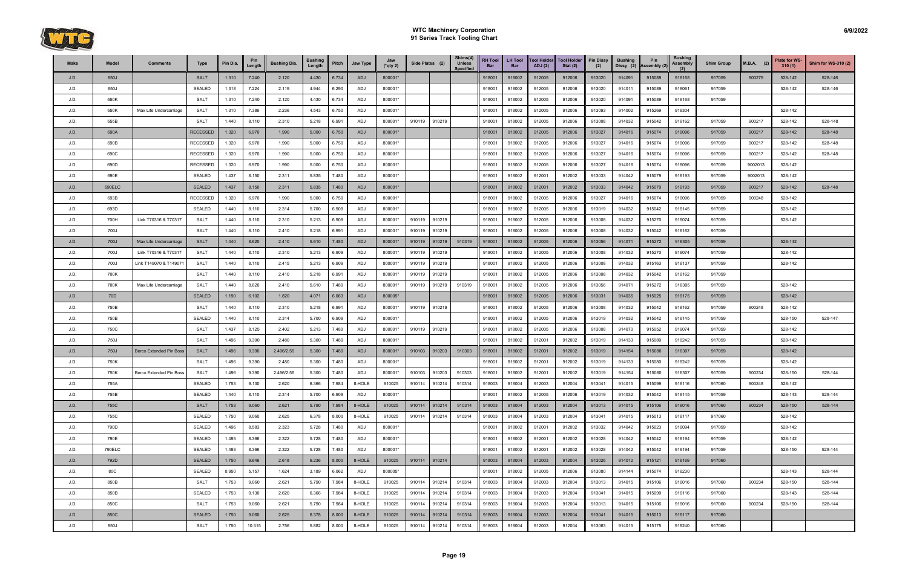

| Make | Model           | <b>Comments</b>         | Type            | Pin Dia. | Pin<br>Length | <b>Bushing Dia.</b> | <b>Bushing</b><br>Length | Pitch | Jaw Type   | Jaw<br>$(*$ qty 2) | Side Plates (2)  | Shims(4)<br><b>Unless</b><br><b>Specified</b> | <b>RH Tool</b><br>Bar | <b>LH Tool</b><br><b>Bar</b> | <b>Tool Holder</b><br>ADJ(2) | <b>Tool Holder</b><br>Stat $(2)$ | <b>Pin Dissy</b><br>(2) | <b>Bushing</b><br>Dissy (2) | Pin<br>Assembly (2) | <b>Bushing</b><br><b>Assembly</b><br>(2) | <b>Shim Group</b> | $M.B.A.$ (2) | <b>Plate for WS-</b><br>310(1) | Shim for WS-310 (2) |
|------|-----------------|-------------------------|-----------------|----------|---------------|---------------------|--------------------------|-------|------------|--------------------|------------------|-----------------------------------------------|-----------------------|------------------------------|------------------------------|----------------------------------|-------------------------|-----------------------------|---------------------|------------------------------------------|-------------------|--------------|--------------------------------|---------------------|
| J.D. | 650J            |                         | <b>SALT</b>     | 1.310    | 7.240         | 2.120               | 4.430                    | 6.734 | <b>ADJ</b> | 800001*            |                  |                                               | 918001                | 918002                       | 912005                       | 912006                           | 913020                  | 914091                      | 915089              | 916168                                   | 917059            | 900279       | 528-142                        | 528-146             |
| J.D. | 650J            |                         | SEALED          | 1.318    | 7.224         | 2.119               | 4.944                    | 6.290 | ADJ        | 800001*            |                  |                                               | 918001                | 918002                       | 912005                       | 912006                           | 913020                  | 914011                      | 915089              | 916061                                   | 917059            |              | 528-142                        | 528-146             |
| J.D. | 650K            |                         | SALT            | 1.310    | 7.240         | 2.120               | 4.430                    | 6.734 | ADJ        | 800001*            |                  |                                               | 918001                | 918002                       | 912005                       | 912006                           | 913020                  | 914091                      | 915089              | 916168                                   | 917059            |              |                                |                     |
| J.D. | 650K            | Max Life Undercarriage  | <b>SALT</b>     | 1.310    | 7.386         | 2.236               | 4.543                    | 6.750 | ADJ        | 800001*            |                  |                                               | 918001                | 918002                       | 912005                       | 912006                           | 913093                  | 914002                      | 915269              | 916304                                   |                   |              | 528-142                        |                     |
| J.D. | 655B            |                         | SALT            | 1.440    | 8.110         | 2.310               | 5.218                    | 6.991 | ADJ        | 800001*            | 910119<br>910219 |                                               | 918001                | 918002                       | 912005                       | 912006                           | 913008                  | 914032                      | 915042              | 916162                                   | 917059            | 900217       | 528-142                        | 528-148             |
| J.D. | 690A            |                         | <b>RECESSED</b> | 1.320    | 6.970         | 1.990               | 5.000                    | 6.750 | <b>ADJ</b> | 800001*            |                  |                                               | 918001                | 918002                       | 912005                       | 912006                           | 913027                  | 914016                      | 915074              | 916096                                   | 917059            | 900217       | 528-142                        | 528-148             |
| J.D. | 690B            |                         | <b>RECESSED</b> | 1.320    | 6.970         | 1.990               | 5.000                    | 6.750 | ADJ        | 800001*            |                  |                                               | 918001                | 918002                       | 912005                       | 912006                           | 913027                  | 914016                      | 915074              | 916096                                   | 917059            | 900217       | 528-142                        | 528-148             |
| J.D. | 690C            |                         | <b>RECESSED</b> | 1.320    | 6.970         | 1.990               | 5.000                    | 6.750 | ADJ        | 800001*            |                  |                                               | 918001                | 918002                       | 912005                       | 912006                           | 913027                  | 914016                      | 915074              | 916096                                   | 917059            | 900217       | 528-142                        | 528-148             |
| J.D. | 690D            |                         | <b>RECESSED</b> | 1.320    | 6.970         | 1.990               | 5.000                    | 6.750 | ADJ        | 800001*            |                  |                                               | 918001                | 918002                       | 912005                       | 912006                           | 913027                  | 914016                      | 915074              | 916096                                   | 917059            | 9002013      | 528-142                        |                     |
| J.D. | 690E            |                         | SEALED          | 1.437    | 8.150         | 2.311               | 5.835                    | 7.480 | ADJ        | 800001*            |                  |                                               | 918001                | 918002                       | 912001                       | 912002                           | 913033                  | 914042                      | 915079              | 916193                                   | 917059            | 9002013      | 528-142                        |                     |
| J.D. | 690ELC          |                         | <b>SEALED</b>   | 1.437    | 8.150         | 2.311               | 5.835                    | 7.480 | ADJ        | 800001*            |                  |                                               | 918001                | 918002                       | 912001                       | 912002                           | 913033                  | 914042                      | 915079              | 916193                                   | 917059            | 900217       | 528-142                        | 528-148             |
| J.D. | 693B            |                         | <b>RECESSED</b> | 1.320    | 6.970         | 1.990               | 5.000                    | 6.750 | ADJ        | 800001*            |                  |                                               | 918001                | 918002                       | 912005                       | 912006                           | 913027                  | 914016                      | 915074              | 916096                                   | 917059            | 900248       | 528-142                        |                     |
| J.D. | 693D            |                         | SEALED          | 1.440    | 8.110         | 2.314               | 5.700                    | 6.909 | ADJ        | 800001*            |                  |                                               | 918001                | 918002                       | 912005                       | 912006                           | 913019                  | 914032                      | 915042              | 916145                                   | 917059            |              | 528-142                        |                     |
| J.D. | 700H            | Link T70316 & T70317    | SALT            | 1.440    | 8.110         | 2.310               | 5.213                    | 6.909 | ADJ        | 800001*            | 910219<br>910119 |                                               | 918001                | 918002                       | 912005                       | 912006                           | 913008                  | 914032                      | 915270              | 916074                                   | 917059            |              | 528-142                        |                     |
| J.D. | 700J            |                         | <b>SALT</b>     | 1.440    | 8.110         | 2.410               | 5.218                    | 6.991 | ADJ        | 800001*            | 910219<br>910119 |                                               | 918001                | 918002                       | 912005                       | 912006                           | 913008                  | 914032                      | 915042              | 916162                                   | 917059            |              |                                |                     |
| J.D. | 700J            | Max Life Undercarriage  | <b>SALT</b>     | 1.440    | 8.620         | 2.410               | 5.610                    | 7.480 | ADJ        | 800001*            | 910119<br>910219 | 910319                                        | 918001                | 918002                       | 912005                       | 912006                           | 913056                  | 914071                      | 915272              | 916305                                   | 917059            |              | 528-142                        |                     |
| J.D. | 700J            | Link T70316 & T70317    | SALT            | 1.440    | 8.110         | 2.310               | 5.213                    | 6.909 | ADJ        | 800001*            | 910119<br>910219 |                                               | 918001                | 918002                       | 912005                       | 912006                           | 913008                  | 914032                      | 915270              | 916074                                   | 917059            |              | 528-142                        |                     |
| J.D. | 700J            | Link T149070 & T149071  | <b>SALT</b>     | 1.440    | 8.110         | 2.415               | 5.213                    | 6.909 | ADJ        | 800001*            | 910119<br>910219 |                                               | 918001                | 918002                       | 912005                       | 912006                           | 913008                  | 914032                      | 915163              | 916137                                   | 917059            |              | 528-142                        |                     |
| J.D. | 700K            |                         | <b>SALT</b>     | 1.440    | 8.110         | 2.410               | 5.218                    | 6.991 | ADJ        | 800001*            | 910119<br>910219 |                                               | 918001                | 918002                       | 912005                       | 912006                           | 913008                  | 914032                      | 915042              | 916162                                   | 917059            |              |                                |                     |
| J.D. | 700K            | Max Life Undercarriage  | <b>SALT</b>     | 1.440    | 8.620         | 2.410               | 5.610                    | 7.480 | ADJ        | 800001*            | 910219<br>910119 | 910319                                        | 918001                | 918002                       | 912005                       | 912006                           | 913056                  | 914071                      | 915272              | 916305                                   | 917059            |              | 528-142                        |                     |
| J.D. | 70 <sub>D</sub> |                         | <b>SEALED</b>   | 1.190    | 6.102         | 1.820               | 4.071                    | 6.063 | <b>ADJ</b> | 800005*            |                  |                                               | 918001                | 918002                       | 912005                       | 912006                           | 913031                  | 914035                      | 915025              | 916175                                   | 917059            |              | 528-142                        |                     |
| J.D. | 750B            |                         | <b>SALT</b>     | 1.440    | 8.110         | 2.310               | 5.218                    | 6.991 | ADJ        | 800001*            | 910219<br>910119 |                                               | 918001                | 918002                       | 912005                       | 912006                           | 913008                  | 914032                      | 915042              | 916162                                   | 917059            | 900248       | 528-142                        |                     |
| J.D. | 750B            |                         | SEALED          | 1.440    | 8.110         | 2.314               | 5.700                    | 6.909 | ADJ        | 800001*            |                  |                                               | 918001                | 918002                       | 912005                       | 912006                           | 913019                  | 914032                      | 915042              | 916145                                   | 917059            |              | 528-150                        | 528-147             |
| J.D. | 750C            |                         | <b>SALT</b>     | 1.437    | 8.125         | 2.402               | 5.213                    | 7.480 | ADJ        | 800001*            | 910119<br>910219 |                                               | 918001                | 918002                       | 912005                       | 912006                           | 913008                  | 914070                      | 915052              | 916074                                   | 917059            |              | 528-142                        |                     |
| J.D. | 750J            |                         | <b>SALT</b>     | 1.496    | 9.390         | 2.480               | 5.300                    | 7.480 | ADJ        | 800001*            |                  |                                               | 918001                | 918002                       | 912001                       | 912002                           | 913019                  | 914133                      | 915080              | 916242                                   | 917059            |              | 528-142                        |                     |
| J.D. | 750J            | Berco Extended Pin Boss | <b>SALT</b>     | 1.496    | 9.390         | 2.496/2.56          | 5.300                    | 7.480 | <b>ADJ</b> | 800001*            | 910103<br>910203 | 910303                                        | 918001                | 918002                       | 912001                       | 912002                           | 913019                  | 914154                      | 915080              | 916307                                   | 917059            |              | 528-142                        |                     |
| J.D. | 750K            |                         | <b>SALT</b>     | 1.496    | 9.390         | 2.480               | 5.300                    | 7.480 | ADJ        | 800001*            |                  |                                               | 918001                | 918002                       | 912001                       | 912002                           | 913019                  | 914133                      | 915080              | 916242                                   | 917059            |              | 528-142                        |                     |
| J.D. | 750K            | Berco Extended Pin Boss | <b>SALT</b>     | 1.496    | 9.390         | 2.496/2.56          | 5.300                    | 7.480 | ADJ        | 800001*            | 910103<br>910203 | 910303                                        | 918001                | 918002                       | 912001                       | 912002                           | 913019                  | 914154                      | 915080              | 916307                                   | 917059            | 900234       | 528-150                        | 528-144             |
| J.D. | 755A            |                         | SEALED          | 1.753    | 9.130         | 2.620               | 6.366                    | 7.984 | 8-HOLE     | 910025             | 910214<br>910114 | 910314                                        | 918003                | 918004                       | 912003                       | 912004                           | 913041                  | 914015                      | 915099              | 916116                                   | 917060            | 900248       | 528-142                        |                     |
| J.D. | 755B            |                         | SEALED          | 1.440    | 8.110         | 2.314               | 5.700                    | 6.909 | ADJ        | 800001*            |                  |                                               | 918001                | 918002                       | 912005                       | 912006                           | 913019                  | 914032                      | 915042              | 916145                                   | 917059            |              | 528-143                        | 528-144             |
| J.D. | 755C            |                         | <b>SALT</b>     | 1.753    | 9.060         | 2.621               | 5.790                    | 7.984 | 8-HOLE     | 910025             | 910114 910214    | 910314                                        | 918003                | 918004                       | 912003                       | 912004                           | 913013                  | 914015                      | 915106              | 916016                                   | 917060            | 900234       | 528-150                        | 528-144             |
| J.D. | 755C            |                         | SEALED          | 1.750    | 9.060         | 2.625               | 6.378                    | 8.000 | 8-HOLE     | 910025             | 910114<br>910214 | 910314                                        | 918003                | 918004                       | 912003                       | 912004                           | 913041                  | 914015                      | 915013              | 916117                                   | 917060            |              | 528-142                        |                     |
| J.D. | 790D            |                         | SEALED          | 1.496    | 8.583         | 2.323               | 5.728                    | 7.480 | ADJ        | 800001*            |                  |                                               | 918001                | 918002                       | 912001                       | 912002                           | 913032                  | 914042                      | 915023              | 916094                                   | 917059            |              | 528-142                        |                     |
| J.D. | 790E            |                         | SEALED          | 1.493    | 8.366         | 2.322               | 5.728                    | 7.480 | ADJ        | 800001*            |                  |                                               | 918001                | 918002                       | 912001                       | 912002                           | 913028                  | 914042                      | 915042              | 916194                                   | 917059            |              | 528-142                        |                     |
| J.D. | 790ELC          |                         | SEALED          | 1.493    | 8.366         | 2.322               | 5.728                    | 7.480 | ADJ        | 800001*            |                  |                                               | 918001                | 918002                       | 912001                       | 912002                           | 913028                  | 914042                      | 915042              | 916194                                   | 917059            |              | 528-150                        | 528-144             |
| J.D. | 792D            |                         | <b>SEALED</b>   | 1.750    | 9.646         | 2.618               | 6.236                    | 8.000 | 8-HOLE     | 910025             | 910114<br>910214 |                                               | 918003                | 918004                       | 912003                       | 912004                           | 913026                  | 914012                      | 915121              | 916169                                   | 917060            |              |                                |                     |
| J.D. | 80C             |                         | SEALED          | 0.950    | 5.157         | 1.624               | 3.189                    | 6.062 | ADJ        | 800005*            |                  |                                               | 918001                | 918002                       | 912005                       | 912006                           | 913080                  | 914144                      | 915074              | 916230                                   |                   |              | 528-143                        | 528-144             |
| J.D. | 850B            |                         | SALT            | 1.753    | 9.060         | 2.621               | 5.790                    | 7.984 | 8-HOLE     | 910025             | 910114<br>910214 | 910314                                        | 918003                | 918004                       | 912003                       | 912004                           | 913013                  | 914015                      | 915106              | 916016                                   | 917060            | 900234       | 528-150                        | 528-144             |
| J.D. | 850B            |                         | SEALED          | 1.753    | 9.130         | 2.620               | 6.366                    | 7.984 | 8-HOLE     | 910025             | 910214<br>910114 | 910314                                        | 918003                | 918004                       | 912003                       | 912004                           | 913041                  | 914015                      | 915099              | 916116                                   | 917060            |              | 528-143                        | 528-144             |
| J.D. | 850C            |                         | SALT            | 1.753    | 9.060         | 2.621               | 5.790                    | 7.984 | 8-HOLE     | 910025             | 910114<br>910214 | 910314                                        | 918003                | 918004                       | 912003                       | 912004                           | 913013                  | 914015                      | 915106              | 916016                                   | 917060            | 900234       | 528-150                        | 528-144             |
| J.D. | 850C            |                         | <b>SEALED</b>   | 1.750    | 9.060         | 2.625               | 6.378                    | 8.000 | 8-HOLE     | 910025             | 910214<br>910114 | 910314                                        | 918003                | 918004                       | 912003                       | 912004                           | 913041                  | 914015                      | 915013              | 916117                                   | 917060            |              |                                |                     |
| J.D. | 850J            |                         | <b>SALT</b>     | 1.750    | 10.315        | 2.756               | 5.882                    | 8.000 | 8-HOLE     | 910025             | 910114<br>910214 | 910314                                        | 918003                | 918004                       | 912003                       | 912004                           | 913063                  | 914015                      | 915175              | 916240                                   | 917060            |              |                                |                     |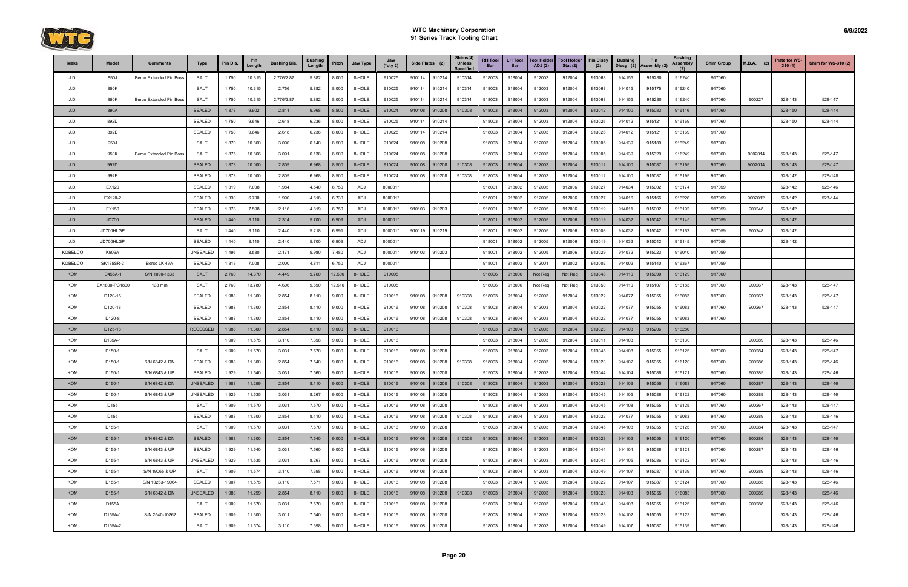

| Make           | Model              | <b>Comments</b>         | <b>Type</b>     | Pin Dia. | Pin<br>Length | <b>Bushing Dia.</b> | <b>Bushing</b><br>Length | Pitch  | Jaw Type | Jaw<br>$(*$ qty 2) | Side Plates (2) |        | Shims(4)<br><b>Unless</b><br><b>Specified</b> | <b>RH Tool</b><br>Bar | <b>LH Tool</b><br><b>Bar</b> | <b>Tool Holder</b><br><b>ADJ</b> (2) | <b>Tool Holder</b><br>Stat $(2)$ | <b>Pin Dissy</b><br>(2) | <b>Bushing</b><br>Dissy (2) | Pin<br>Assembly (2) | <b>Bushing</b><br>Assembly | <b>Shim Group</b> | $M.B.A.$ (2) | Plate for WS-<br>310(1) | <b>Shim for WS-310 (2)</b> |
|----------------|--------------------|-------------------------|-----------------|----------|---------------|---------------------|--------------------------|--------|----------|--------------------|-----------------|--------|-----------------------------------------------|-----------------------|------------------------------|--------------------------------------|----------------------------------|-------------------------|-----------------------------|---------------------|----------------------------|-------------------|--------------|-------------------------|----------------------------|
| J.D.           | 850J               | Berco Extended Pin Boss | <b>SALT</b>     | 1.750    | 10.315        | 2.776/2.87          | 5.882                    | 8.000  | 8-HOLE   | 910025             | 910114          | 910214 | 910314                                        | 918003                | 918004                       | 912003                               | 912004                           | 913063                  | 914155                      | 915280              | 916240                     | 917060            |              |                         |                            |
| J.D.           | 850K               |                         | <b>SALT</b>     | 1.750    | 10.315        | 2.756               | 5.882                    | 8.000  | 8-HOLE   | 910025             | 910114          | 910214 | 910314                                        | 918003                | 918004                       | 912003                               | 912004                           | 913063                  | 914015                      | 915175              | 916240                     | 917060            |              |                         |                            |
| J.D.           | 850K               | Berco Extended Pin Boss | <b>SALT</b>     | 1.750    | 10.315        | 2.776/2.87          | 5.882                    | 8.000  | 8-HOLE   | 910025             | 910114          | 910214 | 910314                                        | 918003                | 918004                       | 912003                               | 912004                           | 913063                  | 914155                      | 915280              | 916240                     | 917060            | 900227       | 528-143                 | 528-147                    |
| J.D.           | 890A               |                         | <b>SEALED</b>   | 1.878    | 9.902         | 2.811               | 9.968                    | 8.500  | 8-HOLE   | 910024             | 910108          | 910208 | 910308                                        | 918003                | 918004                       | 912003                               | 912004                           | 913012                  | 914100                      | 915083              | 916116                     | 917060            |              | 528-150                 | 528-144                    |
| J.D.           | 892D               |                         | <b>SEALED</b>   | 1.750    | 9.646         | 2.618               | 6.236                    | 8.000  | 8-HOLE   | 910025             | 910114          | 910214 |                                               | 918003                | 918004                       | 912003                               | 912004                           | 913026                  | 914012                      | 915121              | 916169                     | 917060            |              | 528-150                 | 528-144                    |
| J.D.           | 892E               |                         | <b>SEALED</b>   | 1.750    | 9.646         | 2.618               | 6.236                    | 8.000  | 8-HOLE   | 910025             | 910114          | 910214 |                                               | 918003                | 918004                       | 912003                               | 912004                           | 913026                  | 914012                      | 915121              | 916169                     | 917060            |              |                         |                            |
| J.D.           | 950J               |                         | SALT            | 1.870    | 10.860        | 3.090               | 6.140                    | 8.500  | 8-HOLE   | 910024             | 910108          | 910208 |                                               | 918003                | 918004                       | 912003                               | 912004                           | 913005                  | 914139                      | 915189              | 916249                     | 917060            |              |                         |                            |
| J.D.           | 950K               | Berco Extended Pin Boss | <b>SALT</b>     | 1.875    | 10.866        | 3.091               | 6.138                    | 8.500  | 8-HOLE   | 910024             | 910108          | 910208 |                                               | 918003                | 918004                       | 912003                               | 912004                           | 913005                  | 914139                      | 915329              | 916249                     | 917060            | 9002014      | 528-143                 | 528-147                    |
| J.D.           | 992D               |                         | <b>SEALED</b>   | 1.873    | 10.000        | 2.809               | 6.968                    | 8.500  | 8-HOLE   | 910024             | 910108          | 910208 | 910308                                        | 918003                | 918004                       | 912003                               | 912004                           | 913012                  | 914100                      | 915087              | 916195                     | 917060            | 9002014      | 528-143                 | 528-147                    |
| J.D.           | 992E               |                         | <b>SEALED</b>   | 1.873    | 10.000        | 2.809               | 6.968                    | 8.500  | 8-HOLE   | 910024             | 910108          | 910208 | 910308                                        | 918003                | 918004                       | 912003                               | 912004                           | 913012                  | 914100                      | 915087              | 916195                     | 917060            |              | 528-142                 | 528-148                    |
| J.D.           | EX120              |                         | <b>SEALED</b>   | 1.319    | 7.008         | 1.984               | 4.540                    | 6.750  | ADJ      | 800001*            |                 |        |                                               | 918001                | 918002                       | 912005                               | 912006                           | 913027                  | 914034                      | 915002              | 916174                     | 917059            |              | 528-142                 | 528-146                    |
| J.D.           | EX120-2            |                         | <b>SEALED</b>   | 1.330    | 6.700         | 1.990               | 4.618                    | 6.730  | ADJ      | 800001*            |                 |        |                                               | 918001                | 918002                       | 912005                               | 912006                           | 913027                  | 914016                      | 915166              | 916226                     | 917059            | 9002012      | 528-142                 | 528-144                    |
| J.D.           | EX150              |                         | <b>SEALED</b>   | 1.378    | 7.598         | 2.116               | 4.819                    | 6.750  | ADJ      | 800001*            | 910103          | 910203 |                                               | 918001                | 918002                       | 912005                               | 912006                           | 913019                  | 914011                      | 915002              | 916192                     | 917059            | 900248       | 528-142                 |                            |
| J.D.           | <b>JD700</b>       |                         | <b>SEALED</b>   | 1.440    | 8.110         | 2.314               | 5.700                    | 6.909  | ADJ      | 800001*            |                 |        |                                               | 918001                | 918002                       | 912005                               | 912006                           | 913019                  | 914032                      | 915042              | 916145                     | 917059            |              | 528-142                 |                            |
| J.D.           | JD700HLGP          |                         | <b>SALT</b>     | 1.440    | 8.110         | 2.440               | 5.218                    | 6.991  | ADJ      | 800001*            | 910119          | 910219 |                                               | 918001                | 918002                       | 912005                               | 912006                           | 913008                  | 914032                      | 915042              | 916162                     | 917059            | 900248       | 528-142                 |                            |
| J.D.           | JD700HLGP          |                         | <b>SEALED</b>   | 1.440    | 8.110         | 2.440               | 5.700                    | 6.909  | ADJ      | 800001*            |                 |        |                                               | 918001                | 918002                       | 912005                               | 912006                           | 913019                  | 914032                      | 915042              | 916145                     | 917059            |              | 528-142                 |                            |
| <b>KOBELCO</b> | K909A              |                         | UNSEALED        | 1.496    | 8.580         | 2.171               | 5.980                    | 7.480  | ADJ      | 800001*            | 910103          | 910203 |                                               | 918001                | 918002                       | 912005                               | 912006                           | 913029                  | 914072                      | 915023              | 916040                     | 917059            |              |                         |                            |
| KOBELCO        | SK135SR-2          | Berco LK 49A            | SEALED          | 1.313    | 7.008         | 2.000               | 4.811                    | 6.750  | ADJ      | 800001*            |                 |        |                                               | 918001                | 918002                       | 912001                               | 912002                           | 913002                  | 914002                      | 915140              | 916367                     | 917059            |              |                         |                            |
| <b>KOM</b>     | D455A-1            | S/N 1090-1333           | <b>SALT</b>     | 2.760    | 14.370        | 4.449               | 9.760                    | 12.500 | 8-HOLE   | 910005             |                 |        |                                               | 918006                | 918006                       | Not Req                              | Not Req                          | 913048                  | 914110                      | 915090              | 916129                     | 917060            |              |                         |                            |
| KOM            | EX1800-PC1800      | 133 mm                  | <b>SALT</b>     | 2.760    | 13.780        | 4.606               | 9.690                    | 12.510 | 8-HOLE   | 910005             |                 |        |                                               | 918006                | 918006                       | Not Req                              | Not Req                          | 913050                  | 914110                      | 915107              | 916183                     | 917060            | 900267       | 528-143                 | 528-147                    |
| KOM            | D120-15            |                         | <b>SEALED</b>   | 1.988    | 11.300        | 2.854               | 8.110                    | 9.000  | 8-HOLE   | 910016             | 910108          | 910208 | 910308                                        | 918003                | 918004                       | 912003                               | 912004                           | 913022                  | 914077                      | 915055              | 916083                     | 917060            | 900267       | 528-143                 | 528-147                    |
| KOM            | D120-18            |                         | <b>SEALED</b>   | 1.988    | 11.300        | 2.854               | 8.110                    | 9.000  | 8-HOLE   | 910016             | 910108          | 910208 | 910308                                        | 918003                | 918004                       | 912003                               | 912004                           | 913022                  | 914077                      | 915055              | 916083                     | 917060            | 900267       | 528-143                 | 528-147                    |
| KOM            | D120-8             |                         | <b>SEALED</b>   | 1.988    | 11.300        | 2.854               | 8.110                    | 9.000  | 8-HOLE   | 910016             | 910108          | 910208 | 910308                                        | 918003                | 918004                       | 912003                               | 912004                           | 913022                  | 914077                      | 915055              | 916083                     | 917060            |              |                         |                            |
| <b>KOM</b>     | D125-18            |                         | <b>RECESSED</b> | 1.988    | 11.300        | 2.854               | 8.110                    | 9.000  | 8-HOLE   | 910016             |                 |        |                                               | 918003                | 918004                       | 912003                               | 912004                           | 913023                  | 914103                      | 915206              | 916280                     |                   |              |                         |                            |
| KOM            | D135A-1            |                         |                 | 1.909    | 11.575        | 3.110               | 7.398                    | 9.000  | 8-HOLE   | 910016             |                 |        |                                               | 918003                | 918004                       | 912003                               | 912004                           | 913011                  | 914103                      |                     | 916130                     |                   | 900289       | 528-143                 | 528-146                    |
| KOM            | D150-1             |                         | <b>SALT</b>     | 1.909    | 11.570        | 3.031               | 7.570                    | 9.000  | 8-HOLE   | 910016             | 910108          | 910208 |                                               | 918003                | 918004                       | 912003                               | 912004                           | 913045                  | 914108                      | 915055              | 916125                     | 917060            | 900284       | 528-143                 | 528-147                    |
| KOM            | D150-1             | S/N 6842 & DN           | SEALED          | 1.988    | 11.300        | 2.854               | 7.540                    | 9.000  | 8-HOLE   | 910016             | 910108          | 910208 | 910308                                        | 918003                | 918004                       | 912003                               | 912004                           | 913023                  | 914102                      | 915055              | 916120                     | 917060            | 900286       | 528-143                 | 528-146                    |
| KOM            | D150-1             | S/N 6843 & UP           | <b>SEALED</b>   | 1.929    | 11.540        | 3.031               | 7.560                    | 9.000  | 8-HOLE   | 910016             | 910108          | 910208 |                                               | 915003                | 918004                       | 912003                               | 912004                           | 913044                  | 914104                      | 915086              | 916121                     | 917060            | 900285       | 528-143                 | 528-146                    |
| <b>KOM</b>     | D150-1             | S/N 6842 & DN           | <b>UNSEALED</b> | 1.988    | 11.299        | 2.854               | 8.110                    | 9.000  | 8-HOLE   | 910016             | 910108          | 910208 | 910308                                        | 918003                | 918004                       | 912003                               | 912004                           | 913023                  | 914103                      | 915055              | 916083                     | 917060            | 900287       | 528-143                 | 528-146                    |
| KOM            | D150-1             | S/N 6843 & UP           | <b>UNSEALED</b> | 1.929    | 11.535        | 3.031               | 8.267                    | 9.000  | 8-HOLE   | 910016             | 910108          | 910208 |                                               | 918003                | 918004                       | 912003                               | 912004                           | 913045                  | 914105                      | 915086              | 916122                     | 917060            | 900289       | 528-143                 | 528-146                    |
| KOM            | D155               |                         | <b>SALT</b>     | 1.909    | 11.570        | 3.031               | 7.570                    | 9.000  | 8-HOLE   | 910016             | 910108          | 910208 |                                               | 918003                | 918004                       | 912003                               | 912004                           | 913045                  | 914108                      | 915055              | 916125                     | 917060            | 900267       | 528-143                 | 528-147                    |
| KOM            | D155               |                         | <b>SEALED</b>   | 1.988    | 11.300        | 2.854               | 8.110                    | 9.000  | 8-HOLE   | 910016             | 910108          | 910208 | 910308                                        | 918003                | 918004                       | 912003                               | 912004                           | 913022                  | 914077                      | 915055              | 916083                     | 917060            | 900289       | 528-143                 | 528-146                    |
| KOM            | D155-1             |                         | <b>SALT</b>     | 1.909    | 11.570        | 3.031               | 7.570                    | 9.000  | 8-HOLE   | 910016             | 910108          | 910208 |                                               | 918003                | 918004                       | 912003                               | 912004                           | 913045                  | 914108                      | 915055              | 916125                     | 917060            | 900284       | 528-143                 | 528-147                    |
| <b>KOM</b>     | D <sub>155-1</sub> | S/N 6842 & DN           | <b>SEALED</b>   | 1.988    | 11.300        | 2.854               | 7.540                    | 9.000  | 8-HOLE   | 910016             | 910108          | 910208 | 910308                                        | 918003                | 918004                       | 912003                               | 912004                           | 913023                  | 914102                      | 915055              | 916120                     | 917060            | 900286       | 528-143                 | 528-146                    |
| KOM            | D155-1             | S/N 6843 & UP           | <b>SEALED</b>   | 1.929    | 11.540        | 3.031               | 7.560                    | 9.000  | 8-HOLE   | 910016             | 910108          | 910208 |                                               | 918003                | 918004                       | 912003                               | 912004                           | 913044                  | 914104                      | 915086              | 916121                     | 917060            | 900287       | 528-143                 | 528-146                    |
| KOM            | D155-1             | S/N 6843 & UP           | UNSEALED        | 1.929    | 11.535        | 3.031               | 8.267                    | 9.000  | 8-HOLE   | 910016             | 910108          | 910208 |                                               | 918003                | 918004                       | 912003                               | 912004                           | 913045                  | 914105                      | 915086              | 916122                     | 917060            |              | 528-143                 | 528-146                    |
| KOM            | D155-1             | S/N 19065 & UP          | <b>SALT</b>     | 1.909    | 11.574        | 3.110               | 7.398                    | 9.000  | 8-HOLE   | 910016             | 910108          | 910208 |                                               | 918003                | 918004                       | 912003                               | 912004                           | 913049                  | 914107                      | 915087              | 916139                     | 917060            | 900289       | 528-143                 | 528-146                    |
| KOM            | D155-1             | S/N 10263-19064         | SEALED          | 1.907    | 11.575        | 3.110               | 7.571                    | 9.000  | 8-HOLE   | 910016             | 910108          | 910208 |                                               | 918003                | 918004                       | 912003                               | 912004                           | 913022                  | 914107                      | 915087              | 916124                     | 917060            | 900285       | 528-143                 | 528-146                    |
| <b>KOM</b>     | D <sub>155-1</sub> | S/N 6842 & DN           | <b>UNSEALED</b> | 1.988    | 11.299        | 2.854               | 8.110                    | 9.000  | 8-HOLE   | 910016             | 910108          | 910208 | 910308                                        | 918003                | 918004                       | 912003                               | 912004                           | 913023                  | 914103                      | 915055              | 916083                     | 917060            | 900289       | 528-143                 | 528-146                    |
| KOM            | D155A              |                         | SALT            | 1.909    | 11.570        | 3.031               | 7.570                    | 9.000  | 8-HOLE   | 910016             | 910108          | 910208 |                                               | 918003                | 918004                       | 912003                               | 912004                           | 913045                  | 914108                      | 915055              | 916125                     | 917060            | 900288       | 528-143                 | 528-146                    |
| KOM            | D155A-1            | S/N 2540-10262          | <b>SEALED</b>   | 1.909    | 11.300        | 3.011               | 7.540                    | 9.000  | 8-HOLE   | 910016             | 910108          | 910208 |                                               | 918003                | 918004                       | 912003                               | 912004                           | 913023                  | 914102                      | 915055              | 916123                     | 917060            |              | 528-143                 | 528-146                    |
| KOM            | D155A-2            |                         | SALT            | 1.909    | 11.574        | 3.110               | 7.398                    | 9.000  | 8-HOLE   | 910016             | 910108          | 910208 |                                               | 918003                | 918004                       | 912003                               | 912004                           | 913049                  | 914107                      | 915087              | 916139                     | 917060            |              | 528-143                 | 528-146                    |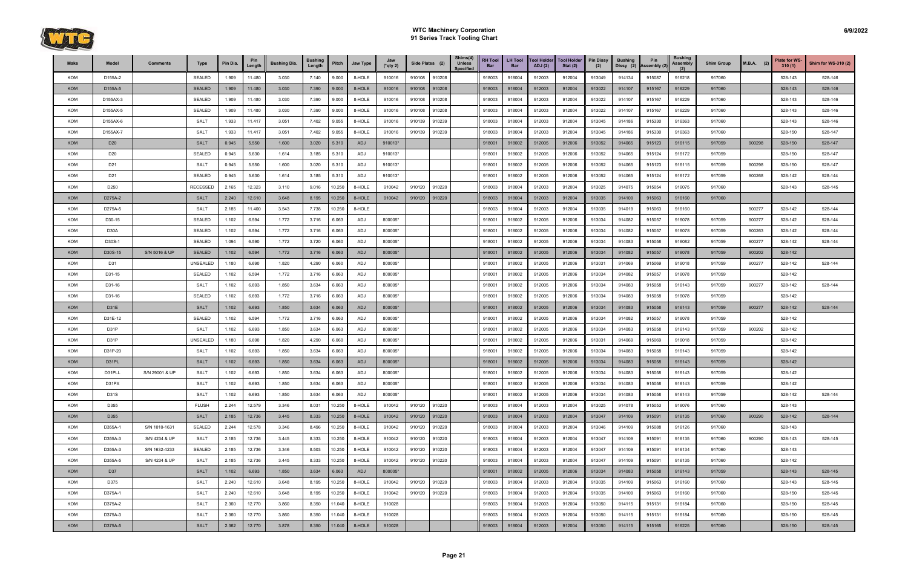

| Make       | Model           | <b>Comments</b> | Type            | Pin Dia. | Pin<br>Length | <b>Bushing Dia.</b> | <b>Bushing</b><br>Length | Pitch  | Jaw Type   | Jaw<br>$(*$ qty 2) | Side Plates (2)  | Shims(4)<br><b>Unless</b><br><b>Specified</b> | <b>RH Tool</b><br>Bar | <b>LH Tool</b><br><b>Bar</b> | <b>Tool Holder</b><br>ADJ(2) | <b>Tool Holder</b><br>Stat $(2)$ | <b>Pin Dissy</b><br>(2) | <b>Bushing</b><br>Dissy (2) | Pin<br>Assembly (2) | <b>Bushing</b><br>Assembly | <b>Shim Group</b> | $M.B.A.$ (2) | <b>Plate for WS-</b><br>310(1) | <b>Shim for WS-310 (2)</b> |
|------------|-----------------|-----------------|-----------------|----------|---------------|---------------------|--------------------------|--------|------------|--------------------|------------------|-----------------------------------------------|-----------------------|------------------------------|------------------------------|----------------------------------|-------------------------|-----------------------------|---------------------|----------------------------|-------------------|--------------|--------------------------------|----------------------------|
| KOM        | D155A-2         |                 | SEALED          | 1.909    | 11.480        | 3.030               | 7.140                    | 9.000  | 8-HOLE     | 910016             | 910108<br>910208 |                                               | 918003                | 918004                       | 912003                       | 912004                           | 913049                  | 914134                      | 915087              | 916218                     | 917060            |              | 528-143                        | 528-146                    |
| <b>KOM</b> | D155A-5         |                 | <b>SEALED</b>   | 1.909    | 11.480        | 3.030               | 7.390                    | 9.000  | 8-HOLE     | 910016             | 910108<br>910208 |                                               | 918003                | 918004                       | 912003                       | 912004                           | 913022                  | 914107                      | 915167              | 916229                     | 917060            |              | 528-143                        | 528-146                    |
| KOM        | D155AX-3        |                 | SEALED          | 1.909    | 11.480        | 3.030               | 7.390                    | 9.000  | 8-HOLE     | 910016             | 910108<br>910208 |                                               | 918003                | 918004                       | 912003                       | 912004                           | 913022                  | 914107                      | 915167              | 916229                     | 917060            |              | 528-143                        | 528-146                    |
| KOM        | D155AX-5        |                 | SEALED          | 1.909    | 11.480        | 3.030               | 7.390                    | 9.000  | 8-HOLE     | 910016             | 910108<br>910208 |                                               | 918003                | 918004                       | 912003                       | 912004                           | 913022                  | 914107                      | 915167              | 916229                     | 917060            |              | 528-143                        | 528-146                    |
| KOM        | D155AX-6        |                 | <b>SALT</b>     | 1.933    | 11.417        | 3.051               | 7.402                    | 9.055  | 8-HOLE     | 910016             | 910239<br>910139 |                                               | 918003                | 918004                       | 912003                       | 912004                           | 913045                  | 914186                      | 915330              | 916363                     | 917060            |              | 528-143                        | 528-146                    |
| KOM        | D155AX-7        |                 | <b>SALT</b>     | 1.933    | 11.417        | 3.051               | 7.402                    | 9.055  | 8-HOLE     | 910016             | 910139<br>910239 |                                               | 918003                | 918004                       | 912003                       | 912004                           | 913045                  | 914186                      | 915330              | 916363                     | 917060            |              | 528-150                        | 528-147                    |
| <b>KOM</b> | D <sub>20</sub> |                 | <b>SALT</b>     | 0.945    | 5.550         | 1.600               | 3.020                    | 5.310  | <b>ADJ</b> | 910013*            |                  |                                               | 918001                | 918002                       | 912005                       | 912006                           | 913052                  | 914065                      | 915123              | 916115                     | 917059            | 900298       | 528-150                        | 528-147                    |
| KOM        | D <sub>20</sub> |                 | SEALED          | 0.945    | 5.630         | 1.614               | 3.185                    | 5.310  | ADJ        | 910013*            |                  |                                               | 918001                | 918002                       | 912005                       | 912006                           | 913052                  | 914065                      | 915124              | 916172                     | 917059            |              | 528-150                        | 528-147                    |
| KOM        | D <sub>21</sub> |                 | <b>SALT</b>     | 0.945    | 5.550         | 1.600               | 3.020                    | 5.310  | ADJ        | 910013*            |                  |                                               | 918001                | 918002                       | 912005                       | 912006                           | 913052                  | 914065                      | 915123              | 916115                     | 917059            | 900298       | 528-150                        | 528-147                    |
| KOM        | D <sub>21</sub> |                 | SEALED          | 0.945    | 5.630         | 1.614               | 3.185                    | 5.310  | ADJ        | 910013*            |                  |                                               | 918001                | 918002                       | 912005                       | 912006                           | 913052                  | 914065                      | 915124              | 916172                     | 917059            | 900268       | 528-142                        | 528-144                    |
| KOM        | D250            |                 | <b>RECESSED</b> | 2.165    | 12.323        | 3.110               | 9.016                    | 10.250 | 8-HOLE     | 910042             | 910120<br>910220 |                                               | 918003                | 918004                       | 912003                       | 912004                           | 913025                  | 914075                      | 915054              | 916075                     | 917060            |              | 528-143                        | 528-145                    |
| <b>KOM</b> | D275A-2         |                 | <b>SALT</b>     | 2.240    | 12.610        | 3.648               | 8.195                    | 10.250 | 8-HOLE     | 910042             | 910120<br>910220 |                                               | 918003                | 918004                       | 912003                       | 912004                           | 913035                  | 914109                      | 915063              | 916160                     | 917060            |              |                                |                            |
| KOM        | D275A-5         |                 | <b>SALT</b>     | 2.185    | 11.400        | 3.543               | 7.738                    | 10.250 | 8-HOLE     |                    |                  |                                               | 918003                | 918004                       | 912003                       | 912004                           | 913035                  | 914019                      | 915063              | 916160                     |                   | 900277       | 528-142                        | 528-144                    |
| KOM        | D30-15          |                 | SEALED          | 1.102    | 6.594         | 1.772               | 3.716                    | 6.063  | ADJ        | 800005*            |                  |                                               | 918001                | 918002                       | 912005                       | 912006                           | 913034                  | 914082                      | 915057              | 916078                     | 917059            | 900277       | 528-142                        | 528-144                    |
| KOM        | D30A            |                 | SEALED          | 1.102    | 6.594         | 1.772               | 3.716                    | 6.063  | ADJ        | 800005*            |                  |                                               | 918001                | 918002                       | 912005                       | 912006                           | 913034                  | 914082                      | 915057              | 916078                     | 917059            | 900263       | 528-142                        | 528-144                    |
| KOM        | D30S-1          |                 | SEALED          | 1.094    | 6.590         | 1.772               | 3.720                    | 6.060  | ADJ        | 800005*            |                  |                                               | 918001                | 918002                       | 912005                       | 912006                           | 913034                  | 914083                      | 915058              | 916082                     | 917059            | 900277       | 528-142                        | 528-144                    |
| KOM        | D30S-15         | S/N 5016 & UP   | <b>SEALED</b>   | 1.102    | 6.594         | 1.772               | 3.716                    | 6.063  | <b>ADJ</b> | 800005*            |                  |                                               | 918001                | 918002                       | 912005                       | 912006                           | 913034                  | 914082                      | 915057              | 916078                     | 917059            | 900202       | 528-142                        |                            |
| KOM        | D31             |                 | UNSEALED        | 1.180    | 6.690         | 1.820               | 4.290                    | 6.060  | ADJ        | 800005*            |                  |                                               | 918001                | 918002                       | 912005                       | 912006                           | 913031                  | 914069                      | 915069              | 916018                     | 917059            | 900277       | 528-142                        | 528-144                    |
| KOM        | D31-15          |                 | SEALED          | 1.102    | 6.594         | 1.772               | 3.716                    | 6.063  | ADJ        | 800005*            |                  |                                               | 918001                | 918002                       | 912005                       | 912006                           | 913034                  | 914082                      | 915057              | 916078                     | 917059            |              | 528-142                        |                            |
| KOM        | D31-16          |                 | <b>SALT</b>     | 1.102    | 6.693         | 1.850               | 3.634                    | 6.063  | ADJ        | 800005*            |                  |                                               | 918001                | 918002                       | 912005                       | 912006                           | 913034                  | 914083                      | 915058              | 916143                     | 917059            | 900277       | 528-142                        | 528-144                    |
| KOM        | D31-16          |                 | SEALED          | 1.102    | 6.693         | 1.772               | 3.716                    | 6.063  | ADJ        | 800005*            |                  |                                               | 918001                | 918002                       | 912005                       | 912006                           | 913034                  | 914083                      | 915058              | 916078                     | 917059            |              | 528-142                        |                            |
| <b>KOM</b> | D31E            |                 | <b>SALT</b>     | 1.102    | 6.693         | 1.850               | 3.634                    | 6.063  | <b>ADJ</b> | 800005*            |                  |                                               | 918001                | 918002                       | 912005                       | 912006                           | 913034                  | 914083                      | 915058              | 916143                     | 917059            | 900277       | 528-142                        | 528-144                    |
| KOM        | D31E-12         |                 | SEALED          | 1.102    | 6.594         | 1.772               | 3.716                    | 6.063  | ADJ        | 800005*            |                  |                                               | 918001                | 918002                       | 912005                       | 912006                           | 913034                  | 914082                      | 915057              | 916078                     | 917059            |              | 528-142                        |                            |
| KOM        | D31P            |                 | <b>SALT</b>     | 1.102    | 6.693         | 1.850               | 3.634                    | 6.063  | ADJ        | 800005*            |                  |                                               | 918001                | 918002                       | 912005                       | 912006                           | 913034                  | 914083                      | 915058              | 916143                     | 917059            | 900202       | 528-142                        |                            |
| KOM        | D31P            |                 | <b>UNSEALED</b> | 1.180    | 6.690         | 1.820               | 4.290                    | 6.060  | ADJ        | 800005*            |                  |                                               | 918001                | 918002                       | 912005                       | 912006                           | 913031                  | 914069                      | 915069              | 916018                     | 917059            |              | 528-142                        |                            |
| KOM        | D31P-20         |                 | <b>SALT</b>     | 1.102    | 6.693         | 1.850               | 3.634                    | 6.063  | ADJ        | 800005*            |                  |                                               | 918001                | 918002                       | 912005                       | 912006                           | 913034                  | 914083                      | 915058              | 916143                     | 917059            |              | 528-142                        |                            |
| <b>KOM</b> | D31PL           |                 | <b>SALT</b>     | 1.102    | 6.693         | 1.850               | 3.634                    | 6.063  | ADJ        | 800005*            |                  |                                               | 918001                | 918002                       | 912005                       | 912006                           | 913034                  | 914083                      | 915058              | 916143                     | 917059            |              | 528-142                        |                            |
| KOM        | D31PLL          | S/N 29001 & UP  | <b>SALT</b>     | 1.102    | 6.693         | 1.850               | 3.634                    | 6.063  | ADJ        | 800005*            |                  |                                               | 918001                | 918002                       | 912005                       | 912006                           | 913034                  | 914083                      | 915058              | 916143                     | 917059            |              | 528-142                        |                            |
| KOM        | D31PX           |                 | <b>SALT</b>     | 1.102    | 6.693         | 1.850               | 3.634                    | 6.063  | ADJ        | 800005*            |                  |                                               | 918001                | 918002                       | 912005                       | 912006                           | 913034                  | 914083                      | 915058              | 916143                     | 917059            |              | 528-142                        |                            |
| KOM        | D31S            |                 | <b>SALT</b>     | 1.102    | 6.693         | 1.850               | 3.634                    | 6.063  | ADJ        | 800005*            |                  |                                               | 918001                | 918002                       | 912005                       | 912006                           | 913034                  | 914083                      | 915058              | 916143                     | 917059            |              | 528-142                        | 528-144                    |
| KOM        | D355            |                 | <b>FLUSH</b>    | 2.244    | 12.579        | 3.346               | 8.031                    | 10.250 | 8-HOLE     | 910042             | 910220<br>910120 |                                               | 918003                | 918004                       | 912003                       | 912004                           | 913025                  | 914078                      | 915053              | 916076                     | 917060            |              | 528-143                        |                            |
| <b>KOM</b> | D355            |                 | <b>SALT</b>     | 2.185    | 12.736        | 3.445               | 8.333                    | 10.250 | 8-HOLE     | 910042             | 910120<br>910220 |                                               | 918003                | 918004                       | 912003                       | 912004                           | 913047                  | 914109                      | 915091              | 916135                     | 917060            | 900290       | 528-142                        | 528-144                    |
| KOM        | D355A-1         | S/N 1010-1631   | SEALED          | 2.244    | 12.578        | 3.346               | 8.496                    | 10.250 | 8-HOLE     | 910042             | 910120<br>910220 |                                               | 918003                | 918004                       | 912003                       | 912004                           | 913046                  | 914109                      | 915088              | 916126                     | 917060            |              | 528-143                        |                            |
| KOM        | D355A-3         | S/N 4234 & UP   | SALT            | 2.185    | 12.736        | 3.445               | 8.333                    | 10.250 | 8-HOLE     | 910042             | 910120<br>910220 |                                               | 918003                | 918004                       | 912003                       | 912004                           | 913047                  | 914109                      | 915091              | 916135                     | 917060            | 900290       | 528-143                        | 528-145                    |
| KOM        | D355A-3         | S/N 1632-4233   | SEALED          | 2.185    | 12.736        | 3.346               | 8.503                    | 10.250 | 8-HOLE     | 910042             | 910120<br>910220 |                                               | 918003                | 918004                       | 912003                       | 912004                           | 913047                  | 914109                      | 915091              | 916134                     | 917060            |              | 528-143                        |                            |
| KOM        | D355A-5         | S/N 4234 & UP   | SALT            | 2.185    | 12.736        | 3.445               | 8.333                    | 10.250 | 8-HOLE     | 910042             | 910120<br>910220 |                                               | 918003                | 918004                       | 912003                       | 912004                           | 913047                  | 914109                      | 915091              | 916135                     | 917060            |              | 528-142                        |                            |
| <b>KOM</b> | D37             |                 | <b>SALT</b>     | 1.102    | 6.693         | 1.850               | 3.634                    | 6.063  | <b>ADJ</b> | 800005*            |                  |                                               | 918001                | 918002                       | 912005                       | 912006                           | 913034                  | 914083                      | 915058              | 916143                     | 917059            |              | 528-143                        | 528-145                    |
| KOM        | D375            |                 | SALT            | 2.240    | 12.610        | 3.648               | 8.195                    | 10.250 | 8-HOLE     | 910042             | 910220<br>910120 |                                               | 918003                | 918004                       | 912003                       | 912004                           | 913035                  | 914109                      | 915063              | 916160                     | 917060            |              | 528-143                        | 528-145                    |
| KOM        | D375A-1         |                 | <b>SALT</b>     | 2.240    | 12.610        | 3.648               | 8.195                    | 10.250 | 8-HOLE     | 910042             | 910220<br>910120 |                                               | 918003                | 918004                       | 912003                       | 912004                           | 913035                  | 914109                      | 915063              | 916160                     | 917060            |              | 528-150                        | 528-145                    |
| KOM        | D375A-2         |                 | SALT            | 2.360    | 12.770        | 3.860               | 8.350                    | 11.040 | 8-HOLE     | 910028             |                  |                                               | 918003                | 918004                       | 912003                       | 912004                           | 913050                  | 914115                      | 915131              | 916184                     | 917060            |              | 528-150                        | 528-145                    |
| KOM        | D375A-3         |                 | <b>SALT</b>     | 2.360    | 12.770        | 3.860               | 8.350                    | 11.040 | 8-HOLE     | 910028             |                  |                                               | 918003                | 918004                       | 912003                       | 912004                           | 913050                  | 914115                      | 915131              | 916184                     | 917060            |              | 528-150                        | 528-145                    |
| KOM        | D375A-5         |                 | <b>SALT</b>     | 2.362    | 12.770        | 3.878               | 8.350                    | 11.040 | 8-HOLE     | 910028             |                  |                                               | 918003                | 918004                       | 912003                       | 912004                           | 913050                  | 914115                      | 915165              | 916225                     | 917060            |              | 528-150                        | 528-145                    |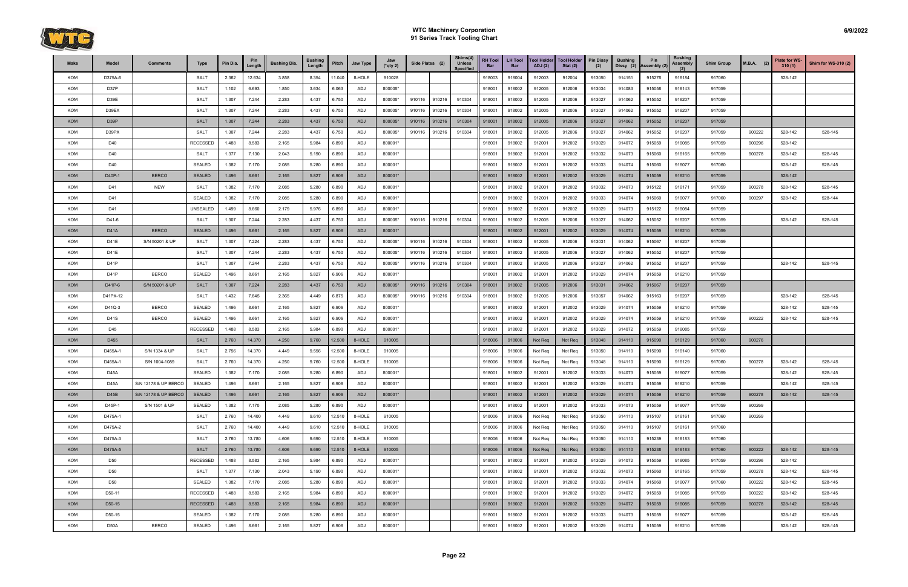

| Make       | Model       | <b>Comments</b>      | <b>Type</b>     | Pin Dia. | Pin<br>Length | <b>Bushing Dia.</b> | <b>Bushing</b><br>Length | Pitch  | Jaw Type | Jaw<br>$(*$ qty 2) | Side Plates (2) |        | Shims(4)<br><b>Unless</b><br><b>Specified</b> | <b>RH Tool</b><br>Bar | <b>LH Tool</b><br><b>Bar</b> | <b>Tool Holder</b><br><b>ADJ</b> (2) | <b>Tool Holder</b><br>Stat $(2)$ | <b>Pin Dissy</b><br>(2) | <b>Bushing</b><br>Dissy (2) | Pin<br>Assembly (2) | <b>Bushing</b><br>Assembly<br>(2) | <b>Shim Group</b> | $M.B.A.$ (2) | Plate for WS-<br>310(1) | <b>Shim for WS-310 (2)</b> |
|------------|-------------|----------------------|-----------------|----------|---------------|---------------------|--------------------------|--------|----------|--------------------|-----------------|--------|-----------------------------------------------|-----------------------|------------------------------|--------------------------------------|----------------------------------|-------------------------|-----------------------------|---------------------|-----------------------------------|-------------------|--------------|-------------------------|----------------------------|
| KOM        | D375A-6     |                      | <b>SALT</b>     | 2.362    | 12.634        | 3.858               | 8.354                    | 11.040 | 8-HOLE   | 910028             |                 |        |                                               | 918003                | 918004                       | 912003                               | 912004                           | 913050                  | 914151                      | 915276              | 916184                            | 917060            |              | 528-142                 |                            |
| KOM        | D37P        |                      | <b>SALT</b>     | 1.102    | 6.693         | 1.850               | 3.634                    | 6.063  | ADJ      | 800005*            |                 |        |                                               | 918001                | 918002                       | 912005                               | 912006                           | 913034                  | 914083                      | 915058              | 916143                            | 917059            |              |                         |                            |
| KOM        | D39E        |                      | SALT            | 1.307    | 7.244         | 2.283               | 4.437                    | 6.750  | ADJ      | 800005*            | 910116          | 910216 | 910304                                        | 918001                | 918002                       | 912005                               | 912006                           | 913027                  | 914062                      | 915052              | 916207                            | 917059            |              |                         |                            |
| KOM        | D39EX       |                      | <b>SALT</b>     | 1.307    | 7.244         | 2.283               | 4.437                    | 6.750  | ADJ      | 800005*            | 910116          | 910216 | 910304                                        | 918001                | 918002                       | 912005                               | 912006                           | 913027                  | 914062                      | 915052              | 916207                            | 917059            |              |                         |                            |
| <b>KOM</b> | D39P        |                      | <b>SALT</b>     | 1.307    | 7.244         | 2.283               | 4.437                    | 6.750  | ADJ      | 800005*            | 910116          | 910216 | 910304                                        | 918001                | 918002                       | 912005                               | 912006                           | 913027                  | 914062                      | 915052              | 916207                            | 917059            |              |                         |                            |
| KOM        | D39PX       |                      | <b>SALT</b>     | 1.307    | 7.244         | 2.283               | 4.437                    | 6.750  | ADJ      | 800005*            | 910116          | 910216 | 910304                                        | 918001                | 918002                       | 912005                               | 912006                           | 913027                  | 914062                      | 915052              | 916207                            | 917059            | 900222       | 528-142                 | 528-145                    |
| KOM        | D40         |                      | <b>RECESSED</b> | 1.488    | 8.583         | 2.165               | 5.984                    | 6.890  | ADJ      | 800001*            |                 |        |                                               | 918001                | 918002                       | 912001                               | 912002                           | 913029                  | 914072                      | 915059              | 916085                            | 917059            | 900296       | 528-142                 |                            |
| KOM        | D40         |                      | <b>SALT</b>     | 1.377    | 7.130         | 2.043               | 5.190                    | 6.890  | ADJ      | 800001*            |                 |        |                                               | 918001                | 918002                       | 912001                               | 912002                           | 913032                  | 914073                      | 915060              | 916165                            | 917059            | 900278       | 528-142                 | 528-145                    |
| KOM        | D40         |                      | <b>SEALED</b>   | 1.382    | 7.170         | 2.085               | 5.280                    | 6.890  | ADJ      | 800001*            |                 |        |                                               | 918001                | 918002                       | 912001                               | 912002                           | 913033                  | 914074                      | 915060              | 916077                            | 917060            |              | 528-142                 | 528-145                    |
| <b>KOM</b> | D40P-1      | <b>BERCO</b>         | <b>SEALED</b>   | 1.496    | 8.661         | 2.165               | 5.827                    | 6.906  | ADJ      | 800001*            |                 |        |                                               | 918001                | 918002                       | 912001                               | 912002                           | 913029                  | 914074                      | 915059              | 916210                            | 917059            |              | 528-142                 |                            |
| KOM        | D41         | <b>NEW</b>           | <b>SALT</b>     | 1.382    | 7.170         | 2.085               | 5.280                    | 6.890  | ADJ      | 800001*            |                 |        |                                               | 918001                | 918002                       | 912001                               | 912002                           | 913032                  | 914073                      | 915122              | 916171                            | 917059            | 900278       | 528-142                 | 528-145                    |
| KOM        | D41         |                      | <b>SEALED</b>   | 1.382    | 7.170         | 2.085               | 5.280                    | 6.890  | ADJ      | 800001*            |                 |        |                                               | 918001                | 918002                       | 912001                               | 912002                           | 913033                  | 914074                      | 915060              | 916077                            | 917060            | 900297       | 528-142                 | 528-144                    |
| KOM        | D41         |                      | UNSEALED        | 1.499    | 8.660         | 2.179               | 5.976                    | 6.890  | ADJ      | 800001*            |                 |        |                                               | 918001                | 918002                       | 912001                               | 912002                           | 913029                  | 914073                      | 915122              | 916084                            | 917059            |              |                         |                            |
| KOM        | D41-6       |                      | <b>SALT</b>     | 1.307    | 7.244         | 2.283               | 4.437                    | 6.750  | ADJ      | 800005*            | 910116          | 910216 | 910304                                        | 918001                | 918002                       | 912005                               | 912006                           | 913027                  | 914062                      | 915052              | 916207                            | 917059            |              | 528-142                 | 528-145                    |
| <b>KOM</b> | D41A        | <b>BERCO</b>         | <b>SEALED</b>   | 1.496    | 8.661         | 2.165               | 5.827                    | 6.906  | ADJ      | 800001*            |                 |        |                                               | 918001                | 918002                       | 912001                               | 912002                           | 913029                  | 914074                      | 915059              | 916210                            | 917059            |              |                         |                            |
| KOM        | D41E        | S/N 50201 & UP       | <b>SALT</b>     | 1.307    | 7.224         | 2.283               | 4.437                    | 6.750  | ADJ      | 800005*            | 910116          | 910216 | 910304                                        | 918001                | 918002                       | 912005                               | 912006                           | 913031                  | 914062                      | 915067              | 916207                            | 917059            |              |                         |                            |
| KOM        | D41E        |                      | <b>SALT</b>     | 1.307    | 7.244         | 2.283               | 4.437                    | 6.750  | ADJ      | 800005*            | 910116          | 910216 | 910304                                        | 918001                | 918002                       | 912005                               | 912006                           | 913027                  | 914062                      | 915052              | 916207                            | 917059            |              |                         |                            |
| KOM        | D41P        |                      | SALT            | 1.307    | 7.244         | 2.283               | 4.437                    | 6.750  | ADJ      | 800005*            | 910116          | 910216 | 910304                                        | 918001                | 918002                       | 912005                               | 912006                           | 913027                  | 914062                      | 915052              | 916207                            | 917059            |              | 528-142                 | 528-145                    |
| KOM        | D41P        | <b>BERCO</b>         | <b>SEALED</b>   | 1.496    | 8.661         | 2.165               | 5.827                    | 6.906  | ADJ      | 800001*            |                 |        |                                               | 918001                | 918002                       | 912001                               | 912002                           | 913029                  | 914074                      | 915059              | 916210                            | 917059            |              |                         |                            |
| <b>KOM</b> | D41P-6      | S/N 50201 & UP       | <b>SALT</b>     | 1.307    | 7.224         | 2.283               | 4.437                    | 6.750  | ADJ      | 800005*            | 910116          | 910216 | 910304                                        | 918001                | 918002                       | 912005                               | 912006                           | 913031                  | 914062                      | 915067              | 916207                            | 917059            |              |                         |                            |
| KOM        | D41PX-12    |                      | <b>SALT</b>     | 1.432    | 7.845         | 2.365               | 4.449                    | 6.875  | ADJ      | 800005*            | 910116          | 910216 | 910304                                        | 918001                | 918002                       | 912005                               | 912006                           | 913057                  | 914062                      | 915163              | 916207                            | 917059            |              | 528-142                 | 528-145                    |
| KOM        | D41Q-3      | <b>BERCO</b>         | <b>SEALED</b>   | 1.496    | 8.661         | 2.165               | 5.827                    | 6.906  | ADJ      | 800001*            |                 |        |                                               | 918001                | 918002                       | 912001                               | 912002                           | 913029                  | 914074                      | 915059              | 916210                            | 917059            |              | 528-142                 | 528-145                    |
| KOM        | <b>D41S</b> | <b>BERCO</b>         | <b>SEALED</b>   | 1.496    | 8.661         | 2.165               | 5.827                    | 6.906  | ADJ      | 800001*            |                 |        |                                               | 918001                | 918002                       | 912001                               | 912002                           | 913029                  | 914074                      | 915059              | 916210                            | 917059            | 900222       | 528-142                 | 528-145                    |
| KOM        | D45         |                      | RECESSED        | 1.488    | 8.583         | 2.165               | 5.984                    | 6.890  | ADJ      | 800001*            |                 |        |                                               | 918001                | 918002                       | 912001                               | 912002                           | 913029                  | 914072                      | 915059              | 916085                            | 917059            |              |                         |                            |
| <b>KOM</b> | D455        |                      | <b>SALT</b>     | 2.760    | 14.370        | 4.250               | 9.760                    | 12.500 | 8-HOLE   | 910005             |                 |        |                                               | 918006                | 918006                       | Not Req                              | Not Req                          | 913048                  | 914110                      | 915090              | 916129                            | 917060            | 900276       |                         |                            |
| KOM        | D455A-1     | S/N 1334 & UP        | SALT            | 2.756    | 14.370        | 4.449               | 9.556                    | 12.500 | 8-HOLE   | 910005             |                 |        |                                               | 918006                | 918006                       | Not Req                              | Not Req                          | 913050                  | 914110                      | 915090              | 916140                            | 917060            |              |                         |                            |
| KOM        | D455A-1     | S/N 1004-1089        | SALT            | 2.760    | 14.370        | 4.250               | 9.760                    | 12.500 | 8-HOLE   | 910005             |                 |        |                                               | 918006                | 918006                       | Not Req                              | Not Req                          | 913048                  | 914110                      | 915090              | 916129                            | 917060            | 900278       | 528-142                 | 528-145                    |
| KOM        | D45A        |                      | <b>SEALED</b>   | 1.382    | 7.170         | 2.085               | 5.280                    | 6.890  | ADJ      | 800001*            |                 |        |                                               | 918001                | 918002                       | 912001                               | 912002                           | 913033                  | 914073                      | 915059              | 916077                            | 917059            |              | 528-142                 | 528-145                    |
| KOM        | <b>D45A</b> | S/N 12178 & UP BERCO | <b>SEALED</b>   | 1.496    | 8.661         | 2.165               | 5.827                    | 6.906  | ADJ      | 800001*            |                 |        |                                               | 918001                | 918002                       | 912001                               | 912002                           | 913029                  | 914074                      | 915059              | 916210                            | 917059            |              | 528-142                 | 528-145                    |
| <b>KOM</b> | D45B        | S/N 12178 & UP BERCO | <b>SEALED</b>   | 1.496    | 8.661         | 2.165               | 5.827                    | 6.906  | ADJ      | 800001*            |                 |        |                                               | 918001                | 918002                       | 912001                               | 912002                           | 913029                  | 914074                      | 915059              | 916210                            | 917059            | 900278       | 528-142                 | 528-145                    |
| KOM        | D45P-1      | S/N 1501 & UP        | <b>SEALED</b>   | 1.382    | 7.170         | 2.085               | 5.280                    | 6.890  | ADJ      | 800001*            |                 |        |                                               | 918001                | 918002                       | 912001                               | 912002                           | 913033                  | 914073                      | 915059              | 916077                            | 917059            | 900269       |                         |                            |
| KOM        | D475A-1     |                      | <b>SALT</b>     | 2.760    | 14.400        | 4.449               | 9.610                    | 12.510 | 8-HOLE   | 910005             |                 |        |                                               | 918006                | 918006                       | Not Req                              | Not Req                          | 913050                  | 914110                      | 915107              | 916161                            | 917060            | 900269       |                         |                            |
| KOM        | D475A-2     |                      | <b>SALT</b>     | 2.760    | 14.400        | 4.449               | 9.610                    | 12.510 | 8-HOLE   | 910005             |                 |        |                                               | 918006                | 918006                       | Not Req                              | Not Req                          | 913050                  | 914110                      | 915107              | 916161                            | 917060            |              |                         |                            |
| KOM        | D475A-3     |                      | <b>SALT</b>     | 2.760    | 13.780        | 4.606               | 9.690                    | 12.510 | 8-HOLE   | 910005             |                 |        |                                               | 918006                | 918006                       | Not Req                              | Not Req                          | 913050                  | 914110                      | 915239              | 916183                            | 917060            |              |                         |                            |
| <b>KOM</b> | D475A-5     |                      | <b>SALT</b>     | 2.760    | 13.780        | 4.606               | 9.690                    | 12.510 | 8-HOLE   | 910005             |                 |        |                                               | 918006                | 918006                       | Not Req                              | Not Req                          | 913050                  | 914110                      | 915238              | 916183                            | 917060            | 900222       | 528-142                 | 528-145                    |
| KOM        | D50         |                      | <b>RECESSED</b> | 1.488    | 8.583         | 2.165               | 5.984                    | 6.890  | ADJ      | 800001*            |                 |        |                                               | 918001                | 918002                       | 912001                               | 912002                           | 913029                  | 914072                      | 915059              | 916085                            | 917059            | 900296       | 528-142                 |                            |
| KOM        | D50         |                      | SALT            | 1.377    | 7.130         | 2.043               | 5.190                    | 6.890  | ADJ      | 800001*            |                 |        |                                               | 918001                | 918002                       | 912001                               | 912002                           | 913032                  | 914073                      | 915060              | 916165                            | 917059            | 900278       | 528-142                 | 528-145                    |
| KOM        | D50         |                      | <b>SEALED</b>   | 1.382    | 7.170         | 2.085               | 5.280                    | 6.890  | ADJ      | 800001*            |                 |        |                                               | 918001                | 918002                       | 912001                               | 912002                           | 913033                  | 914074                      | 915060              | 916077                            | 917060            | 900222       | 528-142                 | 528-145                    |
| KOM        | D50-11      |                      | <b>RECESSED</b> | 1.488    | 8.583         | 2.165               | 5.984                    | 6.890  | ADJ      | 800001*            |                 |        |                                               | 918001                | 918002                       | 912001                               | 912002                           | 913029                  | 914072                      | 915059              | 916085                            | 917059            | 900222       | 528-142                 | 528-145                    |
| <b>KOM</b> | D50-15      |                      | <b>RECESSED</b> | 1.488    | 8.583         | 2.165               | 5.984                    | 6.890  | ADJ      | 800001*            |                 |        |                                               | 918001                | 918002                       | 912001                               | 912002                           | 913029                  | 914072                      | 915059              | 916085                            | 917059            | 900278       | 528-142                 | 528-145                    |
| KOM        | D50-15      |                      | <b>SEALED</b>   | 1.382    | 7.170         | 2.085               | 5.280                    | 6.890  | ADJ      | 800001*            |                 |        |                                               | 918001                | 918002                       | 912001                               | 912002                           | 913033                  | 914073                      | 915059              | 916077                            | 917059            |              | 528-142                 | 528-145                    |
| KOM        | D50A        | <b>BERCO</b>         | <b>SEALED</b>   | 1.496    | 8.661         | 2.165               | 5.827                    | 6.906  | ADJ      | 800001*            |                 |        |                                               | 918001                | 918002                       | 912001                               | 912002                           | 913029                  | 914074                      | 915059              | 916210                            | 917059            |              | 528-142                 | 528-145                    |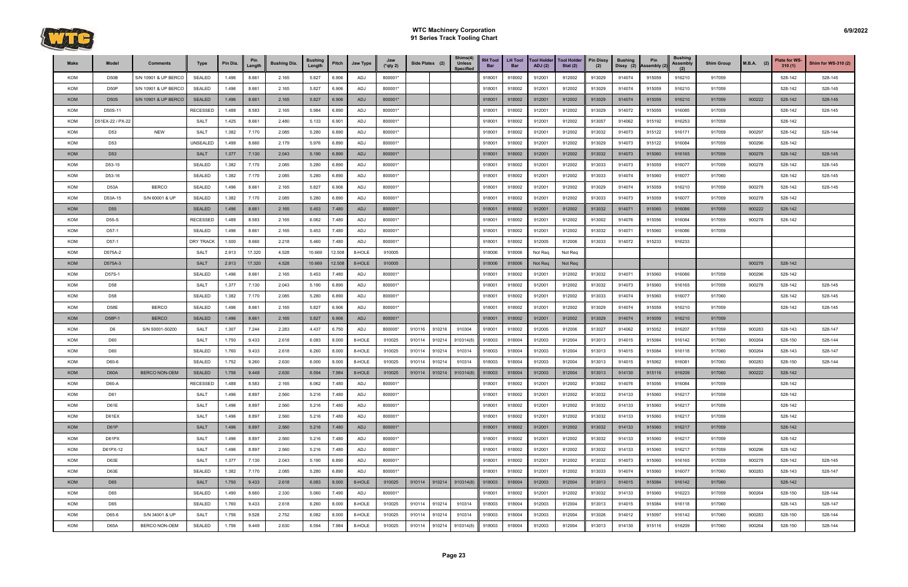

| Make       | Model            | <b>Comments</b>      | Type             | Pin Dia. | Pin<br>Length | <b>Bushing Dia.</b> | <b>Bushing</b><br>Length | Pitch  | Jaw Type | Jaw<br>$(*qty 2)$ | Side Plates (2) |        | Shims(4)<br><b>Unless</b><br><b>Specified</b> | <b>RH Tool</b><br>Bar | <b>LH Tool</b><br><b>Bar</b> | <b>Tool Holder</b><br>ADJ(2) | <b>Tool Holder</b><br>Stat $(2)$ | <b>Pin Dissy</b><br>(2) | <b>Bushing</b><br>Dissy (2) | Pin<br>Assembly (2) | <b>Bushing</b><br><b>Assembly</b><br>(2) | <b>Shim Group</b> | $M.B.A.$ (2) | <b>Plate for WS-</b><br>310(1) | Shim for WS-310 (2) |
|------------|------------------|----------------------|------------------|----------|---------------|---------------------|--------------------------|--------|----------|-------------------|-----------------|--------|-----------------------------------------------|-----------------------|------------------------------|------------------------------|----------------------------------|-------------------------|-----------------------------|---------------------|------------------------------------------|-------------------|--------------|--------------------------------|---------------------|
| KOM        | D50B             | S/N 10901 & UP BERCO | <b>SEALED</b>    | 1.496    | 8.661         | 2.165               | 5.827                    | 6.906  | ADJ      | 800001*           |                 |        |                                               | 918001                | 918002                       | 912001                       | 912002                           | 913029                  | 914074                      | 915059              | 916210                                   | 917059            |              | 528-142                        | 528-145             |
| <b>KOM</b> | D50P             | S/N 10901 & UP BERCO | <b>SEALED</b>    | 1.496    | 8.661         | 2.165               | 5.827                    | 6.906  | ADJ      | 800001*           |                 |        |                                               | 918001                | 918002                       | 912001                       | 912002                           | 913029                  | 914074                      | 915059              | 916210                                   | 917059            |              | 528-142                        | 528-145             |
| <b>KOM</b> | <b>D50S</b>      | S/N 10901 & UP BERCO | <b>SEALED</b>    | 1.496    | 8.661         | 2.165               | 5.827                    | 6.906  | ADJ      | 800001*           |                 |        |                                               | 918001                | 918002                       | 912001                       | 912002                           | 913029                  | 914074                      | 915059              | 916210                                   | 917059            | 900222       | 528-142                        | 528-145             |
| KOM        | D50S-11          |                      | <b>RECESSED</b>  | 1.488    | 8.583         | 2.165               | 5.984                    | 6.890  | ADJ      | 800001*           |                 |        |                                               | 918001                | 918002                       | 912001                       | 912002                           | 913029                  | 914072                      | 915059              | 916085                                   | 917059            |              | 528-142                        | 528-145             |
| KOM        | D51EX-22 / PX-22 |                      | <b>SALT</b>      | 1.425    | 8.661         | 2.480               | 5.133                    | 6.901  | ADJ      | 800001*           |                 |        |                                               | 918001                | 918002                       | 912001                       | 912002                           | 913057                  | 914062                      | 915192              | 916253                                   | 917059            |              | 528-142                        |                     |
| KOM        | D <sub>53</sub>  | <b>NEW</b>           | <b>SALT</b>      | 1.382    | 7.170         | 2.085               | 5.280                    | 6.890  | ADJ      | 800001*           |                 |        |                                               | 918001                | 918002                       | 912001                       | 912002                           | 913032                  | 914073                      | 915122              | 916171                                   | 917059            | 900297       | 528-142                        | 528-144             |
| KOM        | D <sub>53</sub>  |                      | UNSEALED         | 1.499    | 8.660         | 2.179               | 5.976                    | 6.890  | ADJ      | 800001*           |                 |        |                                               | 918001                | 918002                       | 912001                       | 912002                           | 913029                  | 914073                      | 915122              | 916084                                   | 917059            | 900296       | 528-142                        |                     |
| <b>KOM</b> | D <sub>53</sub>  |                      | <b>SALT</b>      | 1.377    | 7.130         | 2.043               | 5.190                    | 6.890  | ADJ      | 800001*           |                 |        |                                               | 918001                | 918002                       | 912001                       | 912002                           | 913032                  | 914073                      | 915060              | 916165                                   | 917059            | 900278       | 528-142                        | 528-145             |
| KOM        | D53-15           |                      | <b>SEALED</b>    | 1.382    | 7.170         | 2.085               | 5.280                    | 6.890  | ADJ      | 800001*           |                 |        |                                               | 918001                | 918002                       | 912001                       | 912002                           | 913033                  | 914073                      | 915059              | 916077                                   | 917059            | 900278       | 528-142                        | 528-145             |
| KOM        | D53-16           |                      | <b>SEALED</b>    | 1.382    | 7.170         | 2.085               | 5.280                    | 6.890  | ADJ      | 800001*           |                 |        |                                               | 918001                | 918002                       | 912001                       | 912002                           | 913033                  | 914074                      | 915060              | 916077                                   | 917060            |              | 528-142                        | 528-145             |
| KOM        | D53A             | <b>BERCO</b>         | <b>SEALED</b>    | 1.496    | 8.661         | 2.165               | 5.827                    | 6.906  | ADJ      | 800001*           |                 |        |                                               | 918001                | 918002                       | 912001                       | 912002                           | 913029                  | 914074                      | 915059              | 916210                                   | 917059            | 900278       | 528-142                        | 528-145             |
| KOM        | D53A-15          | S/N 60001 & UP       | <b>SEALED</b>    | 1.382    | 7.170         | 2.085               | 5.280                    | 6.890  | ADJ      | 800001*           |                 |        |                                               | 918001                | 918002                       | 912001                       | 912002                           | 913033                  | 914073                      | 915059              | 916077                                   | 917059            | 900278       | 528-142                        |                     |
| <b>KOM</b> | D <sub>55</sub>  |                      | <b>SEALED</b>    | 1.496    | 8.661         | 2.165               | 5.453                    | 7.480  | ADJ      | 800001*           |                 |        |                                               | 918001                | 918002                       | 912001                       | 912002                           | 913032                  | 914071                      | 915060              | 916086                                   | 917059            | 900222       | 528-142                        |                     |
| KOM        | D55-S            |                      | <b>RECESSED</b>  | 1.488    | 8.583         | 2.165               | 6.062                    | 7.480  | ADJ      | 800001*           |                 |        |                                               | 918001                | 918002                       | 912001                       | 912002                           | 913002                  | 914076                      | 915056              | 916084                                   | 917059            | 900278       | 528-142                        |                     |
| KOM        | D57-1            |                      | <b>SEALED</b>    | 1.496    | 8.661         | 2.165               | 5.453                    | 7.480  | ADJ      | 800001*           |                 |        |                                               | 918001                | 918002                       | 912001                       | 912002                           | 913032                  | 914071                      | 915060              | 916086                                   | 917059            |              |                                |                     |
| KOM        | D57-1            |                      | <b>DRY TRACK</b> | 1.500    | 8.660         | 2.218               | 5.460                    | 7.480  | ADJ      | 800001*           |                 |        |                                               | 918001                | 918002                       | 912005                       | 912006                           | 913033                  | 914072                      | 915233              | 916233                                   |                   |              |                                |                     |
| KOM        | D575A-2          |                      | <b>SALT</b>      | 2.913    | 17.320        | 4.528               | 10.669                   | 12.508 | 8-HOLE   | 910005            |                 |        |                                               | 918006                | 918006                       | Not Req                      | Not Req                          |                         |                             |                     |                                          |                   |              |                                |                     |
| <b>KOM</b> | D575A-3          |                      | <b>SALT</b>      | 2.913    | 17.320        | 4.528               | 10.669                   | 12.508 | 8-HOLE   | 910005            |                 |        |                                               | 918006                | 918006                       | Not Req                      | Not Req                          |                         |                             |                     |                                          |                   | 900278       | 528-142                        |                     |
| KOM        | D57S-1           |                      | <b>SEALED</b>    | 1.496    | 8.661         | 2.165               | 5.453                    | 7.480  | ADJ      | 800001*           |                 |        |                                               | 918001                | 918002                       | 912001                       | 912002                           | 913032                  | 914071                      | 915060              | 916086                                   | 917059            | 900296       | 528-142                        |                     |
| KOM        | D58              |                      | <b>SALT</b>      | 1.377    | 7.130         | 2.043               | 5.190                    | 6.890  | ADJ      | 800001*           |                 |        |                                               | 918001                | 918002                       | 912001                       | 912002                           | 913032                  | 914073                      | 915060              | 916165                                   | 917059            | 900278       | 528-142                        | 528-145             |
| KOM        | D <sub>58</sub>  |                      | <b>SEALED</b>    | 1.382    | 7.170         | 2.085               | 5.280                    | 6.890  | ADJ      | 800001*           |                 |        |                                               | 918001                | 918002                       | 912001                       | 912002                           | 913033                  | 914074                      | 915060              | 916077                                   | 917060            |              | 528-142                        | 528-145             |
| KOM        | D58E             | <b>BERCO</b>         | <b>SEALED</b>    | 1.496    | 8.661         | 2.165               | 5.827                    | 6.906  | ADJ      | 800001*           |                 |        |                                               | 918001                | 918002                       | 912001                       | 912002                           | 913029                  | 914074                      | 915059              | 916210                                   | 917059            |              | 528-142                        | 528-145             |
| KOM        | D58P-1           | <b>BERCO</b>         | <b>SEALED</b>    | 1.496    | 8.661         | 2.165               | 5.827                    | 6.906  | ADJ      | 800001*           |                 |        |                                               | 918001                | 918002                       | 912001                       | 912002                           | 913029                  | 914074                      | 915059              | 916210                                   | 917059            |              |                                |                     |
| KOM        | D6               | S/N 50001-50200      | <b>SALT</b>      | 1.307    | 7.244         | 2.283               | 4.437                    | 6.750  | ADJ      | 800005*           | 910116          | 910216 | 910304                                        | 918001                | 918002                       | 912005                       | 912006                           | 913027                  | 914062                      | 915052              | 916207                                   | 917059            | 900283       | 528-143                        | 528-147             |
| KOM        | D60              |                      | <b>SALT</b>      | 1.750    | 9.433         | 2.618               | 6.083                    | 8.000  | 8-HOLE   | 910025            | 910114          | 910214 | 910314(8)                                     | 918003                | 918004                       | 912003                       | 912004                           | 913013                  | 914015                      | 915084              | 916142                                   | 917060            | 900264       | 528-150                        | 528-144             |
| KOM        | D60              |                      | <b>SEALED</b>    | 1.760    | 9.433         | 2.618               | 6.260                    | 8.000  | 8-HOLE   | 910025            | 910114          | 910214 | 910314                                        | 918003                | 918004                       | 912003                       | 912004                           | 913013                  | 914015                      | 915084              | 916118                                   | 917060            | 900264       | 528-143                        | 528-147             |
| KOM        | D60-6            |                      | <b>SEALED</b>    | 1.752    | 9.260         | 2.630               | 6.000                    | 8.000  | 8-HOLE   | 910025            | 910114          | 910214 | 910314                                        | 918003                | 918004                       | 912003                       | 912004                           | 913013                  | 914015                      | 915062              | 916081                                   | 917060            | 900283       | 528-150                        | 528-144             |
| <b>KOM</b> | D60A             | <b>BERCO NON-OEM</b> | <b>SEALED</b>    | 1.756    | 9.449         | 2.630               | 6.594                    | 7.984  | 8-HOLE   | 910025            | 910114          | 910214 | 910314(8)                                     | 918003                | 918004                       | 912003                       | 912004                           | 913013                  | 914130                      | 915116              | 916209                                   | 917060            | 900222       | 528-142                        |                     |
| <b>KOM</b> | D60-A            |                      | <b>RECESSED</b>  | 1.488    | 8.583         | 2.165               | 6.062                    | 7.480  | ADJ      | 800001*           |                 |        |                                               | 918001                | 918002                       | 912001                       | 912002                           | 913002                  | 914076                      | 915056              | 916084                                   | 917059            |              | 528-142                        |                     |
| KOM        | D61              |                      | <b>SALT</b>      | 1.496    | 8.897         | 2.560               | 5.216                    | 7.480  | ADJ      | 800001*           |                 |        |                                               | 918001                | 918002                       | 912001                       | 912002                           | 913032                  | 914133                      | 915060              | 916217                                   | 917059            |              | 528-142                        |                     |
| KOM        | D61E             |                      | <b>SALT</b>      | 1.496    | 8.897         | 2.560               | 5.216                    | 7.480  | ADJ      | 800001*           |                 |        |                                               | 918001                | 918002                       | 912001                       | 912002                           | 913032                  | 914133                      | 915060              | 916217                                   | 917059            |              | 528-142                        |                     |
| KOM        | D61EX            |                      | <b>SALT</b>      | 1.496    | 8.897         | 2.560               | 5.216                    | 7.480  | ADJ      | 800001*           |                 |        |                                               | 918001                | 918002                       | 912001                       | 912002                           | 913032                  | 914133                      | 915060              | 916217                                   | 917059            |              | 528-142                        |                     |
| <b>KOM</b> | D61P             |                      | <b>SALT</b>      | 1.496    | 8.897         | 2.560               | 5.216                    | 7.480  | ADJ      | 800001*           |                 |        |                                               | 918001                | 918002                       | 912001                       | 912002                           | 913032                  | 914133                      | 915060              | 916217                                   | 917059            |              | 528-142                        |                     |
| KOM        | D61PX            |                      | <b>SALT</b>      | 1.496    | 8.897         | 2.560               | 5.216                    | 7.480  | ADJ      | 800001*           |                 |        |                                               | 918001                | 918002                       | 912001                       | 912002                           | 913032                  | 914133                      | 915060              | 916217                                   | 917059            |              | 528-142                        |                     |
| KOM        | D61PX-12         |                      | <b>SALT</b>      | 1.496    | 8.897         | 2.560               | 5.216                    | 7.480  | ADJ      | 800001*           |                 |        |                                               | 918001                | 918002                       | 912001                       | 912002                           | 913032                  | 914133                      | 915060              | 916217                                   | 917059            | 900296       | 528-142                        |                     |
| KOM        | D63E             |                      | <b>SALT</b>      | 1.377    | 7.130         | 2.043               | 5.190                    | 6.890  | ADJ      | 800001*           |                 |        |                                               | 918001                | 918002                       | 912001                       | 912002                           | 913032                  | 914073                      | 915060              | 916165                                   | 917059            | 900278       | 528-142                        | 528-145             |
| KOM        | D63E             |                      | <b>SEALED</b>    | 1.382    | 7.170         | 2.085               | 5.280                    | 6.890  | ADJ      | 800001*           |                 |        |                                               | 918001                | 918002                       | 912001                       | 912002                           | 913033                  | 914074                      | 915060              | 916077                                   | 917060            | 900283       | 528-143                        | 528-147             |
| <b>KOM</b> | D65              |                      | <b>SALT</b>      | 1.750    | 9.433         | 2.618               | 6.083                    | 8.000  | 8-HOLE   | 910025            | 910114          | 910214 | 910314(8)                                     | 918003                | 918004                       | 912003                       | 912004                           | 913013                  | 914015                      | 915084              | 916142                                   | 917060            |              | 528-142                        |                     |
| <b>KOM</b> | D65              |                      | <b>SEALED</b>    | 1.490    | 8.660         | 2.330               | 5.060                    | 7.490  | ADJ      | 800001*           |                 |        |                                               | 918001                | 918002                       | 912001                       | 912002                           | 913032                  | 914133                      | 915060              | 916223                                   | 917059            | 900264       | 528-150                        | 528-144             |
| KOM        | D65              |                      | SEALED           | 1.760    | 9.433         | 2.618               | 6.260                    | 8.000  | 8-HOLE   | 910025            | 910114          | 910214 | 910314                                        | 918003                | 918004                       | 912003                       | 912004                           | 913013                  | 914015                      | 915084              | 916118                                   | 917060            |              | 528-143                        | 528-147             |
| KOM        | D65-6            | S/N 34001 & UP       | <b>SALT</b>      | 1.756    | 9.528         | 2.752               | 6.082                    | 8.000  | 8-HOLE   | 910025            | 910114          | 910214 | 910314                                        | 918003                | 918004                       | 912003                       | 912004                           | 913026                  | 914012                      | 915097              | 916142                                   | 917060            | 900283       | 528-150                        | 528-144             |
| KOM        | D65A             | BERCO NON-OEM        | SEALED           | 1.756    | 9.449         | 2.630               | 6.594                    | 7.984  | 8-HOLE   | 910025            | 910114 910214   |        | 910314(8)                                     | 918003                | 918004                       | 912003                       | 912004                           | 913013                  | 914130                      | 915116              | 916209                                   | 917060            | 900264       | 528-150                        | 528-144             |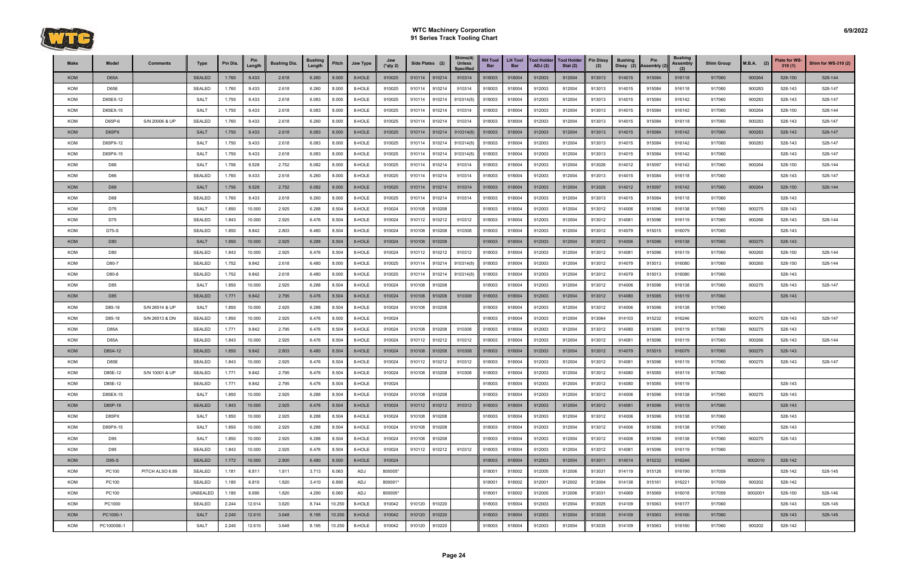

| Make       | Model        | <b>Comments</b> | Type          | Pin Dia. | Pin<br>Length | <b>Bushing Dia.</b> | <b>Bushing</b><br>Length | Pitch  | Jaw Type | Jaw<br>$(*qty 2)$ | Side Plates (2) |        | Shims(4)<br><b>Unless</b><br><b>Specified</b> | <b>RH Tool</b><br><b>Bar</b> | <b>LH Tool</b><br><b>Bar</b> | <b>Tool Holder</b><br>ADJ(2) | <b>Tool Holder</b><br>Stat $(2)$ | <b>Pin Dissy</b><br>(2) | <b>Bushing</b><br>Dissy (2) | Pin<br>Assembly (2) | <b>Bushing</b><br><b>Assembly</b> | <b>Shim Group</b> | $M.B.A.$ (2) | <b>Plate for WS-</b><br>310(1) | <b>Shim for WS-310 (2)</b> |
|------------|--------------|-----------------|---------------|----------|---------------|---------------------|--------------------------|--------|----------|-------------------|-----------------|--------|-----------------------------------------------|------------------------------|------------------------------|------------------------------|----------------------------------|-------------------------|-----------------------------|---------------------|-----------------------------------|-------------------|--------------|--------------------------------|----------------------------|
| <b>KOM</b> | D65A         |                 | <b>SEALED</b> | 1.760    | 9.433         | 2.618               | 6.260                    | 8.000  | 8-HOLE   | 910025            | 910114          | 910214 | 910314                                        | 918003                       | 918004                       | 912003                       | 912004                           | 913013                  | 914015                      | 915084              | 916118                            | 917060            | 900264       | 528-150                        | 528-144                    |
| KOM        | D65E         |                 | <b>SEALED</b> | 1.760    | 9.433         | 2.618               | 6.260                    | 8.000  | 8-HOLE   | 910025            | 910114          | 910214 | 910314                                        | 918003                       | 918004                       | 912003                       | 912004                           | 913013                  | 914015                      | 915084              | 916118                            | 917060            | 900283       | 528-143                        | 528-147                    |
| KOM        | D65EX-12     |                 | <b>SALT</b>   | 1.750    | 9.433         | 2.618               | 6.083                    | 8.000  | 8-HOLE   | 910025            | 910114          | 910214 | 910314(8)                                     | 918003                       | 918004                       | 912003                       | 912004                           | 913013                  | 914015                      | 915084              | 916142                            | 917060            | 900283       | 528-143                        | 528-147                    |
| KOM        | D65EX-15     |                 | <b>SALT</b>   | 1.750    | 9.433         | 2.618               | 6.083                    | 8.000  | 8-HOLE   | 910025            | 910114          | 910214 | 910314                                        | 918003                       | 918004                       | 912003                       | 912004                           | 913013                  | 914015                      | 915084              | 916142                            | 917060            | 900264       | 528-150                        | 528-144                    |
| KOM        | D65P-6       | S/N 20006 & UP  | <b>SEALED</b> | 1.760    | 9.433         | 2.618               | 6.260                    | 8.000  | 8-HOLE   | 910025            | 910114          | 910214 | 910314                                        | 918003                       | 918004                       | 912003                       | 912004                           | 913013                  | 914015                      | 915084              | 916118                            | 917060            | 900283       | 528-143                        | 528-147                    |
| <b>KOM</b> | D65PX        |                 | <b>SALT</b>   | 1.750    | 9.433         | 2.618               | 6.083                    | 8.000  | 8-HOLE   | 910025            | 910114          | 910214 | 910314(8)                                     | 918003                       | 918004                       | 912003                       | 912004                           | 913013                  | 914015                      | 915084              | 916142                            | 917060            | 900283       | 528-143                        | 528-147                    |
| KOM        | D65PX-12     |                 | <b>SALT</b>   | 1.750    | 9.433         | 2.618               | 6.083                    | 8.000  | 8-HOLE   | 910025            | 910114          | 910214 | 910314(8)                                     | 918003                       | 918004                       | 912003                       | 912004                           | 913013                  | 914015                      | 915084              | 916142                            | 917060            | 900283       | 528-143                        | 528-147                    |
| KOM        | D65PX-15     |                 | <b>SALT</b>   | 1.750    | 9.433         | 2.618               | 6.083                    | 8.000  | 8-HOLE   | 910025            | 910114          | 910214 | 910314(8)                                     | 918003                       | 918004                       | 912003                       | 912004                           | 913013                  | 914015                      | 915084              | 916142                            | 917060            |              | 528-143                        | 528-147                    |
| KOM        | D66          |                 | <b>SALT</b>   | 1.756    | 9.528         | 2.752               | 6.082                    | 8.000  | 8-HOLE   | 910025            | 910114          | 910214 | 910314                                        | 918003                       | 918004                       | 912003                       | 912004                           | 913026                  | 914012                      | 915097              | 916142                            | 917060            | 900264       | 528-150                        | 528-144                    |
| KOM        | D66          |                 | SEALED        | 1.760    | 9.433         | 2.618               | 6.260                    | 8.000  | 8-HOLE   | 910025            | 910114          | 910214 | 910314                                        | 918003                       | 918004                       | 912003                       | 912004                           | 913013                  | 914015                      | 915084              | 916118                            | 917060            |              | 528-143                        | 528-147                    |
| <b>KOM</b> | D68          |                 | <b>SALT</b>   | 1.756    | 9.528         | 2.752               | 6.082                    | 8.000  | 8-HOLE   | 910025            | 910114          | 910214 | 910314                                        | 918003                       | 918004                       | 912003                       | 912004                           | 913026                  | 914012                      | 915097              | 916142                            | 917060            | 900264       | 528-150                        | 528-144                    |
| KOM        | D68          |                 | <b>SEALED</b> | 1.760    | 9.433         | 2.618               | 6.260                    | 8.000  | 8-HOLE   | 910025            | 910114          | 910214 | 910314                                        | 918003                       | 918004                       | 912003                       | 912004                           | 913013                  | 914015                      | 915084              | 916118                            | 917060            |              | 528-143                        |                            |
| KOM        | D75          |                 | <b>SALT</b>   | 1.850    | 10.000        | 2.925               | 6.288                    | 8.504  | 8-HOLE   | 910024            | 910108          | 910208 |                                               | 918003                       | 918004                       | 912003                       | 912004                           | 913012                  | 914006                      | 915096              | 916138                            | 917060            | 900275       | 528-143                        |                            |
| KOM        | D75          |                 | <b>SEALED</b> | 1.843    | 10.000        | 2.925               | 6.476                    | 8.504  | 8-HOLE   | 910024            | 910112          | 910212 | 910312                                        | 918003                       | 918004                       | 912003                       | 912004                           | 913012                  | 914081                      | 915096              | 916119                            | 917060            | 900266       | 528-143                        | 528-144                    |
| KOM        | D75-S        |                 | <b>SEALED</b> | 1.850    | 9.842         | 2.803               | 6.480                    | 8.504  | 8-HOLE   | 910024            | 910108          | 910208 | 910308                                        | 918003                       | 918004                       | 912003                       | 912004                           | 913012                  | 914079                      | 915015              | 916079                            | 917060            |              | 528-143                        |                            |
| <b>KOM</b> | D80          |                 | <b>SALT</b>   | 1.850    | 10.000        | 2.925               | 6.288                    | 8.504  | 8-HOLE   | 910024            | 910108          | 910208 |                                               | 918003                       | 918004                       | 912003                       | 912004                           | 913012                  | 914006                      | 915096              | 916138                            | 917060            | 900275       | 528-143                        |                            |
| KOM        | D80          |                 | <b>SEALED</b> | 1.843    | 10.000        | 2.925               | 6.476                    | 8.504  | 8-HOLE   | 910024            | 910112          | 910212 | 910312                                        | 918003                       | 918004                       | 912003                       | 912004                           | 913012                  | 914081                      | 915096              | 916119                            | 917060            | 900265       | 528-150                        | 528-144                    |
| KOM        | D80-7        |                 | <b>SEALED</b> | 1.752    | 9.842         | 2.618               | 6.480                    | 8.000  | 8-HOLE   | 910025            | 910114          | 910214 | 910314(8)                                     | 918003                       | 918004                       | 912003                       | 912004                           | 913012                  | 914079                      | 915013              | 916080                            | 917060            | 900265       | 528-150                        | 528-144                    |
| KOM        | D80-8        |                 | <b>SEALED</b> | 1.752    | 9.842         | 2.618               | 6.480                    | 8.000  | 8-HOLE   | 910025            | 910114          | 910214 | 910314(8)                                     | 918003                       | 918004                       | 912003                       | 912004                           | 913012                  | 914079                      | 915013              | 916080                            | 917060            |              | 528-143                        |                            |
| KOM        | D85          |                 | <b>SALT</b>   | 1.850    | 10.000        | 2.925               | 6.288                    | 8.504  | 8-HOLE   | 910024            | 910108          | 910208 |                                               | 918003                       | 918004                       | 912003                       | 912004                           | 913012                  | 914006                      | 915096              | 916138                            | 917060            | 900275       | 528-143                        | 528-147                    |
| <b>KOM</b> | D85          |                 | <b>SEALED</b> | 1.771    | 9.842         | 2.795               | 6.476                    | 8.504  | 8-HOLE   | 910024            | 910108          | 910208 | 910308                                        | 918003                       | 918004                       | 912003                       | 912004                           | 913012                  | 914080                      | 915085              | 916119                            | 917060            |              | 528-143                        |                            |
| KOM        | D85-18       | S/N 26514 & UP  | <b>SALT</b>   | 1.850    | 10.000        | 2.925               | 6.288                    | 8.504  | 8-HOLE   | 910024            | 910108          | 910208 |                                               | 918003                       | 918004                       | 912003                       | 912004                           | 913012                  | 914006                      | 915096              | 916138                            | 917060            |              |                                |                            |
| KOM        | D85-18       | S/N 26513 & DN  | <b>SEALED</b> | 1.850    | 10.000        | 2.925               | 6.476                    | 8.500  | 8-HOLE   | 910024            |                 |        |                                               | 918003                       | 918004                       | 912003                       | 912004                           | 913064                  | 914103                      | 915232              | 916246                            |                   | 900275       | 528-143                        | 528-147                    |
| KOM        | D85A         |                 | <b>SEALED</b> | 1.771    | 9.842         | 2.795               | 6.476                    | 8.504  | 8-HOLE   | 910024            | 910108          | 910208 | 910308                                        | 918003                       | 918004                       | 912003                       | 912004                           | 913012                  | 914080                      | 915085              | 916119                            | 917060            | 900275       | 528-143                        |                            |
| KOM        | D85A         |                 | <b>SEALED</b> | 1.843    | 10.000        | 2.925               | 6.476                    | 8.504  | 8-HOLE   | 910024            | 910112          | 910212 | 910312                                        | 918003                       | 918004                       | 912003                       | 912004                           | 913012                  | 914081                      | 915096              | 916119                            | 917060            | 900266       | 528-143                        | 528-144                    |
| <b>KOM</b> | D85A-12      |                 | <b>SEALED</b> | 1.850    | 9.842         | 2.803               | 6.480                    | 8.504  | 8-HOLE   | 910024            | 910108          | 910208 | 910308                                        | 918003                       | 918004                       | 912003                       | 912004                           | 913012                  | 914079                      | 915015              | 916079                            | 917060            | 900275       | 528-143                        |                            |
| KOM        | D85E         |                 | <b>SEALED</b> | 1.843    | 10.000        | 2.925               | 6.476                    | 8.504  | 8-HOLE   | 910024            | 910112          | 910212 | 910312                                        | 918003                       | 918004                       | 912003                       | 912004                           | 913012                  | 914081                      | 915096              | 916119                            | 917060            | 900275       | 528-143                        | 528-147                    |
| KOM        | D85E-12      | S/N 10001 & UP  | <b>SEALED</b> | 1.771    | 9.842         | 2.795               | 6.476                    | 8.504  | 8-HOLE   | 910024            | 910108          | 910208 | 910308                                        | 918003                       | 918004                       | 912003                       | 912004                           | 913012                  | 914080                      | 915085              | 916119                            | 917060            |              |                                |                            |
| <b>KOM</b> | D85E-12      |                 | <b>SEALED</b> | 1.771    | 9.842         | 2.795               | 6.476                    | 8.504  | 8-HOLE   | 910024            |                 |        |                                               | 918003                       | 918004                       | 912003                       | 912004                           | 913012                  | 914080                      | 915085              | 916119                            |                   |              | 528-143                        |                            |
| KOM        | D85EX-15     |                 | <b>SALT</b>   | 1.850    | 10.000        | 2.925               | 6.288                    | 8.504  | 8-HOLE   | 910024            | 910108          | 910208 |                                               | 918003                       | 918004                       | 912003                       | 912004                           | 913012                  | 914006                      | 915096              | 916138                            | 917060            | 900275       | 528-143                        |                            |
| <b>KOM</b> | D85P-18      |                 | <b>SEALED</b> | 1.843    | 10.000        | 2.925               | 6.476                    | 8.504  | 8-HOLE   | 910024            | 910112 910212   |        | 910312                                        | 918003                       | 918004                       | 912003                       | 912004                           | 913012                  | 914081                      | 915096              | 916119                            | 917060            |              | 528-143                        |                            |
| KOM        | D85PX        |                 | <b>SALT</b>   | 1.850    | 10.000        | 2.925               | 6.288                    | 8.504  | 8-HOLE   | 910024            | 910108          | 910208 |                                               | 918003                       | 918004                       | 912003                       | 912004                           | 913012                  | 914006                      | 915096              | 916138                            | 917060            |              | 528-143                        |                            |
| KOM        | D85PX-15     |                 | <b>SALT</b>   | 1.850    | 10.000        | 2.925               | 6.288                    | 8.504  | 8-HOLE   | 910024            | 910108          | 910208 |                                               | 918003                       | 918004                       | 912003                       | 912004                           | 913012                  | 914006                      | 915096              | 916138                            | 917060            |              | 528-143                        |                            |
| KOM        | D95          |                 | <b>SALT</b>   | 1.850    | 10.000        | 2.925               | 6.288                    | 8.504  | 8-HOLE   | 910024            | 910108          | 910208 |                                               | 918003                       | 918004                       | 912003                       | 912004                           | 913012                  | 914006                      | 915096              | 916138                            | 917060            | 900275       | 528-143                        |                            |
| KOM        | D95          |                 | <b>SEALED</b> | 1.843    | 10.000        | 2.925               | 6.476                    | 8.504  | 8-HOLE   | 910024            | 910112 910212   |        | 910312                                        | 918003                       | 918004                       | 912003                       | 912004                           | 913012                  | 914081                      | 915096              | 916119                            | 917060            |              |                                |                            |
| <b>KOM</b> | D95-S        |                 | <b>SEALED</b> | 1.772    | 10.000        | 2.800               | 6.480                    | 8.500  | 8-HOLE   | 910024            |                 |        |                                               | 918003                       | 918004                       | 912003                       | 912004                           | 913011                  | 914014                      | 915232              | 916246                            |                   | 9002010      | 528-142                        |                            |
| KOM        | <b>PC100</b> | PITCH ALSO 6.89 | <b>SEALED</b> | 1.181    | 6.811         | 1.811               | 3.713                    | 6.063  | ADJ      | 800005*           |                 |        |                                               | 918001                       | 918002                       | 912005                       | 912006                           | 913031                  | 914119                      | 915126              | 916190                            | 917059            |              | 528-142                        | 528-145                    |
| KOM        | PC100        |                 | SEALED        | 1.180    | 6.810         | 1.820               | 3.410                    | 6.890  | ADJ      | 800001*           |                 |        |                                               | 918001                       | 918002                       | 912001                       | 912002                           | 913004                  | 914138                      | 915161              | 916221                            | 917059            | 900202       | 528-142                        |                            |
| <b>KOM</b> | PC100        |                 | UNSEALED      | 1.180    | 6.690         | 1.820               | 4.290                    | 6.060  | ADJ      | 800005*           |                 |        |                                               | 918001                       | 918002                       | 912005                       | 912006                           | 913031                  | 914069                      | 915069              | 916018                            | 917059            | 9002001      | 528-150                        | 528-146                    |
| KOM        | PC1000       |                 | <b>SEALED</b> | 2.244    | 12.614        | 3.620               | 8.744                    | 10.250 | 8-HOLE   | 910042            | 910120          | 910220 |                                               | 918003                       | 918004                       | 912003                       | 912004                           | 913025                  | 914109                      | 915063              | 916177                            | 917060            |              | 528-143                        | 528-145                    |
| <b>KOM</b> | PC1000-1     |                 | <b>SALT</b>   | 2.240    | 12.610        | 3.648               | 8.195                    | 10.250 | 8-HOLE   | 910042            | 910120          | 910220 |                                               | 918003                       | 918004                       | 912003                       | 912004                           | 913035                  | 914109                      | 915063              | 916160                            | 917060            |              | 528-143                        | 528-145                    |
| KOM        | PC1000SE-1   |                 | <b>SALT</b>   | 2.240    | 12.610        | 3.648               | 8.195                    | 10.250 | 8-HOLE   | 910042            | 910120 910220   |        |                                               | 918003                       | 918004                       | 912003                       | 912004                           | 913035                  | 914109                      | 915063              | 916160                            | 917060            | 900202       | 528-142                        |                            |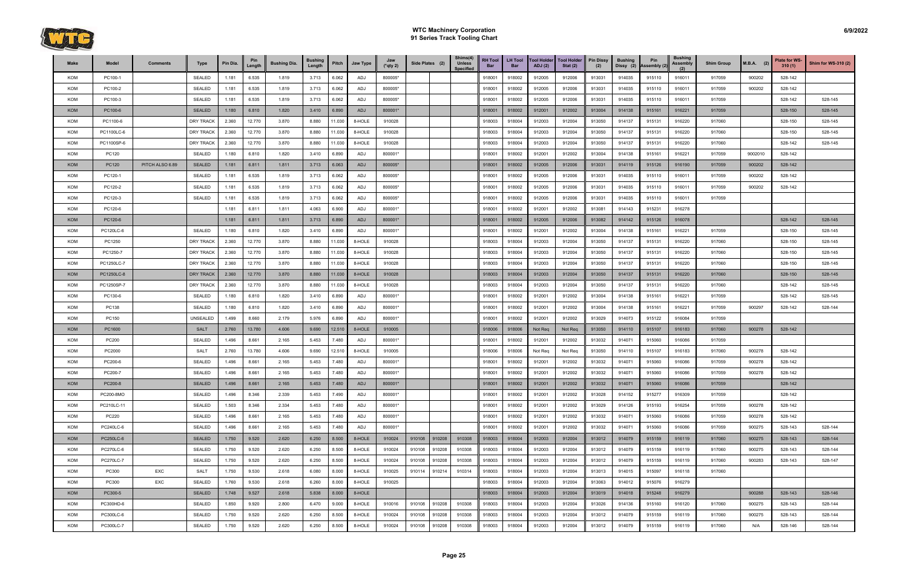

| Make       | Model            | <b>Comments</b> | <b>Type</b>      | Pin Dia. | Pin<br>Length | <b>Bushing Dia.</b> | <b>Bushing</b><br>Length | Pitch  | Jaw Type | Jaw<br>(*qty 2) | Side Plates (2) |        | Shims(4)<br><b>Unless</b><br><b>Specified</b> | <b>RH Tool</b><br><b>Bar</b> | LH Tool<br><b>Bar</b> | <b>Tool Holder</b><br><b>ADJ</b> (2) | <b>Tool Holder</b><br>Stat $(2)$ | <b>Pin Dissy</b><br>(2) | <b>Bushing</b><br>Dissy (2) | Pin<br>Assembly (2 | <b>Bushing</b><br>Assembly | <b>Shim Group</b> | $M.B.A.$ (2) | Plate for WS-<br>310(1) | <b>Shim for WS-310 (2)</b> |
|------------|------------------|-----------------|------------------|----------|---------------|---------------------|--------------------------|--------|----------|-----------------|-----------------|--------|-----------------------------------------------|------------------------------|-----------------------|--------------------------------------|----------------------------------|-------------------------|-----------------------------|--------------------|----------------------------|-------------------|--------------|-------------------------|----------------------------|
| KOM        | PC100-1          |                 | <b>SEALED</b>    | 1.181    | 6.535         | 1.819               | 3.713                    | 6.062  | ADJ      | 800005*         |                 |        |                                               | 918001                       | 918002                | 912005                               | 912006                           | 913031                  | 914035                      | 915110             | 916011                     | 917059            | 900202       | 528-142                 |                            |
| KOM        | PC100-2          |                 | <b>SEALED</b>    | 1.181    | 6.535         | 1.819               | 3.713                    | 6.062  | ADJ      | 800005*         |                 |        |                                               | 918001                       | 918002                | 912005                               | 912006                           | 913031                  | 914035                      | 915110             | 916011                     | 917059            | 900202       | 528-142                 |                            |
| KOM        | PC100-3          |                 | <b>SEALED</b>    | 1.181    | 6.535         | 1.819               | 3.713                    | 6.062  | ADJ      | 800005*         |                 |        |                                               | 918001                       | 918002                | 912005                               | 912006                           | 913031                  | 914035                      | 915110             | 916011                     | 917059            |              | 528-142                 | 528-145                    |
| <b>KOM</b> | PC100-6          |                 | <b>SEALED</b>    | 1.180    | 6.810         | 1.820               | 3.410                    | 6.890  | ADJ      | 800001*         |                 |        |                                               | 918001                       | 918002                | 912001                               | 912002                           | 913004                  | 914138                      | 915161             | 916221                     | 917059            |              | 528-150                 | 528-145                    |
| KOM        | PC1100-6         |                 | <b>DRY TRACK</b> | 2.360    | 12.770        | 3.870               | 8.880                    | 11.030 | 8-HOLE   | 910028          |                 |        |                                               | 918003                       | 918004                | 912003                               | 912004                           | 913050                  | 914137                      | 915131             | 916220                     | 917060            |              | 528-150                 | 528-145                    |
| KOM        | PC1100LC-6       |                 | <b>DRY TRACK</b> | 2.360    | 12.770        | 3.870               | 8.880                    | 11.030 | 8-HOLE   | 910028          |                 |        |                                               | 918003                       | 918004                | 912003                               | 912004                           | 913050                  | 914137                      | 915131             | 916220                     | 917060            |              | 528-150                 | 528-145                    |
| KOM        | PC1100SP-6       |                 | <b>DRY TRACK</b> | 2.360    | 12.770        | 3.870               | 8.880                    | 11.030 | 8-HOLE   | 910028          |                 |        |                                               | 918003                       | 918004                | 912003                               | 912004                           | 913050                  | 914137                      | 915131             | 916220                     | 917060            |              | 528-142                 | 528-145                    |
| KOM        | PC120            |                 | <b>SEALED</b>    | 1.180    | 6.810         | 1.820               | 3.410                    | 6.890  | ADJ      | 800001*         |                 |        |                                               | 918001                       | 918002                | 912001                               | 912002                           | 913004                  | 914138                      | 915161             | 916221                     | 917059            | 9002010      | 528-142                 |                            |
| <b>KOM</b> | <b>PC120</b>     | PITCH ALSO 6.89 | <b>SEALED</b>    | 1.181    | 6.811         | 1.811               | 3.713                    | 6.063  | ADJ      | 800005*         |                 |        |                                               | 918001                       | 918002                | 912005                               | 912006                           | 913031                  | 914119                      | 915126             | 916190                     | 917059            | 900202       | 528-142                 |                            |
| KOM        | PC120-1          |                 | <b>SEALED</b>    | 1.181    | 6.535         | 1.819               | 3.713                    | 6.062  | ADJ      | 800005*         |                 |        |                                               | 918001                       | 918002                | 912005                               | 912006                           | 913031                  | 914035                      | 915110             | 916011                     | 917059            | 900202       | 528-142                 |                            |
| KOM        | PC120-2          |                 | <b>SEALED</b>    | 1.181    | 6.535         | 1.819               | 3.713                    | 6.062  | ADJ      | 800005*         |                 |        |                                               | 918001                       | 918002                | 912005                               | 912006                           | 913031                  | 914035                      | 915110             | 916011                     | 917059            | 900202       | 528-142                 |                            |
| KOM        | PC120-3          |                 | <b>SEALED</b>    | 1.181    | 6.535         | 1.819               | 3.713                    | 6.062  | ADJ      | 800005*         |                 |        |                                               | 918001                       | 918002                | 912005                               | 912006                           | 913031                  | 914035                      | 915110             | 916011                     | 917059            |              |                         |                            |
| KOM        | PC120-6          |                 |                  | 1.181    | 6.811         | 1.811               | 4.063                    | 6.900  | ADJ      | 800001*         |                 |        |                                               | 918001                       | 918002                | 912001                               | 912002                           | 913081                  | 914143                      | 915231             | 916278                     |                   |              |                         |                            |
| <b>KOM</b> | PC120-6          |                 |                  | 1.181    | 6.811         | 1.811               | 3.713                    | 6.890  | ADJ      | 800001*         |                 |        |                                               | 918001                       | 918002                | 912005                               | 912006                           | 913082                  | 914142                      | 915126             | 916078                     |                   |              | 528-142                 | 528-145                    |
| KOM        | PC120LC-6        |                 | <b>SEALED</b>    | 1.180    | 6.810         | 1.820               | 3.410                    | 6.890  | ADJ      | 800001*         |                 |        |                                               | 918001                       | 918002                | 912001                               | 912002                           | 913004                  | 914138                      | 915161             | 916221                     | 917059            |              | 528-150                 | 528-145                    |
| KOM        | PC1250           |                 | <b>DRY TRACK</b> | 2.360    | 12.770        | 3.870               | 8.880                    | 11.030 | 8-HOLE   | 910028          |                 |        |                                               | 918003                       | 918004                | 912003                               | 912004                           | 913050                  | 914137                      | 915131             | 916220                     | 917060            |              | 528-150                 | 528-145                    |
| KOM        | PC1250-7         |                 | <b>DRY TRACK</b> | 2.360    | 12.770        | 3.870               | 8.880                    | 11.030 | 8-HOLE   | 910028          |                 |        |                                               | 918003                       | 918004                | 912003                               | 912004                           | 913050                  | 914137                      | 915131             | 916220                     | 917060            |              | 528-150                 | 528-145                    |
| KOM        | PC1250LC-7       |                 | <b>DRY TRACK</b> | 2.360    | 12.770        | 3.870               | 8.880                    | 11.030 | 8-HOLE   | 910028          |                 |        |                                               | 918003                       | 918004                | 912003                               | 912004                           | 913050                  | 914137                      | 915131             | 916220                     | 917060            |              | 528-150                 | 528-145                    |
| <b>KOM</b> | PC1250LC-8       |                 | <b>DRY TRACK</b> | 2.360    | 12.770        | 3.870               | 8.880                    | 11.030 | 8-HOLE   | 910028          |                 |        |                                               | 918003                       | 918004                | 912003                               | 912004                           | 913050                  | 914137                      | 915131             | 916220                     | 917060            |              | 528-150                 | 528-145                    |
| KOM        | PC1250SP-7       |                 | DRY TRACK        | 2.360    | 12.770        | 3.870               | 8.880                    | 11.030 | 8-HOLE   | 910028          |                 |        |                                               | 918003                       | 918004                | 912003                               | 912004                           | 913050                  | 914137                      | 915131             | 916220                     | 917060            |              | 528-142                 | 528-145                    |
| KOM        | PC130-6          |                 | <b>SEALED</b>    | 1.180    | 6.810         | 1.820               | 3.410                    | 6.890  | ADJ      | 800001*         |                 |        |                                               | 918001                       | 918002                | 912001                               | 912002                           | 913004                  | 914138                      | 915161             | 916221                     | 917059            |              | 528-142                 | 528-145                    |
| KOM        | PC138            |                 | <b>SEALED</b>    | 1.180    | 6.810         | 1.820               | 3.410                    | 6.890  | ADJ      | 800001*         |                 |        |                                               | 918001                       | 918002                | 912001                               | 912002                           | 913004                  | 914138                      | 915161             | 916221                     | 917059            | 900297       | 528-142                 | 528-144                    |
| KOM        | PC150            |                 | UNSEALED         | 1.499    | 8.660         | 2.179               | 5.976                    | 6.890  | ADJ      | 800001*         |                 |        |                                               | 918001                       | 918002                | 912001                               | 912002                           | 913029                  | 914073                      | 915122             | 916084                     | 917059            |              |                         |                            |
| <b>KOM</b> | PC1600           |                 | <b>SALT</b>      | 2.760    | 13.780        | 4.606               | 9.690                    | 12.510 | 8-HOLE   | 910005          |                 |        |                                               | 918006                       | 918006                | Not Req                              | Not Req                          | 913050                  | 914110                      | 915107             | 916183                     | 917060            | 900278       | 528-142                 |                            |
| KOM        | PC200            |                 | <b>SEALED</b>    | 1.496    | 8.661         | 2.165               | 5.453                    | 7.480  | ADJ      | 800001*         |                 |        |                                               | 918001                       | 918002                | 912001                               | 912002                           | 913032                  | 914071                      | 915060             | 916086                     | 917059            |              |                         |                            |
| KOM        | PC2000           |                 | <b>SALT</b>      | 2.760    | 13.780        | 4.606               | 9.690                    | 12.510 | 8-HOLE   | 910005          |                 |        |                                               | 918006                       | 918006                | Not Req                              | Not Req                          | 913050                  | 914110                      | 915107             | 916183                     | 917060            | 900278       | 528-142                 |                            |
| KOM        | PC200-6          |                 | <b>SEALED</b>    | 1.496    | 8.661         | 2.165               | 5.453                    | 7.480  | ADJ      | 800001*         |                 |        |                                               | 918001                       | 918002                | 912001                               | 912002                           | 913032                  | 914071                      | 915060             | 916086                     | 917059            | 900278       | 528-142                 |                            |
| KOM        | PC200-7          |                 | <b>SEALED</b>    | 1.496    | 8.661         | 2.165               | 5.453                    | 7.480  | ADJ      | 800001*         |                 |        |                                               | 918001                       | 918002                | 912001                               | 912002                           | 913032                  | 914071                      | 915060             | 916086                     | 917059            | 900278       | 528-142                 |                            |
| <b>KOM</b> | PC200-8          |                 | <b>SEALED</b>    | 1.496    | 8.661         | 2.165               | 5.453                    | 7.480  | ADJ      | 800001*         |                 |        |                                               | 918001                       | 918002                | 912001                               | 912002                           | 913032                  | 914071                      | 915060             | 916086                     | 917059            |              | 528-142                 |                            |
| KOM        | PC200-8MO        |                 | SEALED           | 1.496    | 8.346         | 2.339               | 5.453                    | 7.490  | ADJ      | 800001*         |                 |        |                                               | 918001                       | 918002                | 912001                               | 912002                           | 913028                  | 914152                      | 915277             | 916309                     | 917059            |              | 528-142                 |                            |
| KOM        | PC210LC-11       |                 | SEALED           | 1.503    | 8.346         | 2.334               | 5.453                    | 7.480  | ADJ      | 800001*         |                 |        |                                               | 918001                       | 918002                | 912001                               | 912002                           | 913029                  | 914126                      | 915193             | 916254                     | 917059            | 900278       | 528-142                 |                            |
| KOM        | PC220            |                 | <b>SEALED</b>    | 1.496    | 8.661         | 2.165               | 5.453                    | 7.480  | ADJ      | 800001*         |                 |        |                                               | 918001                       | 918002                | 912001                               | 912002                           | 913032                  | 914071                      | 915060             | 916086                     | 917059            | 900278       | 528-142                 |                            |
| KOM        | PC240LC-6        |                 | SEALED           | 1.496    | 8.661         | 2.165               | 5.453                    | 7.480  | ADJ      | 800001*         |                 |        |                                               | 918001                       | 918002                | 912001                               | 912002                           | 913032                  | 914071                      | 915060             | 916086                     | 917059            | 900275       | 528-143                 | 528-144                    |
| KOM        | <b>PC250LC-6</b> |                 | <b>SEALED</b>    | 1.750    | 9.520         | 2.620               | 6.250                    | 8.500  | 8-HOLE   | 910024          | 910108 910208   |        | 910308                                        | 918003                       | 918004                | 912003                               | 912004                           | 913012                  | 914079                      | 915159             | 916119                     | 917060            | 900275       | 528-143                 | 528-144                    |
| KOM        | <b>PC270LC-6</b> |                 | <b>SEALED</b>    | 1.750    | 9.520         | 2.620               | 6.250                    | 8.500  | 8-HOLE   | 910024          | 910108          | 910208 | 910308                                        | 918003                       | 918004                | 912003                               | 912004                           | 913012                  | 914079                      | 915159             | 916119                     | 917060            | 900275       | 528-143                 | 528-144                    |
| KOM        | PC270LC-7        |                 | <b>SEALED</b>    | 1.750    | 9.520         | 2.620               | 6.250                    | 8.500  | 8-HOLE   | 910024          | 910108          | 910208 | 910308                                        | 918003                       | 918004                | 912003                               | 912004                           | 913012                  | 914079                      | 915159             | 916119                     | 917060            | 900283       | 528-143                 | 528-147                    |
| KOM        | PC300            | EXC             | <b>SALT</b>      | 1.750    | 9.530         | 2.618               | 6.080                    | 8.000  | 8-HOLE   | 910025          | 910114          | 910214 | 910314                                        | 918003                       | 918004                | 912003                               | 912004                           | 913013                  | 914015                      | 915097             | 916118                     | 917060            |              |                         |                            |
| KOM        | PC300            | EXC             | SEALED           | 1.760    | 9.530         | 2.618               | 6.260                    | 8.000  | 8-HOLE   | 910025          |                 |        |                                               | 918003                       | 918004                | 912003                               | 912004                           | 913063                  | 914012                      | 915076             | 916279                     |                   |              |                         |                            |
| <b>KOM</b> | PC300-5          |                 | <b>SEALED</b>    | 1.748    | 9.527         | 2.618               | 5.838                    | 8.000  | 8-HOLE   |                 |                 |        |                                               | 918003                       | 918004                | 912003                               | 912004                           | 913019                  | 914018                      | 915248             | 916279                     |                   | 900288       | 528-143                 | 528-146                    |
| KOM        | PC300HD-6        |                 | <b>SEALED</b>    | 1.850    | 9.920         | 2.800               | 6.470                    | 9.000  | 8-HOLE   | 910016          | 910108          | 910208 | 910308                                        | 918003                       | 918004                | 912003                               | 912004                           | 913026                  | 914136                      | 915160             | 916120                     | 917060            | 900275       | 528-143                 | 528-144                    |
| KOM        | PC300LC-6        |                 | <b>SEALED</b>    | 1.750    | 9.520         | 2.620               | 6.250                    | 8.500  | 8-HOLE   | 910024          | 910108          | 910208 | 910308                                        | 918003                       | 918004                | 912003                               | 912004                           | 913012                  | 914079                      | 915159             | 916119                     | 917060            | 900275       | 528-143                 | 528-144                    |
| KOM        | PC300LC-7        |                 | SEALED           | 1.750    | 9.520         | 2.620               | 6.250                    | 8.500  | 8-HOLE   | 910024          | 910108          | 910208 | 910308                                        | 918003                       | 918004                | 912003                               | 912004                           | 913012                  | 914079                      | 915159             | 916119                     | 917060            | N/A          | 528-146                 | 528-144                    |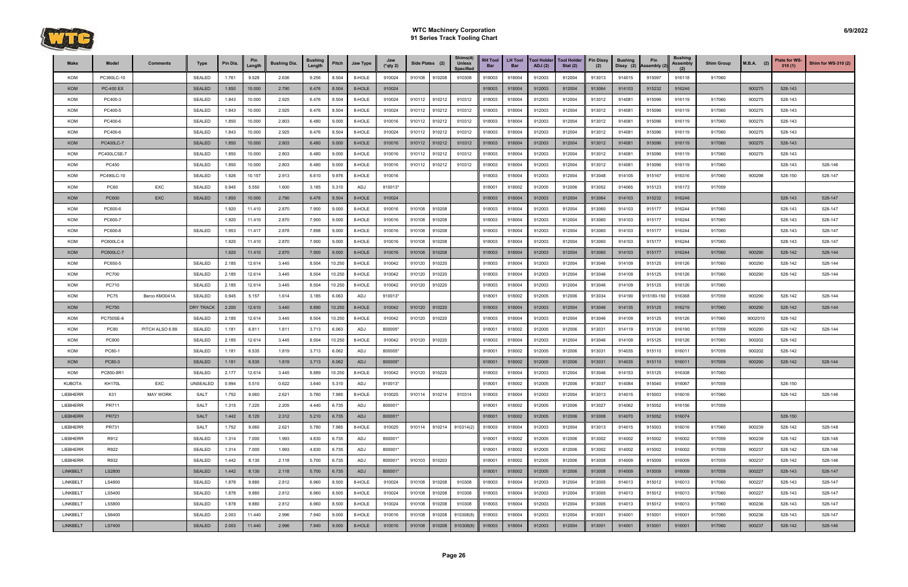

| Make            | Model            | <b>Comments</b> | <b>Type</b>      | Pin Dia. | <b>Pin</b><br>Length | <b>Bushing Dia.</b> | <b>Bushing</b><br>Length | Pitch  | Jaw Type   | Jaw<br>$(*$ qty 2) |        | Side Plates (2) | Shims(4)<br><b>Unless</b><br><b>Specified</b> | <b>RH Tool</b><br>Bar | <b>LH Tool</b><br><b>Bar</b> | <b>Tool Holder</b><br><b>ADJ</b> (2) | <b>Tool Holder</b><br>Stat $(2)$ | <b>Pin Dissy</b><br>(2) | <b>Bushing</b><br>Dissy (2) | Pin<br>Assembly (2) | <b>Bushing</b><br>Assembly | <b>Shim Group</b> | $M.B.A.$ (2) | Plate for WS-<br>310(1) | <b>Shim for WS-310 (2)</b> |
|-----------------|------------------|-----------------|------------------|----------|----------------------|---------------------|--------------------------|--------|------------|--------------------|--------|-----------------|-----------------------------------------------|-----------------------|------------------------------|--------------------------------------|----------------------------------|-------------------------|-----------------------------|---------------------|----------------------------|-------------------|--------------|-------------------------|----------------------------|
| KOM             | PC360LC-10       |                 | <b>SEALED</b>    | 1.761    | 9.528                | 2.636               | 9.256                    | 8.504  | 8-HOLE     | 910024             | 910108 | 910208          | 910308                                        | 918003                | 918004                       | 912003                               | 912004                           | 913013                  | 914015                      | 915097              | 916118                     | 917060            |              |                         |                            |
| <b>KOM</b>      | <b>PC-400 EX</b> |                 | <b>SEALED</b>    | 1.850    | 10.000               | 2.790               | 6.476                    | 8.504  | 8-HOLE     | 910024             |        |                 |                                               | 918003                | 918004                       | 912003                               | 912004                           | 913064                  | 914103                      | 915232              | 916246                     |                   | 900275       | 528-143                 |                            |
| KOM             | PC400-3          |                 | <b>SEALED</b>    | 1.843    | 10.000               | 2.925               | 6.476                    | 8.504  | 8-HOLE     | 910024             | 910112 | 910212          | 910312                                        | 918003                | 918004                       | 912003                               | 912004                           | 913012                  | 914081                      | 915096              | 916119                     | 917060            | 900275       | 528-143                 |                            |
| KOM             | PC400-5          |                 | <b>SEALED</b>    | 1.843    | 10.000               | 2.925               | 6.476                    | 8.504  | 8-HOLE     | 910024             | 910112 | 910212          | 910312                                        | 918003                | 918004                       | 912003                               | 912004                           | 913012                  | 914081                      | 915096              | 916119                     | 917060            | 900275       | 528-143                 |                            |
| KOM             | PC400-6          |                 | <b>SEALED</b>    | 1.850    | 10.000               | 2.803               | 6.480                    | 9.000  | 8-HOLE     | 910016             | 910112 | 910212          | 910312                                        | 918003                | 918004                       | 912003                               | 912004                           | 913012                  | 914081                      | 915096              | 916119                     | 917060            | 900275       | 528-143                 |                            |
| KOM             | PC400-6          |                 | <b>SEALED</b>    | 1.843    | 10.000               | 2.925               | 6.476                    | 8.504  | 8-HOLE     | 910024             | 910112 | 910212          | 910312                                        | 918003                | 918004                       | 912003                               | 912004                           | 913012                  | 914081                      | 915096              | 916119                     | 917060            | 900275       | 528-143                 |                            |
| <b>KOM</b>      | PC400LC-7        |                 | <b>SEALED</b>    | 1.850    | 10.000               | 2.803               | 6.480                    | 9.000  | 8-HOLE     | 910016             | 910112 | 910212          | 910312                                        | 918003                | 918004                       | 912003                               | 912004                           | 913012                  | 914081                      | 915096              | 916119                     | 917060            | 900275       | 528-143                 |                            |
| KOM             | PC400LCSE-7      |                 | <b>SEALED</b>    | 1.850    | 10.000               | 2.803               | 6.480                    | 9.000  | 8-HOLE     | 910016             | 910112 | 910212          | 910312                                        | 918003                | 918004                       | 912003                               | 912004                           | 913012                  | 914081                      | 915096              | 916119                     | 917060            | 900275       | 528-143                 |                            |
| KOM             | PC450            |                 | <b>SEALED</b>    | 1.850    | 10.000               | 2.803               | 6.480                    | 9.000  | 8-HOLE     | 910016             | 910112 | 910212          | 910312                                        | 918003                | 918004                       | 912003                               | 912004                           | 913012                  | 914081                      | 915096              | 916119                     | 917060            |              | 528-143                 | 528-146                    |
| KOM             | PC490LC-10       |                 | <b>SEALED</b>    | 1.926    | 10.157               | 2.913               | 6.610                    | 9.976  | 8-HOLE     | 910016             |        |                 |                                               | 918003                | 918004                       | 912003                               | 912004                           | 913048                  | 914105                      | 915167              | 916316                     | 917060            | 900298       | 528-150                 | 528-147                    |
| KOM             | <b>PC60</b>      | EXC             | <b>SEALED</b>    | 0.945    | 5.550                | 1.600               | 3.185                    | 5.310  | ADJ        | 910013*            |        |                 |                                               | 918001                | 918002                       | 912005                               | 912006                           | 913052                  | 914065                      | 915123              | 916172                     | 917059            |              |                         |                            |
| <b>KOM</b>      | <b>PC600</b>     | <b>EXC</b>      | <b>SEALED</b>    | 1.850    | 10.000               | 2.790               | 6.476                    | 8.504  | 8-HOLE     | 910024             |        |                 |                                               | 918003                | 918004                       | 912003                               | 912004                           | 913064                  | 914103                      | 915232              | 916246                     |                   |              | 528-143                 | 528-147                    |
| KOM             | PC600-6          |                 |                  | 1.920    | 11.410               | 2.870               | 7.900                    | 9.000  | 8-HOLE     | 910016             | 910108 | 910208          |                                               | 918003                | 918004                       | 912003                               | 912004                           | 913060                  | 914103                      | 915177              | 916244                     | 917060            |              | 528-143                 | 528-147                    |
| KOM             | PC600-7          |                 |                  | 1.920    | 11.410               | 2.870               | 7.900                    | 9.000  | 8-HOLE     | 910016             | 910108 | 910208          |                                               | 918003                | 918004                       | 912003                               | 912004                           | 913060                  | 914103                      | 915177              | 916244                     | 917060            |              | 528-143                 | 528-147                    |
| KOM             | PC600-8          |                 | <b>SEALED</b>    | 1.953    | 11.417               | 2.878               | 7.898                    | 9.000  | 8-HOLE     | 910016             | 910108 | 910208          |                                               | 918003                | 918004                       | 912003                               | 912004                           | 913060                  | 914103                      | 915177              | 916244                     | 917060            |              | 528-143                 | 528-147                    |
| KOM             | PC600LC-6        |                 |                  | 1.920    | 11.410               | 2.870               | 7.900                    | 9.000  | 8-HOLE     | 910016             | 910108 | 910208          |                                               | 918003                | 918004                       | 912003                               | 912004                           | 913060                  | 914103                      | 915177              | 916244                     | 917060            |              | 528-143                 | 528-147                    |
| <b>KOM</b>      | PC600LC-7        |                 |                  | 1.920    | 11.410               | 2.870               | 7.900                    | 9.000  | 8-HOLE     | 910016             | 910108 | 910208          |                                               | 918003                | 918004                       | 912003                               | 912004                           | 913060                  | 914103                      | 915177              | 916244                     | 917060            | 900290       | 528-142                 | 528-144                    |
| KOM             | PC650-5          |                 | <b>SEALED</b>    | 2.185    | 12.614               | 3.445               | 8.504                    | 10.250 | 8-HOLE     | 910042             | 910120 | 910220          |                                               | 918003                | 918004                       | 912003                               | 912004                           | 913046                  | 914109                      | 915125              | 916126                     | 917060            | 900290       | 528-142                 | 528-144                    |
| KOM             | <b>PC700</b>     |                 | <b>SEALED</b>    | 2.185    | 12.614               | 3.445               | 8.504                    | 10.250 | 8-HOLE     | 910042             | 910120 | 910220          |                                               | 918003                | 918004                       | 912003                               | 912004                           | 913046                  | 914109                      | 915125              | 916126                     | 917060            | 900290       | 528-142                 | 528-144                    |
| KOM             | <b>PC710</b>     |                 | <b>SEALED</b>    | 2.185    | 12.614               | 3.445               | 8.504                    | 10.250 | 8-HOLE     | 910042             | 910120 | 910220          |                                               | 918003                | 918004                       | 912003                               | 912004                           | 913046                  | 914109                      | 915125              | 916126                     | 917060            |              |                         |                            |
| KOM             | <b>PC75</b>      | Berco KM3041A   | <b>SEALED</b>    | 0.945    | 5.157                | 1.614               | 3.185                    | 6.063  | ADJ        | 910013*            |        |                 |                                               | 918001                | 918002                       | 912005                               | 912006                           | 913034                  | 914190                      | 915180-150          | 916368                     | 917059            | 900290       | 528-142                 | 528-144                    |
| <b>KOM</b>      | <b>PC750</b>     |                 | <b>DRY TRACK</b> | 2.200    | 12.610               | 3.440               | 8.890                    | 10.250 | 8-HOLE     | 910042             | 910120 | 910220          |                                               | 918003                | 918004                       | 912003                               | 912004                           | 913046                  | 914135                      | 915125              | 916219                     | 917060            | 900290       | 528-142                 | 528-144                    |
| KOM             | PC750SE-6        |                 | <b>SEALED</b>    | 2.185    | 12.614               | 3.445               | 8.504                    | 10.250 | 8-HOLE     | 910042             | 910120 | 910220          |                                               | 918003                | 918004                       | 912003                               | 912004                           | 913046                  | 914109                      | 915125              | 916126                     | 917060            | 9002010      | 528-142                 |                            |
| KOM             | <b>PC80</b>      | PITCH ALSO 6.89 | <b>SEALED</b>    | 1.181    | 6.811                | 1.811               | 3.713                    | 6.063  | ADJ        | 800005*            |        |                 |                                               | 918001                | 918002                       | 912005                               | 912006                           | 913031                  | 914119                      | 915126              | 916190                     | 917059            | 900290       | 528-142                 | 528-144                    |
| KOM             | PC800            |                 | <b>SEALED</b>    | 2.185    | 12.614               | 3.445               | 8.504                    | 10.250 | 8-HOLE     | 910042             | 910120 | 910220          |                                               | 918003                | 918004                       | 912003                               | 912004                           | 913046                  | 914109                      | 915125              | 916126                     | 917060            | 900202       | 528-142                 |                            |
| KOM             | PC80-1           |                 | <b>SEALED</b>    | 1.181    | 6.535                | 1.819               | 3.713                    | 6.062  | ADJ        | 800005*            |        |                 |                                               | 918001                | 918002                       | 912005                               | 912006                           | 913031                  | 914035                      | 915110              | 916011                     | 917059            | 900202       | 528-142                 |                            |
| <b>KOM</b>      | PC80-3           |                 | <b>SEALED</b>    | 1.181    | 6.535                | 1.819               | 3.713                    | 6.062  | <b>ADJ</b> | 800005*            |        |                 |                                               | 918001                | 918002                       | 912005                               | 912006                           | 913031                  | 914035                      | 915110              | 916011                     | 917059            | 900290       | 528-142                 | 528-144                    |
| KOM             | PC850-8R1        |                 | <b>SEALED</b>    | 2.177    | 12.614               | 3.445               | 8.889                    | 10.250 | 8-HOLE     | 910042             | 910120 | 910220          |                                               | 918003                | 918004                       | 912003                               | 912004                           | 913046                  | 914153                      | 915125              | 916308                     | 917060            |              |                         |                            |
| <b>KUBOTA</b>   | <b>KH170L</b>    | EXC             | UNSEALED         | 0.994    | 5.510                | 0.622               | 3.640                    | 5.310  | ADJ        | 910013*            |        |                 |                                               | 918001                | 918002                       | 912005                               | 912006                           | 913037                  | 914084                      | 915040              | 916067                     | 917059            |              | 528-150                 |                            |
| LIEBHERR        | 631              | <b>MAY WORK</b> | <b>SALT</b>      | 1.752    | 9.060                | 2.621               | 5.780                    | 7.985  | 8-HOLE     | 910025             | 910114 | 910214          | 910314                                        | 918003                | 918004                       | 912003                               | 912004                           | 913013                  | 914015                      | 915003              | 916016                     | 917060            |              | 528-142                 | 528-146                    |
| <b>LIEBHERR</b> | PR711            |                 | <b>SALT</b>      | 1.315    | 7.220                | 2.205               | 4.440                    | 6.735  | ADJ        | 800001*            |        |                 |                                               | 918001                | 918002                       | 912005                               | 912006                           | 913027                  | 914062                      | 915052              | 916156                     | 917059            |              |                         |                            |
| <b>LIEBHERR</b> | <b>PR721</b>     |                 | <b>SALT</b>      | 1.442    | 8.120                | 2.312               | 5.210                    | 6.735  | ADJ        | 800001*            |        |                 |                                               | 918001                | 918002                       | 912005                               | 912006                           | 913008                  | 914070                      | 915052              | 916074                     |                   |              | 528-150                 |                            |
| LIEBHERR        | PR731            |                 | <b>SALT</b>      | 1.752    | 9.060                | 2.621               | 5.780                    | 7.985  | 8-HOLE     | 910025             | 910114 | 910214          | 910314(2)                                     | 918003                | 918004                       | 912003                               | 912004                           | 913013                  | 914015                      | 915003              | 916016                     | 917060            | 900239       | 528-142                 | 528-148                    |
| LIEBHERR        | R912             |                 | <b>SEALED</b>    | 1.314    | 7.000                | 1.993               | 4.830                    | 6.735  | ADJ        | 800001*            |        |                 |                                               | 918001                | 918002                       | 912005                               | 912006                           | 913002                  | 914002                      | 915002              | 916002                     | 917059            | 900239       | 528-142                 | 528-148                    |
| LIEBHERR        | R922             |                 | <b>SEALED</b>    | 1.314    | 7.000                | 1.993               | 4.830                    | 6.735  | ADJ        | 800001*            |        |                 |                                               | 918001                | 918002                       | 912005                               | 912006                           | 913002                  | 914002                      | 915002              | 916002                     | 917059            | 900237       | 528-142                 | 528-146                    |
| LIEBHERR        | R932             |                 | <b>SEALED</b>    | 1.442    | 8.130                | 2.118               | 5.700                    | 6.735  | ADJ        | 800001*            | 910103 | 910203          |                                               | 918001                | 918002                       | 912005                               | 912006                           | 913008                  | 914009                      | 915009              | 916009                     | 917059            | 900237       | 528-142                 | 528-146                    |
| <b>LINKBELT</b> | LS2800           |                 | <b>SEALED</b>    | 1.442    | 8.130                | 2.118               | 5.700                    | 6.735  | <b>ADJ</b> | 800001*            |        |                 |                                               | 918001                | 918002                       | 912005                               | 912006                           | 913008                  | 914009                      | 915009              | 916009                     | 917059            | 900227       | 528-143                 | 528-147                    |
| LINKBELT        | LS4800           |                 | SEALED           | 1.878    | 9.880                | 2.812               | 6.960                    | 8.500  | 8-HOLE     | 910024             | 910108 | 910208          | 910308                                        | 918003                | 918004                       | 912003                               | 912004                           | 913005                  | 914013                      | 915012              | 916013                     | 917060            | 900227       | 528-143                 | 528-147                    |
| LINKBELT        | LS5400           |                 | <b>SEALED</b>    | 1.878    | 9.880                | 2.812               | 6.960                    | 8.500  | 8-HOLE     | 910024             | 910108 | 910208          | 910308                                        | 918003                | 918004                       | 912003                               | 912004                           | 913005                  | 914013                      | 915012              | 916013                     | 917060            | 900227       | 528-143                 | 528-147                    |
| LINKBELT        | LS5800           |                 | SEALED           | 1.878    | 9.880                | 2.812               | 6.960                    | 8.500  | 8-HOLE     | 910024             | 910108 | 910208          | 910308                                        | 918003                | 918004                       | 912003                               | 912004                           | 913005                  | 914013                      | 915012              | 916013                     | 917060            | 900236       | 528-143                 | 528-147                    |
| LINKBELT        | LS6400           |                 | <b>SEALED</b>    | 2.003    | 11.440               | 2.996               | 7.940                    | 9.000  | 8-HOLE     | 910016             | 910108 | 910208          | 910308(8)                                     | 918003                | 918004                       | 912003                               | 912004                           | 913001                  | 914001                      | 915001              | 916001                     | 917060            | 900236       | 528-143                 | 528-147                    |
| <b>LINKBELT</b> | LS7400           |                 | <b>SEALED</b>    | 2.003    | 11.440               | 2.996               | 7.940                    | 9.000  | 8-HOLE     | 910016             |        |                 | 910108 910208 910308(8)                       | 918003                | 918004                       | 912003                               | 912004                           | 913001                  | 914001                      | 915001              | 916001                     | 917060            | 900237       | 528-142                 | 528-146                    |